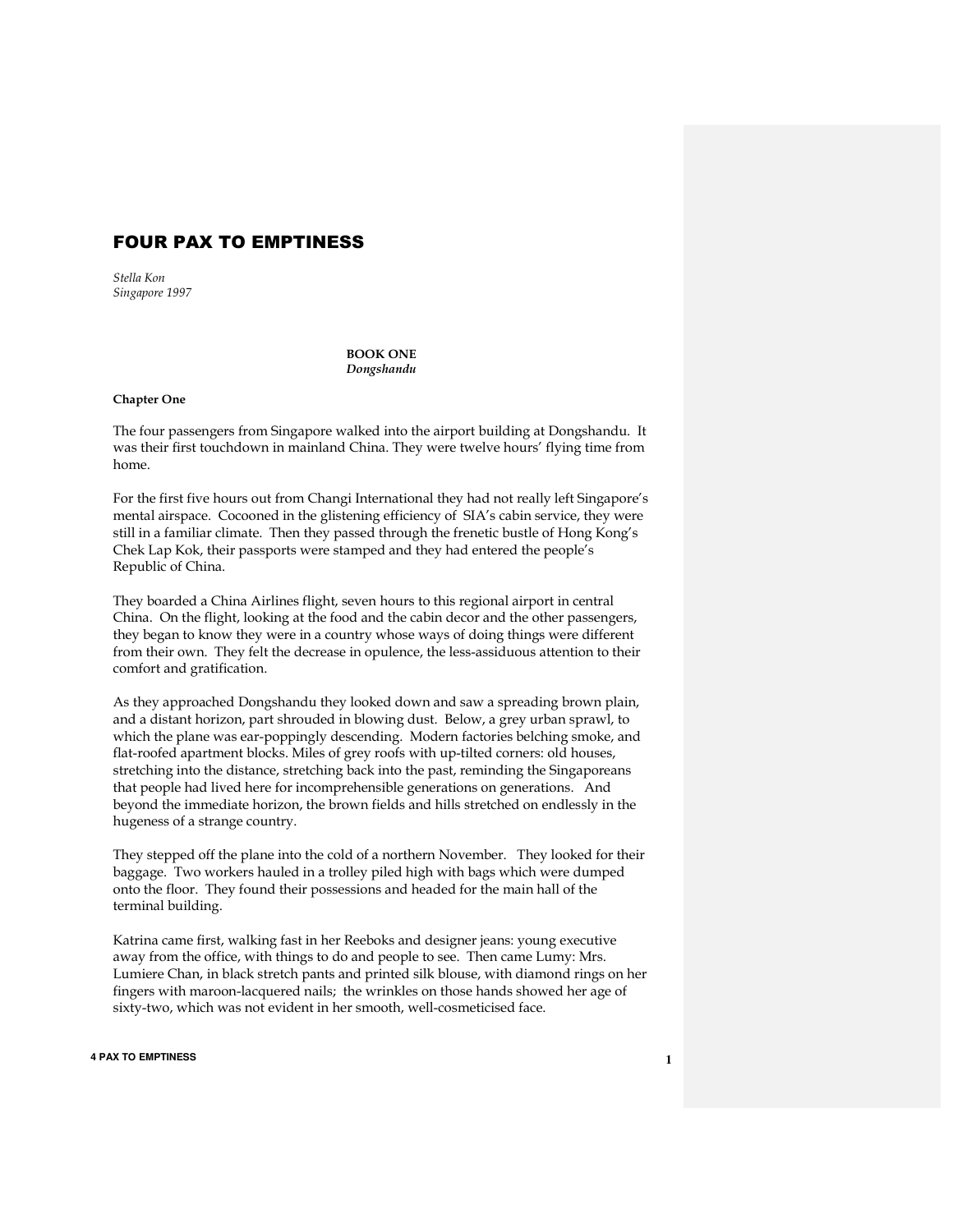# FOUR PAX TO EMPTINESS

Stella Kon Singapore 1997

# BOOK ONE Dongshandu

# Chapter One

The four passengers from Singapore walked into the airport building at Dongshandu. It was their first touchdown in mainland China. They were twelve hours' flying time from home.

For the first five hours out from Changi International they had not really left Singapore's mental airspace. Cocooned in the glistening efficiency of SIA's cabin service, they were still in a familiar climate. Then they passed through the frenetic bustle of Hong Kong's Chek Lap Kok, their passports were stamped and they had entered the people's Republic of China.

They boarded a China Airlines flight, seven hours to this regional airport in central China. On the flight, looking at the food and the cabin decor and the other passengers, they began to know they were in a country whose ways of doing things were different from their own. They felt the decrease in opulence, the less-assiduous attention to their comfort and gratification.

As they approached Dongshandu they looked down and saw a spreading brown plain, and a distant horizon, part shrouded in blowing dust. Below, a grey urban sprawl, to which the plane was ear-poppingly descending. Modern factories belching smoke, and flat-roofed apartment blocks. Miles of grey roofs with up-tilted corners: old houses, stretching into the distance, stretching back into the past, reminding the Singaporeans that people had lived here for incomprehensible generations on generations. And beyond the immediate horizon, the brown fields and hills stretched on endlessly in the hugeness of a strange country.

They stepped off the plane into the cold of a northern November. They looked for their baggage. Two workers hauled in a trolley piled high with bags which were dumped onto the floor. They found their possessions and headed for the main hall of the terminal building.

Katrina came first, walking fast in her Reeboks and designer jeans: young executive away from the office, with things to do and people to see. Then came Lumy: Mrs. Lumiere Chan, in black stretch pants and printed silk blouse, with diamond rings on her fingers with maroon-lacquered nails; the wrinkles on those hands showed her age of sixty-two, which was not evident in her smooth, well-cosmeticised face.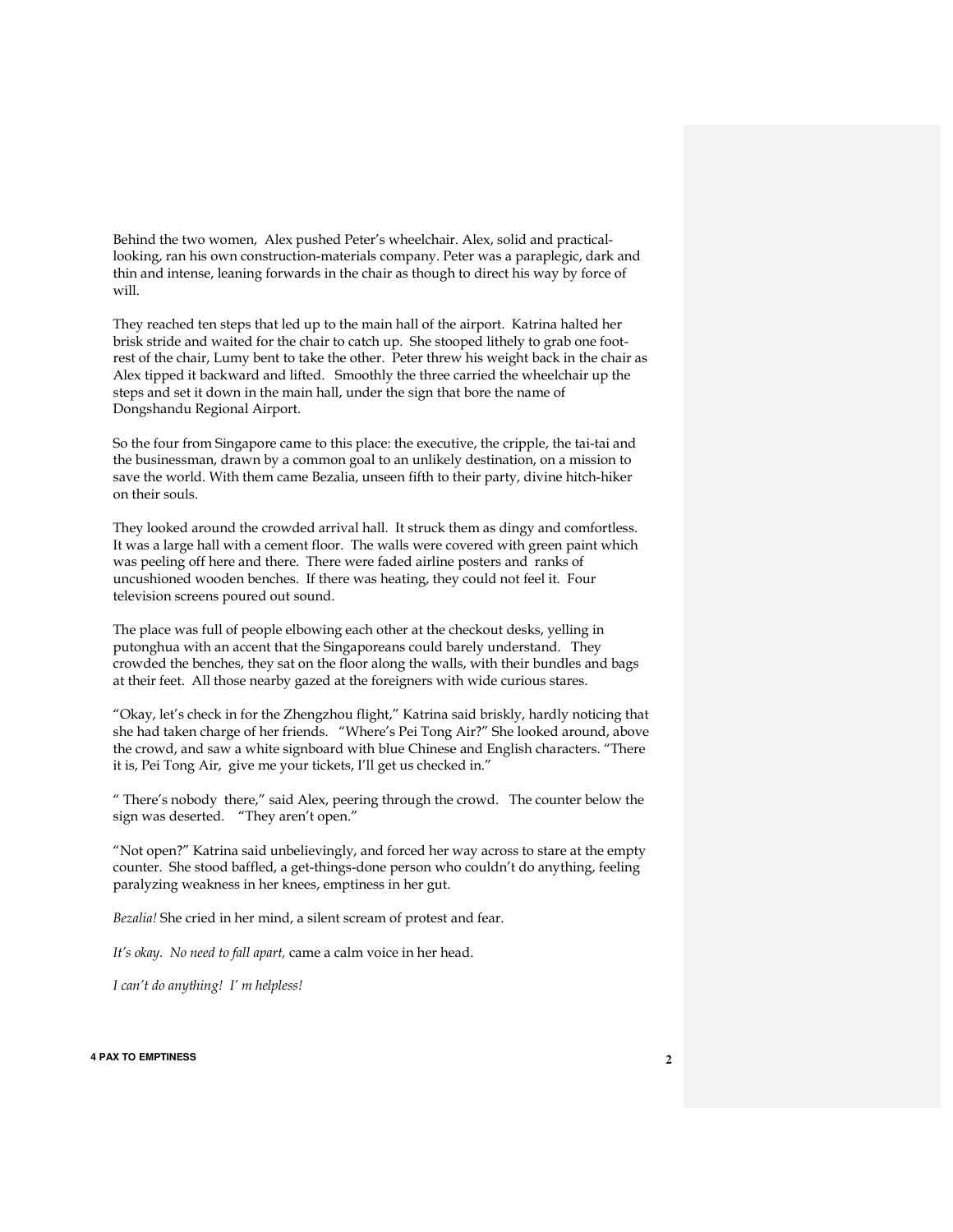Behind the two women, Alex pushed Peter's wheelchair. Alex, solid and practicallooking, ran his own construction-materials company. Peter was a paraplegic, dark and thin and intense, leaning forwards in the chair as though to direct his way by force of will.

They reached ten steps that led up to the main hall of the airport. Katrina halted her brisk stride and waited for the chair to catch up. She stooped lithely to grab one footrest of the chair, Lumy bent to take the other. Peter threw his weight back in the chair as Alex tipped it backward and lifted. Smoothly the three carried the wheelchair up the steps and set it down in the main hall, under the sign that bore the name of Dongshandu Regional Airport.

So the four from Singapore came to this place: the executive, the cripple, the tai-tai and the businessman, drawn by a common goal to an unlikely destination, on a mission to save the world. With them came Bezalia, unseen fifth to their party, divine hitch-hiker on their souls.

They looked around the crowded arrival hall. It struck them as dingy and comfortless. It was a large hall with a cement floor. The walls were covered with green paint which was peeling off here and there. There were faded airline posters and ranks of uncushioned wooden benches. If there was heating, they could not feel it. Four television screens poured out sound.

The place was full of people elbowing each other at the checkout desks, yelling in putonghua with an accent that the Singaporeans could barely understand. They crowded the benches, they sat on the floor along the walls, with their bundles and bags at their feet. All those nearby gazed at the foreigners with wide curious stares.

"Okay, let's check in for the Zhengzhou flight," Katrina said briskly, hardly noticing that she had taken charge of her friends. "Where's Pei Tong Air?" She looked around, above the crowd, and saw a white signboard with blue Chinese and English characters. "There it is, Pei Tong Air, give me your tickets, I'll get us checked in."

" There's nobody there," said Alex, peering through the crowd. The counter below the sign was deserted. "They aren't open."

"Not open?" Katrina said unbelievingly, and forced her way across to stare at the empty counter. She stood baffled, a get-things-done person who couldn't do anything, feeling paralyzing weakness in her knees, emptiness in her gut.

Bezalia! She cried in her mind, a silent scream of protest and fear.

It's okay. No need to fall apart, came a calm voice in her head.

I can't do anything! I' m helpless!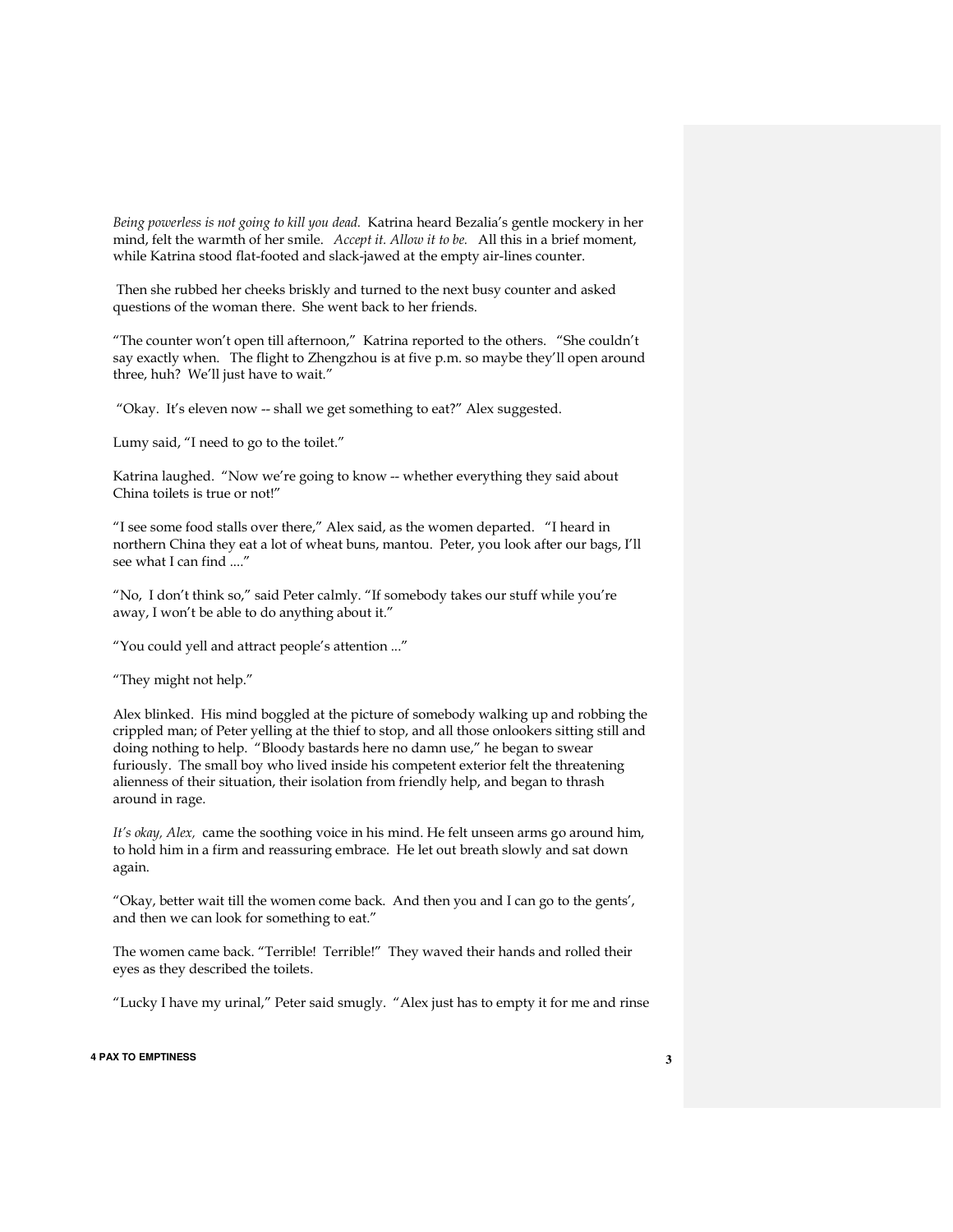Being powerless is not going to kill you dead. Katrina heard Bezalia's gentle mockery in her mind, felt the warmth of her smile. Accept it. Allow it to be. All this in a brief moment, while Katrina stood flat-footed and slack-jawed at the empty air-lines counter.

 Then she rubbed her cheeks briskly and turned to the next busy counter and asked questions of the woman there. She went back to her friends.

"The counter won't open till afternoon," Katrina reported to the others. "She couldn't say exactly when. The flight to Zhengzhou is at five p.m. so maybe they'll open around three, huh? We'll just have to wait."

"Okay. It's eleven now -- shall we get something to eat?" Alex suggested.

Lumy said, "I need to go to the toilet."

Katrina laughed. "Now we're going to know -- whether everything they said about China toilets is true or not!"

"I see some food stalls over there," Alex said, as the women departed. "I heard in northern China they eat a lot of wheat buns, mantou. Peter, you look after our bags, I'll see what I can find ...."

"No, I don't think so," said Peter calmly. "If somebody takes our stuff while you're away, I won't be able to do anything about it."

"You could yell and attract people's attention ..."

"They might not help."

Alex blinked. His mind boggled at the picture of somebody walking up and robbing the crippled man; of Peter yelling at the thief to stop, and all those onlookers sitting still and doing nothing to help. "Bloody bastards here no damn use," he began to swear furiously. The small boy who lived inside his competent exterior felt the threatening alienness of their situation, their isolation from friendly help, and began to thrash around in rage.

It's okay, Alex, came the soothing voice in his mind. He felt unseen arms go around him, to hold him in a firm and reassuring embrace. He let out breath slowly and sat down again.

"Okay, better wait till the women come back. And then you and I can go to the gents', and then we can look for something to eat."

The women came back. "Terrible! Terrible!" They waved their hands and rolled their eyes as they described the toilets.

"Lucky I have my urinal," Peter said smugly. "Alex just has to empty it for me and rinse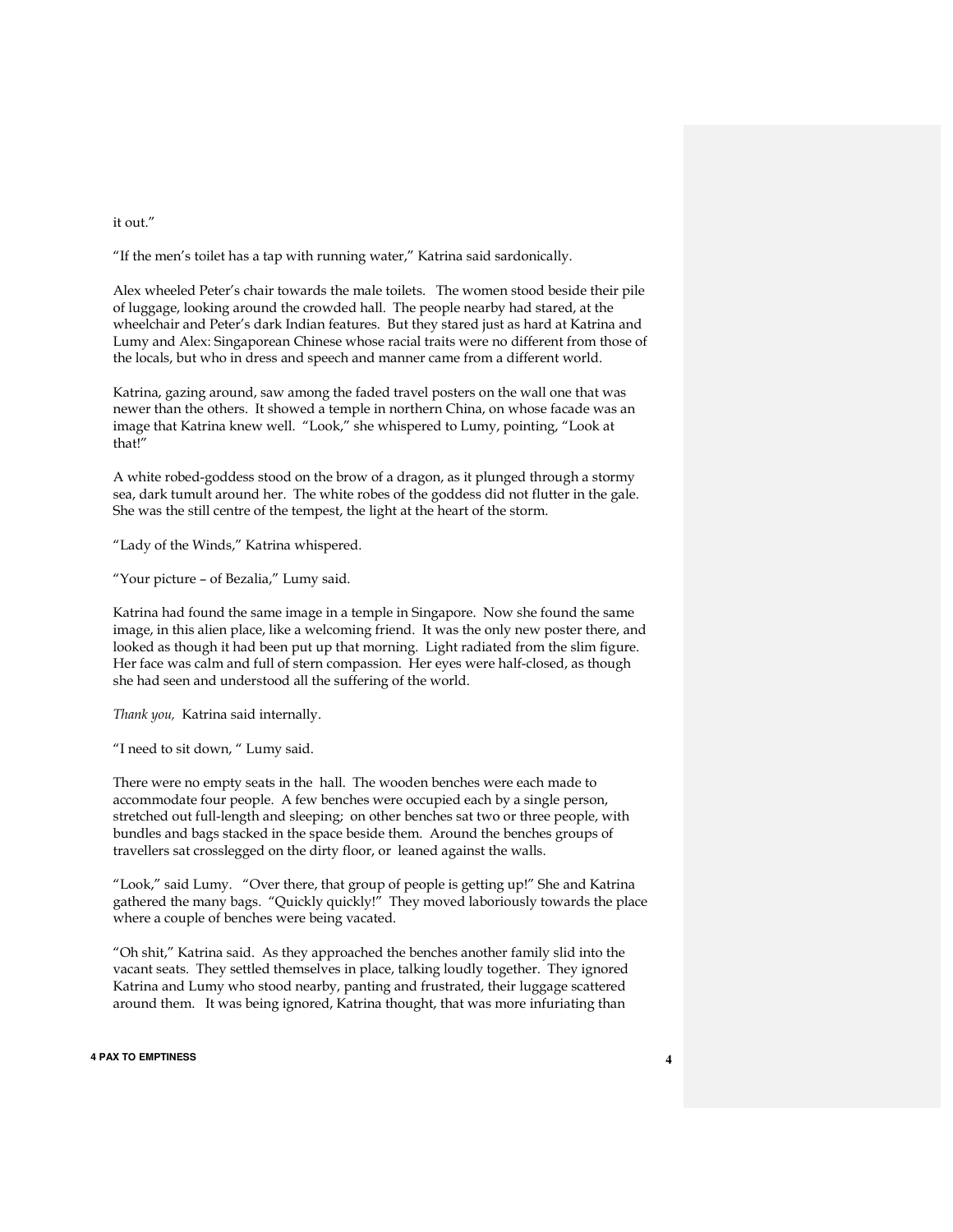it out."

"If the men's toilet has a tap with running water," Katrina said sardonically.

Alex wheeled Peter's chair towards the male toilets. The women stood beside their pile of luggage, looking around the crowded hall. The people nearby had stared, at the wheelchair and Peter's dark Indian features. But they stared just as hard at Katrina and Lumy and Alex: Singaporean Chinese whose racial traits were no different from those of the locals, but who in dress and speech and manner came from a different world.

Katrina, gazing around, saw among the faded travel posters on the wall one that was newer than the others. It showed a temple in northern China, on whose facade was an image that Katrina knew well. "Look," she whispered to Lumy, pointing, "Look at that!"

A white robed-goddess stood on the brow of a dragon, as it plunged through a stormy sea, dark tumult around her. The white robes of the goddess did not flutter in the gale. She was the still centre of the tempest, the light at the heart of the storm.

"Lady of the Winds," Katrina whispered.

"Your picture – of Bezalia," Lumy said.

Katrina had found the same image in a temple in Singapore. Now she found the same image, in this alien place, like a welcoming friend. It was the only new poster there, and looked as though it had been put up that morning. Light radiated from the slim figure. Her face was calm and full of stern compassion. Her eyes were half-closed, as though she had seen and understood all the suffering of the world.

Thank you, Katrina said internally.

"I need to sit down, " Lumy said.

There were no empty seats in the hall. The wooden benches were each made to accommodate four people. A few benches were occupied each by a single person, stretched out full-length and sleeping; on other benches sat two or three people, with bundles and bags stacked in the space beside them. Around the benches groups of travellers sat crosslegged on the dirty floor, or leaned against the walls.

"Look," said Lumy. "Over there, that group of people is getting up!" She and Katrina gathered the many bags. "Quickly quickly!" They moved laboriously towards the place where a couple of benches were being vacated.

"Oh shit," Katrina said. As they approached the benches another family slid into the vacant seats. They settled themselves in place, talking loudly together. They ignored Katrina and Lumy who stood nearby, panting and frustrated, their luggage scattered around them. It was being ignored, Katrina thought, that was more infuriating than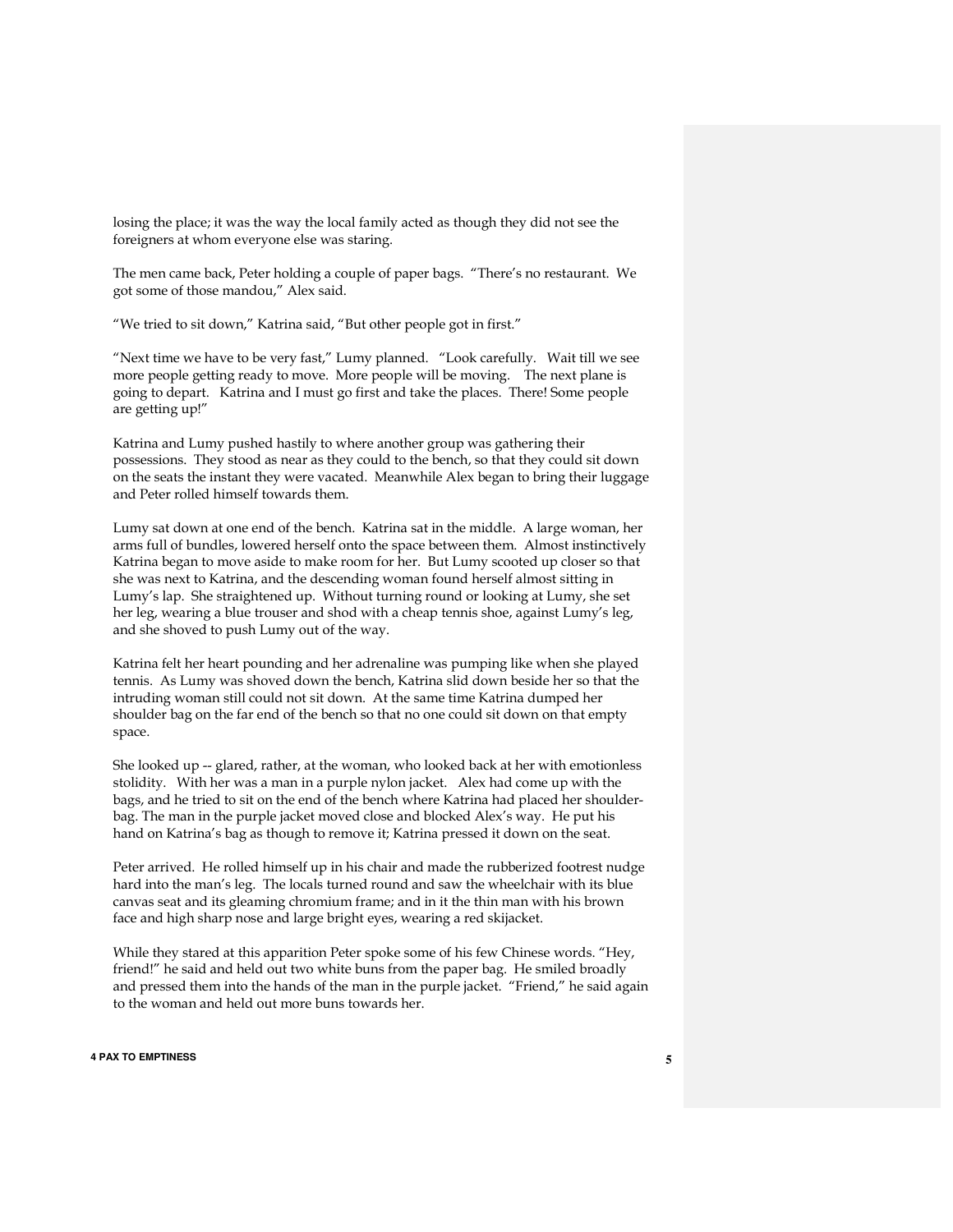losing the place; it was the way the local family acted as though they did not see the foreigners at whom everyone else was staring.

The men came back, Peter holding a couple of paper bags. "There's no restaurant. We got some of those mandou," Alex said.

"We tried to sit down," Katrina said, "But other people got in first."

"Next time we have to be very fast," Lumy planned. "Look carefully. Wait till we see more people getting ready to move. More people will be moving. The next plane is going to depart. Katrina and I must go first and take the places. There! Some people are getting up!"

Katrina and Lumy pushed hastily to where another group was gathering their possessions. They stood as near as they could to the bench, so that they could sit down on the seats the instant they were vacated. Meanwhile Alex began to bring their luggage and Peter rolled himself towards them.

Lumy sat down at one end of the bench. Katrina sat in the middle. A large woman, her arms full of bundles, lowered herself onto the space between them. Almost instinctively Katrina began to move aside to make room for her. But Lumy scooted up closer so that she was next to Katrina, and the descending woman found herself almost sitting in Lumy's lap. She straightened up. Without turning round or looking at Lumy, she set her leg, wearing a blue trouser and shod with a cheap tennis shoe, against Lumy's leg, and she shoved to push Lumy out of the way.

Katrina felt her heart pounding and her adrenaline was pumping like when she played tennis. As Lumy was shoved down the bench, Katrina slid down beside her so that the intruding woman still could not sit down. At the same time Katrina dumped her shoulder bag on the far end of the bench so that no one could sit down on that empty space.

She looked up -- glared, rather, at the woman, who looked back at her with emotionless stolidity. With her was a man in a purple nylon jacket. Alex had come up with the bags, and he tried to sit on the end of the bench where Katrina had placed her shoulderbag. The man in the purple jacket moved close and blocked Alex's way. He put his hand on Katrina's bag as though to remove it; Katrina pressed it down on the seat.

Peter arrived. He rolled himself up in his chair and made the rubberized footrest nudge hard into the man's leg. The locals turned round and saw the wheelchair with its blue canvas seat and its gleaming chromium frame; and in it the thin man with his brown face and high sharp nose and large bright eyes, wearing a red skijacket.

While they stared at this apparition Peter spoke some of his few Chinese words. "Hey, friend!" he said and held out two white buns from the paper bag. He smiled broadly and pressed them into the hands of the man in the purple jacket. "Friend," he said again to the woman and held out more buns towards her.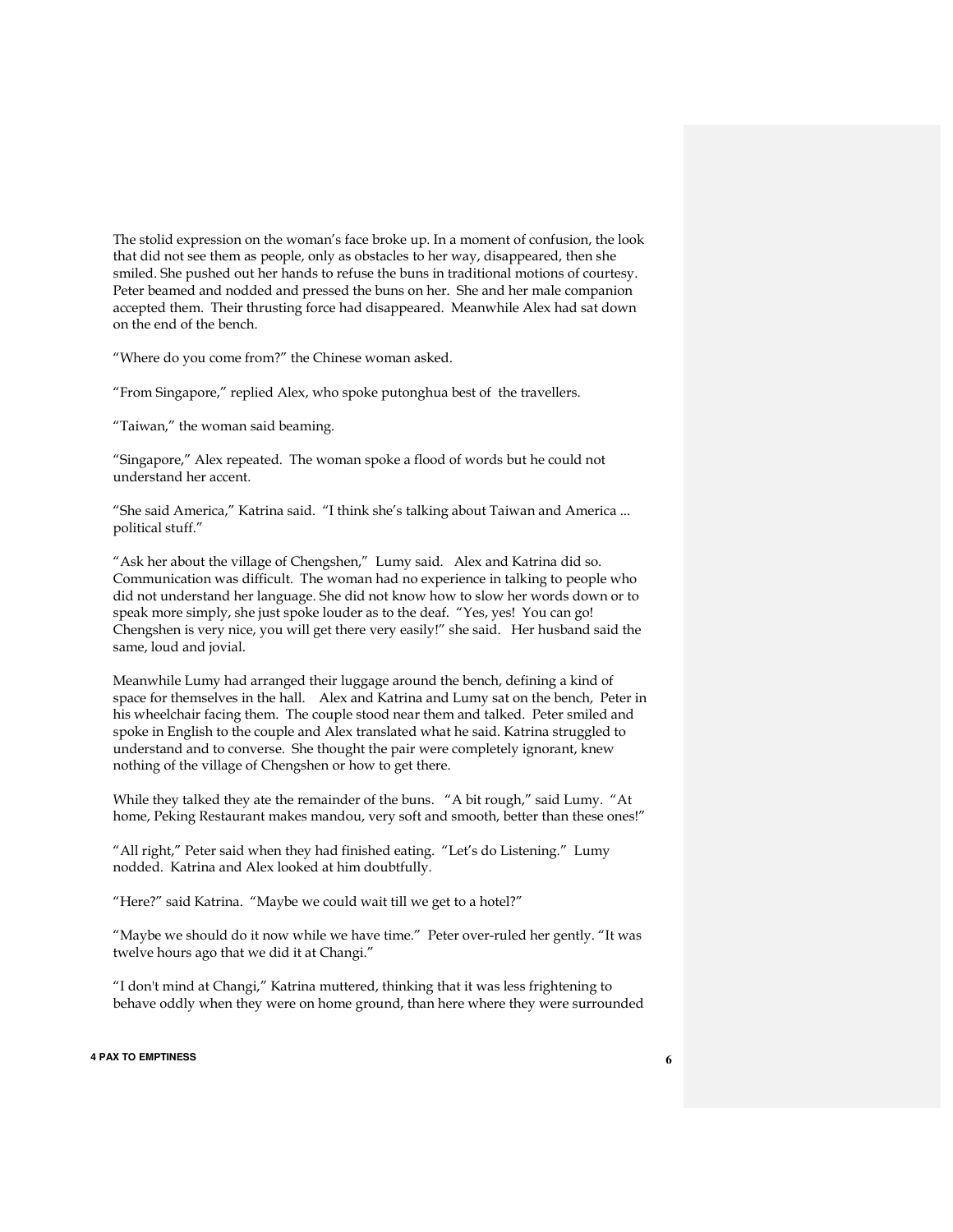The stolid expression on the woman's face broke up. In a moment of confusion, the look that did not see them as people, only as obstacles to her way, disappeared, then she smiled. She pushed out her hands to refuse the buns in traditional motions of courtesy. Peter beamed and nodded and pressed the buns on her. She and her male companion accepted them. Their thrusting force had disappeared. Meanwhile Alex had sat down on the end of the bench.

"Where do you come from?" the Chinese woman asked.

"From Singapore," replied Alex, who spoke putonghua best of the travellers.

"Taiwan," the woman said beaming.

"Singapore," Alex repeated. The woman spoke a flood of words but he could not understand her accent.

"She said America," Katrina said. "I think she's talking about Taiwan and America ... political stuff."

"Ask her about the village of Chengshen," Lumy said. Alex and Katrina did so. Communication was difficult. The woman had no experience in talking to people who did not understand her language. She did not know how to slow her words down or to speak more simply, she just spoke louder as to the deaf. "Yes, yes! You can go! Chengshen is very nice, you will get there very easily!" she said. Her husband said the same, loud and jovial.

Meanwhile Lumy had arranged their luggage around the bench, defining a kind of space for themselves in the hall. Alex and Katrina and Lumy sat on the bench, Peter in his wheelchair facing them. The couple stood near them and talked. Peter smiled and spoke in English to the couple and Alex translated what he said. Katrina struggled to understand and to converse. She thought the pair were completely ignorant, knew nothing of the village of Chengshen or how to get there.

While they talked they ate the remainder of the buns. "A bit rough," said Lumy. "At home, Peking Restaurant makes mandou, very soft and smooth, better than these ones!"

"All right," Peter said when they had finished eating. "Let's do Listening." Lumy nodded. Katrina and Alex looked at him doubtfully.

"Here?" said Katrina. "Maybe we could wait till we get to a hotel?"

"Maybe we should do it now while we have time." Peter over-ruled her gently. "It was twelve hours ago that we did it at Changi."

"I don't mind at Changi," Katrina muttered, thinking that it was less frightening to behave oddly when they were on home ground, than here where they were surrounded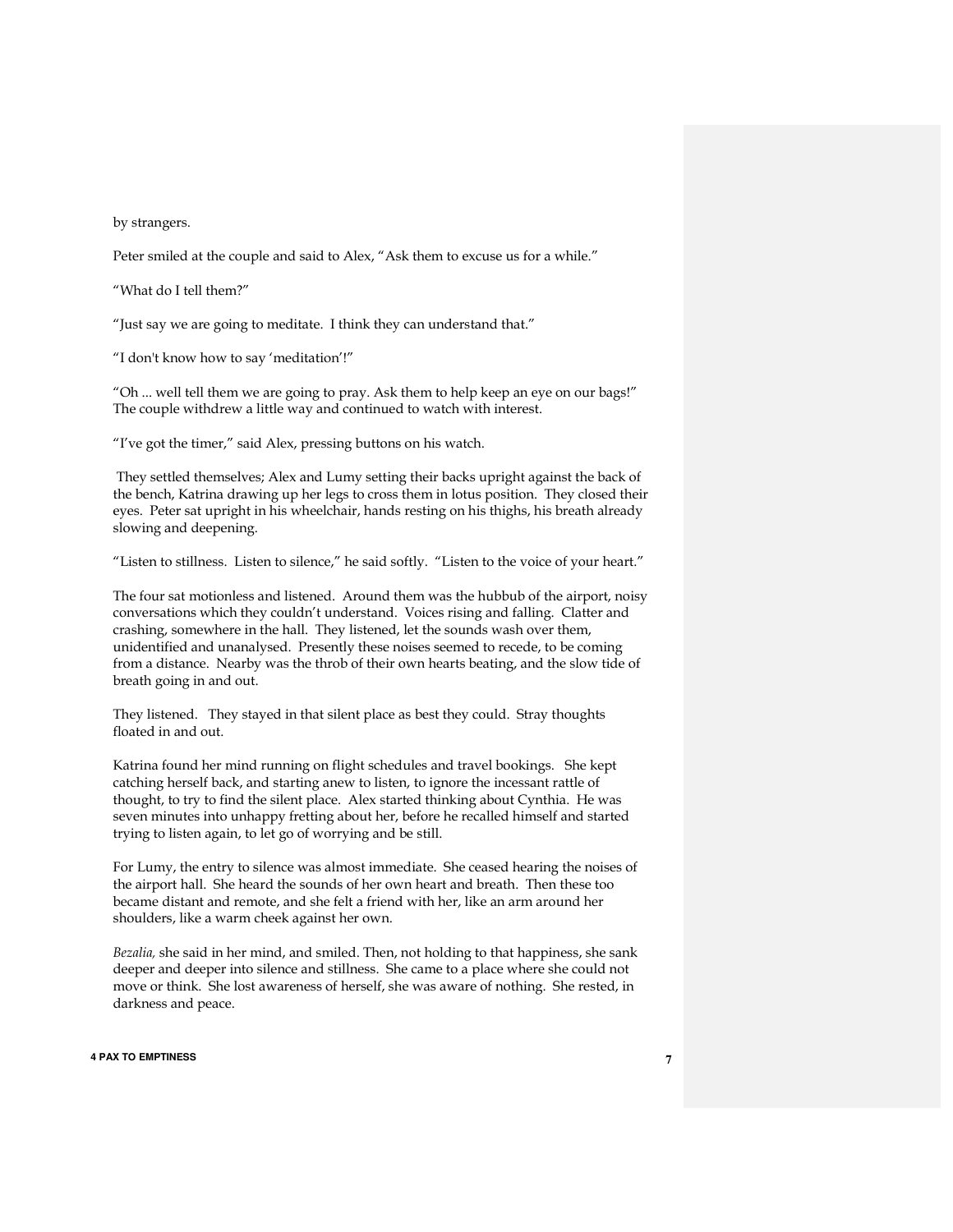by strangers.

Peter smiled at the couple and said to Alex, "Ask them to excuse us for a while."

"What do I tell them?"

"Just say we are going to meditate. I think they can understand that."

"I don't know how to say 'meditation'!"

"Oh ... well tell them we are going to pray. Ask them to help keep an eye on our bags!" The couple withdrew a little way and continued to watch with interest.

"I've got the timer," said Alex, pressing buttons on his watch.

 They settled themselves; Alex and Lumy setting their backs upright against the back of the bench, Katrina drawing up her legs to cross them in lotus position. They closed their eyes. Peter sat upright in his wheelchair, hands resting on his thighs, his breath already slowing and deepening.

"Listen to stillness. Listen to silence," he said softly. "Listen to the voice of your heart."

The four sat motionless and listened. Around them was the hubbub of the airport, noisy conversations which they couldn't understand. Voices rising and falling. Clatter and crashing, somewhere in the hall. They listened, let the sounds wash over them, unidentified and unanalysed. Presently these noises seemed to recede, to be coming from a distance. Nearby was the throb of their own hearts beating, and the slow tide of breath going in and out.

They listened. They stayed in that silent place as best they could. Stray thoughts floated in and out.

Katrina found her mind running on flight schedules and travel bookings. She kept catching herself back, and starting anew to listen, to ignore the incessant rattle of thought, to try to find the silent place. Alex started thinking about Cynthia. He was seven minutes into unhappy fretting about her, before he recalled himself and started trying to listen again, to let go of worrying and be still.

For Lumy, the entry to silence was almost immediate. She ceased hearing the noises of the airport hall. She heard the sounds of her own heart and breath. Then these too became distant and remote, and she felt a friend with her, like an arm around her shoulders, like a warm cheek against her own.

Bezalia, she said in her mind, and smiled. Then, not holding to that happiness, she sank deeper and deeper into silence and stillness. She came to a place where she could not move or think. She lost awareness of herself, she was aware of nothing. She rested, in darkness and peace.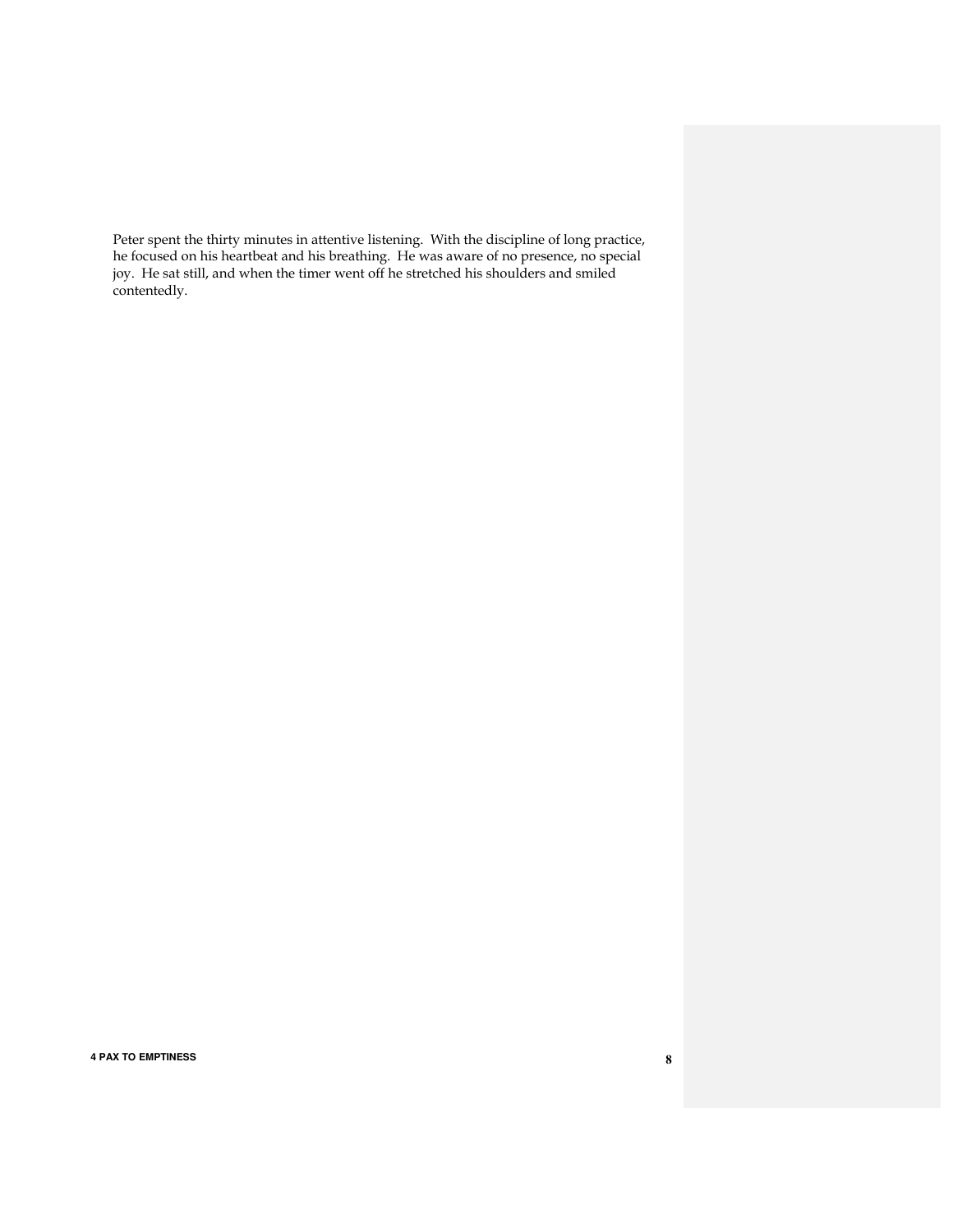Peter spent the thirty minutes in attentive listening. With the discipline of long practice, he focused on his heartbeat and his breathing. He was aware of no presence, no special joy. He sat still, and when the timer went off he stretched his shoulders and smiled contentedly.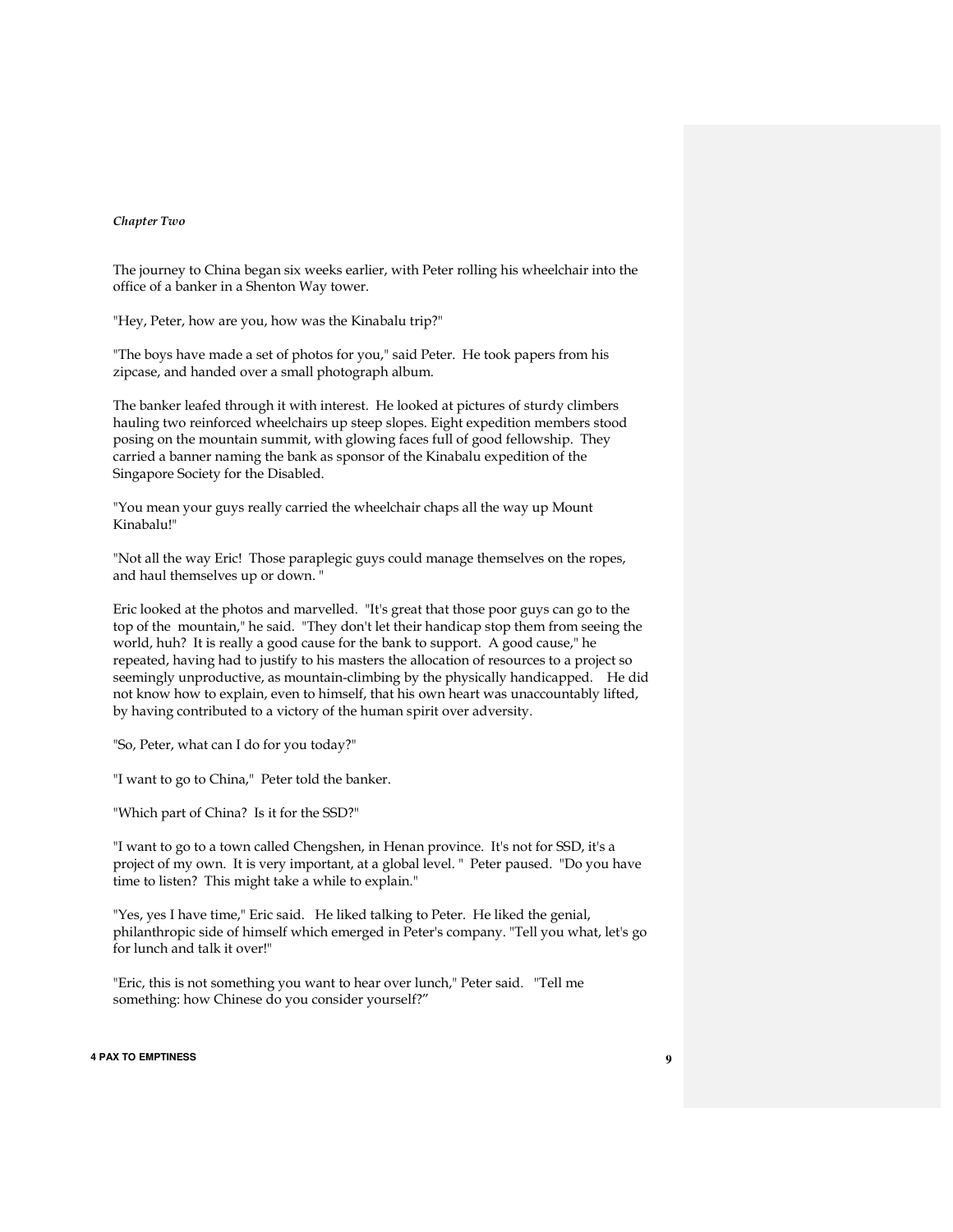# Chapter Two

The journey to China began six weeks earlier, with Peter rolling his wheelchair into the office of a banker in a Shenton Way tower.

"Hey, Peter, how are you, how was the Kinabalu trip?"

"The boys have made a set of photos for you," said Peter. He took papers from his zipcase, and handed over a small photograph album.

The banker leafed through it with interest. He looked at pictures of sturdy climbers hauling two reinforced wheelchairs up steep slopes. Eight expedition members stood posing on the mountain summit, with glowing faces full of good fellowship. They carried a banner naming the bank as sponsor of the Kinabalu expedition of the Singapore Society for the Disabled.

"You mean your guys really carried the wheelchair chaps all the way up Mount Kinabalu!"

"Not all the way Eric! Those paraplegic guys could manage themselves on the ropes, and haul themselves up or down. "

Eric looked at the photos and marvelled. "It's great that those poor guys can go to the top of the mountain," he said. "They don't let their handicap stop them from seeing the world, huh? It is really a good cause for the bank to support. A good cause," he repeated, having had to justify to his masters the allocation of resources to a project so seemingly unproductive, as mountain-climbing by the physically handicapped. He did not know how to explain, even to himself, that his own heart was unaccountably lifted, by having contributed to a victory of the human spirit over adversity.

"So, Peter, what can I do for you today?"

"I want to go to China," Peter told the banker.

"Which part of China? Is it for the SSD?"

"I want to go to a town called Chengshen, in Henan province. It's not for SSD, it's a project of my own. It is very important, at a global level. " Peter paused. "Do you have time to listen? This might take a while to explain."

"Yes, yes I have time," Eric said. He liked talking to Peter. He liked the genial, philanthropic side of himself which emerged in Peter's company. "Tell you what, let's go for lunch and talk it over!"

"Eric, this is not something you want to hear over lunch," Peter said. "Tell me something: how Chinese do you consider yourself?"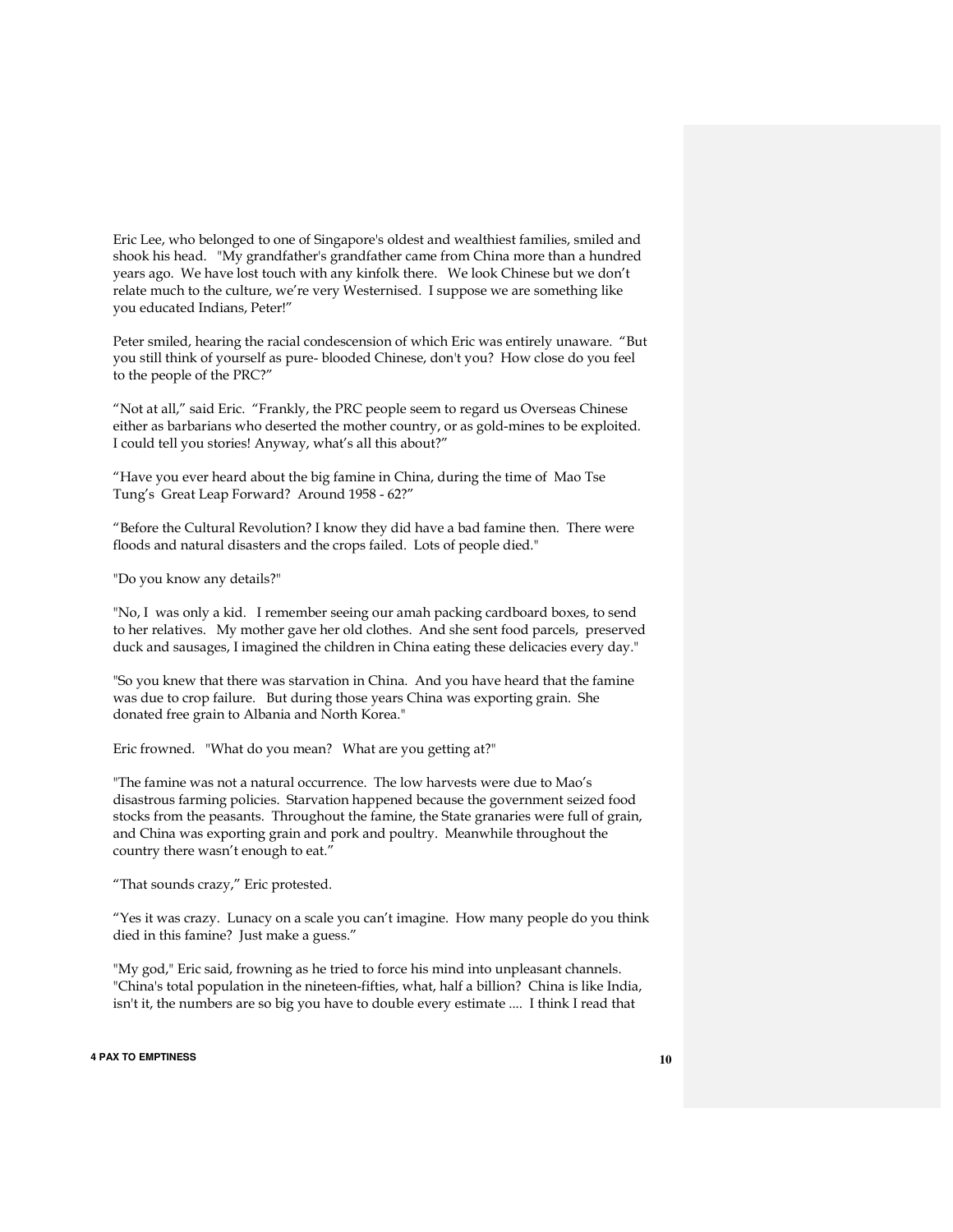Eric Lee, who belonged to one of Singapore's oldest and wealthiest families, smiled and shook his head. "My grandfather's grandfather came from China more than a hundred years ago. We have lost touch with any kinfolk there. We look Chinese but we don't relate much to the culture, we're very Westernised. I suppose we are something like you educated Indians, Peter!"

Peter smiled, hearing the racial condescension of which Eric was entirely unaware. "But you still think of yourself as pure- blooded Chinese, don't you? How close do you feel to the people of the PRC?"

"Not at all," said Eric. "Frankly, the PRC people seem to regard us Overseas Chinese either as barbarians who deserted the mother country, or as gold-mines to be exploited. I could tell you stories! Anyway, what's all this about?"

"Have you ever heard about the big famine in China, during the time of Mao Tse Tung's Great Leap Forward? Around 1958 - 62?"

"Before the Cultural Revolution? I know they did have a bad famine then. There were floods and natural disasters and the crops failed. Lots of people died."

"Do you know any details?"

"No, I was only a kid. I remember seeing our amah packing cardboard boxes, to send to her relatives. My mother gave her old clothes. And she sent food parcels, preserved duck and sausages, I imagined the children in China eating these delicacies every day."

"So you knew that there was starvation in China. And you have heard that the famine was due to crop failure. But during those years China was exporting grain. She donated free grain to Albania and North Korea."

Eric frowned. "What do you mean? What are you getting at?"

"The famine was not a natural occurrence. The low harvests were due to Mao's disastrous farming policies. Starvation happened because the government seized food stocks from the peasants. Throughout the famine, the State granaries were full of grain, and China was exporting grain and pork and poultry. Meanwhile throughout the country there wasn't enough to eat."

"That sounds crazy," Eric protested.

"Yes it was crazy. Lunacy on a scale you can't imagine. How many people do you think died in this famine? Just make a guess."

"My god," Eric said, frowning as he tried to force his mind into unpleasant channels. "China's total population in the nineteen-fifties, what, half a billion? China is like India, isn't it, the numbers are so big you have to double every estimate .... I think I read that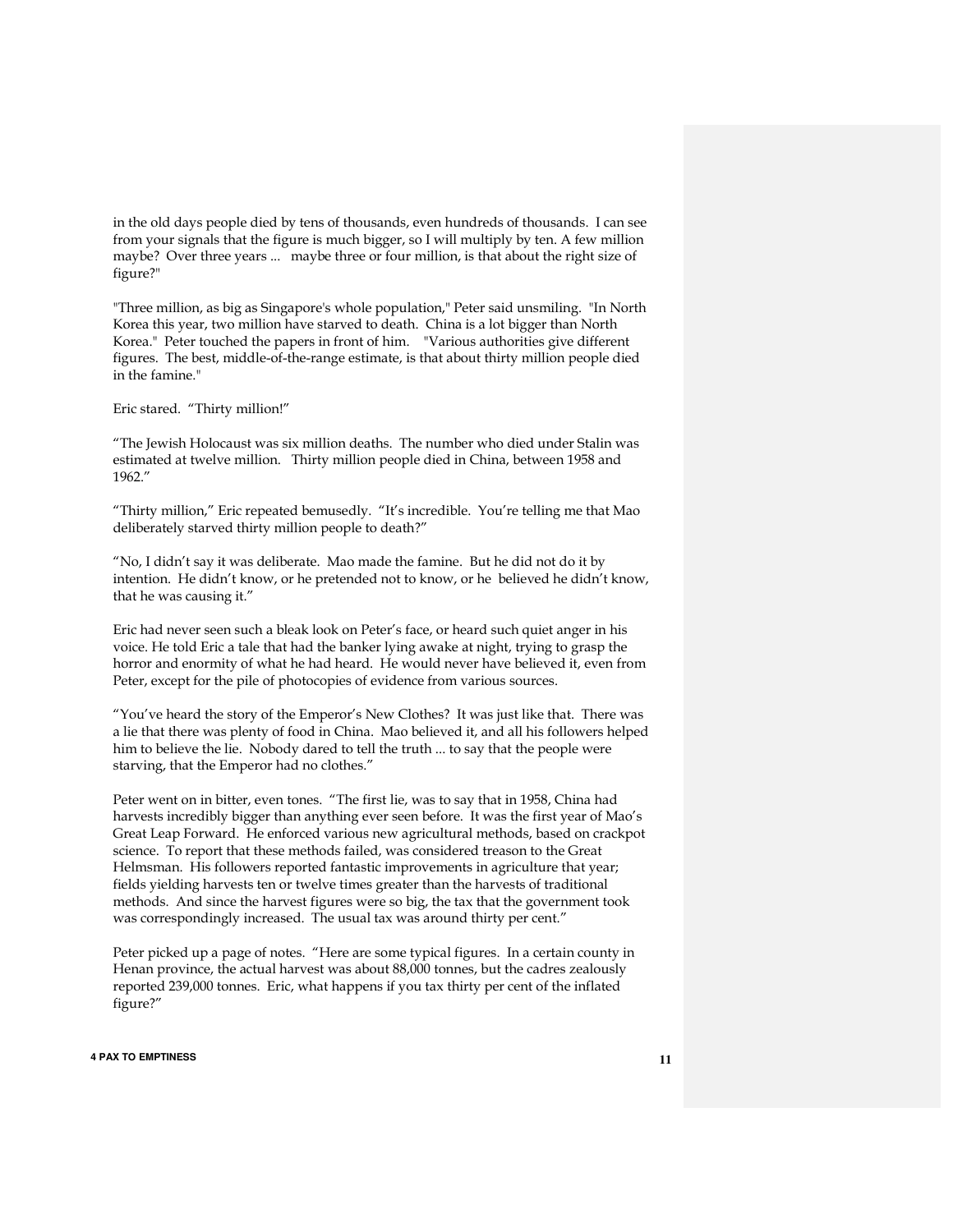in the old days people died by tens of thousands, even hundreds of thousands. I can see from your signals that the figure is much bigger, so I will multiply by ten. A few million maybe? Over three years ... maybe three or four million, is that about the right size of figure?"

"Three million, as big as Singapore's whole population," Peter said unsmiling. "In North Korea this year, two million have starved to death. China is a lot bigger than North Korea." Peter touched the papers in front of him. "Various authorities give different figures. The best, middle-of-the-range estimate, is that about thirty million people died in the famine."

Eric stared. "Thirty million!"

"The Jewish Holocaust was six million deaths. The number who died under Stalin was estimated at twelve million. Thirty million people died in China, between 1958 and 1962."

"Thirty million," Eric repeated bemusedly. "It's incredible. You're telling me that Mao deliberately starved thirty million people to death?"

"No, I didn't say it was deliberate. Mao made the famine. But he did not do it by intention. He didn't know, or he pretended not to know, or he believed he didn't know, that he was causing it."

Eric had never seen such a bleak look on Peter's face, or heard such quiet anger in his voice. He told Eric a tale that had the banker lying awake at night, trying to grasp the horror and enormity of what he had heard. He would never have believed it, even from Peter, except for the pile of photocopies of evidence from various sources.

"You've heard the story of the Emperor's New Clothes? It was just like that. There was a lie that there was plenty of food in China. Mao believed it, and all his followers helped him to believe the lie. Nobody dared to tell the truth ... to say that the people were starving, that the Emperor had no clothes."

Peter went on in bitter, even tones. "The first lie, was to say that in 1958, China had harvests incredibly bigger than anything ever seen before. It was the first year of Mao's Great Leap Forward. He enforced various new agricultural methods, based on crackpot science. To report that these methods failed, was considered treason to the Great Helmsman. His followers reported fantastic improvements in agriculture that year; fields yielding harvests ten or twelve times greater than the harvests of traditional methods. And since the harvest figures were so big, the tax that the government took was correspondingly increased. The usual tax was around thirty per cent."

Peter picked up a page of notes. "Here are some typical figures. In a certain county in Henan province, the actual harvest was about 88,000 tonnes, but the cadres zealously reported 239,000 tonnes. Eric, what happens if you tax thirty per cent of the inflated figure?"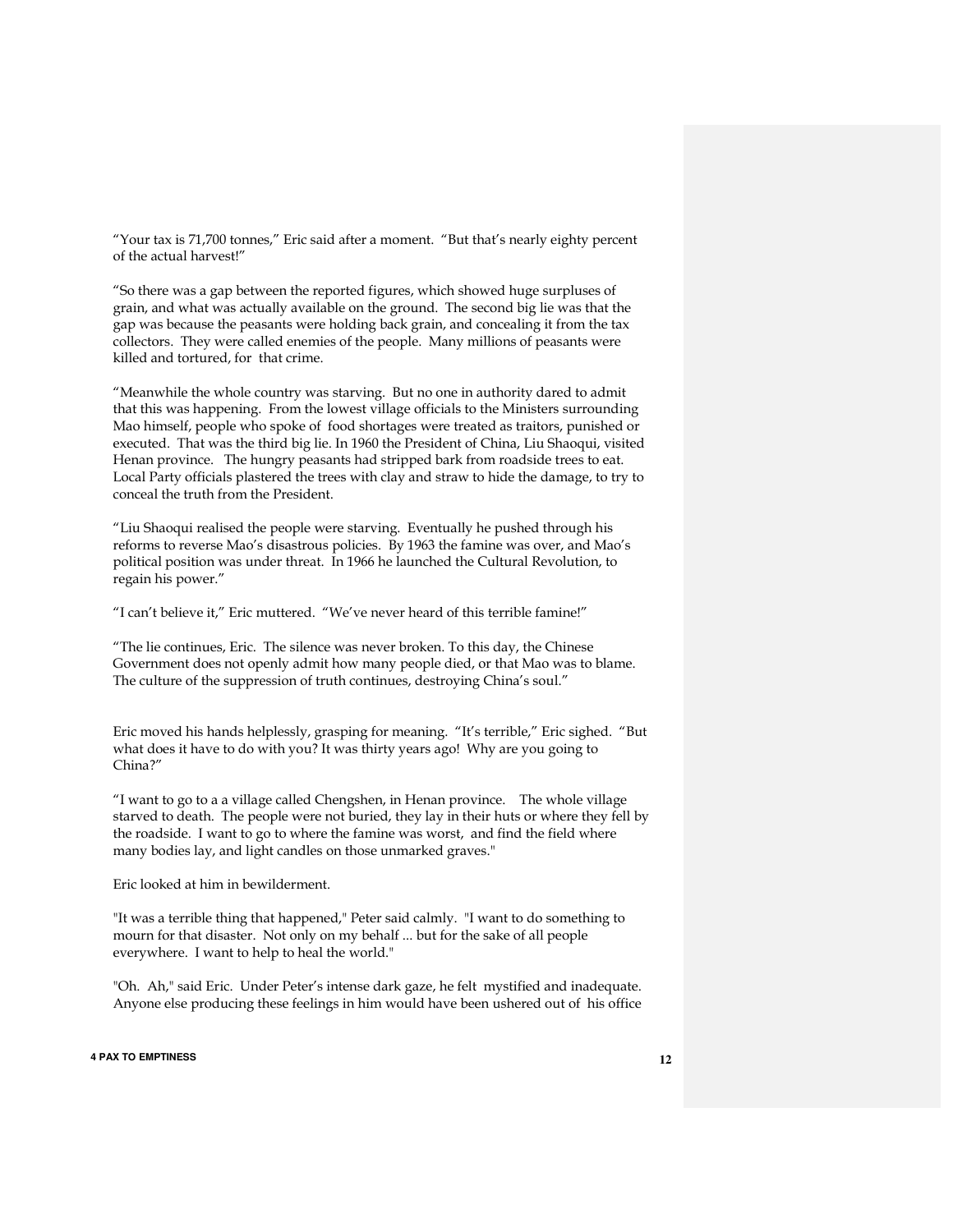"Your tax is 71,700 tonnes," Eric said after a moment. "But that's nearly eighty percent of the actual harvest!"

"So there was a gap between the reported figures, which showed huge surpluses of grain, and what was actually available on the ground. The second big lie was that the gap was because the peasants were holding back grain, and concealing it from the tax collectors. They were called enemies of the people. Many millions of peasants were killed and tortured, for that crime.

"Meanwhile the whole country was starving. But no one in authority dared to admit that this was happening. From the lowest village officials to the Ministers surrounding Mao himself, people who spoke of food shortages were treated as traitors, punished or executed. That was the third big lie. In 1960 the President of China, Liu Shaoqui, visited Henan province. The hungry peasants had stripped bark from roadside trees to eat. Local Party officials plastered the trees with clay and straw to hide the damage, to try to conceal the truth from the President.

"Liu Shaoqui realised the people were starving. Eventually he pushed through his reforms to reverse Mao's disastrous policies. By 1963 the famine was over, and Mao's political position was under threat. In 1966 he launched the Cultural Revolution, to regain his power."

"I can't believe it," Eric muttered. "We've never heard of this terrible famine!"

"The lie continues, Eric. The silence was never broken. To this day, the Chinese Government does not openly admit how many people died, or that Mao was to blame. The culture of the suppression of truth continues, destroying China's soul."

Eric moved his hands helplessly, grasping for meaning. "It's terrible," Eric sighed. "But what does it have to do with you? It was thirty years ago! Why are you going to China?"

"I want to go to a a village called Chengshen, in Henan province. The whole village starved to death. The people were not buried, they lay in their huts or where they fell by the roadside. I want to go to where the famine was worst, and find the field where many bodies lay, and light candles on those unmarked graves."

Eric looked at him in bewilderment.

"It was a terrible thing that happened," Peter said calmly. "I want to do something to mourn for that disaster. Not only on my behalf ... but for the sake of all people everywhere. I want to help to heal the world."

"Oh. Ah," said Eric. Under Peter's intense dark gaze, he felt mystified and inadequate. Anyone else producing these feelings in him would have been ushered out of his office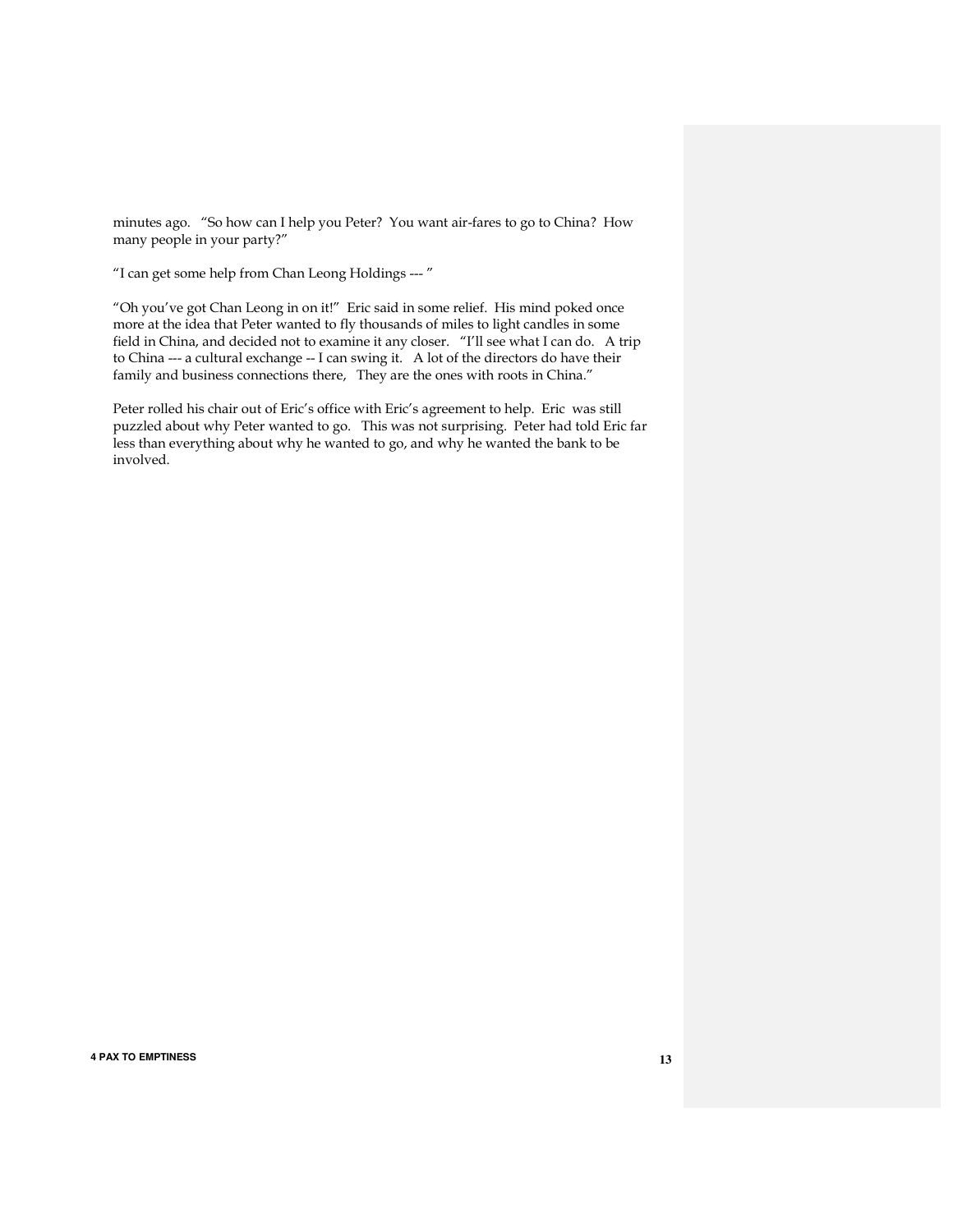minutes ago. "So how can I help you Peter? You want air-fares to go to China? How many people in your party?"

"I can get some help from Chan Leong Holdings --- "

"Oh you've got Chan Leong in on it!" Eric said in some relief. His mind poked once more at the idea that Peter wanted to fly thousands of miles to light candles in some field in China, and decided not to examine it any closer. "I'll see what I can do. A trip to China --- a cultural exchange -- I can swing it. A lot of the directors do have their family and business connections there, They are the ones with roots in China."

Peter rolled his chair out of Eric's office with Eric's agreement to help. Eric was still puzzled about why Peter wanted to go. This was not surprising. Peter had told Eric far less than everything about why he wanted to go, and why he wanted the bank to be involved.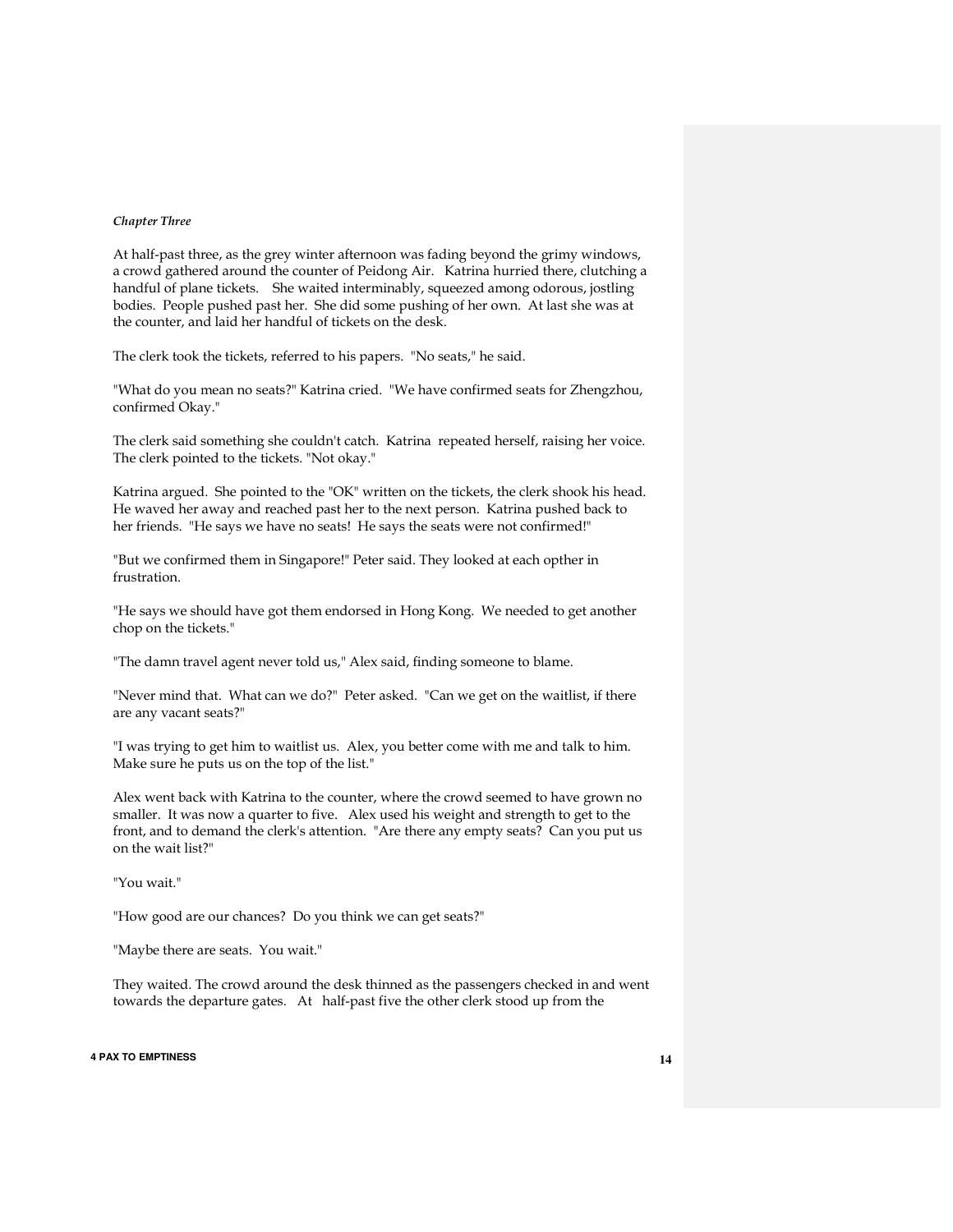### Chapter Three

At half-past three, as the grey winter afternoon was fading beyond the grimy windows, a crowd gathered around the counter of Peidong Air. Katrina hurried there, clutching a handful of plane tickets. She waited interminably, squeezed among odorous, jostling bodies. People pushed past her. She did some pushing of her own. At last she was at the counter, and laid her handful of tickets on the desk.

The clerk took the tickets, referred to his papers. "No seats," he said.

"What do you mean no seats?" Katrina cried. "We have confirmed seats for Zhengzhou, confirmed Okay."

The clerk said something she couldn't catch. Katrina repeated herself, raising her voice. The clerk pointed to the tickets. "Not okay."

Katrina argued. She pointed to the "OK" written on the tickets, the clerk shook his head. He waved her away and reached past her to the next person. Katrina pushed back to her friends. "He says we have no seats! He says the seats were not confirmed!"

"But we confirmed them in Singapore!" Peter said. They looked at each opther in frustration.

"He says we should have got them endorsed in Hong Kong. We needed to get another chop on the tickets."

"The damn travel agent never told us," Alex said, finding someone to blame.

"Never mind that. What can we do?" Peter asked. "Can we get on the waitlist, if there are any vacant seats?"

"I was trying to get him to waitlist us. Alex, you better come with me and talk to him. Make sure he puts us on the top of the list."

Alex went back with Katrina to the counter, where the crowd seemed to have grown no smaller. It was now a quarter to five. Alex used his weight and strength to get to the front, and to demand the clerk's attention. "Are there any empty seats? Can you put us on the wait list?"

"You wait."

"How good are our chances? Do you think we can get seats?"

"Maybe there are seats. You wait."

They waited. The crowd around the desk thinned as the passengers checked in and went towards the departure gates. At half-past five the other clerk stood up from the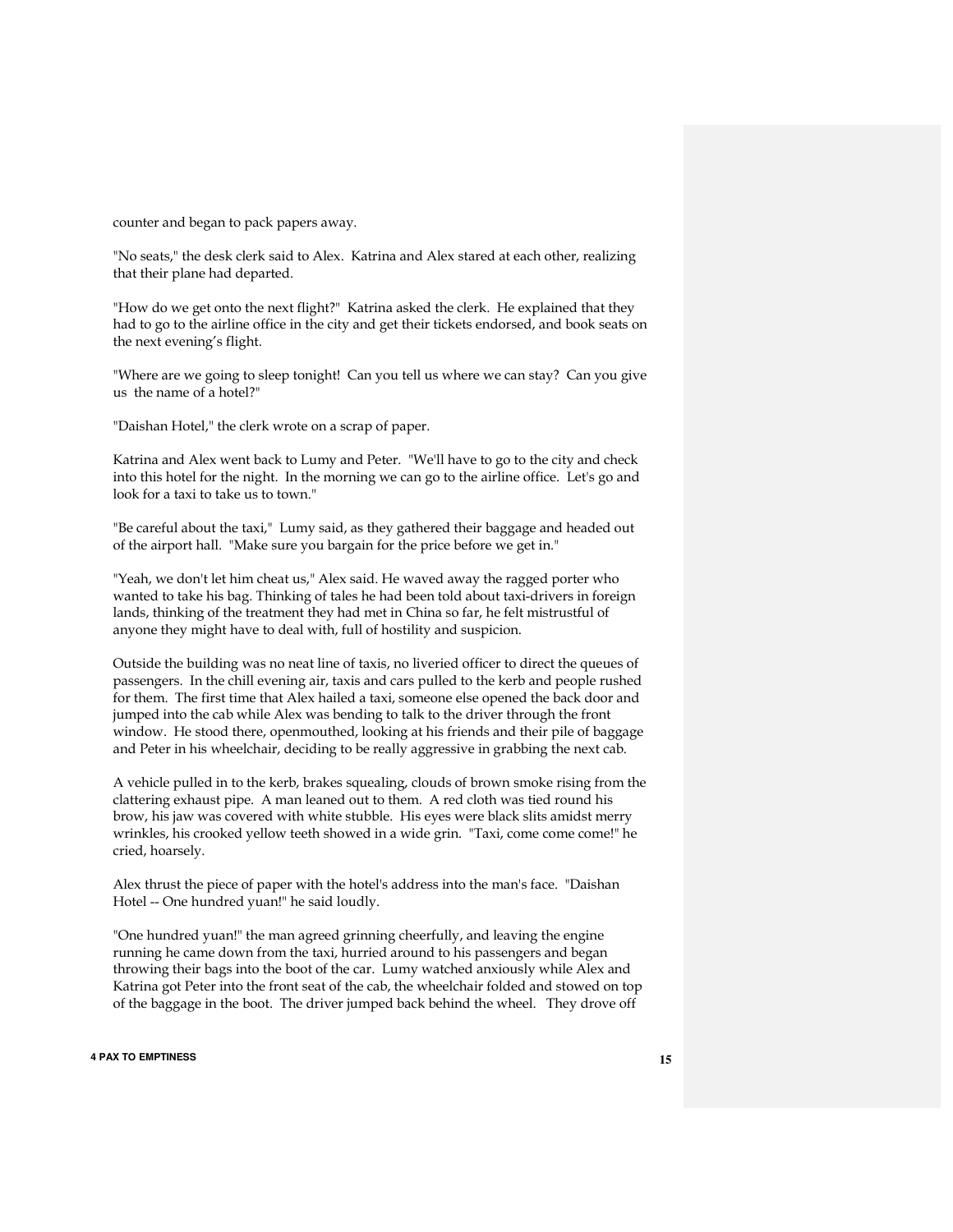counter and began to pack papers away.

"No seats," the desk clerk said to Alex. Katrina and Alex stared at each other, realizing that their plane had departed.

"How do we get onto the next flight?" Katrina asked the clerk. He explained that they had to go to the airline office in the city and get their tickets endorsed, and book seats on the next evening's flight.

"Where are we going to sleep tonight! Can you tell us where we can stay? Can you give us the name of a hotel?"

"Daishan Hotel," the clerk wrote on a scrap of paper.

Katrina and Alex went back to Lumy and Peter. "We'll have to go to the city and check into this hotel for the night. In the morning we can go to the airline office. Let's go and look for a taxi to take us to town."

"Be careful about the taxi," Lumy said, as they gathered their baggage and headed out of the airport hall. "Make sure you bargain for the price before we get in."

"Yeah, we don't let him cheat us," Alex said. He waved away the ragged porter who wanted to take his bag. Thinking of tales he had been told about taxi-drivers in foreign lands, thinking of the treatment they had met in China so far, he felt mistrustful of anyone they might have to deal with, full of hostility and suspicion.

Outside the building was no neat line of taxis, no liveried officer to direct the queues of passengers. In the chill evening air, taxis and cars pulled to the kerb and people rushed for them. The first time that Alex hailed a taxi, someone else opened the back door and jumped into the cab while Alex was bending to talk to the driver through the front window. He stood there, openmouthed, looking at his friends and their pile of baggage and Peter in his wheelchair, deciding to be really aggressive in grabbing the next cab.

A vehicle pulled in to the kerb, brakes squealing, clouds of brown smoke rising from the clattering exhaust pipe. A man leaned out to them. A red cloth was tied round his brow, his jaw was covered with white stubble. His eyes were black slits amidst merry wrinkles, his crooked yellow teeth showed in a wide grin. "Taxi, come come come!" he cried, hoarsely.

Alex thrust the piece of paper with the hotel's address into the man's face. "Daishan Hotel -- One hundred yuan!" he said loudly.

"One hundred yuan!" the man agreed grinning cheerfully, and leaving the engine running he came down from the taxi, hurried around to his passengers and began throwing their bags into the boot of the car. Lumy watched anxiously while Alex and Katrina got Peter into the front seat of the cab, the wheelchair folded and stowed on top of the baggage in the boot. The driver jumped back behind the wheel. They drove off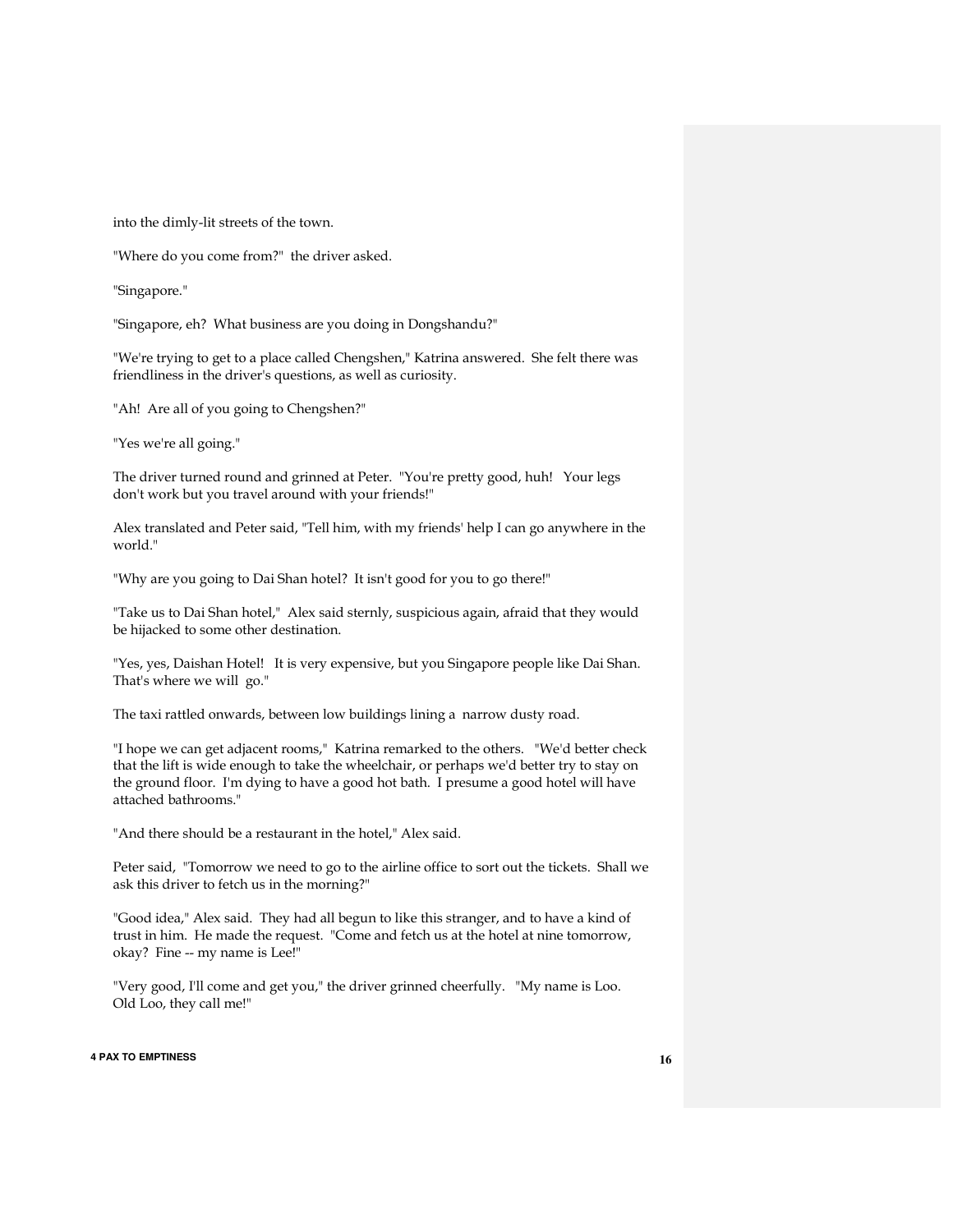into the dimly-lit streets of the town.

"Where do you come from?" the driver asked.

"Singapore."

"Singapore, eh? What business are you doing in Dongshandu?"

"We're trying to get to a place called Chengshen," Katrina answered. She felt there was friendliness in the driver's questions, as well as curiosity.

"Ah! Are all of you going to Chengshen?"

"Yes we're all going."

The driver turned round and grinned at Peter. "You're pretty good, huh! Your legs don't work but you travel around with your friends!"

Alex translated and Peter said, "Tell him, with my friends' help I can go anywhere in the world."

"Why are you going to Dai Shan hotel? It isn't good for you to go there!"

"Take us to Dai Shan hotel," Alex said sternly, suspicious again, afraid that they would be hijacked to some other destination.

"Yes, yes, Daishan Hotel! It is very expensive, but you Singapore people like Dai Shan. That's where we will go."

The taxi rattled onwards, between low buildings lining a narrow dusty road.

"I hope we can get adjacent rooms," Katrina remarked to the others. "We'd better check that the lift is wide enough to take the wheelchair, or perhaps we'd better try to stay on the ground floor. I'm dying to have a good hot bath. I presume a good hotel will have attached bathrooms."

"And there should be a restaurant in the hotel," Alex said.

Peter said, "Tomorrow we need to go to the airline office to sort out the tickets. Shall we ask this driver to fetch us in the morning?"

"Good idea," Alex said. They had all begun to like this stranger, and to have a kind of trust in him. He made the request. "Come and fetch us at the hotel at nine tomorrow, okay? Fine -- my name is Lee!"

"Very good, I'll come and get you," the driver grinned cheerfully. "My name is Loo. Old Loo, they call me!"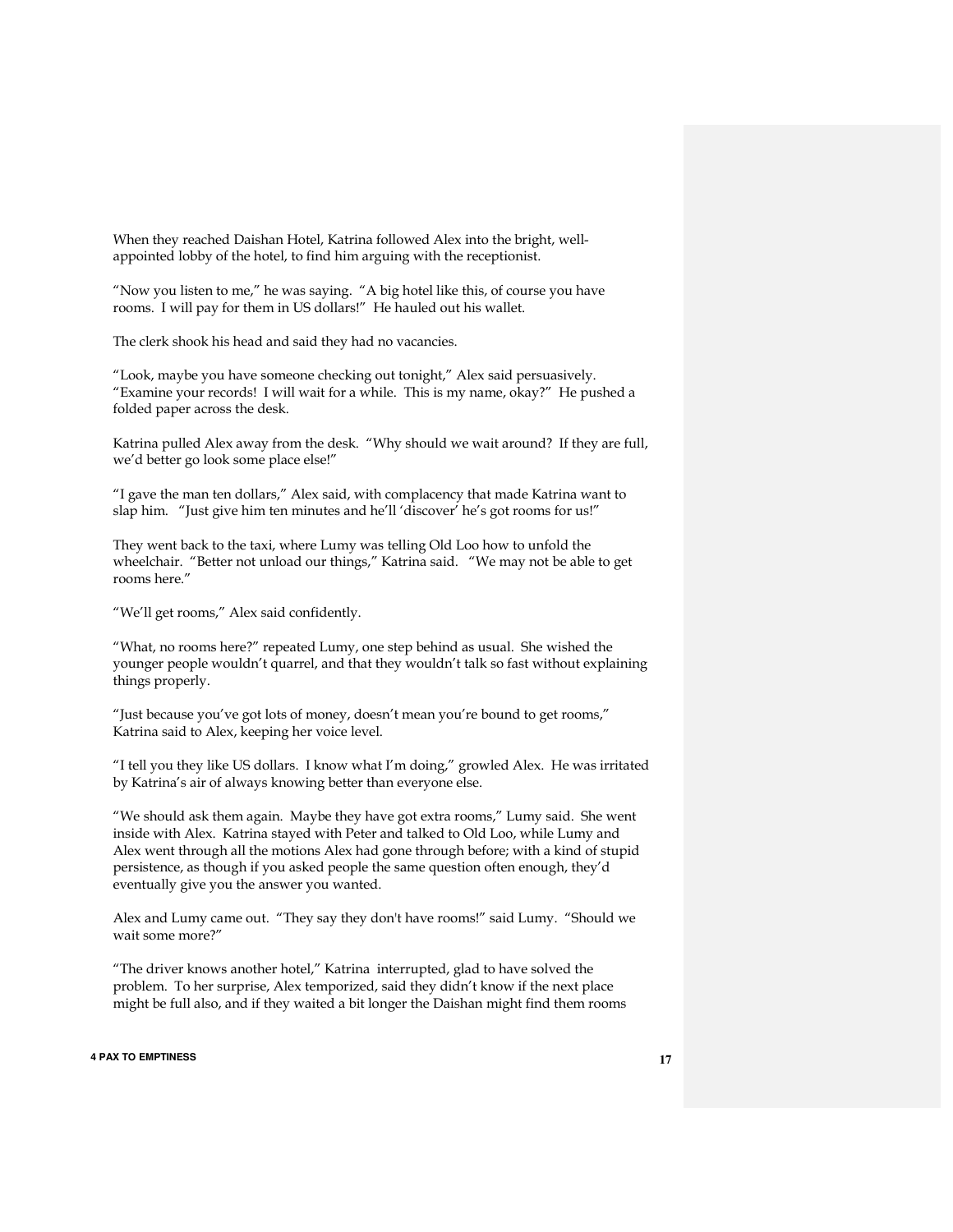When they reached Daishan Hotel, Katrina followed Alex into the bright, wellappointed lobby of the hotel, to find him arguing with the receptionist.

"Now you listen to me," he was saying. "A big hotel like this, of course you have rooms. I will pay for them in US dollars!" He hauled out his wallet.

The clerk shook his head and said they had no vacancies.

"Look, maybe you have someone checking out tonight," Alex said persuasively. "Examine your records! I will wait for a while. This is my name, okay?" He pushed a folded paper across the desk.

Katrina pulled Alex away from the desk. "Why should we wait around? If they are full, we'd better go look some place else!"

"I gave the man ten dollars," Alex said, with complacency that made Katrina want to slap him. "Just give him ten minutes and he'll 'discover' he's got rooms for us!"

They went back to the taxi, where Lumy was telling Old Loo how to unfold the wheelchair. "Better not unload our things," Katrina said. "We may not be able to get rooms here."

"We'll get rooms," Alex said confidently.

"What, no rooms here?" repeated Lumy, one step behind as usual. She wished the younger people wouldn't quarrel, and that they wouldn't talk so fast without explaining things properly.

"Just because you've got lots of money, doesn't mean you're bound to get rooms," Katrina said to Alex, keeping her voice level.

"I tell you they like US dollars. I know what I'm doing," growled Alex. He was irritated by Katrina's air of always knowing better than everyone else.

"We should ask them again. Maybe they have got extra rooms," Lumy said. She went inside with Alex. Katrina stayed with Peter and talked to Old Loo, while Lumy and Alex went through all the motions Alex had gone through before; with a kind of stupid persistence, as though if you asked people the same question often enough, they'd eventually give you the answer you wanted.

Alex and Lumy came out. "They say they don't have rooms!" said Lumy. "Should we wait some more?"

"The driver knows another hotel," Katrina interrupted, glad to have solved the problem. To her surprise, Alex temporized, said they didn't know if the next place might be full also, and if they waited a bit longer the Daishan might find them rooms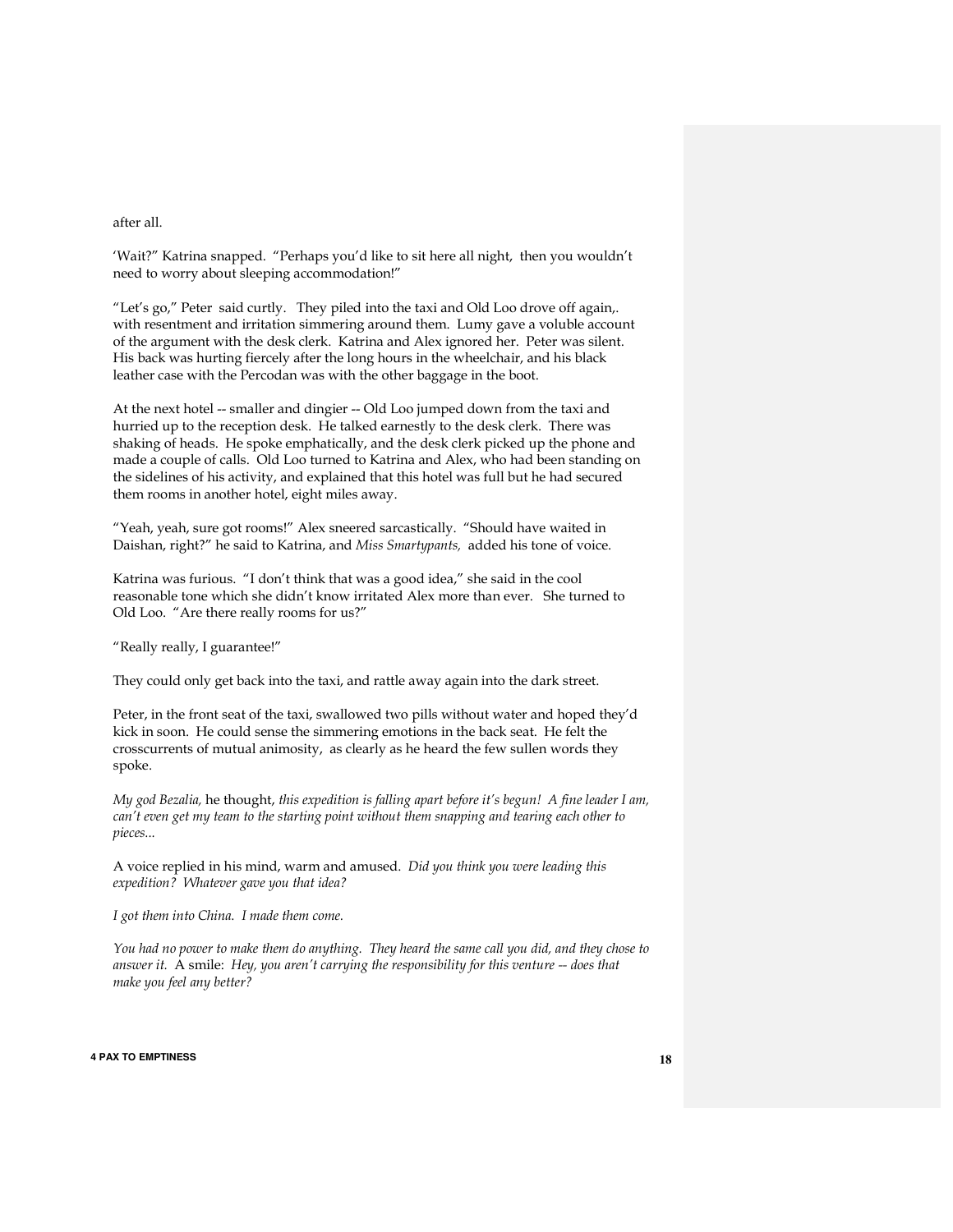after all.

'Wait?" Katrina snapped. "Perhaps you'd like to sit here all night, then you wouldn't need to worry about sleeping accommodation!"

"Let's go," Peter said curtly. They piled into the taxi and Old Loo drove off again,. with resentment and irritation simmering around them. Lumy gave a voluble account of the argument with the desk clerk. Katrina and Alex ignored her. Peter was silent. His back was hurting fiercely after the long hours in the wheelchair, and his black leather case with the Percodan was with the other baggage in the boot.

At the next hotel -- smaller and dingier -- Old Loo jumped down from the taxi and hurried up to the reception desk. He talked earnestly to the desk clerk. There was shaking of heads. He spoke emphatically, and the desk clerk picked up the phone and made a couple of calls. Old Loo turned to Katrina and Alex, who had been standing on the sidelines of his activity, and explained that this hotel was full but he had secured them rooms in another hotel, eight miles away.

"Yeah, yeah, sure got rooms!" Alex sneered sarcastically. "Should have waited in Daishan, right?" he said to Katrina, and Miss Smartypants, added his tone of voice.

Katrina was furious. "I don't think that was a good idea," she said in the cool reasonable tone which she didn't know irritated Alex more than ever. She turned to Old Loo. "Are there really rooms for us?"

"Really really, I guarantee!"

They could only get back into the taxi, and rattle away again into the dark street.

Peter, in the front seat of the taxi, swallowed two pills without water and hoped they'd kick in soon. He could sense the simmering emotions in the back seat. He felt the crosscurrents of mutual animosity, as clearly as he heard the few sullen words they spoke.

My god Bezalia, he thought, this expedition is falling apart before it's begun! A fine leader I am, can't even get my team to the starting point without them snapping and tearing each other to pieces...

A voice replied in his mind, warm and amused. Did you think you were leading this expedition? Whatever gave you that idea?

I got them into China. I made them come.

You had no power to make them do anything. They heard the same call you did, and they chose to answer it. A smile: Hey, you aren't carrying the responsibility for this venture -- does that make you feel any better?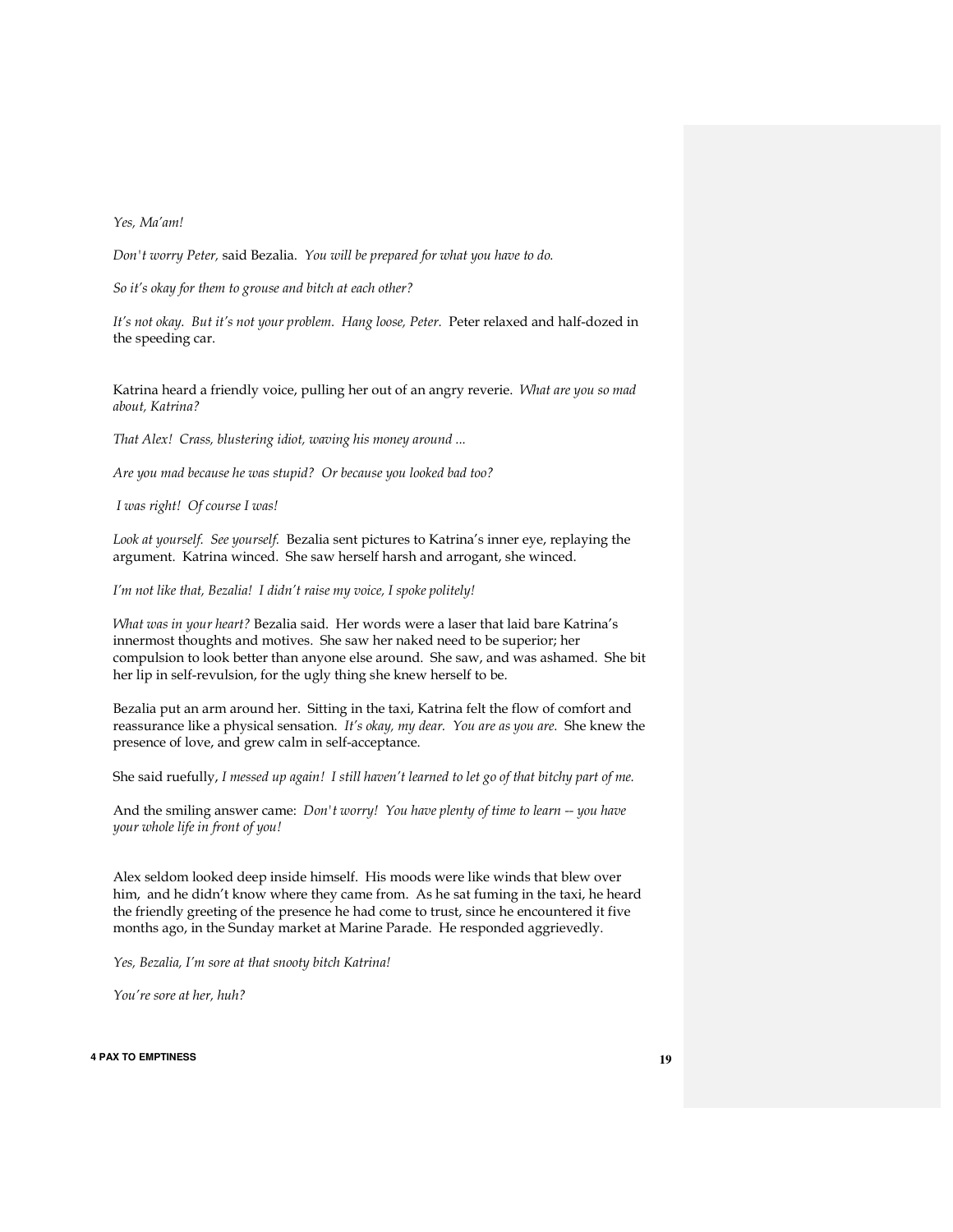Yes, Ma'am!

Don't worry Peter, said Bezalia. You will be prepared for what you have to do.

So it's okay for them to grouse and bitch at each other?

It's not okay. But it's not your problem. Hang loose, Peter. Peter relaxed and half-dozed in the speeding car.

Katrina heard a friendly voice, pulling her out of an angry reverie. What are you so mad about, Katrina?

That Alex! Crass, blustering idiot, waving his money around ...

Are you mad because he was stupid? Or because you looked bad too?

I was right! Of course I was!

Look at yourself. See yourself. Bezalia sent pictures to Katrina's inner eye, replaying the argument. Katrina winced. She saw herself harsh and arrogant, she winced.

I'm not like that, Bezalia! I didn't raise my voice, I spoke politely!

What was in your heart? Bezalia said. Her words were a laser that laid bare Katrina's innermost thoughts and motives. She saw her naked need to be superior; her compulsion to look better than anyone else around. She saw, and was ashamed. She bit her lip in self-revulsion, for the ugly thing she knew herself to be.

Bezalia put an arm around her. Sitting in the taxi, Katrina felt the flow of comfort and reassurance like a physical sensation. It's okay, my dear. You are as you are. She knew the presence of love, and grew calm in self-acceptance.

She said ruefully, I messed up again! I still haven't learned to let go of that bitchy part of me.

And the smiling answer came: Don't worry! You have plenty of time to learn -- you have your whole life in front of you!

Alex seldom looked deep inside himself. His moods were like winds that blew over him, and he didn't know where they came from. As he sat fuming in the taxi, he heard the friendly greeting of the presence he had come to trust, since he encountered it five months ago, in the Sunday market at Marine Parade. He responded aggrievedly.

Yes, Bezalia, I'm sore at that snooty bitch Katrina!

You're sore at her, huh?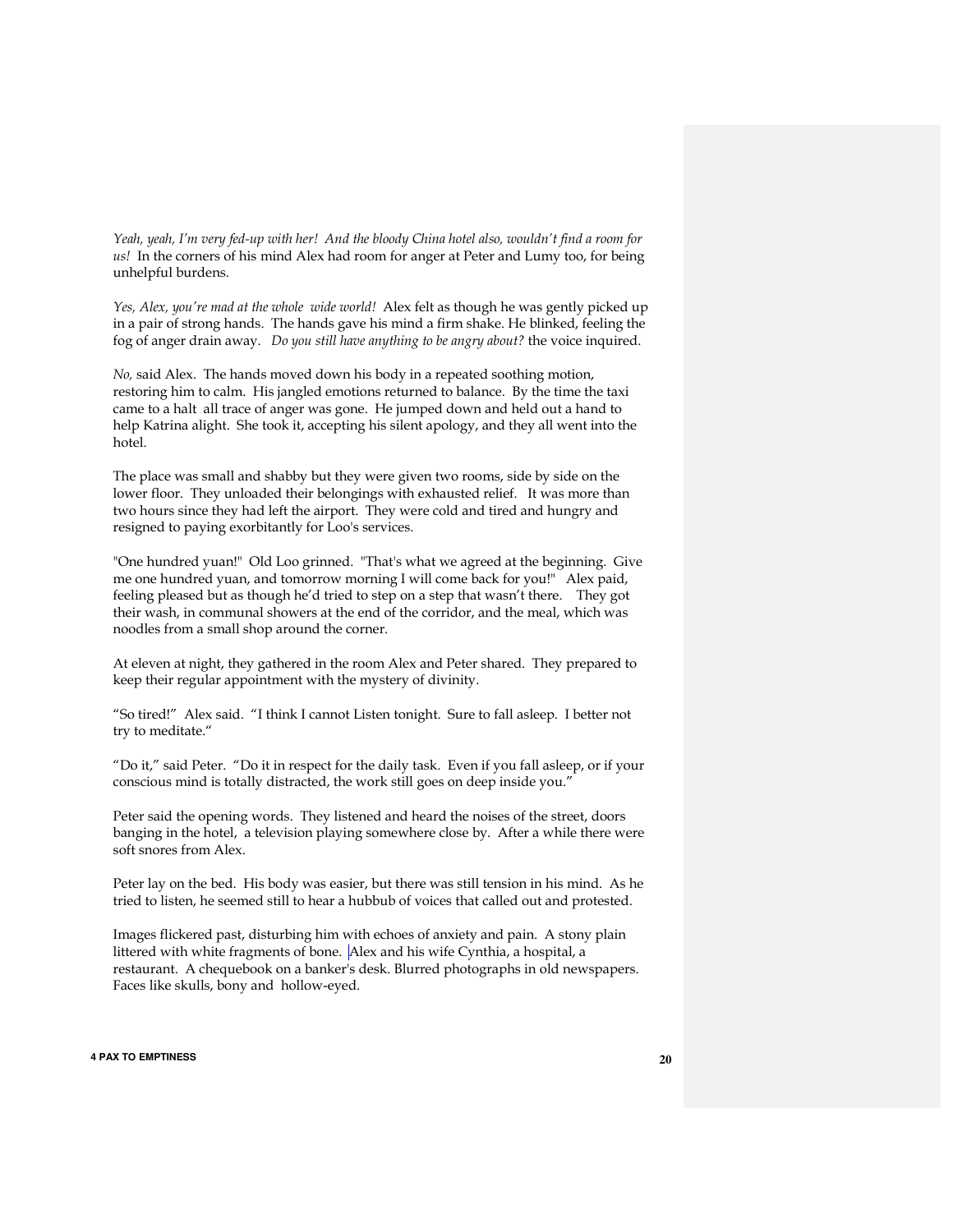Yeah, yeah, I'm very fed-up with her! And the bloody China hotel also, wouldn't find a room for us! In the corners of his mind Alex had room for anger at Peter and Lumy too, for being unhelpful burdens.

Yes, Alex, you're mad at the whole wide world! Alex felt as though he was gently picked up in a pair of strong hands. The hands gave his mind a firm shake. He blinked, feeling the fog of anger drain away. Do you still have anything to be angry about? the voice inquired.

No, said Alex. The hands moved down his body in a repeated soothing motion, restoring him to calm. His jangled emotions returned to balance. By the time the taxi came to a halt all trace of anger was gone. He jumped down and held out a hand to help Katrina alight. She took it, accepting his silent apology, and they all went into the hotel.

The place was small and shabby but they were given two rooms, side by side on the lower floor. They unloaded their belongings with exhausted relief. It was more than two hours since they had left the airport. They were cold and tired and hungry and resigned to paying exorbitantly for Loo's services.

"One hundred yuan!" Old Loo grinned. "That's what we agreed at the beginning. Give me one hundred yuan, and tomorrow morning I will come back for you!" Alex paid, feeling pleased but as though he'd tried to step on a step that wasn't there. They got their wash, in communal showers at the end of the corridor, and the meal, which was noodles from a small shop around the corner.

At eleven at night, they gathered in the room Alex and Peter shared. They prepared to keep their regular appointment with the mystery of divinity.

"So tired!" Alex said. "I think I cannot Listen tonight. Sure to fall asleep. I better not try to meditate."

"Do it," said Peter. "Do it in respect for the daily task. Even if you fall asleep, or if your conscious mind is totally distracted, the work still goes on deep inside you."

Peter said the opening words. They listened and heard the noises of the street, doors banging in the hotel, a television playing somewhere close by. After a while there were soft snores from Alex.

Peter lay on the bed. His body was easier, but there was still tension in his mind. As he tried to listen, he seemed still to hear a hubbub of voices that called out and protested.

Images flickered past, disturbing him with echoes of anxiety and pain. A stony plain littered with white fragments of bone. Alex and his wife Cynthia, a hospital, a restaurant. A chequebook on a banker's desk. Blurred photographs in old newspapers. Faces like skulls, bony and hollow-eyed.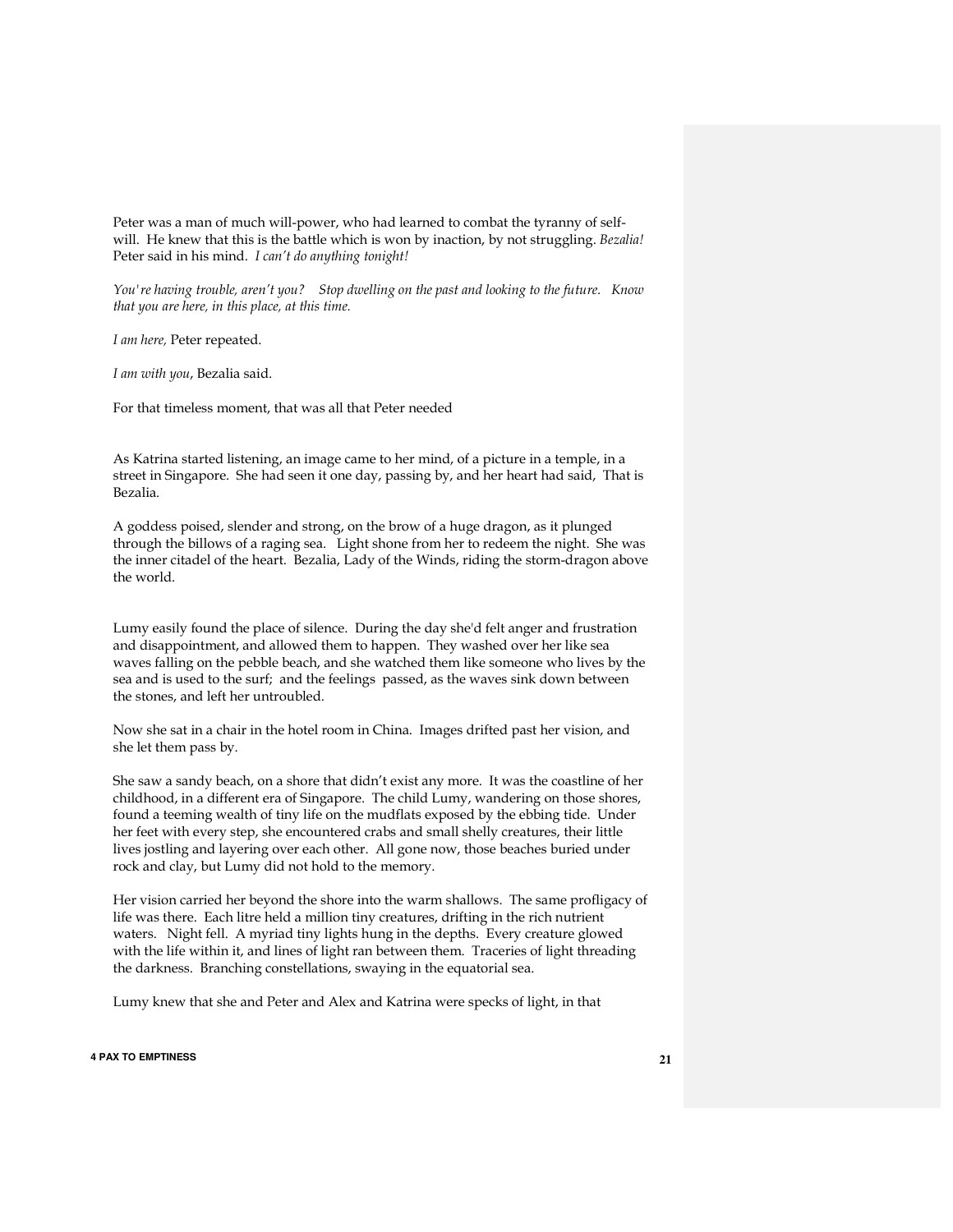Peter was a man of much will-power, who had learned to combat the tyranny of selfwill. He knew that this is the battle which is won by inaction, by not struggling. Bezalia! Peter said in his mind. I can't do anything tonight!

You're having trouble, aren't you? Stop dwelling on the past and looking to the future. Know that you are here, in this place, at this time.

I am here, Peter repeated.

I am with you, Bezalia said.

For that timeless moment, that was all that Peter needed

As Katrina started listening, an image came to her mind, of a picture in a temple, in a street in Singapore. She had seen it one day, passing by, and her heart had said, That is Bezalia.

A goddess poised, slender and strong, on the brow of a huge dragon, as it plunged through the billows of a raging sea. Light shone from her to redeem the night. She was the inner citadel of the heart. Bezalia, Lady of the Winds, riding the storm-dragon above the world.

Lumy easily found the place of silence. During the day she'd felt anger and frustration and disappointment, and allowed them to happen. They washed over her like sea waves falling on the pebble beach, and she watched them like someone who lives by the sea and is used to the surf; and the feelings passed, as the waves sink down between the stones, and left her untroubled.

Now she sat in a chair in the hotel room in China. Images drifted past her vision, and she let them pass by.

She saw a sandy beach, on a shore that didn't exist any more. It was the coastline of her childhood, in a different era of Singapore. The child Lumy, wandering on those shores, found a teeming wealth of tiny life on the mudflats exposed by the ebbing tide. Under her feet with every step, she encountered crabs and small shelly creatures, their little lives jostling and layering over each other. All gone now, those beaches buried under rock and clay, but Lumy did not hold to the memory.

Her vision carried her beyond the shore into the warm shallows. The same profligacy of life was there. Each litre held a million tiny creatures, drifting in the rich nutrient waters. Night fell. A myriad tiny lights hung in the depths. Every creature glowed with the life within it, and lines of light ran between them. Traceries of light threading the darkness. Branching constellations, swaying in the equatorial sea.

Lumy knew that she and Peter and Alex and Katrina were specks of light, in that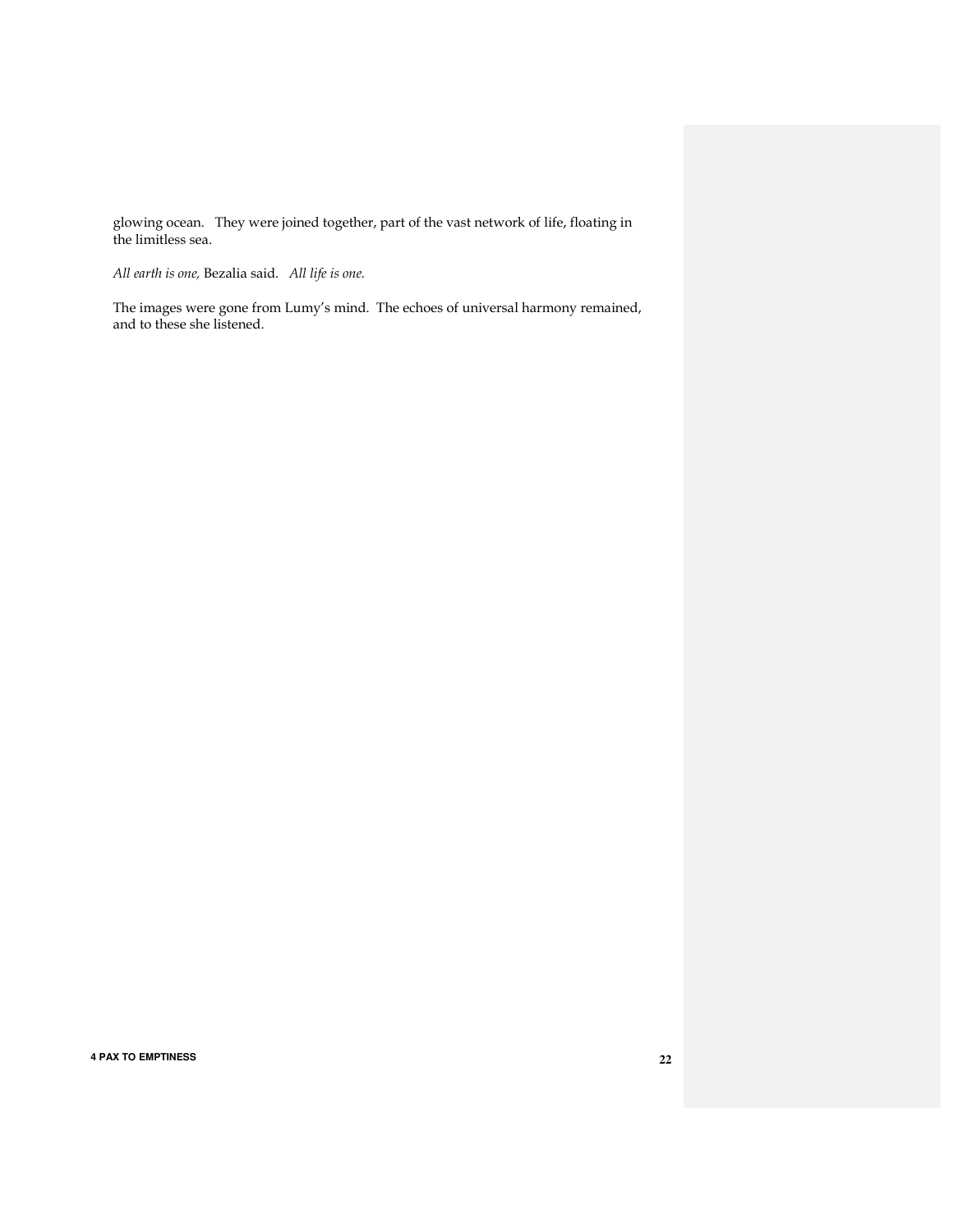glowing ocean. They were joined together, part of the vast network of life, floating in the limitless sea.

All earth is one, Bezalia said. All life is one.

The images were gone from Lumy's mind. The echoes of universal harmony remained, and to these she listened.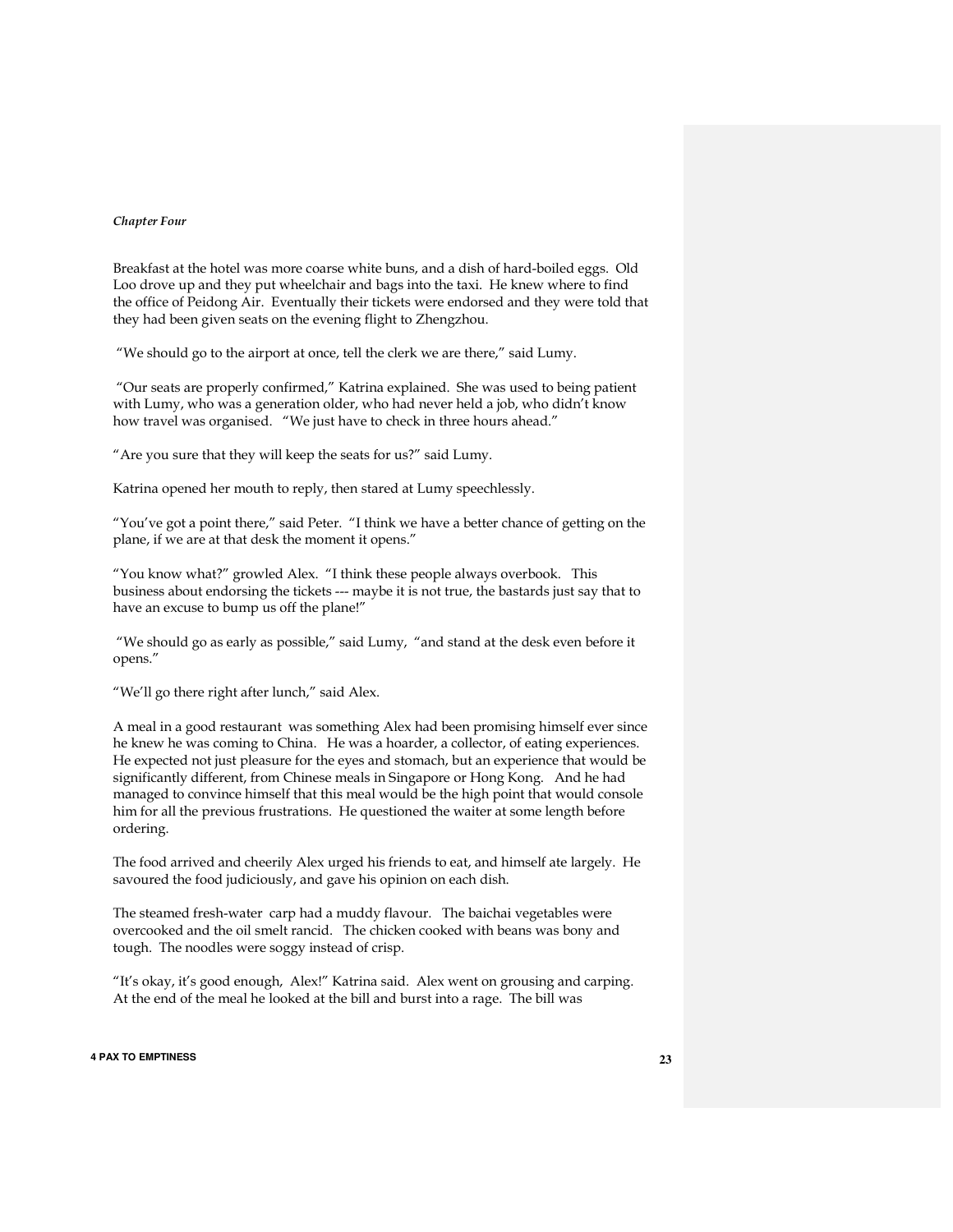# Chapter Four

Breakfast at the hotel was more coarse white buns, and a dish of hard-boiled eggs. Old Loo drove up and they put wheelchair and bags into the taxi. He knew where to find the office of Peidong Air. Eventually their tickets were endorsed and they were told that they had been given seats on the evening flight to Zhengzhou.

"We should go to the airport at once, tell the clerk we are there," said Lumy.

 "Our seats are properly confirmed," Katrina explained. She was used to being patient with Lumy, who was a generation older, who had never held a job, who didn't know how travel was organised. "We just have to check in three hours ahead."

"Are you sure that they will keep the seats for us?" said Lumy.

Katrina opened her mouth to reply, then stared at Lumy speechlessly.

"You've got a point there," said Peter. "I think we have a better chance of getting on the plane, if we are at that desk the moment it opens."

"You know what?" growled Alex. "I think these people always overbook. This business about endorsing the tickets --- maybe it is not true, the bastards just say that to have an excuse to bump us off the plane!"

 "We should go as early as possible," said Lumy, "and stand at the desk even before it opens."

"We'll go there right after lunch," said Alex.

A meal in a good restaurant was something Alex had been promising himself ever since he knew he was coming to China. He was a hoarder, a collector, of eating experiences. He expected not just pleasure for the eyes and stomach, but an experience that would be significantly different, from Chinese meals in Singapore or Hong Kong. And he had managed to convince himself that this meal would be the high point that would console him for all the previous frustrations. He questioned the waiter at some length before ordering.

The food arrived and cheerily Alex urged his friends to eat, and himself ate largely. He savoured the food judiciously, and gave his opinion on each dish.

The steamed fresh-water carp had a muddy flavour. The baichai vegetables were overcooked and the oil smelt rancid. The chicken cooked with beans was bony and tough. The noodles were soggy instead of crisp.

"It's okay, it's good enough, Alex!" Katrina said. Alex went on grousing and carping. At the end of the meal he looked at the bill and burst into a rage. The bill was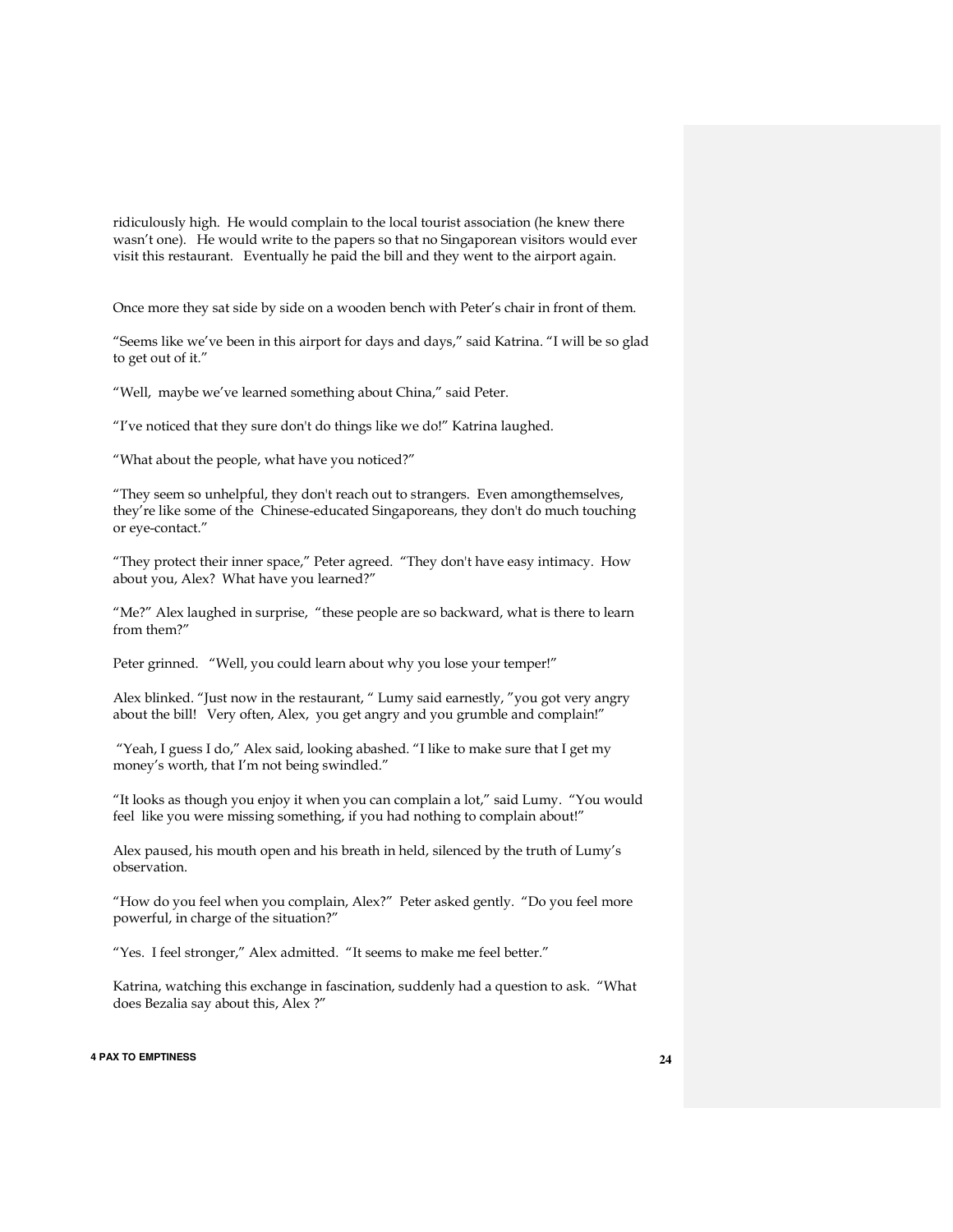ridiculously high. He would complain to the local tourist association (he knew there wasn't one). He would write to the papers so that no Singaporean visitors would ever visit this restaurant. Eventually he paid the bill and they went to the airport again.

Once more they sat side by side on a wooden bench with Peter's chair in front of them.

"Seems like we've been in this airport for days and days," said Katrina. "I will be so glad to get out of it."

"Well, maybe we've learned something about China," said Peter.

"I've noticed that they sure don't do things like we do!" Katrina laughed.

"What about the people, what have you noticed?"

"They seem so unhelpful, they don't reach out to strangers. Even amongthemselves, they're like some of the Chinese-educated Singaporeans, they don't do much touching or eye-contact."

"They protect their inner space," Peter agreed. "They don't have easy intimacy. How about you, Alex? What have you learned?"

"Me?" Alex laughed in surprise, "these people are so backward, what is there to learn from them?"

Peter grinned. "Well, you could learn about why you lose your temper!"

Alex blinked. "Just now in the restaurant, " Lumy said earnestly, "you got very angry about the bill! Very often, Alex, you get angry and you grumble and complain!"

 "Yeah, I guess I do," Alex said, looking abashed. "I like to make sure that I get my money's worth, that I'm not being swindled."

"It looks as though you enjoy it when you can complain a lot," said Lumy. "You would feel like you were missing something, if you had nothing to complain about!"

Alex paused, his mouth open and his breath in held, silenced by the truth of Lumy's observation.

"How do you feel when you complain, Alex?" Peter asked gently. "Do you feel more powerful, in charge of the situation?"

"Yes. I feel stronger," Alex admitted. "It seems to make me feel better."

Katrina, watching this exchange in fascination, suddenly had a question to ask. "What does Bezalia say about this, Alex ?"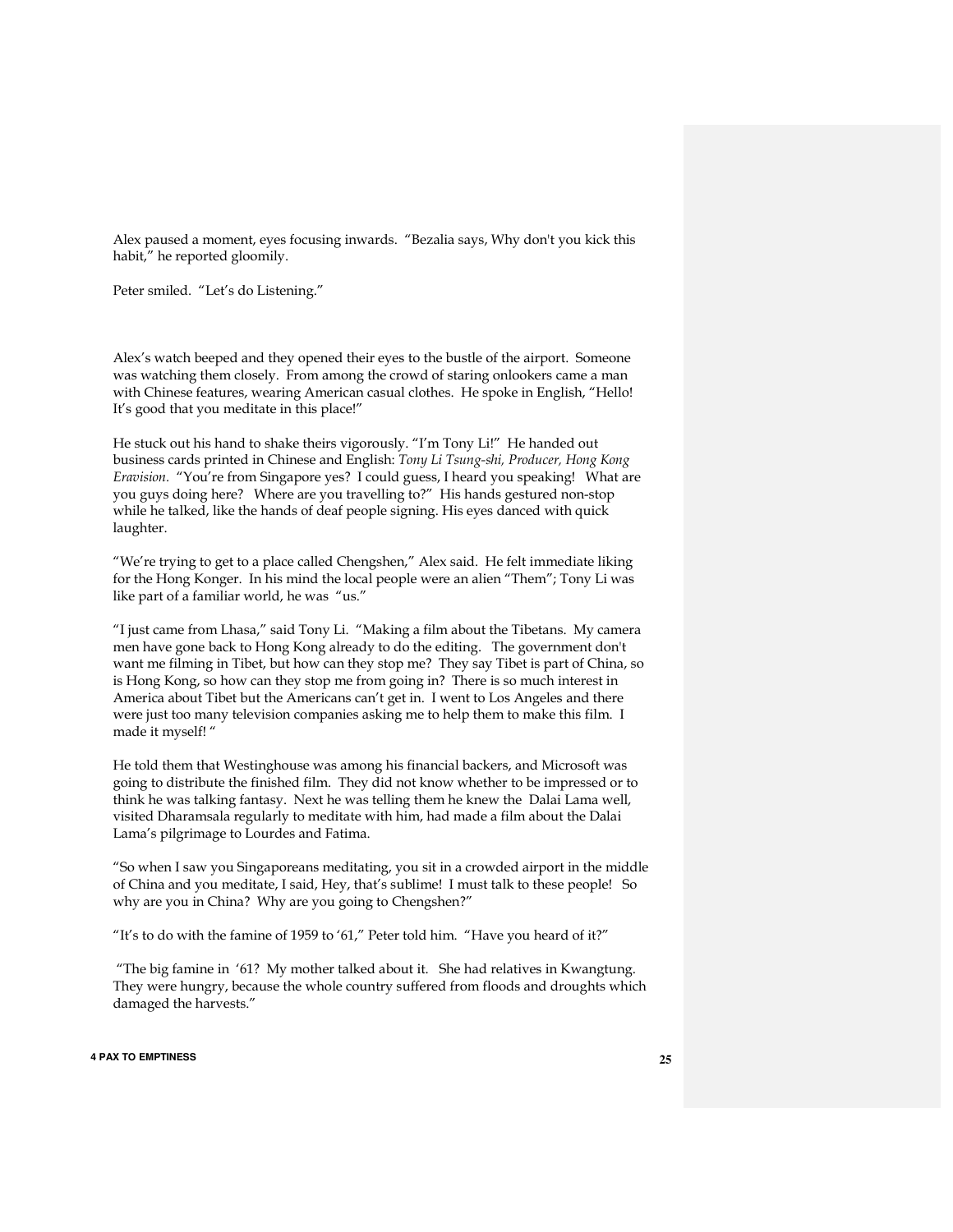Alex paused a moment, eyes focusing inwards. "Bezalia says, Why don't you kick this habit," he reported gloomily.

Peter smiled. "Let's do Listening."

Alex's watch beeped and they opened their eyes to the bustle of the airport. Someone was watching them closely. From among the crowd of staring onlookers came a man with Chinese features, wearing American casual clothes. He spoke in English, "Hello! It's good that you meditate in this place!"

He stuck out his hand to shake theirs vigorously. "I'm Tony Li!" He handed out business cards printed in Chinese and English: Tony Li Tsung-shi, Producer, Hong Kong Eravision. "You're from Singapore yes? I could guess, I heard you speaking! What are you guys doing here? Where are you travelling to?" His hands gestured non-stop while he talked, like the hands of deaf people signing. His eyes danced with quick laughter.

"We're trying to get to a place called Chengshen," Alex said. He felt immediate liking for the Hong Konger. In his mind the local people were an alien "Them"; Tony Li was like part of a familiar world, he was "us."

"I just came from Lhasa," said Tony Li. "Making a film about the Tibetans. My camera men have gone back to Hong Kong already to do the editing. The government don't want me filming in Tibet, but how can they stop me? They say Tibet is part of China, so is Hong Kong, so how can they stop me from going in? There is so much interest in America about Tibet but the Americans can't get in. I went to Los Angeles and there were just too many television companies asking me to help them to make this film. I made it myself! "

He told them that Westinghouse was among his financial backers, and Microsoft was going to distribute the finished film. They did not know whether to be impressed or to think he was talking fantasy. Next he was telling them he knew the Dalai Lama well, visited Dharamsala regularly to meditate with him, had made a film about the Dalai Lama's pilgrimage to Lourdes and Fatima.

"So when I saw you Singaporeans meditating, you sit in a crowded airport in the middle of China and you meditate, I said, Hey, that's sublime! I must talk to these people! So why are you in China? Why are you going to Chengshen?"

"It's to do with the famine of 1959 to '61," Peter told him. "Have you heard of it?"

 "The big famine in '61? My mother talked about it. She had relatives in Kwangtung. They were hungry, because the whole country suffered from floods and droughts which damaged the harvests."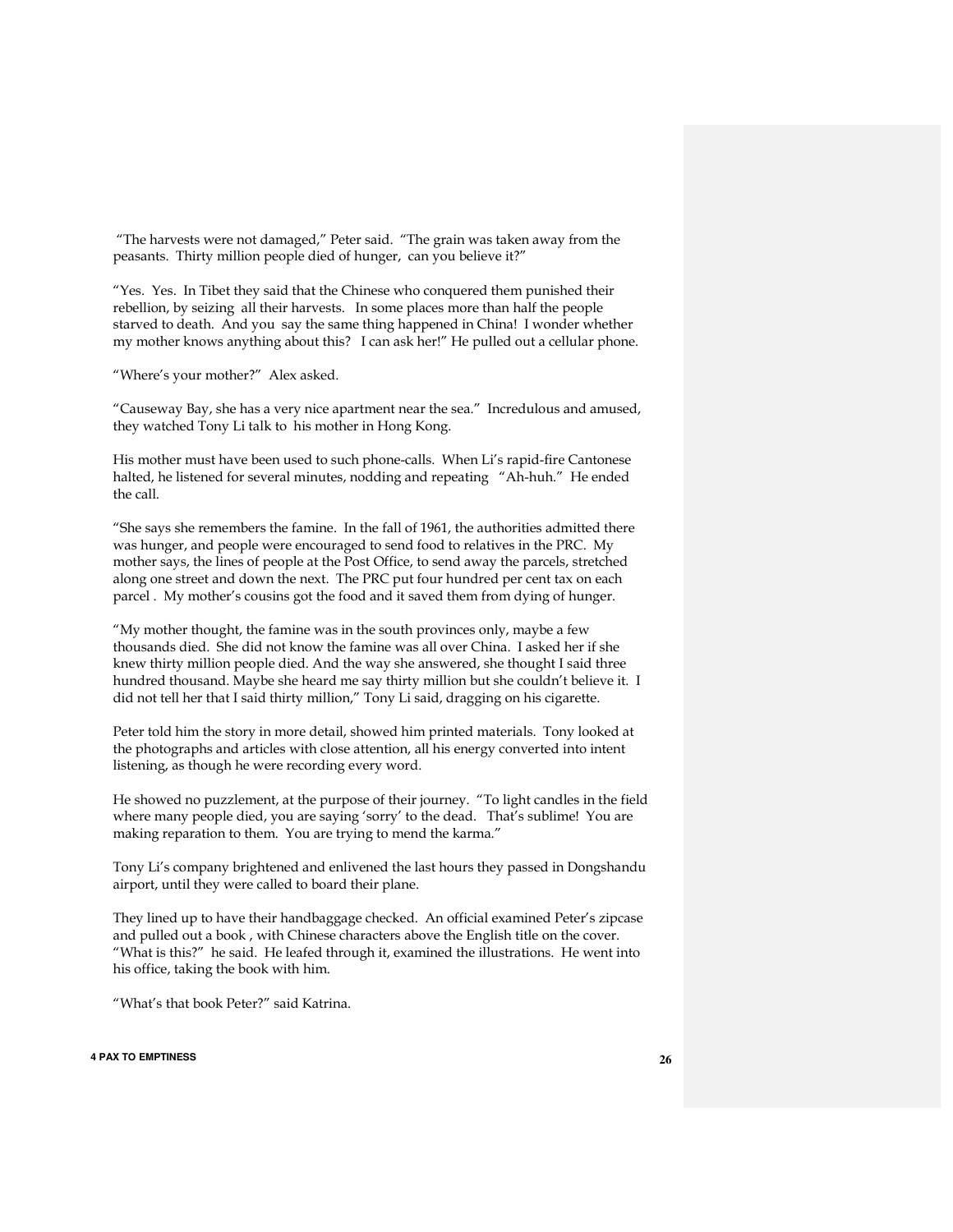"The harvests were not damaged," Peter said. "The grain was taken away from the peasants. Thirty million people died of hunger, can you believe it?"

"Yes. Yes. In Tibet they said that the Chinese who conquered them punished their rebellion, by seizing all their harvests. In some places more than half the people starved to death. And you say the same thing happened in China! I wonder whether my mother knows anything about this? I can ask her!" He pulled out a cellular phone.

"Where's your mother?" Alex asked.

"Causeway Bay, she has a very nice apartment near the sea." Incredulous and amused, they watched Tony Li talk to his mother in Hong Kong.

His mother must have been used to such phone-calls. When Li's rapid-fire Cantonese halted, he listened for several minutes, nodding and repeating "Ah-huh." He ended the call.

"She says she remembers the famine. In the fall of 1961, the authorities admitted there was hunger, and people were encouraged to send food to relatives in the PRC. My mother says, the lines of people at the Post Office, to send away the parcels, stretched along one street and down the next. The PRC put four hundred per cent tax on each parcel . My mother's cousins got the food and it saved them from dying of hunger.

"My mother thought, the famine was in the south provinces only, maybe a few thousands died. She did not know the famine was all over China. I asked her if she knew thirty million people died. And the way she answered, she thought I said three hundred thousand. Maybe she heard me say thirty million but she couldn't believe it. I did not tell her that I said thirty million," Tony Li said, dragging on his cigarette.

Peter told him the story in more detail, showed him printed materials. Tony looked at the photographs and articles with close attention, all his energy converted into intent listening, as though he were recording every word.

He showed no puzzlement, at the purpose of their journey. "To light candles in the field where many people died, you are saying 'sorry' to the dead. That's sublime! You are making reparation to them. You are trying to mend the karma."

Tony Li's company brightened and enlivened the last hours they passed in Dongshandu airport, until they were called to board their plane.

They lined up to have their handbaggage checked. An official examined Peter's zipcase and pulled out a book , with Chinese characters above the English title on the cover. "What is this?" he said. He leafed through it, examined the illustrations. He went into his office, taking the book with him.

"What's that book Peter?" said Katrina.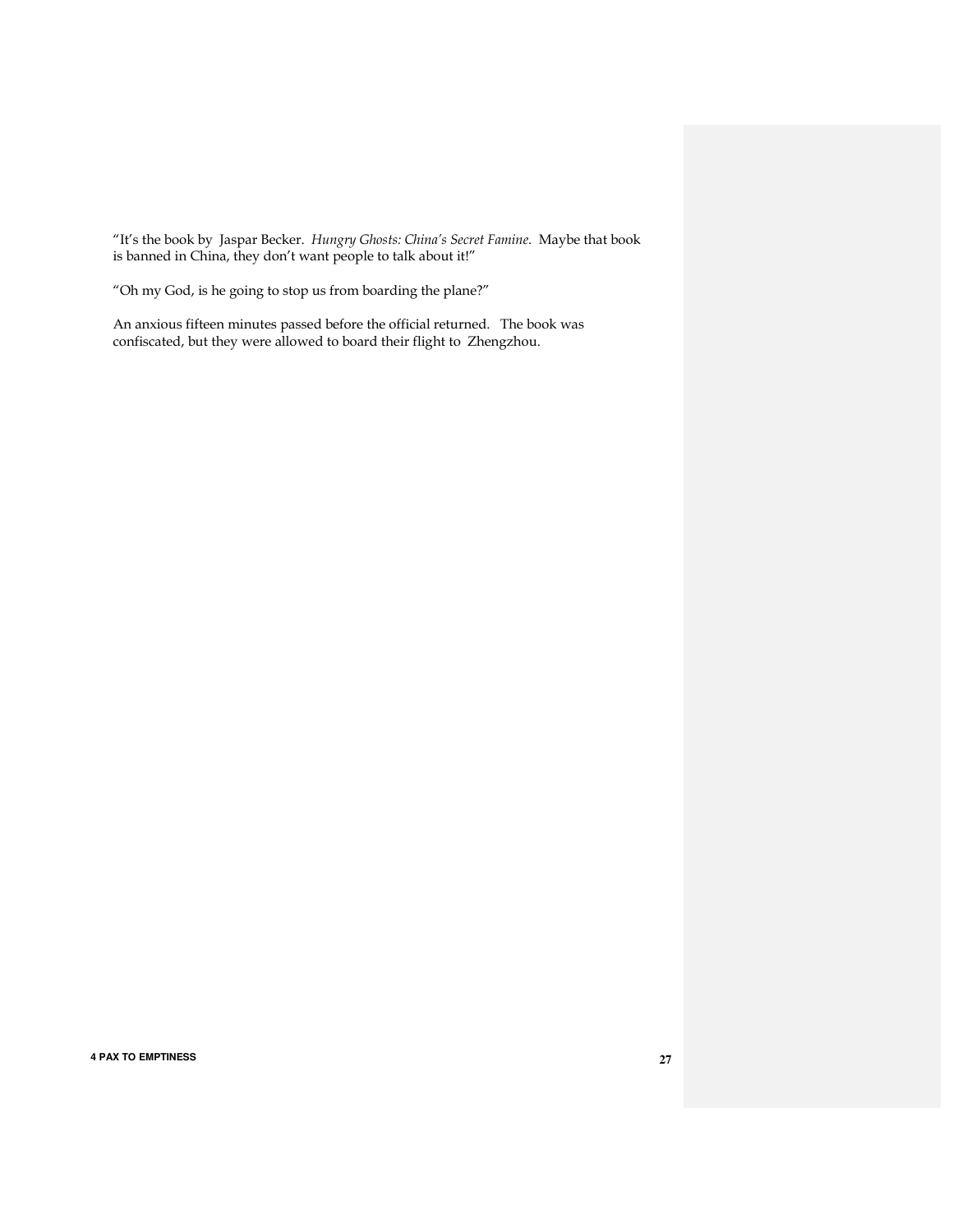"It's the book by Jaspar Becker. Hungry Ghosts: China's Secret Famine. Maybe that book is banned in China, they don't want people to talk about it!"

"Oh my God, is he going to stop us from boarding the plane?"

An anxious fifteen minutes passed before the official returned. The book was confiscated, but they were allowed to board their flight to Zhengzhou.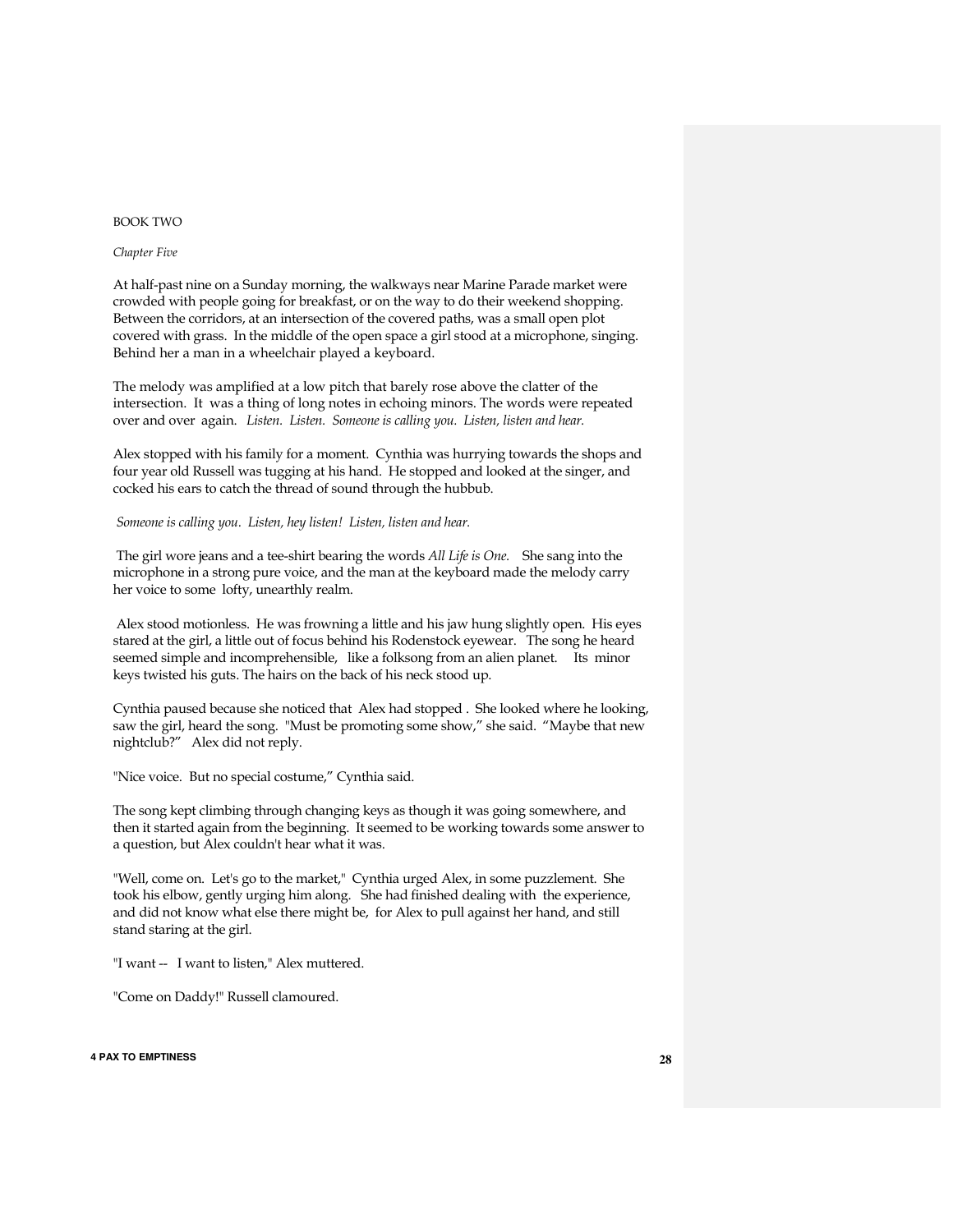# BOOK TWO

### Chapter Five

At half-past nine on a Sunday morning, the walkways near Marine Parade market were crowded with people going for breakfast, or on the way to do their weekend shopping. Between the corridors, at an intersection of the covered paths, was a small open plot covered with grass. In the middle of the open space a girl stood at a microphone, singing. Behind her a man in a wheelchair played a keyboard.

The melody was amplified at a low pitch that barely rose above the clatter of the intersection. It was a thing of long notes in echoing minors. The words were repeated over and over again. Listen. Listen. Someone is calling you. Listen, listen and hear.

Alex stopped with his family for a moment. Cynthia was hurrying towards the shops and four year old Russell was tugging at his hand. He stopped and looked at the singer, and cocked his ears to catch the thread of sound through the hubbub.

Someone is calling you. Listen, hey listen! Listen, listen and hear.

 The girl wore jeans and a tee-shirt bearing the words All Life is One. She sang into the microphone in a strong pure voice, and the man at the keyboard made the melody carry her voice to some lofty, unearthly realm.

 Alex stood motionless. He was frowning a little and his jaw hung slightly open. His eyes stared at the girl, a little out of focus behind his Rodenstock eyewear. The song he heard seemed simple and incomprehensible, like a folksong from an alien planet. Its minor keys twisted his guts. The hairs on the back of his neck stood up.

Cynthia paused because she noticed that Alex had stopped . She looked where he looking, saw the girl, heard the song. "Must be promoting some show," she said. "Maybe that new nightclub?" Alex did not reply.

"Nice voice. But no special costume," Cynthia said.

The song kept climbing through changing keys as though it was going somewhere, and then it started again from the beginning. It seemed to be working towards some answer to a question, but Alex couldn't hear what it was.

"Well, come on. Let's go to the market," Cynthia urged Alex, in some puzzlement. She took his elbow, gently urging him along. She had finished dealing with the experience, and did not know what else there might be, for Alex to pull against her hand, and still stand staring at the girl.

"I want -- I want to listen," Alex muttered.

"Come on Daddy!" Russell clamoured.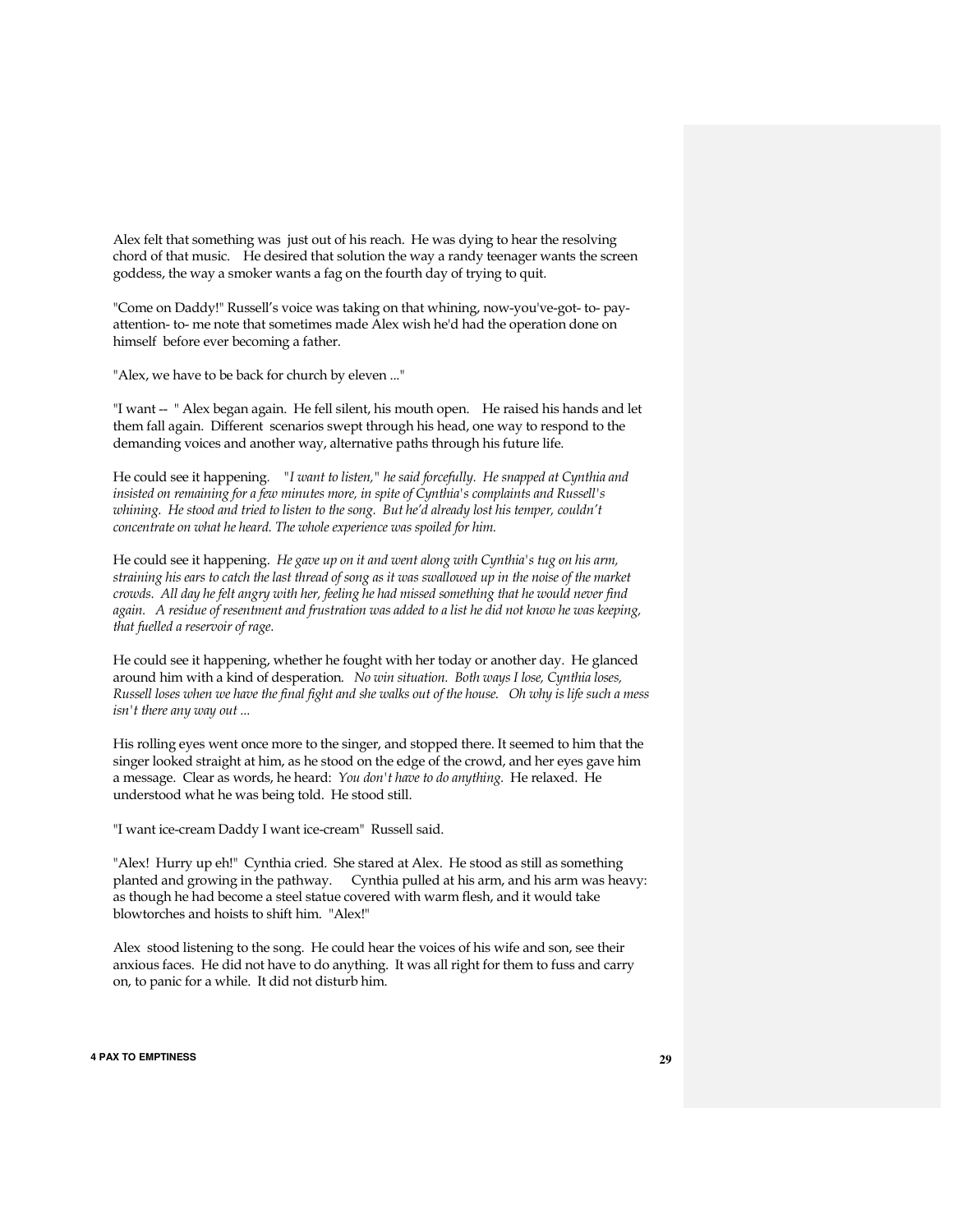Alex felt that something was just out of his reach. He was dying to hear the resolving chord of that music. He desired that solution the way a randy teenager wants the screen goddess, the way a smoker wants a fag on the fourth day of trying to quit.

"Come on Daddy!" Russell's voice was taking on that whining, now-you've-got- to- payattention- to- me note that sometimes made Alex wish he'd had the operation done on himself before ever becoming a father.

"Alex, we have to be back for church by eleven ..."

"I want -- " Alex began again. He fell silent, his mouth open. He raised his hands and let them fall again. Different scenarios swept through his head, one way to respond to the demanding voices and another way, alternative paths through his future life.

He could see it happening. "I want to listen," he said forcefully. He snapped at Cynthia and insisted on remaining for a few minutes more, in spite of Cynthia's complaints and Russell's whining. He stood and tried to listen to the song. But he'd already lost his temper, couldn't concentrate on what he heard. The whole experience was spoiled for him.

He could see it happening. He gave up on it and went along with Cynthia's tug on his arm, straining his ears to catch the last thread of song as it was swallowed up in the noise of the market crowds. All day he felt angry with her, feeling he had missed something that he would never find again. A residue of resentment and frustration was added to a list he did not know he was keeping, that fuelled a reservoir of rage.

He could see it happening, whether he fought with her today or another day. He glanced around him with a kind of desperation. No win situation. Both ways I lose, Cynthia loses, Russell loses when we have the final fight and she walks out of the house. Oh why is life such a mess isn't there any way out ...

His rolling eyes went once more to the singer, and stopped there. It seemed to him that the singer looked straight at him, as he stood on the edge of the crowd, and her eyes gave him a message. Clear as words, he heard: You don't have to do anything. He relaxed. He understood what he was being told. He stood still.

"I want ice-cream Daddy I want ice-cream" Russell said.

"Alex! Hurry up eh!" Cynthia cried. She stared at Alex. He stood as still as something planted and growing in the pathway. Cynthia pulled at his arm, and his arm was heavy: as though he had become a steel statue covered with warm flesh, and it would take blowtorches and hoists to shift him. "Alex!"

Alex stood listening to the song. He could hear the voices of his wife and son, see their anxious faces. He did not have to do anything. It was all right for them to fuss and carry on, to panic for a while. It did not disturb him.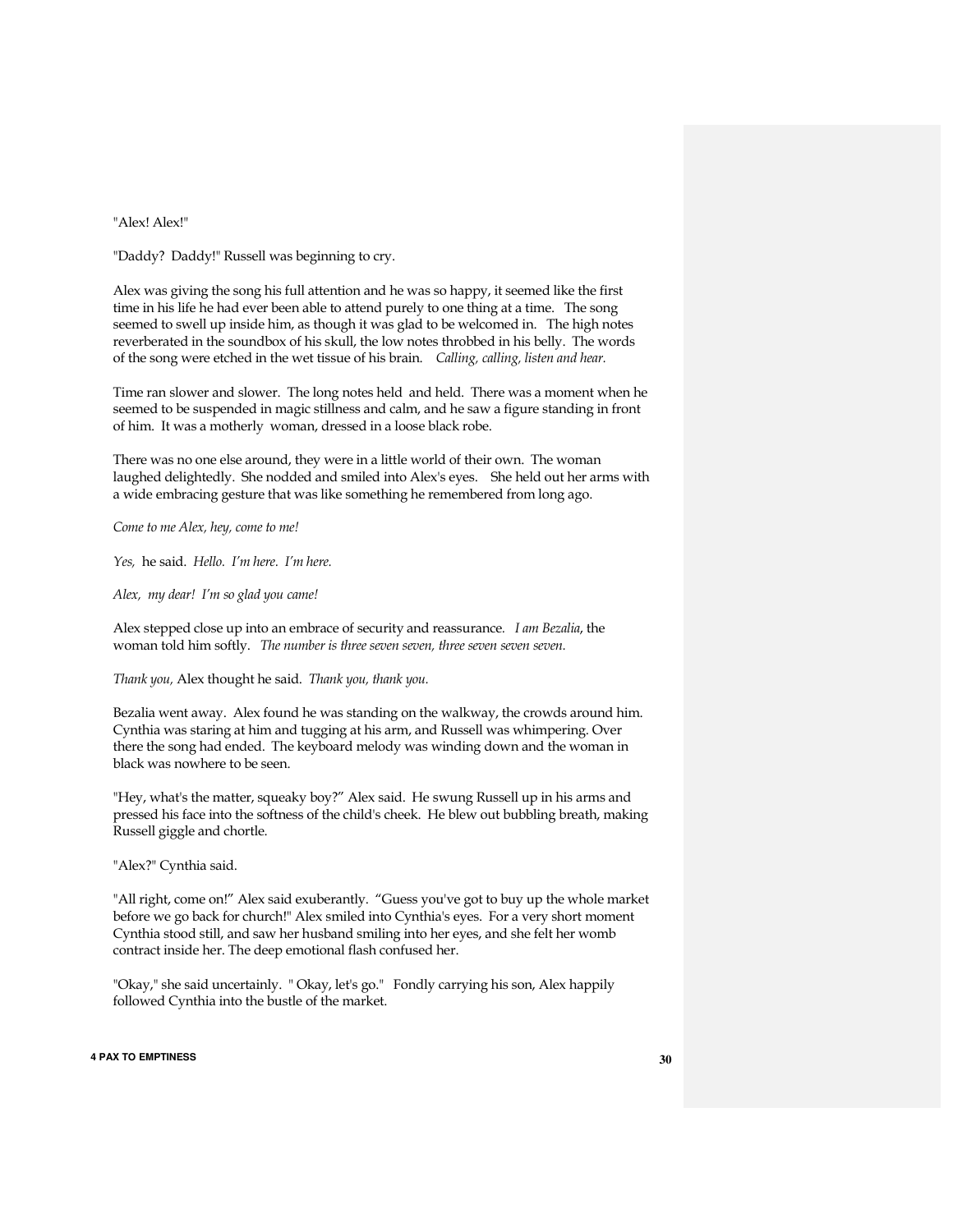"Alex! Alex!"

"Daddy? Daddy!" Russell was beginning to cry.

Alex was giving the song his full attention and he was so happy, it seemed like the first time in his life he had ever been able to attend purely to one thing at a time. The song seemed to swell up inside him, as though it was glad to be welcomed in. The high notes reverberated in the soundbox of his skull, the low notes throbbed in his belly. The words of the song were etched in the wet tissue of his brain. Calling, calling, listen and hear.

Time ran slower and slower. The long notes held and held. There was a moment when he seemed to be suspended in magic stillness and calm, and he saw a figure standing in front of him. It was a motherly woman, dressed in a loose black robe.

There was no one else around, they were in a little world of their own. The woman laughed delightedly. She nodded and smiled into Alex's eyes. She held out her arms with a wide embracing gesture that was like something he remembered from long ago.

Come to me Alex, hey, come to me!

Yes, he said. Hello. I'm here. I'm here.

Alex, my dear! I'm so glad you came!

Alex stepped close up into an embrace of security and reassurance. I am Bezalia, the woman told him softly. The number is three seven seven, three seven seven seven.

Thank you, Alex thought he said. Thank you, thank you.

Bezalia went away. Alex found he was standing on the walkway, the crowds around him. Cynthia was staring at him and tugging at his arm, and Russell was whimpering. Over there the song had ended. The keyboard melody was winding down and the woman in black was nowhere to be seen.

"Hey, what's the matter, squeaky boy?" Alex said. He swung Russell up in his arms and pressed his face into the softness of the child's cheek. He blew out bubbling breath, making Russell giggle and chortle.

"Alex?" Cynthia said.

"All right, come on!" Alex said exuberantly. "Guess you've got to buy up the whole market before we go back for church!" Alex smiled into Cynthia's eyes. For a very short moment Cynthia stood still, and saw her husband smiling into her eyes, and she felt her womb contract inside her. The deep emotional flash confused her.

"Okay," she said uncertainly. " Okay, let's go." Fondly carrying his son, Alex happily followed Cynthia into the bustle of the market.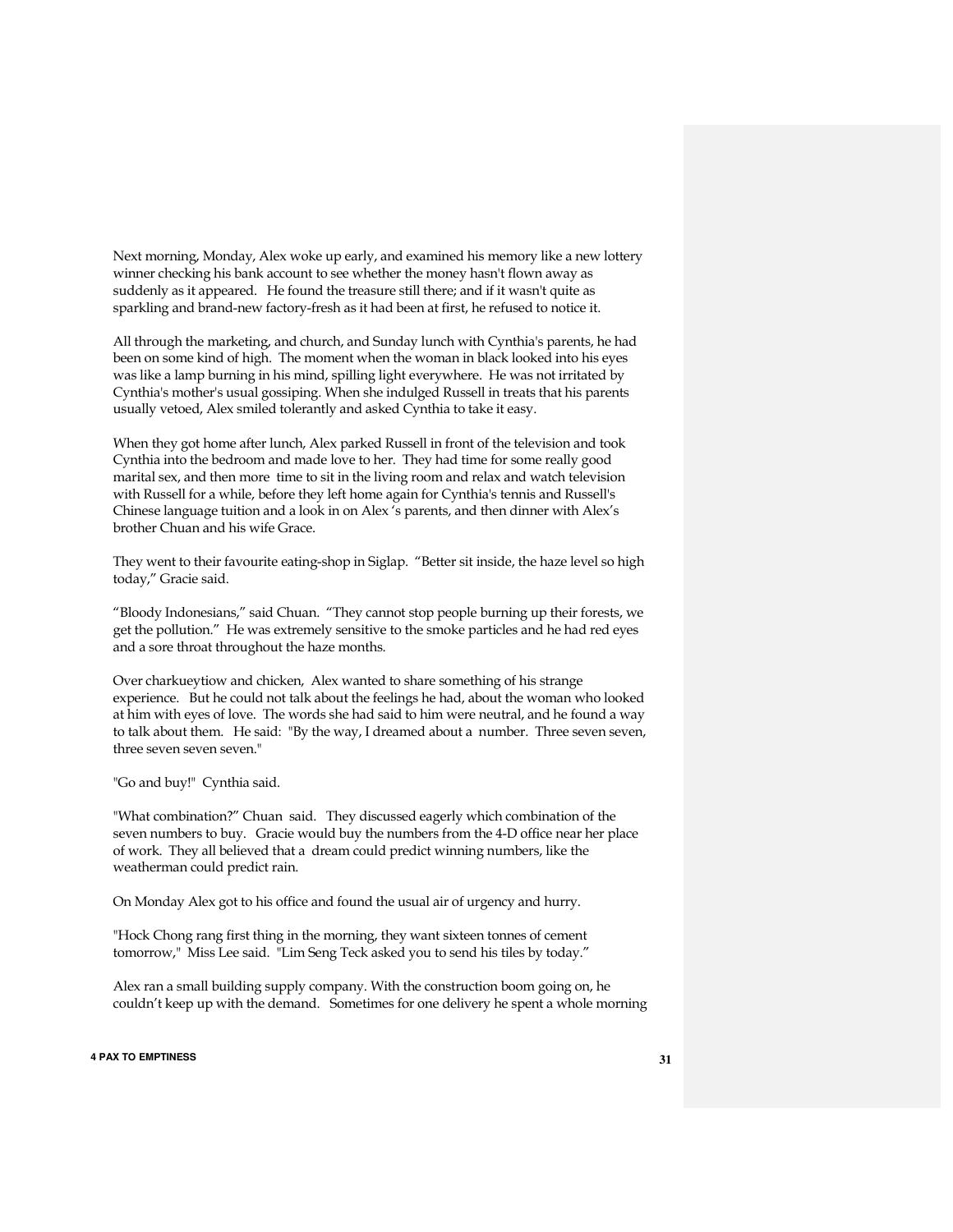Next morning, Monday, Alex woke up early, and examined his memory like a new lottery winner checking his bank account to see whether the money hasn't flown away as suddenly as it appeared. He found the treasure still there; and if it wasn't quite as sparkling and brand-new factory-fresh as it had been at first, he refused to notice it.

All through the marketing, and church, and Sunday lunch with Cynthia's parents, he had been on some kind of high. The moment when the woman in black looked into his eyes was like a lamp burning in his mind, spilling light everywhere. He was not irritated by Cynthia's mother's usual gossiping. When she indulged Russell in treats that his parents usually vetoed, Alex smiled tolerantly and asked Cynthia to take it easy.

When they got home after lunch, Alex parked Russell in front of the television and took Cynthia into the bedroom and made love to her. They had time for some really good marital sex, and then more time to sit in the living room and relax and watch television with Russell for a while, before they left home again for Cynthia's tennis and Russell's Chinese language tuition and a look in on Alex 's parents, and then dinner with Alex's brother Chuan and his wife Grace.

They went to their favourite eating-shop in Siglap. "Better sit inside, the haze level so high today," Gracie said.

"Bloody Indonesians," said Chuan. "They cannot stop people burning up their forests, we get the pollution." He was extremely sensitive to the smoke particles and he had red eyes and a sore throat throughout the haze months.

Over charkueytiow and chicken, Alex wanted to share something of his strange experience. But he could not talk about the feelings he had, about the woman who looked at him with eyes of love. The words she had said to him were neutral, and he found a way to talk about them. He said: "By the way, I dreamed about a number. Three seven seven, three seven seven seven."

"Go and buy!" Cynthia said.

"What combination?" Chuan said. They discussed eagerly which combination of the seven numbers to buy. Gracie would buy the numbers from the 4-D office near her place of work. They all believed that a dream could predict winning numbers, like the weatherman could predict rain.

On Monday Alex got to his office and found the usual air of urgency and hurry.

"Hock Chong rang first thing in the morning, they want sixteen tonnes of cement tomorrow," Miss Lee said. "Lim Seng Teck asked you to send his tiles by today."

Alex ran a small building supply company. With the construction boom going on, he couldn't keep up with the demand. Sometimes for one delivery he spent a whole morning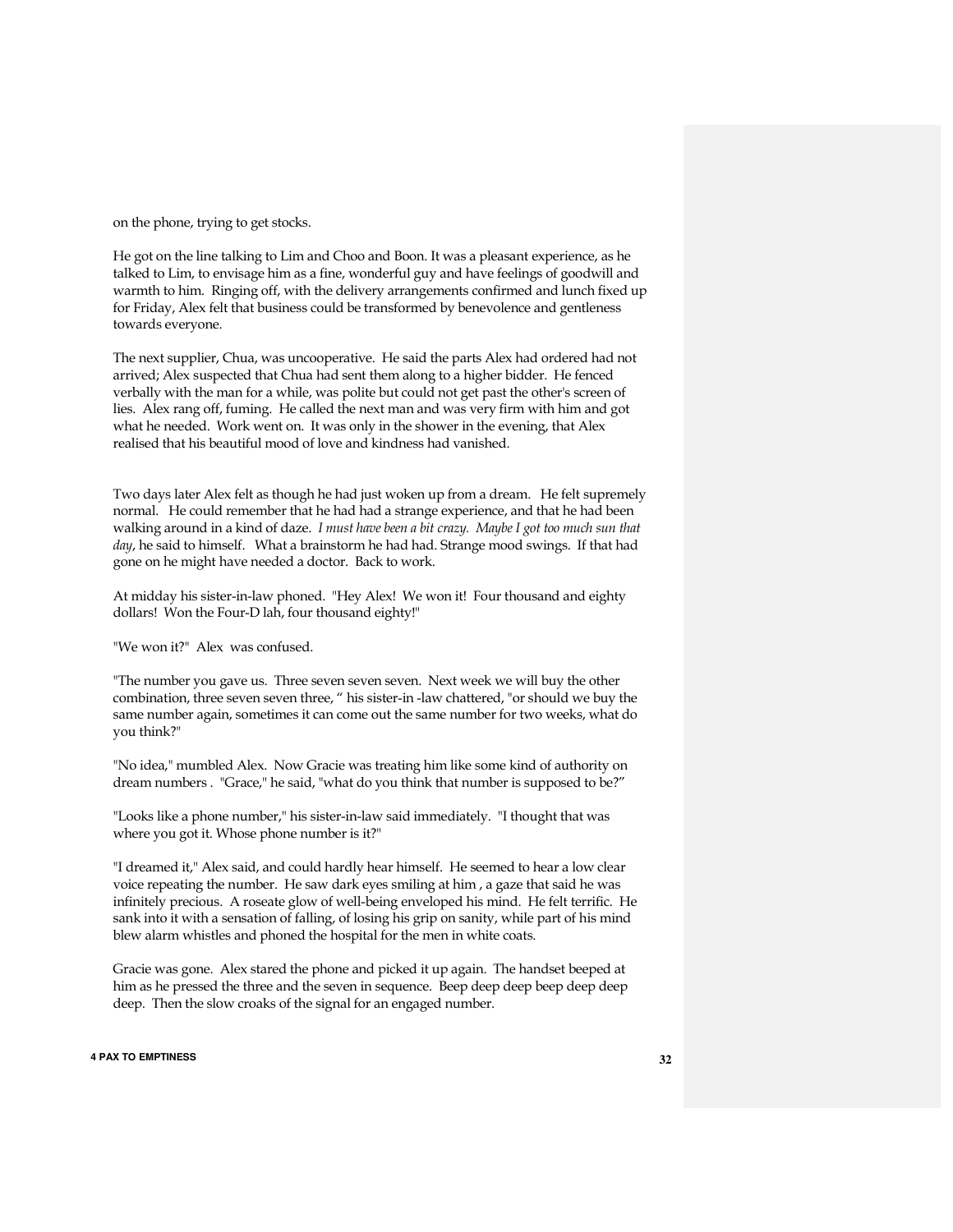on the phone, trying to get stocks.

He got on the line talking to Lim and Choo and Boon. It was a pleasant experience, as he talked to Lim, to envisage him as a fine, wonderful guy and have feelings of goodwill and warmth to him. Ringing off, with the delivery arrangements confirmed and lunch fixed up for Friday, Alex felt that business could be transformed by benevolence and gentleness towards everyone.

The next supplier, Chua, was uncooperative. He said the parts Alex had ordered had not arrived; Alex suspected that Chua had sent them along to a higher bidder. He fenced verbally with the man for a while, was polite but could not get past the other's screen of lies. Alex rang off, fuming. He called the next man and was very firm with him and got what he needed. Work went on. It was only in the shower in the evening, that Alex realised that his beautiful mood of love and kindness had vanished.

Two days later Alex felt as though he had just woken up from a dream. He felt supremely normal. He could remember that he had had a strange experience, and that he had been walking around in a kind of daze. I must have been a bit crazy. Maybe I got too much sun that day, he said to himself. What a brainstorm he had had. Strange mood swings. If that had gone on he might have needed a doctor. Back to work.

At midday his sister-in-law phoned. "Hey Alex! We won it! Four thousand and eighty dollars! Won the Four-D lah, four thousand eighty!"

"We won it?" Alex was confused.

"The number you gave us. Three seven seven seven. Next week we will buy the other combination, three seven seven three, " his sister-in -law chattered, "or should we buy the same number again, sometimes it can come out the same number for two weeks, what do you think?"

"No idea," mumbled Alex. Now Gracie was treating him like some kind of authority on dream numbers . "Grace," he said, "what do you think that number is supposed to be?"

"Looks like a phone number," his sister-in-law said immediately. "I thought that was where you got it. Whose phone number is it?"

"I dreamed it," Alex said, and could hardly hear himself. He seemed to hear a low clear voice repeating the number. He saw dark eyes smiling at him , a gaze that said he was infinitely precious. A roseate glow of well-being enveloped his mind. He felt terrific. He sank into it with a sensation of falling, of losing his grip on sanity, while part of his mind blew alarm whistles and phoned the hospital for the men in white coats.

Gracie was gone. Alex stared the phone and picked it up again. The handset beeped at him as he pressed the three and the seven in sequence. Beep deep deep beep deep deep deep. Then the slow croaks of the signal for an engaged number.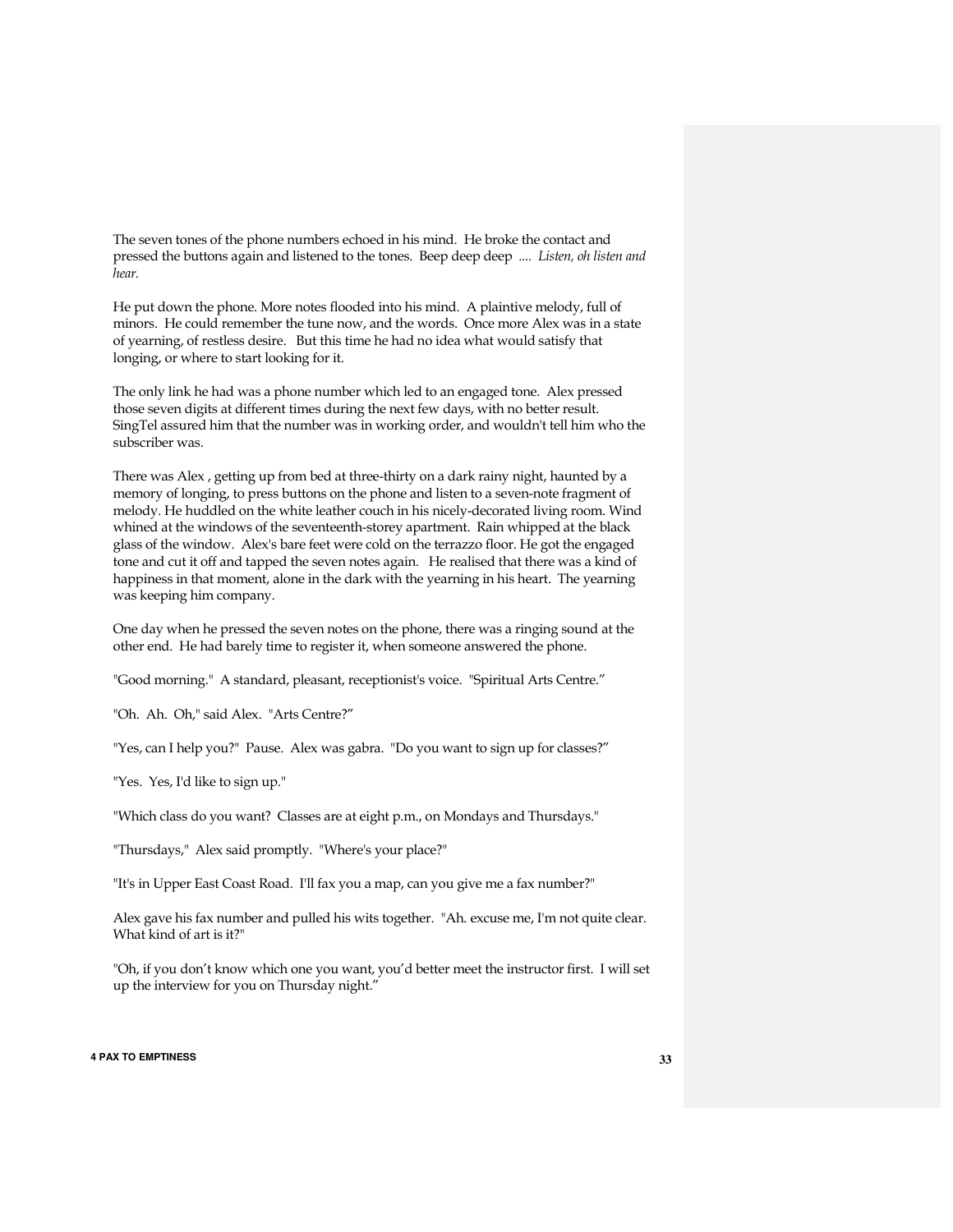The seven tones of the phone numbers echoed in his mind. He broke the contact and pressed the buttons again and listened to the tones. Beep deep deep .... Listen, oh listen and hear.

He put down the phone. More notes flooded into his mind. A plaintive melody, full of minors. He could remember the tune now, and the words. Once more Alex was in a state of yearning, of restless desire. But this time he had no idea what would satisfy that longing, or where to start looking for it.

The only link he had was a phone number which led to an engaged tone. Alex pressed those seven digits at different times during the next few days, with no better result. SingTel assured him that the number was in working order, and wouldn't tell him who the subscriber was.

There was Alex , getting up from bed at three-thirty on a dark rainy night, haunted by a memory of longing, to press buttons on the phone and listen to a seven-note fragment of melody. He huddled on the white leather couch in his nicely-decorated living room. Wind whined at the windows of the seventeenth-storey apartment. Rain whipped at the black glass of the window. Alex's bare feet were cold on the terrazzo floor. He got the engaged tone and cut it off and tapped the seven notes again. He realised that there was a kind of happiness in that moment, alone in the dark with the yearning in his heart. The yearning was keeping him company.

One day when he pressed the seven notes on the phone, there was a ringing sound at the other end. He had barely time to register it, when someone answered the phone.

"Good morning." A standard, pleasant, receptionist's voice. "Spiritual Arts Centre."

"Oh. Ah. Oh," said Alex. "Arts Centre?"

"Yes, can I help you?" Pause. Alex was gabra. "Do you want to sign up for classes?"

"Yes. Yes, I'd like to sign up."

"Which class do you want? Classes are at eight p.m., on Mondays and Thursdays."

"Thursdays," Alex said promptly. "Where's your place?"

"It's in Upper East Coast Road. I'll fax you a map, can you give me a fax number?"

Alex gave his fax number and pulled his wits together. "Ah. excuse me, I'm not quite clear. What kind of art is it?"

"Oh, if you don't know which one you want, you'd better meet the instructor first. I will set up the interview for you on Thursday night."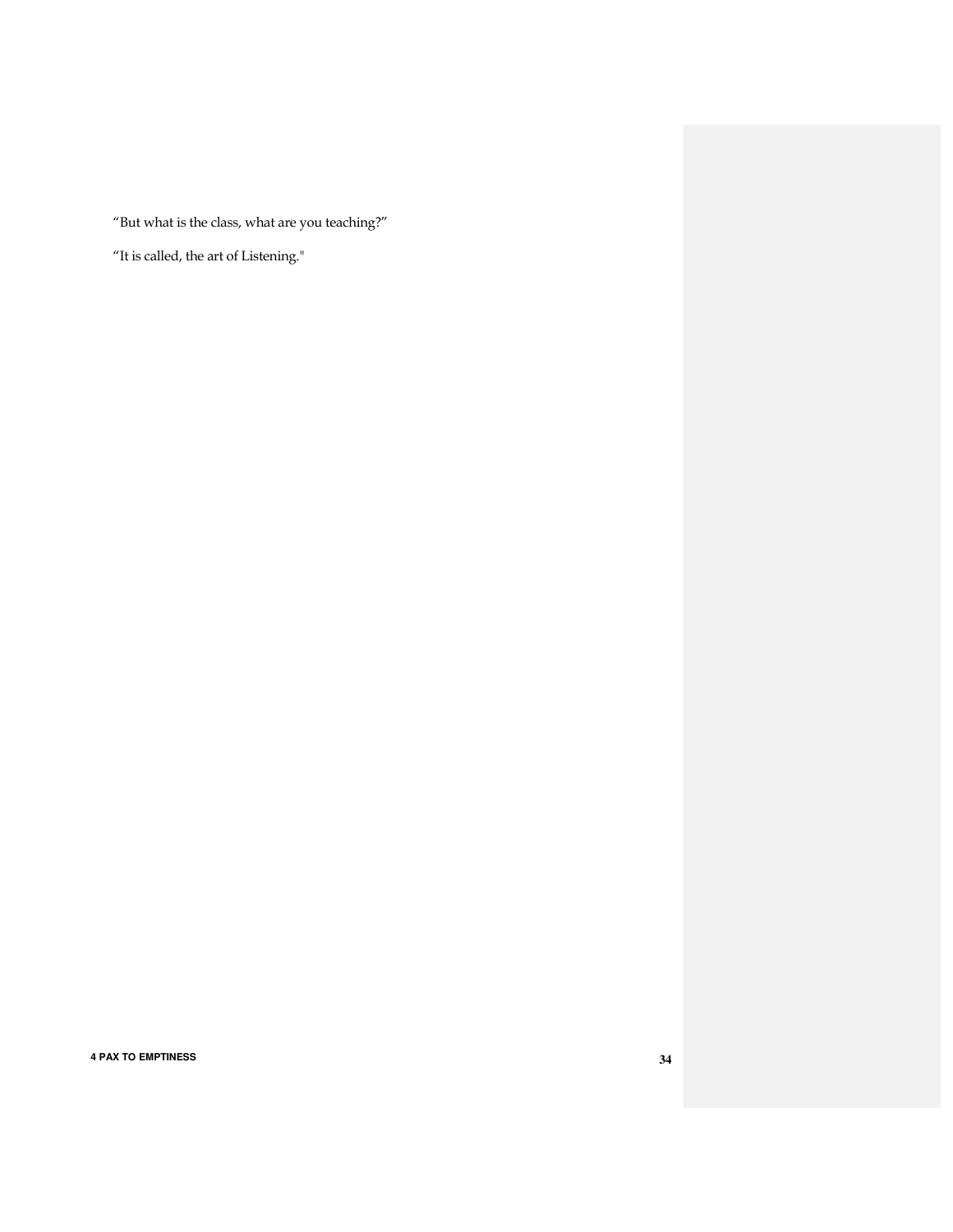"But what is the class, what are you teaching?"

"It is called, the art of Listening."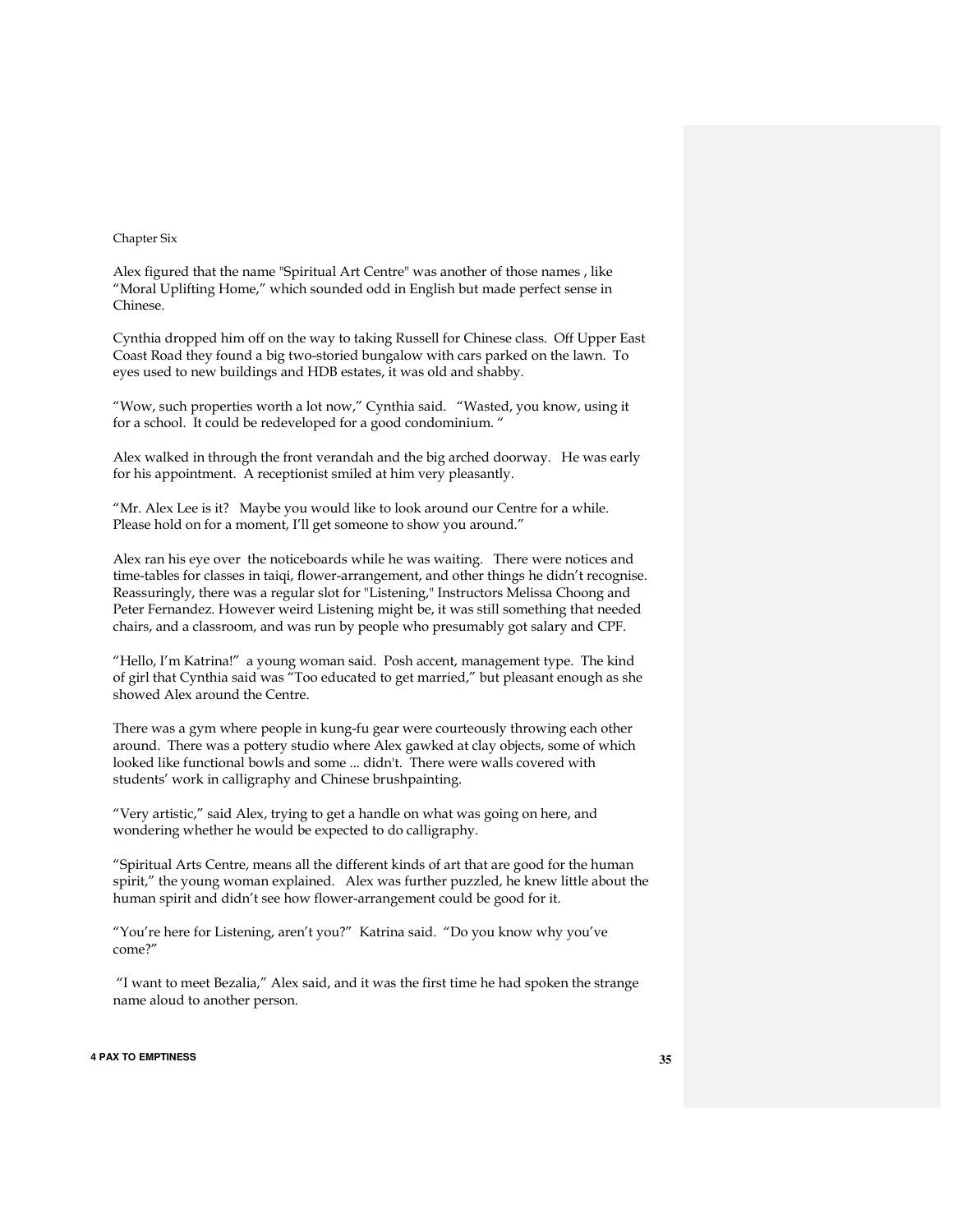# Chapter Six

Alex figured that the name "Spiritual Art Centre" was another of those names , like "Moral Uplifting Home," which sounded odd in English but made perfect sense in Chinese.

Cynthia dropped him off on the way to taking Russell for Chinese class. Off Upper East Coast Road they found a big two-storied bungalow with cars parked on the lawn. To eyes used to new buildings and HDB estates, it was old and shabby.

"Wow, such properties worth a lot now," Cynthia said. "Wasted, you know, using it for a school. It could be redeveloped for a good condominium. "

Alex walked in through the front verandah and the big arched doorway. He was early for his appointment. A receptionist smiled at him very pleasantly.

"Mr. Alex Lee is it? Maybe you would like to look around our Centre for a while. Please hold on for a moment, I'll get someone to show you around."

Alex ran his eye over the noticeboards while he was waiting. There were notices and time-tables for classes in taiqi, flower-arrangement, and other things he didn't recognise. Reassuringly, there was a regular slot for "Listening," Instructors Melissa Choong and Peter Fernandez. However weird Listening might be, it was still something that needed chairs, and a classroom, and was run by people who presumably got salary and CPF.

"Hello, I'm Katrina!" a young woman said. Posh accent, management type. The kind of girl that Cynthia said was "Too educated to get married," but pleasant enough as she showed Alex around the Centre.

There was a gym where people in kung-fu gear were courteously throwing each other around. There was a pottery studio where Alex gawked at clay objects, some of which looked like functional bowls and some ... didn't. There were walls covered with students' work in calligraphy and Chinese brushpainting.

"Very artistic," said Alex, trying to get a handle on what was going on here, and wondering whether he would be expected to do calligraphy.

"Spiritual Arts Centre, means all the different kinds of art that are good for the human spirit," the young woman explained. Alex was further puzzled, he knew little about the human spirit and didn't see how flower-arrangement could be good for it.

"You're here for Listening, aren't you?" Katrina said. "Do you know why you've come?"

 "I want to meet Bezalia," Alex said, and it was the first time he had spoken the strange name aloud to another person.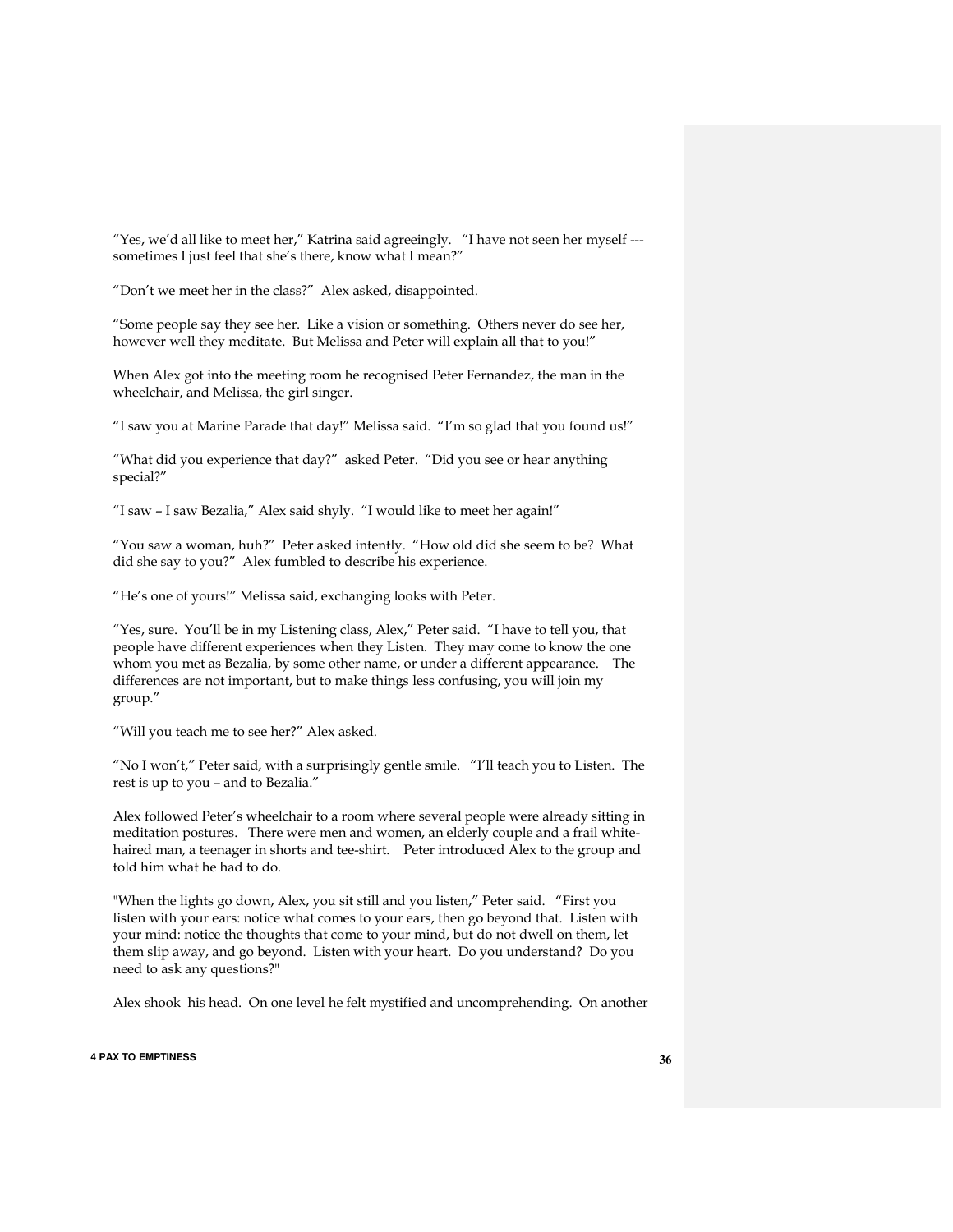"Yes, we'd all like to meet her," Katrina said agreeingly. "I have not seen her myself -- sometimes I just feel that she's there, know what I mean?"

"Don't we meet her in the class?" Alex asked, disappointed.

"Some people say they see her. Like a vision or something. Others never do see her, however well they meditate. But Melissa and Peter will explain all that to you!"

When Alex got into the meeting room he recognised Peter Fernandez, the man in the wheelchair, and Melissa, the girl singer.

"I saw you at Marine Parade that day!" Melissa said. "I'm so glad that you found us!"

"What did you experience that day?" asked Peter. "Did you see or hear anything special?"

"I saw – I saw Bezalia," Alex said shyly. "I would like to meet her again!"

"You saw a woman, huh?" Peter asked intently. "How old did she seem to be? What did she say to you?" Alex fumbled to describe his experience.

"He's one of yours!" Melissa said, exchanging looks with Peter.

"Yes, sure. You'll be in my Listening class, Alex," Peter said. "I have to tell you, that people have different experiences when they Listen. They may come to know the one whom you met as Bezalia, by some other name, or under a different appearance. The differences are not important, but to make things less confusing, you will join my group."

"Will you teach me to see her?" Alex asked.

"No I won't," Peter said, with a surprisingly gentle smile. "I'll teach you to Listen. The rest is up to you – and to Bezalia."

Alex followed Peter's wheelchair to a room where several people were already sitting in meditation postures. There were men and women, an elderly couple and a frail whitehaired man, a teenager in shorts and tee-shirt. Peter introduced Alex to the group and told him what he had to do.

"When the lights go down, Alex, you sit still and you listen," Peter said. "First you listen with your ears: notice what comes to your ears, then go beyond that. Listen with your mind: notice the thoughts that come to your mind, but do not dwell on them, let them slip away, and go beyond. Listen with your heart. Do you understand? Do you need to ask any questions?"

Alex shook his head. On one level he felt mystified and uncomprehending. On another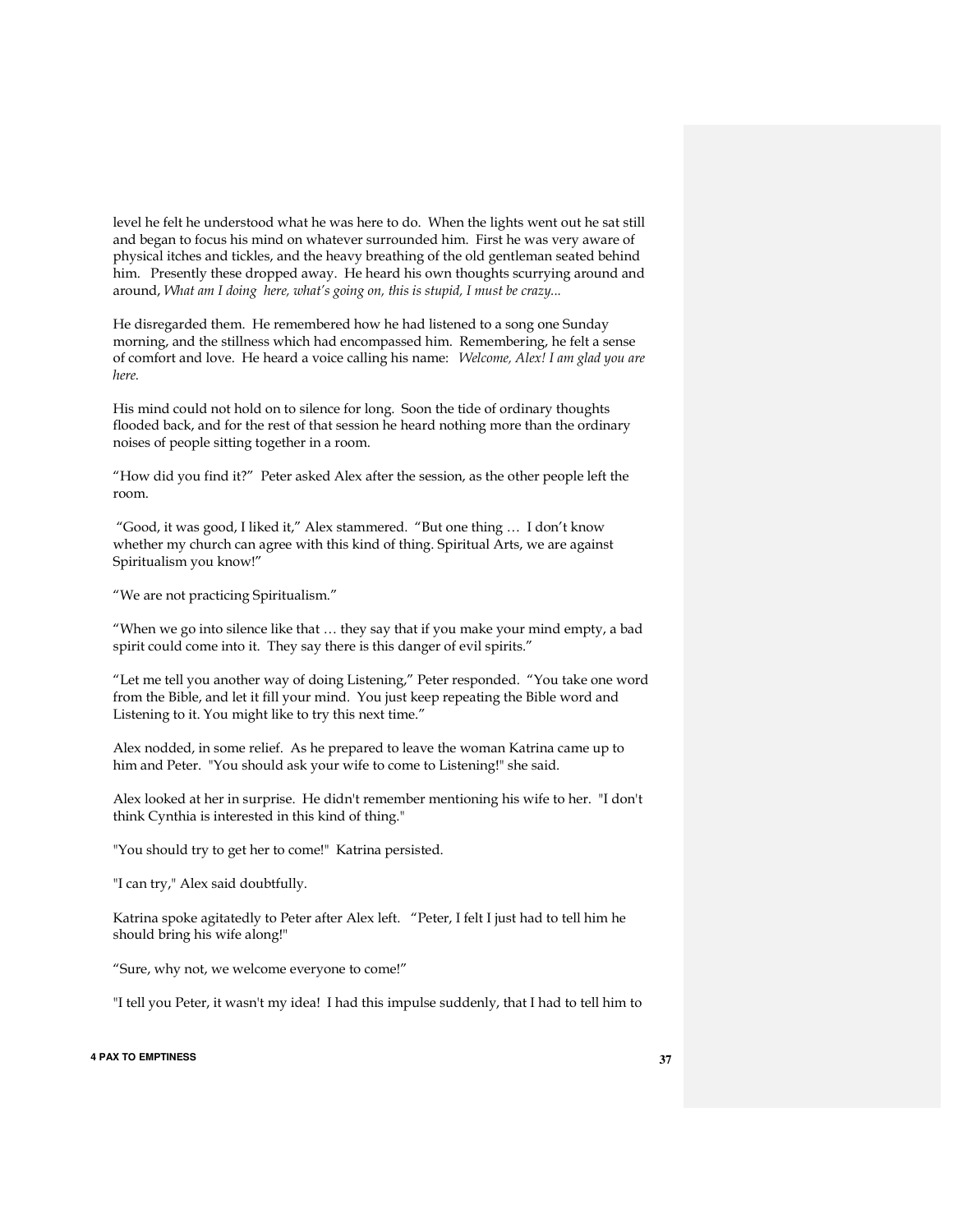level he felt he understood what he was here to do. When the lights went out he sat still and began to focus his mind on whatever surrounded him. First he was very aware of physical itches and tickles, and the heavy breathing of the old gentleman seated behind him. Presently these dropped away. He heard his own thoughts scurrying around and around, What am I doing here, what's going on, this is stupid, I must be crazy...

He disregarded them. He remembered how he had listened to a song one Sunday morning, and the stillness which had encompassed him. Remembering, he felt a sense of comfort and love. He heard a voice calling his name: Welcome, Alex! I am glad you are here.

His mind could not hold on to silence for long. Soon the tide of ordinary thoughts flooded back, and for the rest of that session he heard nothing more than the ordinary noises of people sitting together in a room.

"How did you find it?" Peter asked Alex after the session, as the other people left the room.

 "Good, it was good, I liked it," Alex stammered. "But one thing … I don't know whether my church can agree with this kind of thing. Spiritual Arts, we are against Spiritualism you know!"

"We are not practicing Spiritualism."

"When we go into silence like that … they say that if you make your mind empty, a bad spirit could come into it. They say there is this danger of evil spirits."

"Let me tell you another way of doing Listening," Peter responded. "You take one word from the Bible, and let it fill your mind. You just keep repeating the Bible word and Listening to it. You might like to try this next time."

Alex nodded, in some relief. As he prepared to leave the woman Katrina came up to him and Peter. "You should ask your wife to come to Listening!" she said.

Alex looked at her in surprise. He didn't remember mentioning his wife to her. "I don't think Cynthia is interested in this kind of thing."

"You should try to get her to come!" Katrina persisted.

"I can try," Alex said doubtfully.

Katrina spoke agitatedly to Peter after Alex left. "Peter, I felt I just had to tell him he should bring his wife along!"

"Sure, why not, we welcome everyone to come!"

"I tell you Peter, it wasn't my idea! I had this impulse suddenly, that I had to tell him to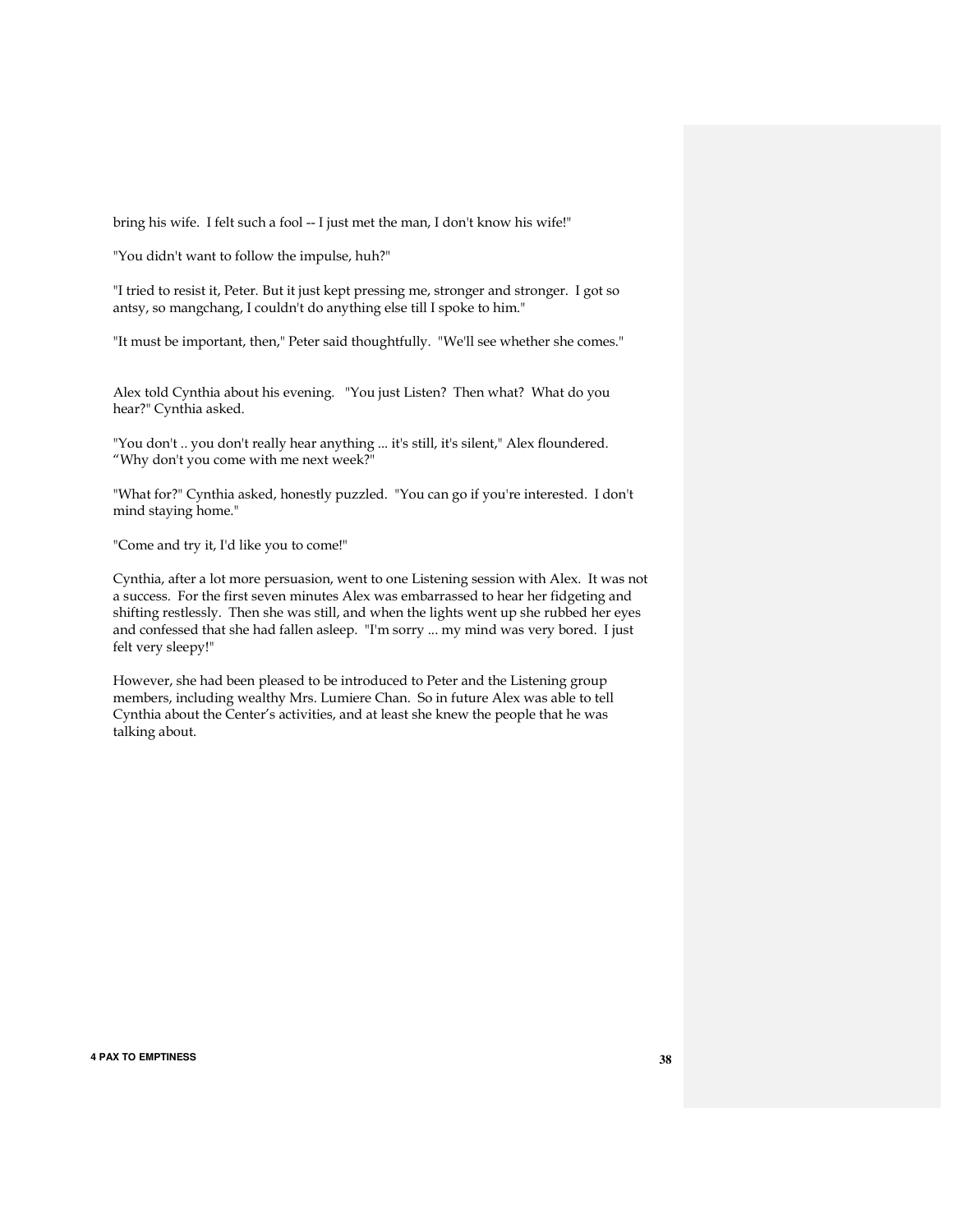bring his wife. I felt such a fool -- I just met the man, I don't know his wife!"

"You didn't want to follow the impulse, huh?"

"I tried to resist it, Peter. But it just kept pressing me, stronger and stronger. I got so antsy, so mangchang, I couldn't do anything else till I spoke to him."

"It must be important, then," Peter said thoughtfully. "We'll see whether she comes."

Alex told Cynthia about his evening. "You just Listen? Then what? What do you hear?" Cynthia asked.

"You don't .. you don't really hear anything ... it's still, it's silent," Alex floundered. "Why don't you come with me next week?"

"What for?" Cynthia asked, honestly puzzled. "You can go if you're interested. I don't mind staying home."

"Come and try it, I'd like you to come!"

Cynthia, after a lot more persuasion, went to one Listening session with Alex. It was not a success. For the first seven minutes Alex was embarrassed to hear her fidgeting and shifting restlessly. Then she was still, and when the lights went up she rubbed her eyes and confessed that she had fallen asleep. "I'm sorry ... my mind was very bored. I just felt very sleepy!"

However, she had been pleased to be introduced to Peter and the Listening group members, including wealthy Mrs. Lumiere Chan. So in future Alex was able to tell Cynthia about the Center's activities, and at least she knew the people that he was talking about.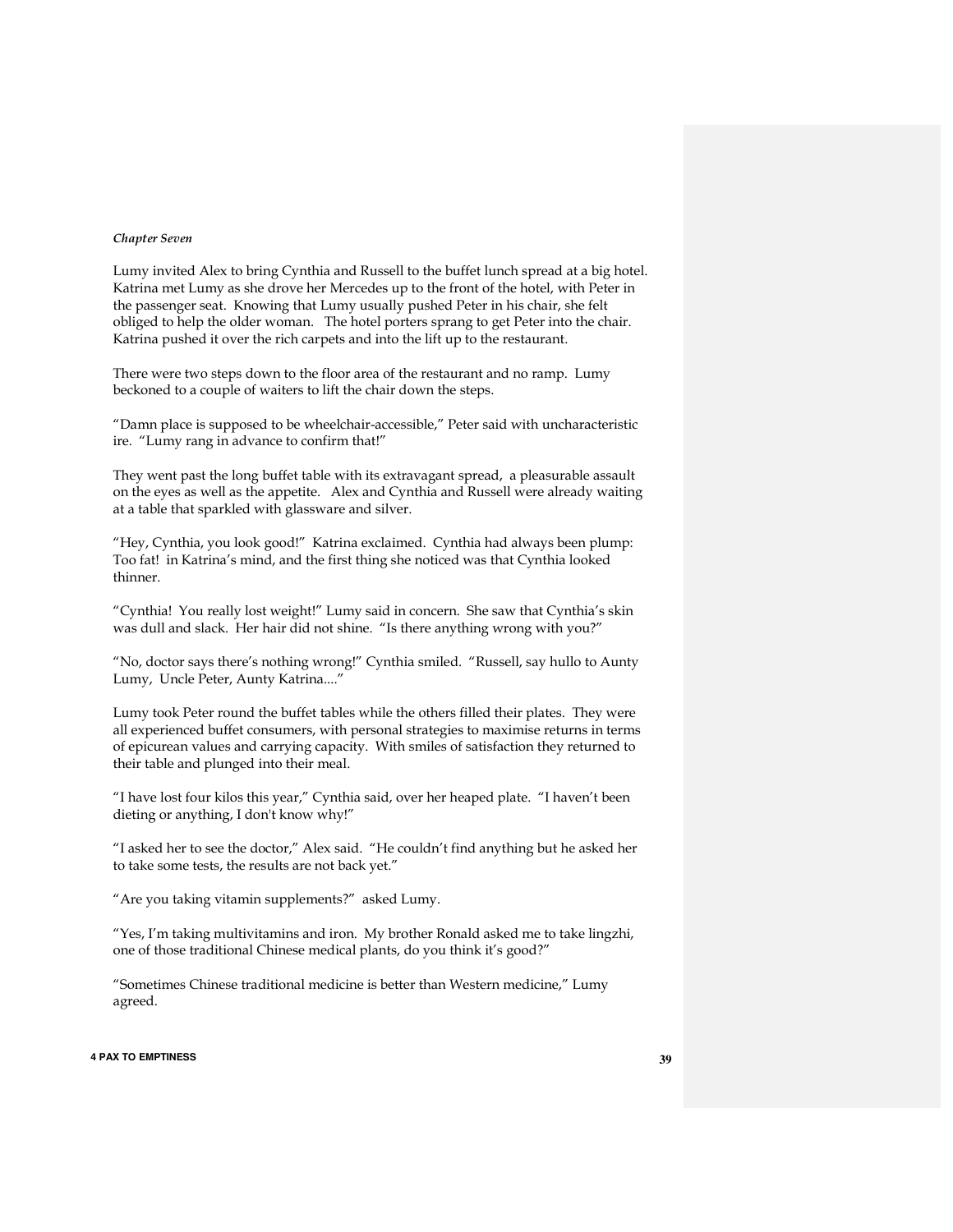# Chapter Seven

Lumy invited Alex to bring Cynthia and Russell to the buffet lunch spread at a big hotel. Katrina met Lumy as she drove her Mercedes up to the front of the hotel, with Peter in the passenger seat. Knowing that Lumy usually pushed Peter in his chair, she felt obliged to help the older woman. The hotel porters sprang to get Peter into the chair. Katrina pushed it over the rich carpets and into the lift up to the restaurant.

There were two steps down to the floor area of the restaurant and no ramp. Lumy beckoned to a couple of waiters to lift the chair down the steps.

"Damn place is supposed to be wheelchair-accessible," Peter said with uncharacteristic ire. "Lumy rang in advance to confirm that!"

They went past the long buffet table with its extravagant spread, a pleasurable assault on the eyes as well as the appetite. Alex and Cynthia and Russell were already waiting at a table that sparkled with glassware and silver.

"Hey, Cynthia, you look good!" Katrina exclaimed. Cynthia had always been plump: Too fat! in Katrina's mind, and the first thing she noticed was that Cynthia looked thinner.

"Cynthia! You really lost weight!" Lumy said in concern. She saw that Cynthia's skin was dull and slack. Her hair did not shine. "Is there anything wrong with you?"

"No, doctor says there's nothing wrong!" Cynthia smiled. "Russell, say hullo to Aunty Lumy, Uncle Peter, Aunty Katrina...."

Lumy took Peter round the buffet tables while the others filled their plates. They were all experienced buffet consumers, with personal strategies to maximise returns in terms of epicurean values and carrying capacity. With smiles of satisfaction they returned to their table and plunged into their meal.

"I have lost four kilos this year," Cynthia said, over her heaped plate. "I haven't been dieting or anything, I don't know why!"

"I asked her to see the doctor," Alex said. "He couldn't find anything but he asked her to take some tests, the results are not back yet."

"Are you taking vitamin supplements?" asked Lumy.

"Yes, I'm taking multivitamins and iron. My brother Ronald asked me to take lingzhi, one of those traditional Chinese medical plants, do you think it's good?"

"Sometimes Chinese traditional medicine is better than Western medicine," Lumy agreed.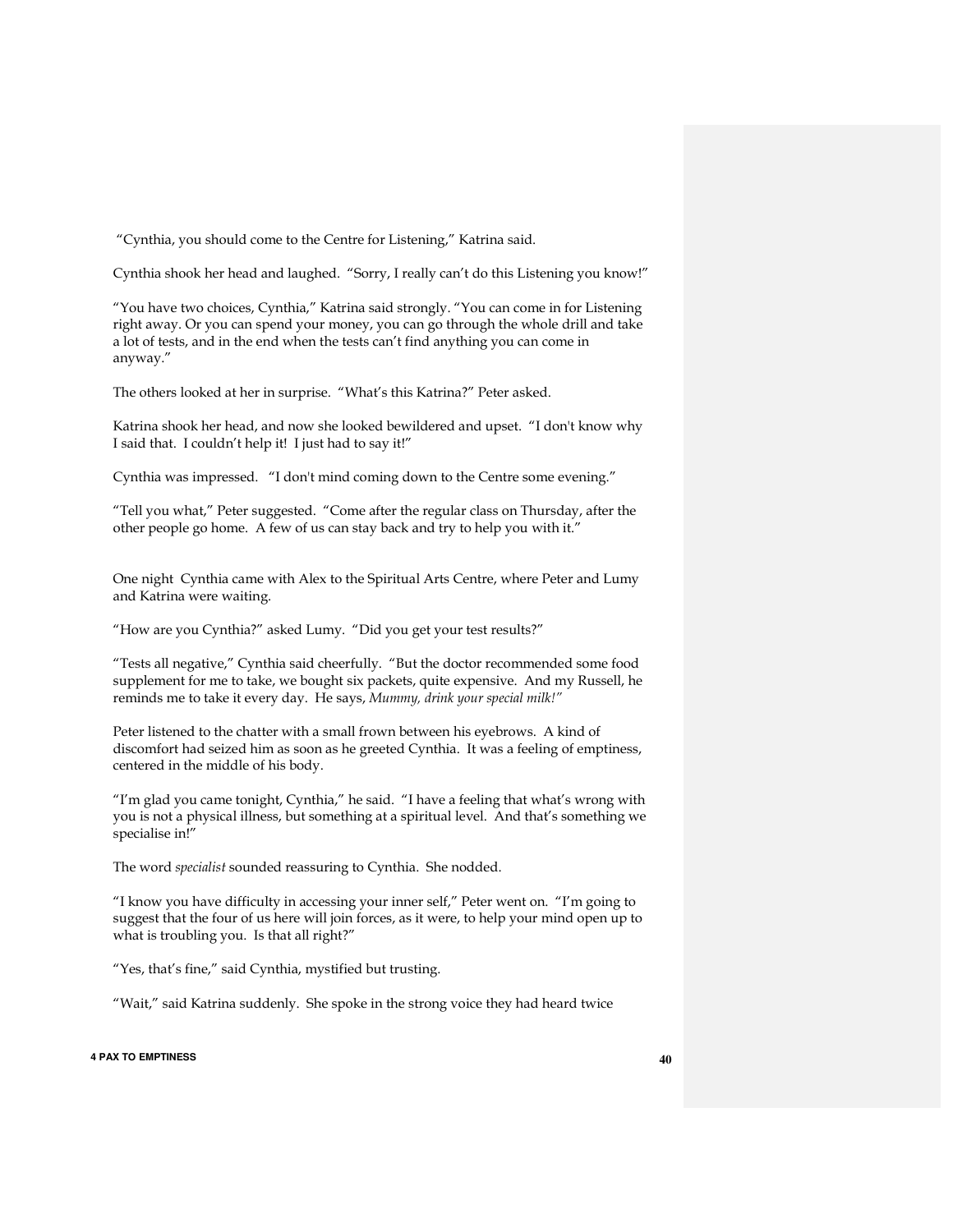"Cynthia, you should come to the Centre for Listening," Katrina said.

Cynthia shook her head and laughed. "Sorry, I really can't do this Listening you know!"

"You have two choices, Cynthia," Katrina said strongly. "You can come in for Listening right away. Or you can spend your money, you can go through the whole drill and take a lot of tests, and in the end when the tests can't find anything you can come in anyway."

The others looked at her in surprise. "What's this Katrina?" Peter asked.

Katrina shook her head, and now she looked bewildered and upset. "I don't know why I said that. I couldn't help it! I just had to say it!"

Cynthia was impressed. "I don't mind coming down to the Centre some evening."

"Tell you what," Peter suggested. "Come after the regular class on Thursday, after the other people go home. A few of us can stay back and try to help you with it."

One night Cynthia came with Alex to the Spiritual Arts Centre, where Peter and Lumy and Katrina were waiting.

"How are you Cynthia?" asked Lumy. "Did you get your test results?"

"Tests all negative," Cynthia said cheerfully. "But the doctor recommended some food supplement for me to take, we bought six packets, quite expensive. And my Russell, he reminds me to take it every day. He says, Mummy, drink your special milk!"

Peter listened to the chatter with a small frown between his eyebrows. A kind of discomfort had seized him as soon as he greeted Cynthia. It was a feeling of emptiness, centered in the middle of his body.

"I'm glad you came tonight, Cynthia," he said. "I have a feeling that what's wrong with you is not a physical illness, but something at a spiritual level. And that's something we specialise in!"

The word specialist sounded reassuring to Cynthia. She nodded.

"I know you have difficulty in accessing your inner self," Peter went on. "I'm going to suggest that the four of us here will join forces, as it were, to help your mind open up to what is troubling you. Is that all right?"

"Yes, that's fine," said Cynthia, mystified but trusting.

"Wait," said Katrina suddenly. She spoke in the strong voice they had heard twice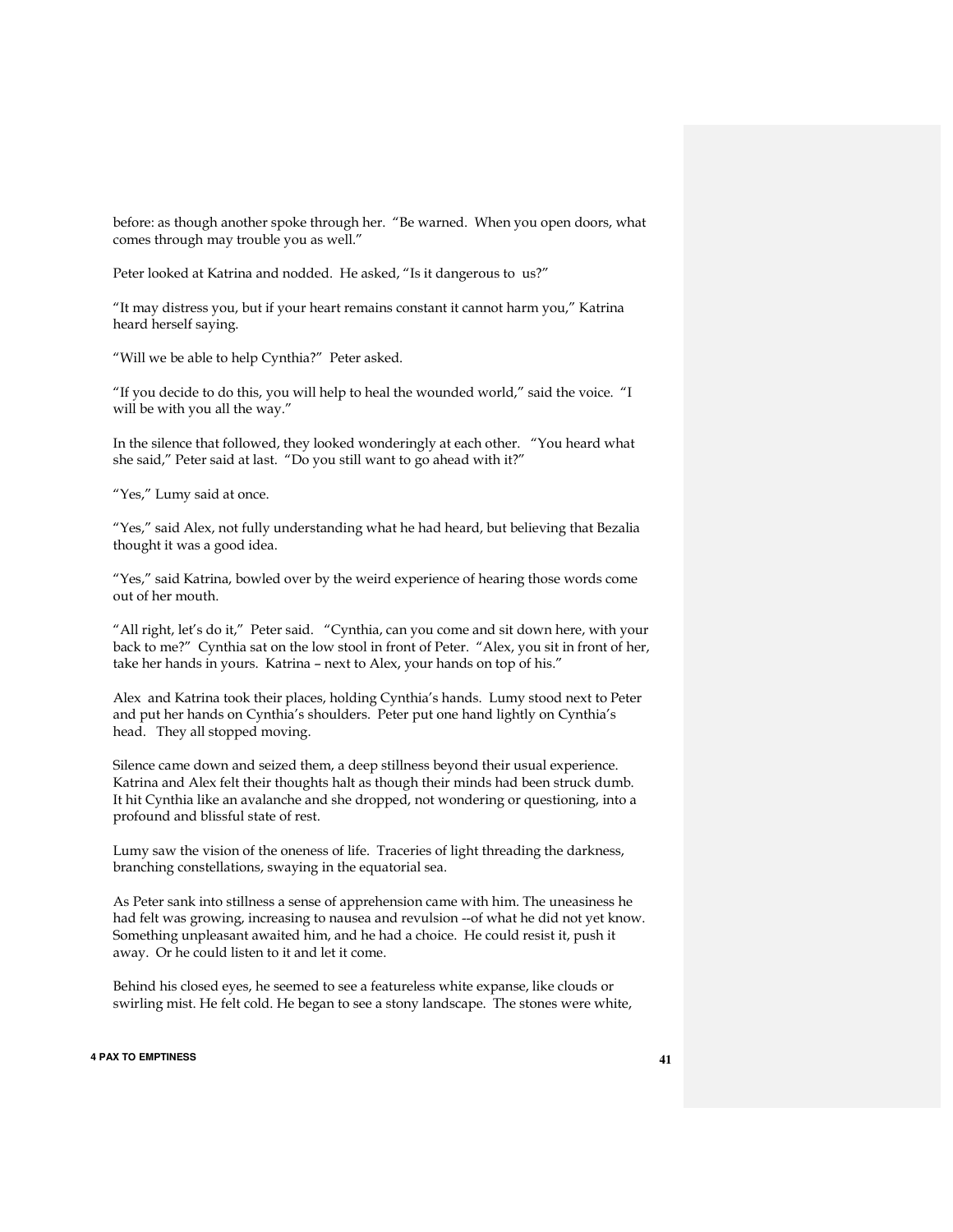before: as though another spoke through her. "Be warned. When you open doors, what comes through may trouble you as well."

Peter looked at Katrina and nodded. He asked, "Is it dangerous to us?"

"It may distress you, but if your heart remains constant it cannot harm you," Katrina heard herself saying.

"Will we be able to help Cynthia?" Peter asked.

"If you decide to do this, you will help to heal the wounded world," said the voice. "I will be with you all the way."

In the silence that followed, they looked wonderingly at each other. "You heard what she said," Peter said at last. "Do you still want to go ahead with it?"

"Yes," Lumy said at once.

"Yes," said Alex, not fully understanding what he had heard, but believing that Bezalia thought it was a good idea.

"Yes," said Katrina, bowled over by the weird experience of hearing those words come out of her mouth.

"All right, let's do it," Peter said. "Cynthia, can you come and sit down here, with your back to me?" Cynthia sat on the low stool in front of Peter. "Alex, you sit in front of her, take her hands in yours. Katrina – next to Alex, your hands on top of his."

Alex and Katrina took their places, holding Cynthia's hands. Lumy stood next to Peter and put her hands on Cynthia's shoulders. Peter put one hand lightly on Cynthia's head. They all stopped moving.

Silence came down and seized them, a deep stillness beyond their usual experience. Katrina and Alex felt their thoughts halt as though their minds had been struck dumb. It hit Cynthia like an avalanche and she dropped, not wondering or questioning, into a profound and blissful state of rest.

Lumy saw the vision of the oneness of life. Traceries of light threading the darkness, branching constellations, swaying in the equatorial sea.

As Peter sank into stillness a sense of apprehension came with him. The uneasiness he had felt was growing, increasing to nausea and revulsion --of what he did not yet know. Something unpleasant awaited him, and he had a choice. He could resist it, push it away. Or he could listen to it and let it come.

Behind his closed eyes, he seemed to see a featureless white expanse, like clouds or swirling mist. He felt cold. He began to see a stony landscape. The stones were white,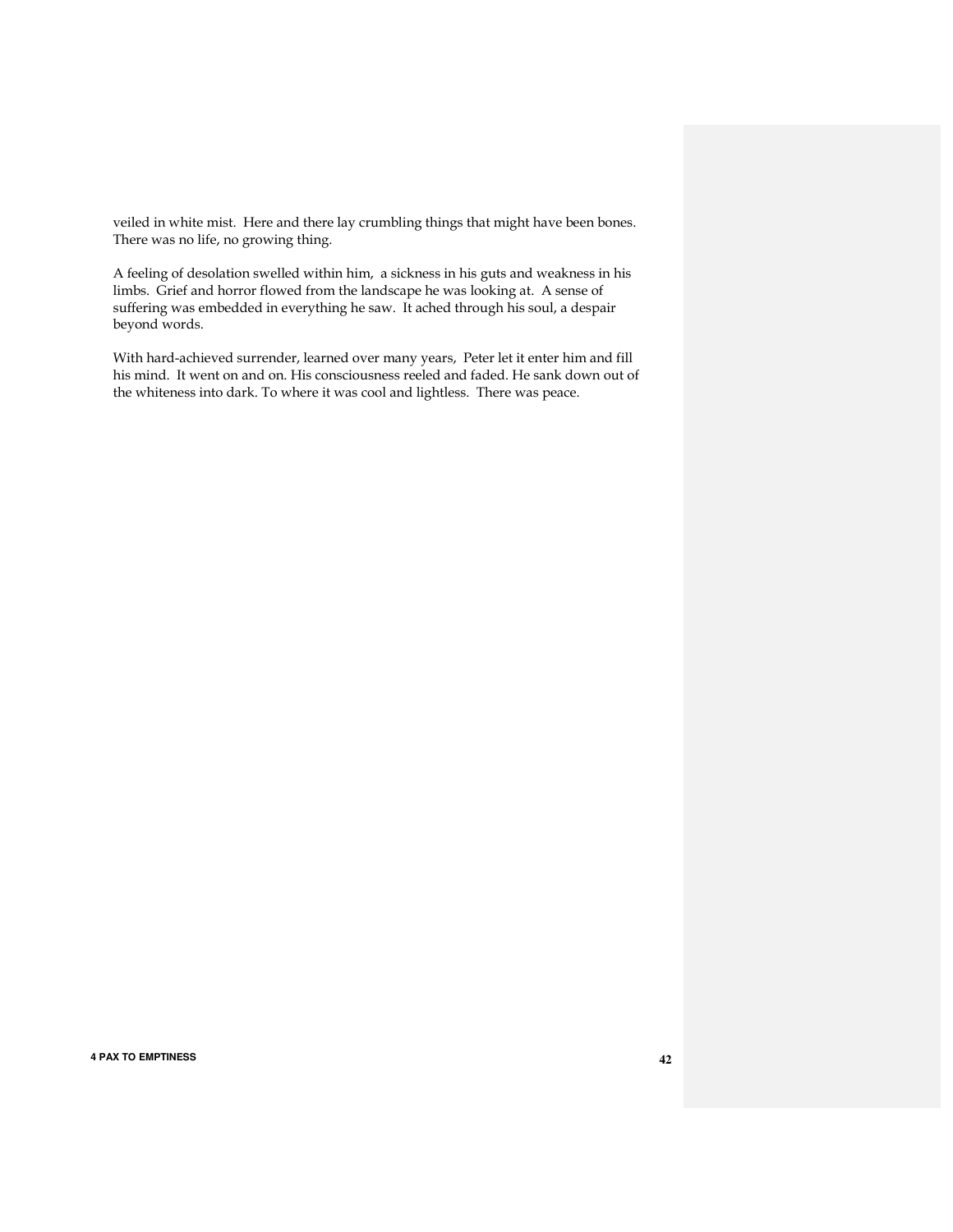veiled in white mist. Here and there lay crumbling things that might have been bones. There was no life, no growing thing.

A feeling of desolation swelled within him, a sickness in his guts and weakness in his limbs. Grief and horror flowed from the landscape he was looking at. A sense of suffering was embedded in everything he saw. It ached through his soul, a despair beyond words.

With hard-achieved surrender, learned over many years, Peter let it enter him and fill his mind. It went on and on. His consciousness reeled and faded. He sank down out of the whiteness into dark. To where it was cool and lightless. There was peace.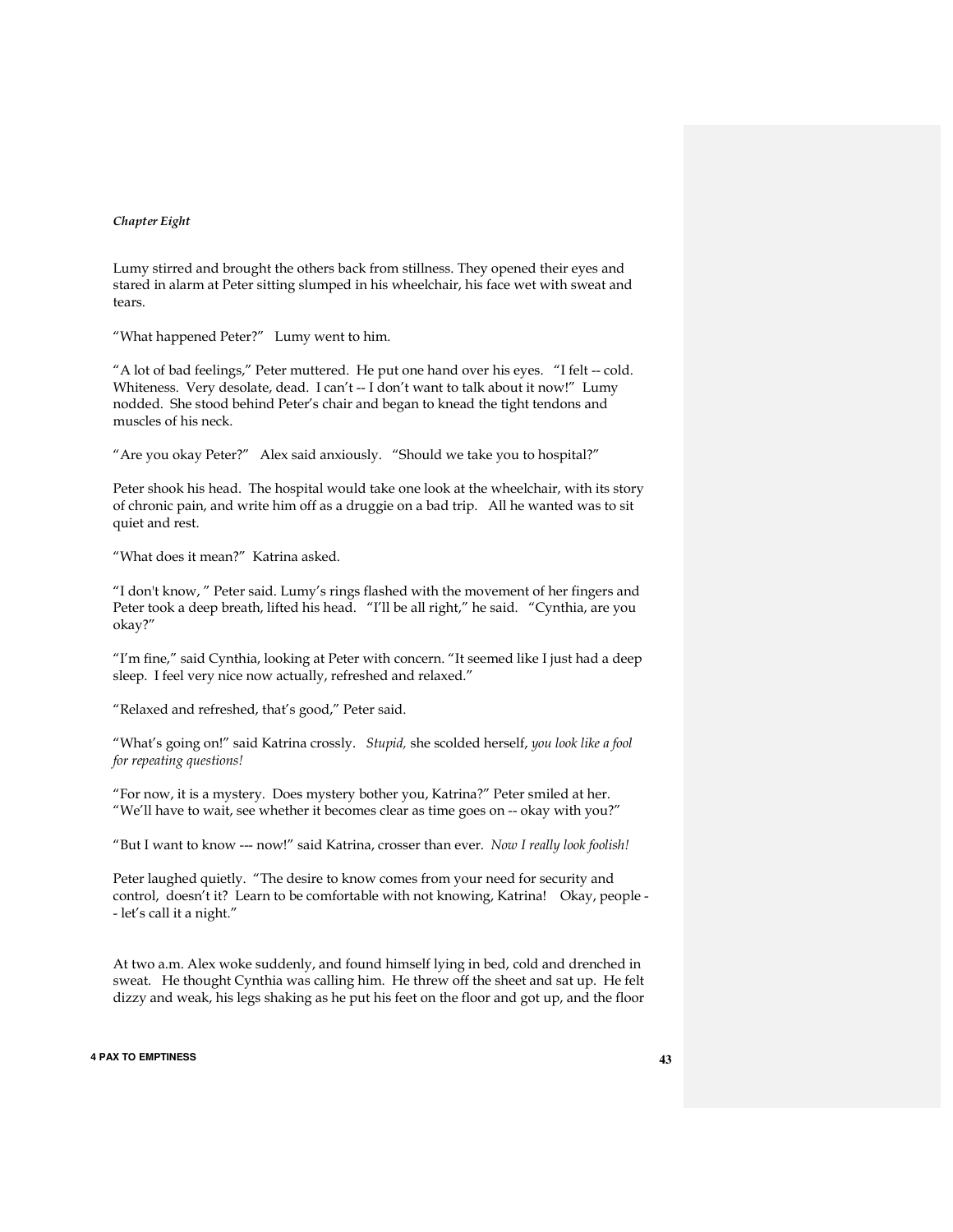# Chapter Eight

Lumy stirred and brought the others back from stillness. They opened their eyes and stared in alarm at Peter sitting slumped in his wheelchair, his face wet with sweat and tears.

"What happened Peter?" Lumy went to him.

"A lot of bad feelings," Peter muttered. He put one hand over his eyes. "I felt -- cold. Whiteness. Very desolate, dead. I can't -- I don't want to talk about it now!" Lumy nodded. She stood behind Peter's chair and began to knead the tight tendons and muscles of his neck.

"Are you okay Peter?" Alex said anxiously. "Should we take you to hospital?"

Peter shook his head. The hospital would take one look at the wheelchair, with its story of chronic pain, and write him off as a druggie on a bad trip. All he wanted was to sit quiet and rest.

"What does it mean?" Katrina asked.

"I don't know, " Peter said. Lumy's rings flashed with the movement of her fingers and Peter took a deep breath, lifted his head. "I'll be all right," he said. "Cynthia, are you okay?"

"I'm fine," said Cynthia, looking at Peter with concern. "It seemed like I just had a deep sleep. I feel very nice now actually, refreshed and relaxed."

"Relaxed and refreshed, that's good," Peter said.

"What's going on!" said Katrina crossly. Stupid, she scolded herself, you look like a fool for repeating questions!

"For now, it is a mystery. Does mystery bother you, Katrina?" Peter smiled at her. "We'll have to wait, see whether it becomes clear as time goes on -- okay with you?"

"But I want to know --- now!" said Katrina, crosser than ever. Now I really look foolish!

Peter laughed quietly. "The desire to know comes from your need for security and control, doesn't it? Learn to be comfortable with not knowing, Katrina! Okay, people - - let's call it a night."

At two a.m. Alex woke suddenly, and found himself lying in bed, cold and drenched in sweat. He thought Cynthia was calling him. He threw off the sheet and sat up. He felt dizzy and weak, his legs shaking as he put his feet on the floor and got up, and the floor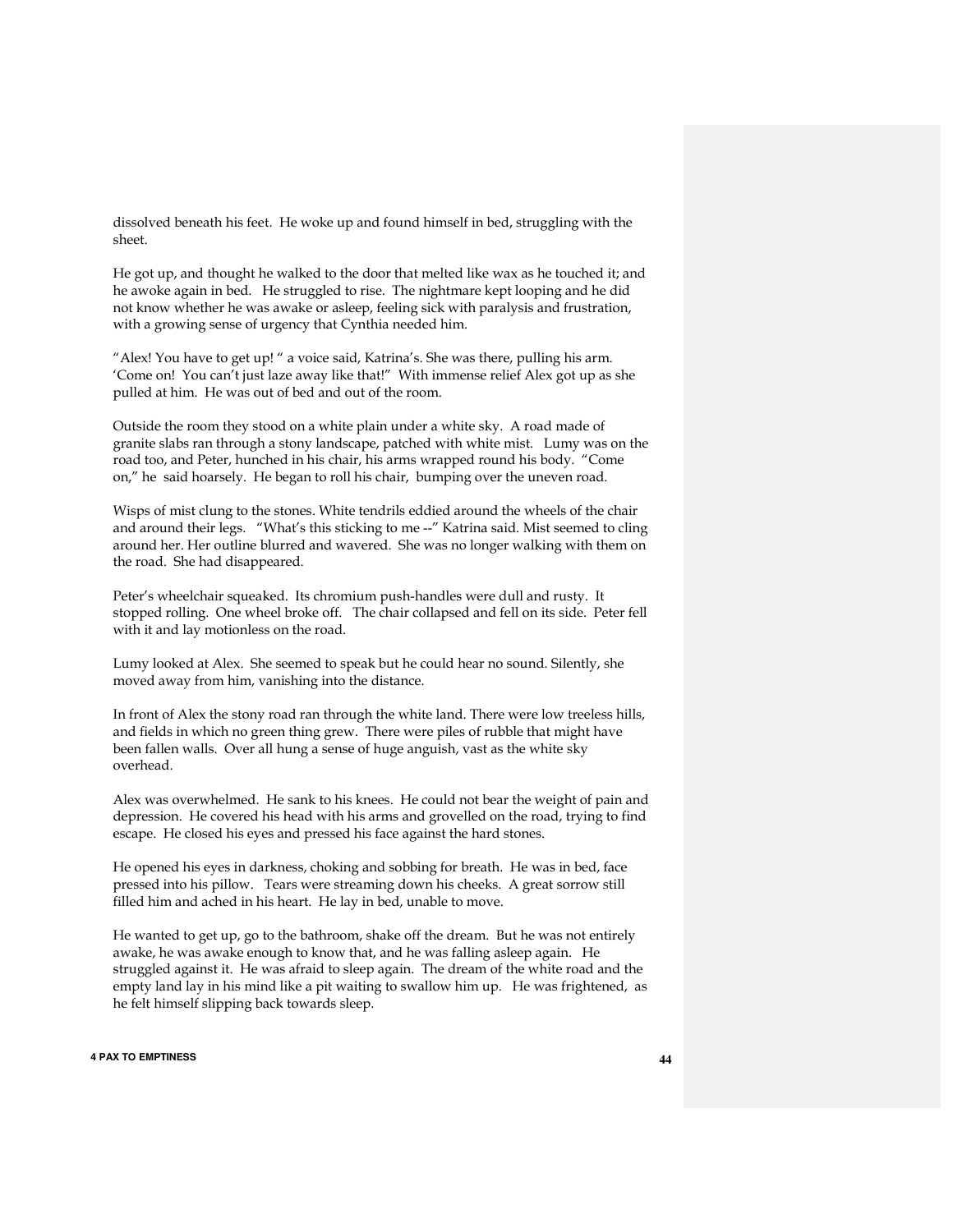dissolved beneath his feet. He woke up and found himself in bed, struggling with the sheet.

He got up, and thought he walked to the door that melted like wax as he touched it; and he awoke again in bed. He struggled to rise. The nightmare kept looping and he did not know whether he was awake or asleep, feeling sick with paralysis and frustration, with a growing sense of urgency that Cynthia needed him.

"Alex! You have to get up! " a voice said, Katrina's. She was there, pulling his arm. 'Come on! You can't just laze away like that!" With immense relief Alex got up as she pulled at him. He was out of bed and out of the room.

Outside the room they stood on a white plain under a white sky. A road made of granite slabs ran through a stony landscape, patched with white mist. Lumy was on the road too, and Peter, hunched in his chair, his arms wrapped round his body. "Come on," he said hoarsely. He began to roll his chair, bumping over the uneven road.

Wisps of mist clung to the stones. White tendrils eddied around the wheels of the chair and around their legs. "What's this sticking to me --" Katrina said. Mist seemed to cling around her. Her outline blurred and wavered. She was no longer walking with them on the road. She had disappeared.

Peter's wheelchair squeaked. Its chromium push-handles were dull and rusty. It stopped rolling. One wheel broke off. The chair collapsed and fell on its side. Peter fell with it and lay motionless on the road.

Lumy looked at Alex. She seemed to speak but he could hear no sound. Silently, she moved away from him, vanishing into the distance.

In front of Alex the stony road ran through the white land. There were low treeless hills, and fields in which no green thing grew. There were piles of rubble that might have been fallen walls. Over all hung a sense of huge anguish, vast as the white sky overhead.

Alex was overwhelmed. He sank to his knees. He could not bear the weight of pain and depression. He covered his head with his arms and grovelled on the road, trying to find escape. He closed his eyes and pressed his face against the hard stones.

He opened his eyes in darkness, choking and sobbing for breath. He was in bed, face pressed into his pillow. Tears were streaming down his cheeks. A great sorrow still filled him and ached in his heart. He lay in bed, unable to move.

He wanted to get up, go to the bathroom, shake off the dream. But he was not entirely awake, he was awake enough to know that, and he was falling asleep again. He struggled against it. He was afraid to sleep again. The dream of the white road and the empty land lay in his mind like a pit waiting to swallow him up. He was frightened, as he felt himself slipping back towards sleep.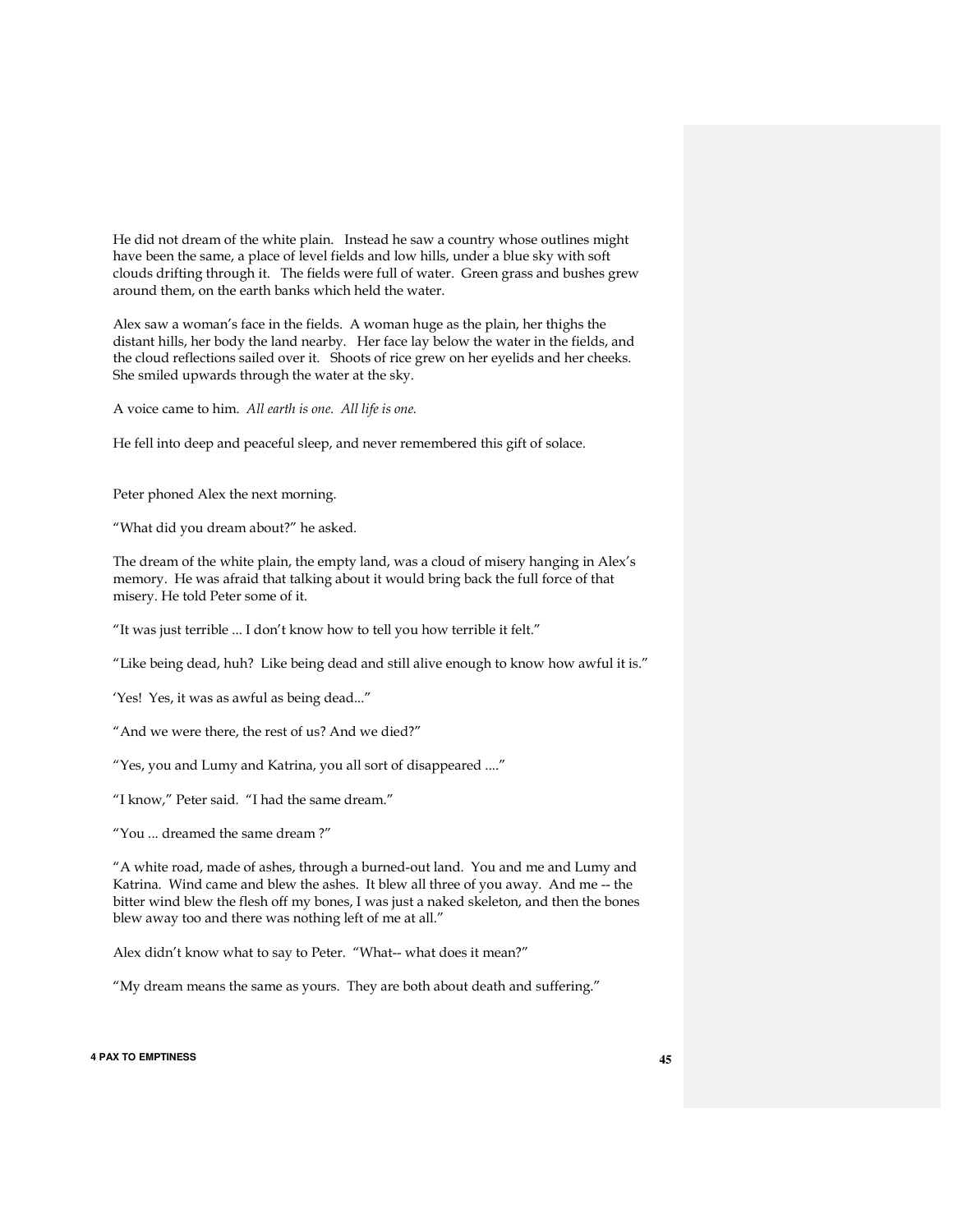He did not dream of the white plain. Instead he saw a country whose outlines might have been the same, a place of level fields and low hills, under a blue sky with soft clouds drifting through it. The fields were full of water. Green grass and bushes grew around them, on the earth banks which held the water.

Alex saw a woman's face in the fields. A woman huge as the plain, her thighs the distant hills, her body the land nearby. Her face lay below the water in the fields, and the cloud reflections sailed over it. Shoots of rice grew on her eyelids and her cheeks. She smiled upwards through the water at the sky.

A voice came to him. All earth is one. All life is one.

He fell into deep and peaceful sleep, and never remembered this gift of solace.

Peter phoned Alex the next morning.

"What did you dream about?" he asked.

The dream of the white plain, the empty land, was a cloud of misery hanging in Alex's memory. He was afraid that talking about it would bring back the full force of that misery. He told Peter some of it.

"It was just terrible ... I don't know how to tell you how terrible it felt."

"Like being dead, huh? Like being dead and still alive enough to know how awful it is."

'Yes! Yes, it was as awful as being dead..."

"And we were there, the rest of us? And we died?"

"Yes, you and Lumy and Katrina, you all sort of disappeared ...."

"I know," Peter said. "I had the same dream."

"You ... dreamed the same dream ?"

"A white road, made of ashes, through a burned-out land. You and me and Lumy and Katrina. Wind came and blew the ashes. It blew all three of you away. And me -- the bitter wind blew the flesh off my bones, I was just a naked skeleton, and then the bones blew away too and there was nothing left of me at all."

Alex didn't know what to say to Peter. "What-- what does it mean?"

"My dream means the same as yours. They are both about death and suffering."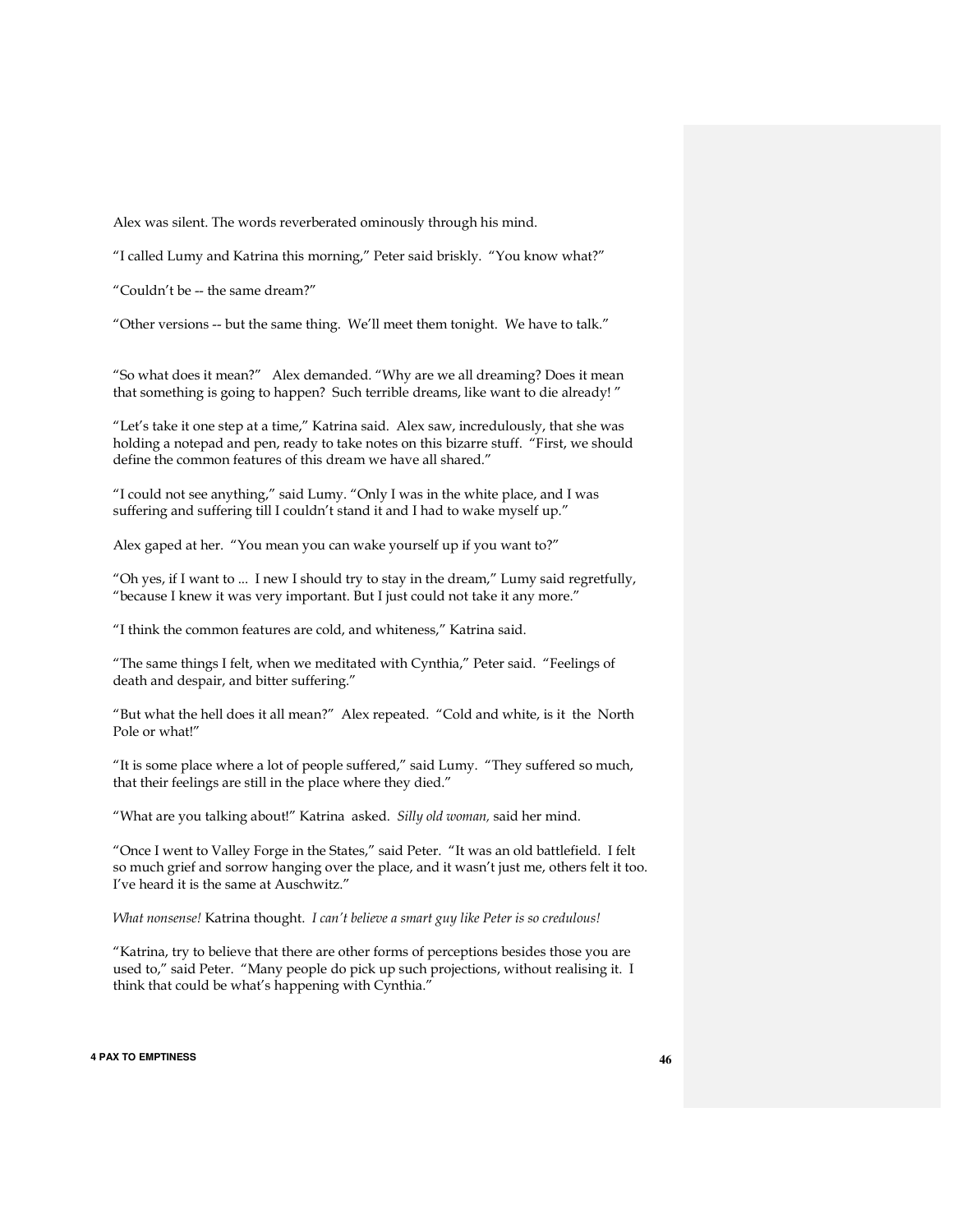Alex was silent. The words reverberated ominously through his mind.

"I called Lumy and Katrina this morning," Peter said briskly. "You know what?"

"Couldn't be -- the same dream?"

"Other versions -- but the same thing. We'll meet them tonight. We have to talk."

"So what does it mean?" Alex demanded. "Why are we all dreaming? Does it mean that something is going to happen? Such terrible dreams, like want to die already! "

"Let's take it one step at a time," Katrina said. Alex saw, incredulously, that she was holding a notepad and pen, ready to take notes on this bizarre stuff. "First, we should define the common features of this dream we have all shared."

"I could not see anything," said Lumy. "Only I was in the white place, and I was suffering and suffering till I couldn't stand it and I had to wake myself up."

Alex gaped at her. "You mean you can wake yourself up if you want to?"

"Oh yes, if I want to ... I new I should try to stay in the dream," Lumy said regretfully, "because I knew it was very important. But I just could not take it any more."

"I think the common features are cold, and whiteness," Katrina said.

"The same things I felt, when we meditated with Cynthia," Peter said. "Feelings of death and despair, and bitter suffering."

"But what the hell does it all mean?" Alex repeated. "Cold and white, is it the North Pole or what!"

"It is some place where a lot of people suffered," said Lumy. "They suffered so much, that their feelings are still in the place where they died."

"What are you talking about!" Katrina asked. Silly old woman, said her mind.

"Once I went to Valley Forge in the States," said Peter. "It was an old battlefield. I felt so much grief and sorrow hanging over the place, and it wasn't just me, others felt it too. I've heard it is the same at Auschwitz."

What nonsense! Katrina thought. I can't believe a smart guy like Peter is so credulous!

"Katrina, try to believe that there are other forms of perceptions besides those you are used to," said Peter. "Many people do pick up such projections, without realising it. I think that could be what's happening with Cynthia."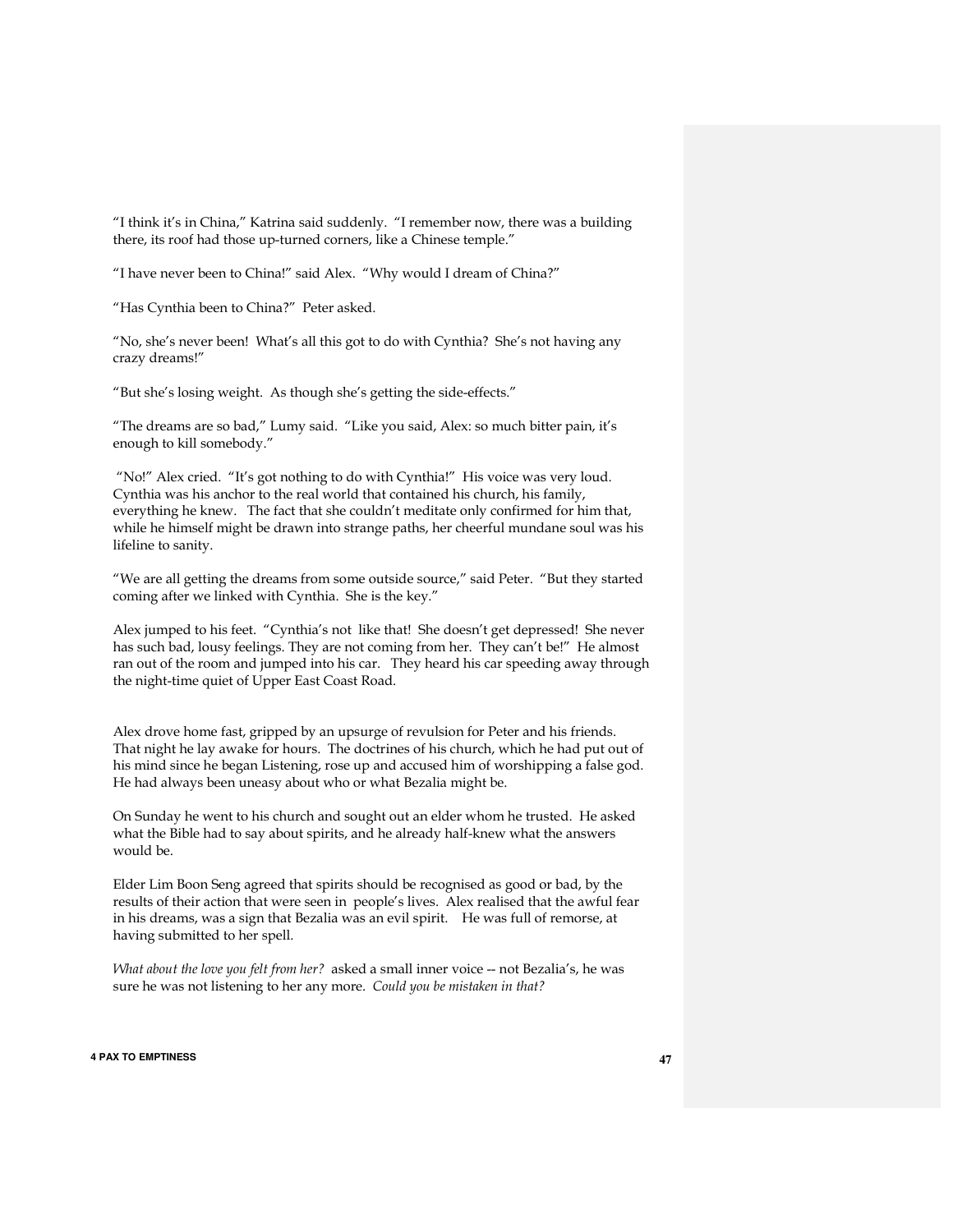"I think it's in China," Katrina said suddenly. "I remember now, there was a building there, its roof had those up-turned corners, like a Chinese temple."

"I have never been to China!" said Alex. "Why would I dream of China?"

"Has Cynthia been to China?" Peter asked.

"No, she's never been! What's all this got to do with Cynthia? She's not having any crazy dreams!"

"But she's losing weight. As though she's getting the side-effects."

"The dreams are so bad," Lumy said. "Like you said, Alex: so much bitter pain, it's enough to kill somebody."

 "No!" Alex cried. "It's got nothing to do with Cynthia!" His voice was very loud. Cynthia was his anchor to the real world that contained his church, his family, everything he knew. The fact that she couldn't meditate only confirmed for him that, while he himself might be drawn into strange paths, her cheerful mundane soul was his lifeline to sanity.

"We are all getting the dreams from some outside source," said Peter. "But they started coming after we linked with Cynthia. She is the key."

Alex jumped to his feet. "Cynthia's not like that! She doesn't get depressed! She never has such bad, lousy feelings. They are not coming from her. They can't be!" He almost ran out of the room and jumped into his car. They heard his car speeding away through the night-time quiet of Upper East Coast Road.

Alex drove home fast, gripped by an upsurge of revulsion for Peter and his friends. That night he lay awake for hours. The doctrines of his church, which he had put out of his mind since he began Listening, rose up and accused him of worshipping a false god. He had always been uneasy about who or what Bezalia might be.

On Sunday he went to his church and sought out an elder whom he trusted. He asked what the Bible had to say about spirits, and he already half-knew what the answers would be.

Elder Lim Boon Seng agreed that spirits should be recognised as good or bad, by the results of their action that were seen in people's lives. Alex realised that the awful fear in his dreams, was a sign that Bezalia was an evil spirit. He was full of remorse, at having submitted to her spell.

What about the love you felt from her? asked a small inner voice -- not Bezalia's, he was sure he was not listening to her any more. Could you be mistaken in that?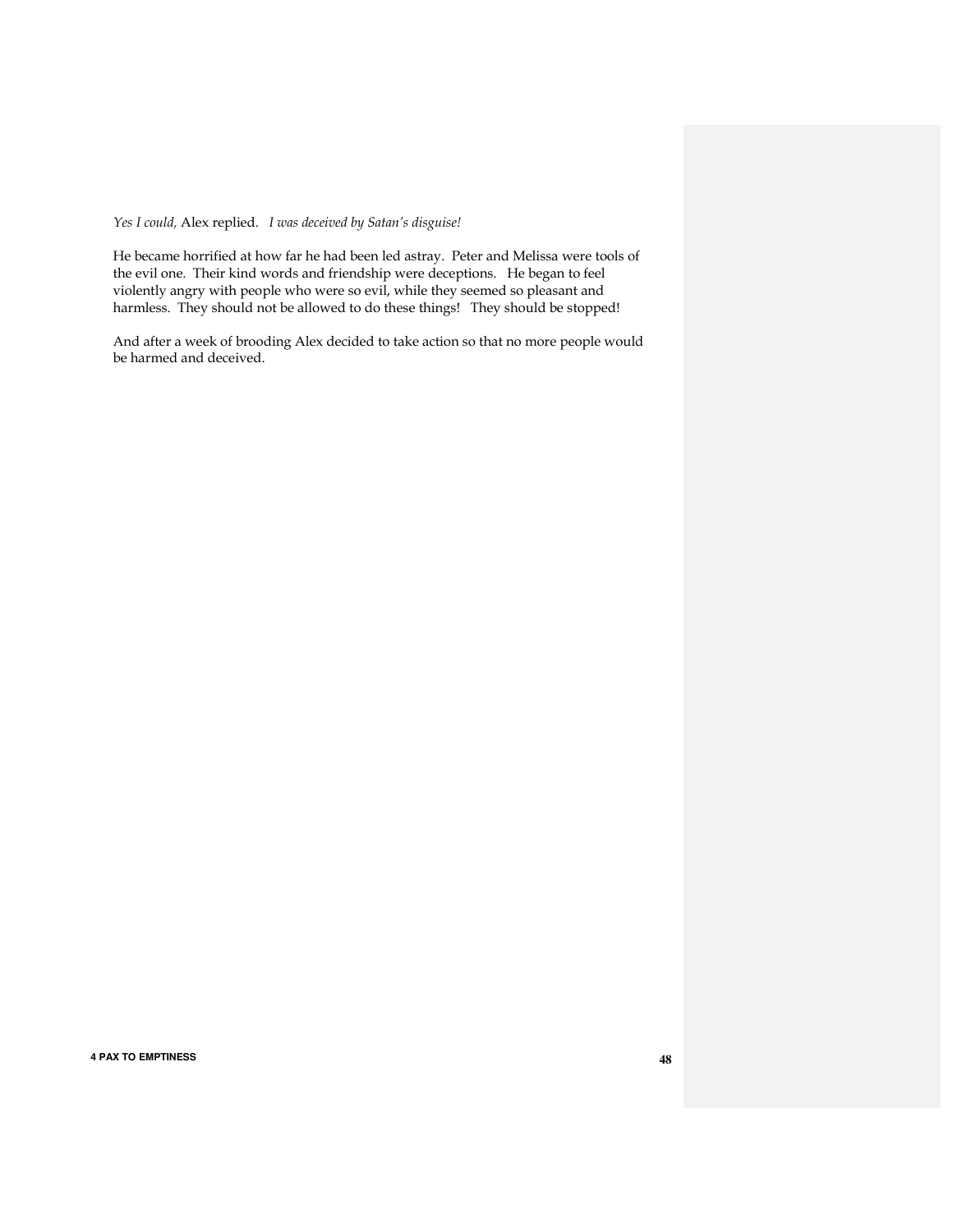Yes I could, Alex replied. I was deceived by Satan's disguise!

He became horrified at how far he had been led astray. Peter and Melissa were tools of the evil one. Their kind words and friendship were deceptions. He began to feel violently angry with people who were so evil, while they seemed so pleasant and harmless. They should not be allowed to do these things! They should be stopped!

And after a week of brooding Alex decided to take action so that no more people would be harmed and deceived.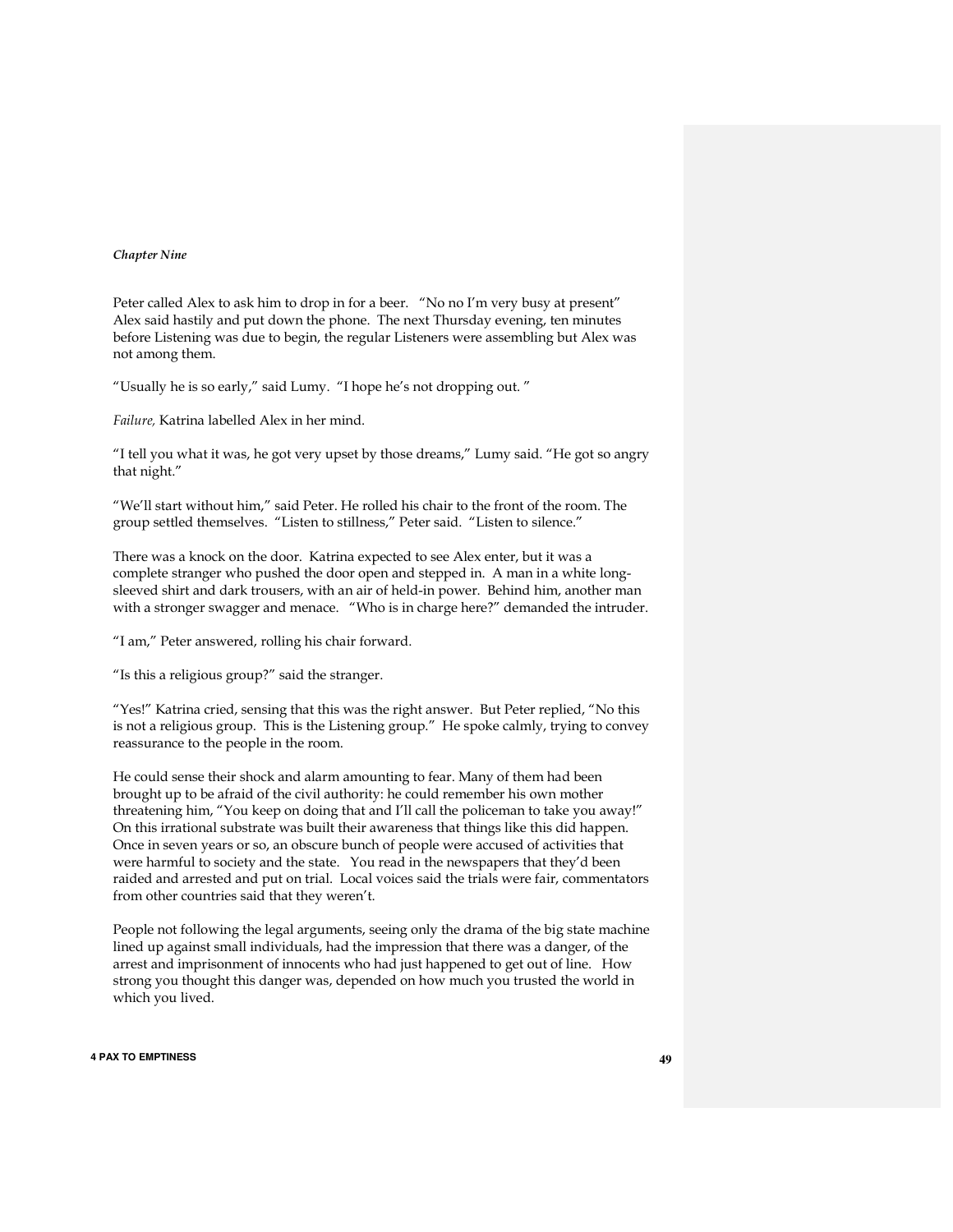# Chapter Nine

Peter called Alex to ask him to drop in for a beer. "No no I'm very busy at present" Alex said hastily and put down the phone. The next Thursday evening, ten minutes before Listening was due to begin, the regular Listeners were assembling but Alex was not among them.

"Usually he is so early," said Lumy. "I hope he's not dropping out. "

Failure, Katrina labelled Alex in her mind.

"I tell you what it was, he got very upset by those dreams," Lumy said. "He got so angry that night."

"We'll start without him," said Peter. He rolled his chair to the front of the room. The group settled themselves. "Listen to stillness," Peter said. "Listen to silence."

There was a knock on the door. Katrina expected to see Alex enter, but it was a complete stranger who pushed the door open and stepped in. A man in a white longsleeved shirt and dark trousers, with an air of held-in power. Behind him, another man with a stronger swagger and menace. "Who is in charge here?" demanded the intruder.

"I am," Peter answered, rolling his chair forward.

"Is this a religious group?" said the stranger.

"Yes!" Katrina cried, sensing that this was the right answer. But Peter replied, "No this is not a religious group. This is the Listening group." He spoke calmly, trying to convey reassurance to the people in the room.

He could sense their shock and alarm amounting to fear. Many of them had been brought up to be afraid of the civil authority: he could remember his own mother threatening him, "You keep on doing that and I'll call the policeman to take you away!" On this irrational substrate was built their awareness that things like this did happen. Once in seven years or so, an obscure bunch of people were accused of activities that were harmful to society and the state. You read in the newspapers that they'd been raided and arrested and put on trial. Local voices said the trials were fair, commentators from other countries said that they weren't.

People not following the legal arguments, seeing only the drama of the big state machine lined up against small individuals, had the impression that there was a danger, of the arrest and imprisonment of innocents who had just happened to get out of line. How strong you thought this danger was, depended on how much you trusted the world in which you lived.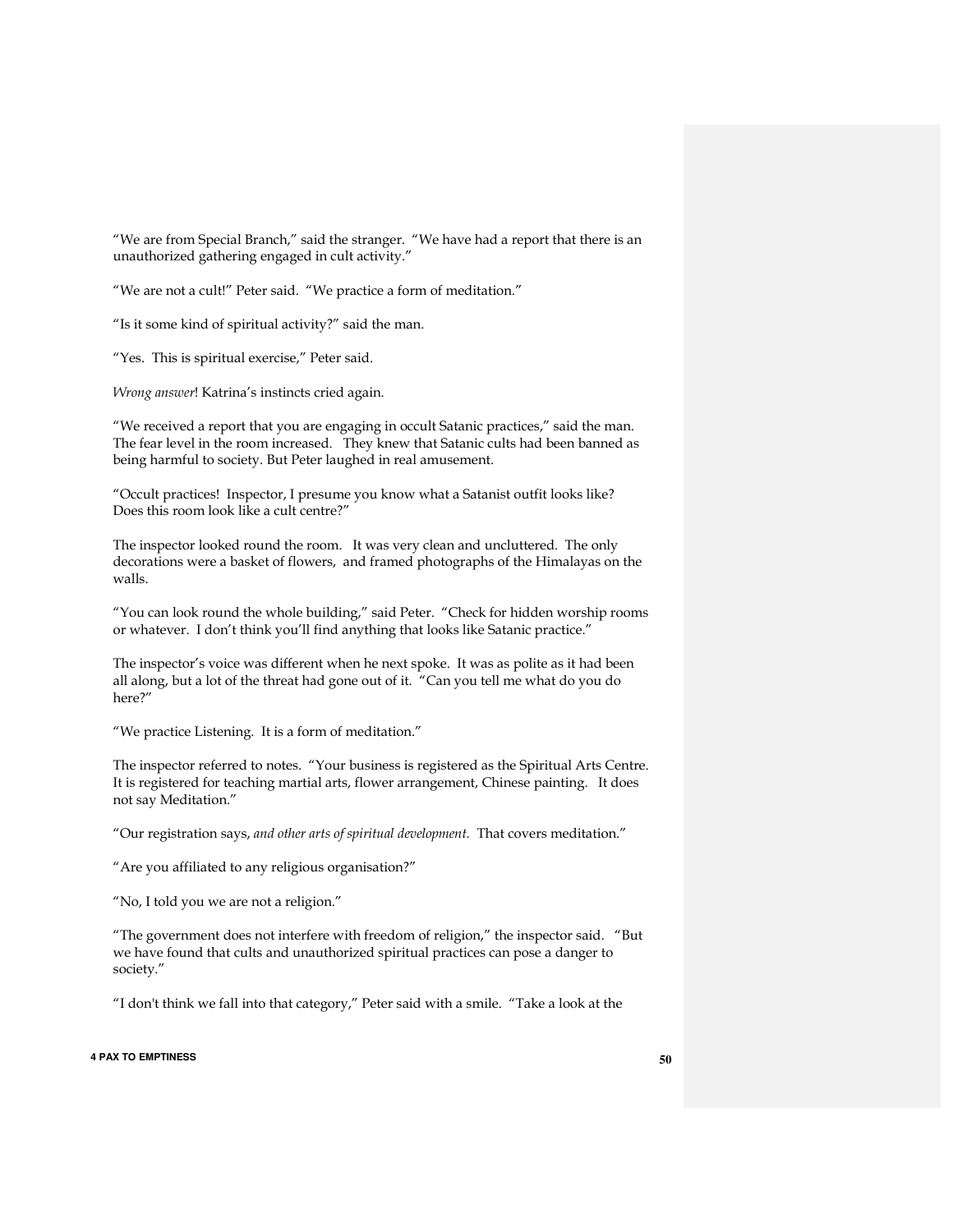"We are from Special Branch," said the stranger. "We have had a report that there is an unauthorized gathering engaged in cult activity."

"We are not a cult!" Peter said. "We practice a form of meditation."

"Is it some kind of spiritual activity?" said the man.

"Yes. This is spiritual exercise," Peter said.

Wrong answer! Katrina's instincts cried again.

"We received a report that you are engaging in occult Satanic practices," said the man. The fear level in the room increased. They knew that Satanic cults had been banned as being harmful to society. But Peter laughed in real amusement.

"Occult practices! Inspector, I presume you know what a Satanist outfit looks like? Does this room look like a cult centre?"

The inspector looked round the room. It was very clean and uncluttered. The only decorations were a basket of flowers, and framed photographs of the Himalayas on the walls.

"You can look round the whole building," said Peter. "Check for hidden worship rooms or whatever. I don't think you'll find anything that looks like Satanic practice."

The inspector's voice was different when he next spoke. It was as polite as it had been all along, but a lot of the threat had gone out of it. "Can you tell me what do you do here?"

"We practice Listening. It is a form of meditation."

The inspector referred to notes. "Your business is registered as the Spiritual Arts Centre. It is registered for teaching martial arts, flower arrangement, Chinese painting. It does not say Meditation."

"Our registration says, and other arts of spiritual development. That covers meditation."

"Are you affiliated to any religious organisation?"

"No, I told you we are not a religion."

"The government does not interfere with freedom of religion," the inspector said. "But we have found that cults and unauthorized spiritual practices can pose a danger to society."

"I don't think we fall into that category," Peter said with a smile. "Take a look at the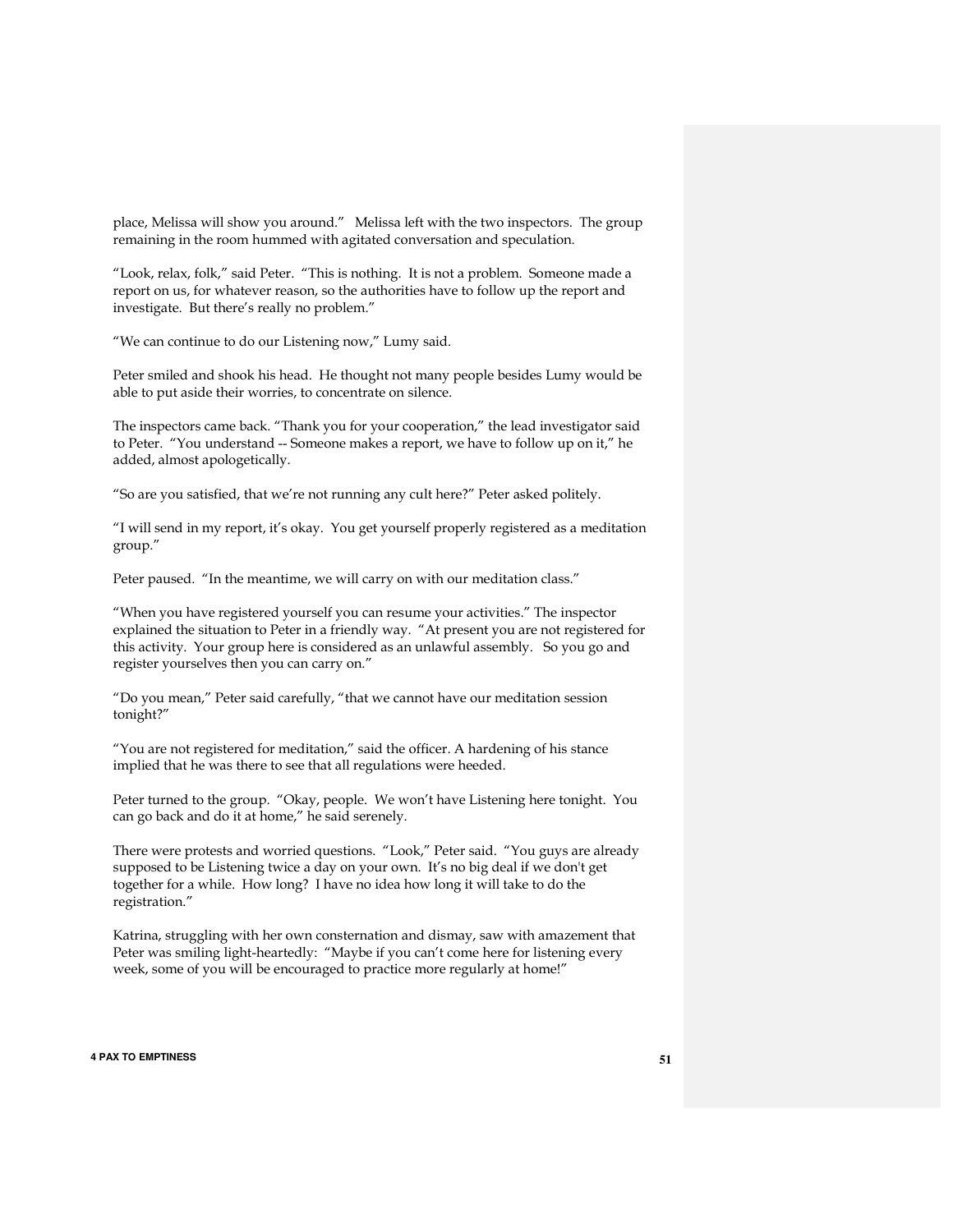place, Melissa will show you around." Melissa left with the two inspectors. The group remaining in the room hummed with agitated conversation and speculation.

"Look, relax, folk," said Peter. "This is nothing. It is not a problem. Someone made a report on us, for whatever reason, so the authorities have to follow up the report and investigate. But there's really no problem."

"We can continue to do our Listening now," Lumy said.

Peter smiled and shook his head. He thought not many people besides Lumy would be able to put aside their worries, to concentrate on silence.

The inspectors came back. "Thank you for your cooperation," the lead investigator said to Peter. "You understand -- Someone makes a report, we have to follow up on it," he added, almost apologetically.

"So are you satisfied, that we're not running any cult here?" Peter asked politely.

"I will send in my report, it's okay. You get yourself properly registered as a meditation group."

Peter paused. "In the meantime, we will carry on with our meditation class."

"When you have registered yourself you can resume your activities." The inspector explained the situation to Peter in a friendly way. "At present you are not registered for this activity. Your group here is considered as an unlawful assembly. So you go and register yourselves then you can carry on."

"Do you mean," Peter said carefully, "that we cannot have our meditation session tonight?"

"You are not registered for meditation," said the officer. A hardening of his stance implied that he was there to see that all regulations were heeded.

Peter turned to the group. "Okay, people. We won't have Listening here tonight. You can go back and do it at home," he said serenely.

There were protests and worried questions. "Look," Peter said. "You guys are already supposed to be Listening twice a day on your own. It's no big deal if we don't get together for a while. How long? I have no idea how long it will take to do the registration."

Katrina, struggling with her own consternation and dismay, saw with amazement that Peter was smiling light-heartedly: "Maybe if you can't come here for listening every week, some of you will be encouraged to practice more regularly at home!"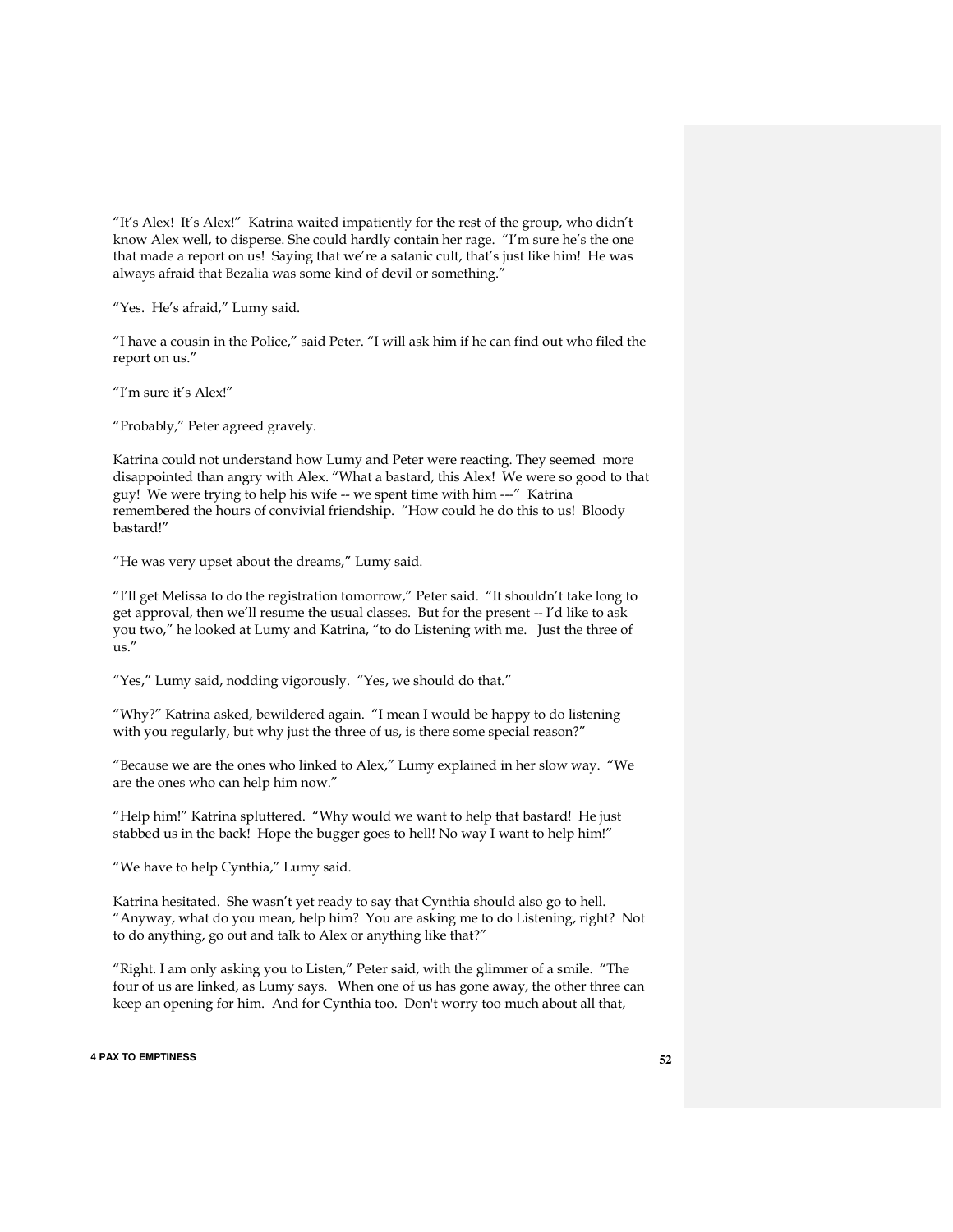"It's Alex! It's Alex!" Katrina waited impatiently for the rest of the group, who didn't know Alex well, to disperse. She could hardly contain her rage. "I'm sure he's the one that made a report on us! Saying that we're a satanic cult, that's just like him! He was always afraid that Bezalia was some kind of devil or something."

"Yes. He's afraid," Lumy said.

"I have a cousin in the Police," said Peter. "I will ask him if he can find out who filed the report on us."

"I'm sure it's Alex!"

"Probably," Peter agreed gravely.

Katrina could not understand how Lumy and Peter were reacting. They seemed more disappointed than angry with Alex. "What a bastard, this Alex! We were so good to that guy! We were trying to help his wife -- we spent time with him ---" Katrina remembered the hours of convivial friendship. "How could he do this to us! Bloody bastard!"

"He was very upset about the dreams," Lumy said.

"I'll get Melissa to do the registration tomorrow," Peter said. "It shouldn't take long to get approval, then we'll resume the usual classes. But for the present -- I'd like to ask you two," he looked at Lumy and Katrina, "to do Listening with me. Just the three of  $\overline{11S}$ ."

"Yes," Lumy said, nodding vigorously. "Yes, we should do that."

"Why?" Katrina asked, bewildered again. "I mean I would be happy to do listening with you regularly, but why just the three of us, is there some special reason?"

"Because we are the ones who linked to Alex," Lumy explained in her slow way. "We are the ones who can help him now."

"Help him!" Katrina spluttered. "Why would we want to help that bastard! He just stabbed us in the back! Hope the bugger goes to hell! No way I want to help him!"

"We have to help Cynthia," Lumy said.

Katrina hesitated. She wasn't yet ready to say that Cynthia should also go to hell. "Anyway, what do you mean, help him? You are asking me to do Listening, right? Not to do anything, go out and talk to Alex or anything like that?"

"Right. I am only asking you to Listen," Peter said, with the glimmer of a smile. "The four of us are linked, as Lumy says. When one of us has gone away, the other three can keep an opening for him. And for Cynthia too. Don't worry too much about all that,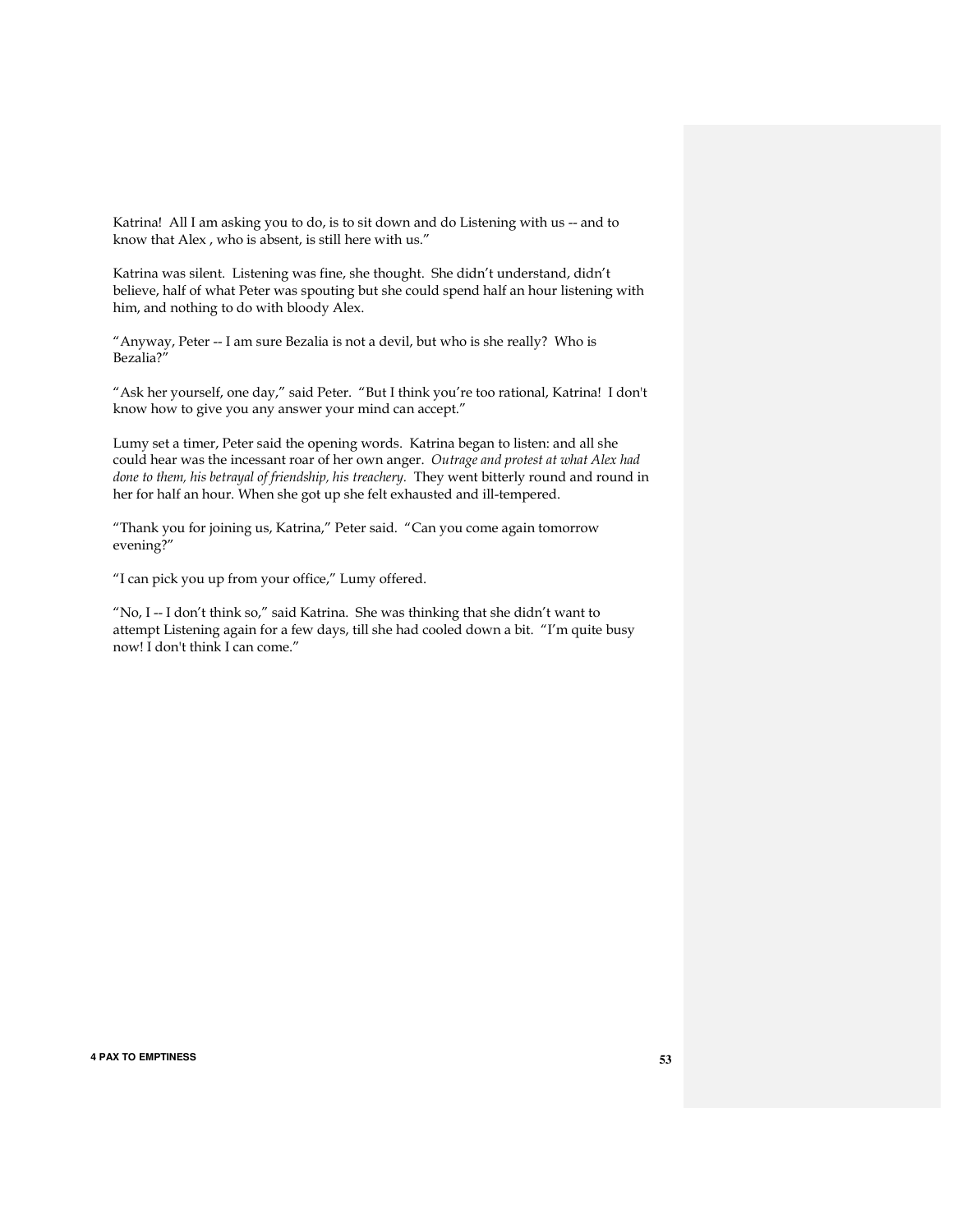Katrina! All I am asking you to do, is to sit down and do Listening with us -- and to know that Alex , who is absent, is still here with us."

Katrina was silent. Listening was fine, she thought. She didn't understand, didn't believe, half of what Peter was spouting but she could spend half an hour listening with him, and nothing to do with bloody Alex.

"Anyway, Peter -- I am sure Bezalia is not a devil, but who is she really? Who is Bezalia?"

"Ask her yourself, one day," said Peter. "But I think you're too rational, Katrina! I don't know how to give you any answer your mind can accept."

Lumy set a timer, Peter said the opening words. Katrina began to listen: and all she could hear was the incessant roar of her own anger. Outrage and protest at what Alex had done to them, his betrayal of friendship, his treachery. They went bitterly round and round in her for half an hour. When she got up she felt exhausted and ill-tempered.

"Thank you for joining us, Katrina," Peter said. "Can you come again tomorrow evening?"

"I can pick you up from your office," Lumy offered.

"No, I -- I don't think so," said Katrina. She was thinking that she didn't want to attempt Listening again for a few days, till she had cooled down a bit. "I'm quite busy now! I don't think I can come."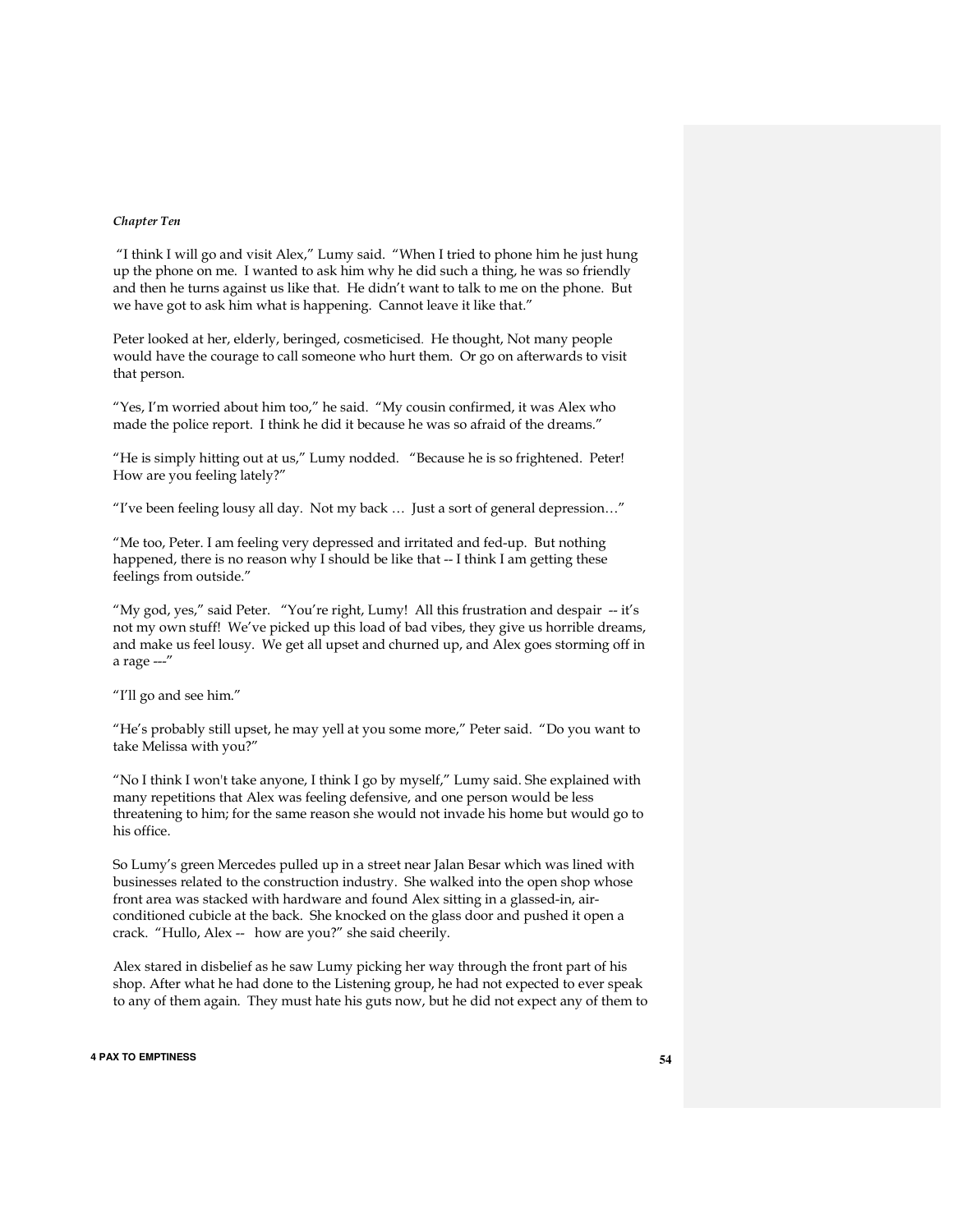## Chapter Ten

 "I think I will go and visit Alex," Lumy said. "When I tried to phone him he just hung up the phone on me. I wanted to ask him why he did such a thing, he was so friendly and then he turns against us like that. He didn't want to talk to me on the phone. But we have got to ask him what is happening. Cannot leave it like that."

Peter looked at her, elderly, beringed, cosmeticised. He thought, Not many people would have the courage to call someone who hurt them. Or go on afterwards to visit that person.

"Yes, I'm worried about him too," he said. "My cousin confirmed, it was Alex who made the police report. I think he did it because he was so afraid of the dreams."

"He is simply hitting out at us," Lumy nodded. "Because he is so frightened. Peter! How are you feeling lately?"

"I've been feeling lousy all day. Not my back … Just a sort of general depression…"

"Me too, Peter. I am feeling very depressed and irritated and fed-up. But nothing happened, there is no reason why I should be like that -- I think I am getting these feelings from outside."

"My god, yes," said Peter. "You're right, Lumy! All this frustration and despair -- it's not my own stuff! We've picked up this load of bad vibes, they give us horrible dreams, and make us feel lousy. We get all upset and churned up, and Alex goes storming off in a rage ---"

"I'll go and see him."

"He's probably still upset, he may yell at you some more," Peter said. "Do you want to take Melissa with you?"

"No I think I won't take anyone, I think I go by myself," Lumy said. She explained with many repetitions that Alex was feeling defensive, and one person would be less threatening to him; for the same reason she would not invade his home but would go to his office.

So Lumy's green Mercedes pulled up in a street near Jalan Besar which was lined with businesses related to the construction industry. She walked into the open shop whose front area was stacked with hardware and found Alex sitting in a glassed-in, airconditioned cubicle at the back. She knocked on the glass door and pushed it open a crack. "Hullo, Alex -- how are you?" she said cheerily.

Alex stared in disbelief as he saw Lumy picking her way through the front part of his shop. After what he had done to the Listening group, he had not expected to ever speak to any of them again. They must hate his guts now, but he did not expect any of them to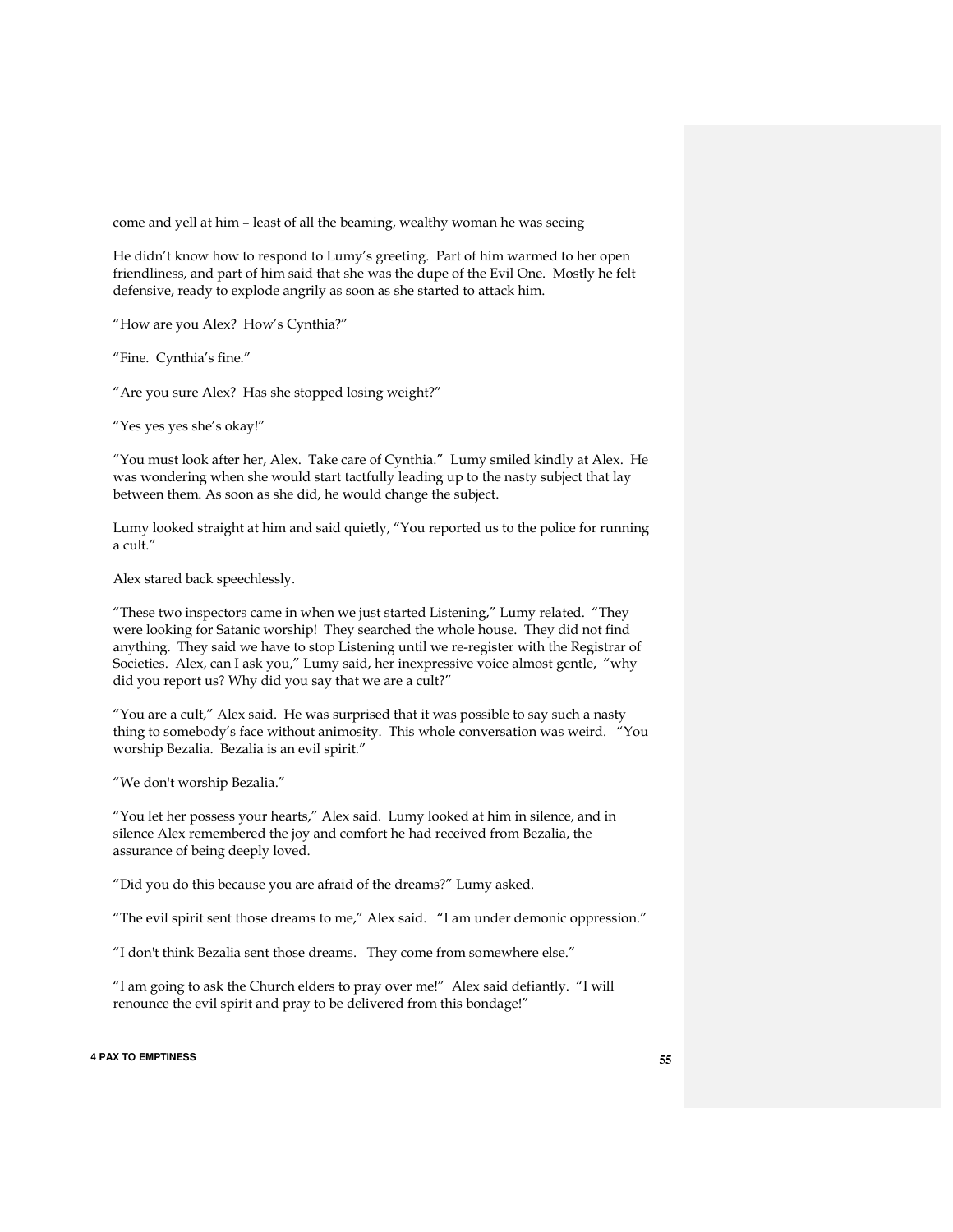come and yell at him – least of all the beaming, wealthy woman he was seeing

He didn't know how to respond to Lumy's greeting. Part of him warmed to her open friendliness, and part of him said that she was the dupe of the Evil One. Mostly he felt defensive, ready to explode angrily as soon as she started to attack him.

"How are you Alex? How's Cynthia?"

"Fine. Cynthia's fine."

"Are you sure Alex? Has she stopped losing weight?"

"Yes yes yes she's okay!"

"You must look after her, Alex. Take care of Cynthia." Lumy smiled kindly at Alex. He was wondering when she would start tactfully leading up to the nasty subject that lay between them. As soon as she did, he would change the subject.

Lumy looked straight at him and said quietly, "You reported us to the police for running a cult."

Alex stared back speechlessly.

"These two inspectors came in when we just started Listening," Lumy related. "They were looking for Satanic worship! They searched the whole house. They did not find anything. They said we have to stop Listening until we re-register with the Registrar of Societies. Alex, can I ask you," Lumy said, her inexpressive voice almost gentle, "why did you report us? Why did you say that we are a cult?"

"You are a cult," Alex said. He was surprised that it was possible to say such a nasty thing to somebody's face without animosity. This whole conversation was weird. "You worship Bezalia. Bezalia is an evil spirit."

"We don't worship Bezalia."

"You let her possess your hearts," Alex said. Lumy looked at him in silence, and in silence Alex remembered the joy and comfort he had received from Bezalia, the assurance of being deeply loved.

"Did you do this because you are afraid of the dreams?" Lumy asked.

"The evil spirit sent those dreams to me," Alex said. "I am under demonic oppression."

"I don't think Bezalia sent those dreams. They come from somewhere else."

"I am going to ask the Church elders to pray over me!" Alex said defiantly. "I will renounce the evil spirit and pray to be delivered from this bondage!"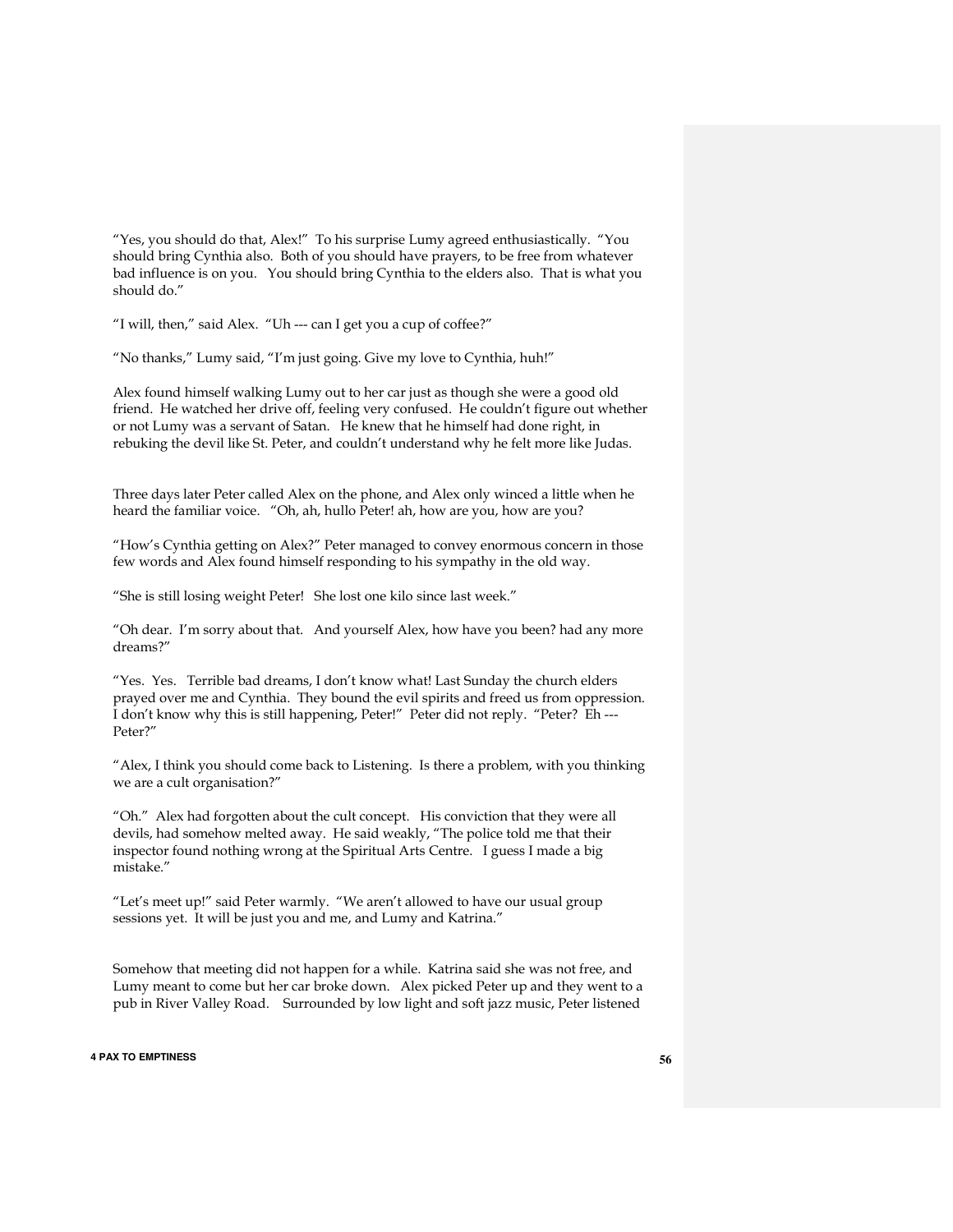"Yes, you should do that, Alex!" To his surprise Lumy agreed enthusiastically. "You should bring Cynthia also. Both of you should have prayers, to be free from whatever bad influence is on you. You should bring Cynthia to the elders also. That is what you should do."

"I will, then," said Alex. "Uh --- can I get you a cup of coffee?"

"No thanks," Lumy said, "I'm just going. Give my love to Cynthia, huh!"

Alex found himself walking Lumy out to her car just as though she were a good old friend. He watched her drive off, feeling very confused. He couldn't figure out whether or not Lumy was a servant of Satan. He knew that he himself had done right, in rebuking the devil like St. Peter, and couldn't understand why he felt more like Judas.

Three days later Peter called Alex on the phone, and Alex only winced a little when he heard the familiar voice. "Oh, ah, hullo Peter! ah, how are you, how are you?

"How's Cynthia getting on Alex?" Peter managed to convey enormous concern in those few words and Alex found himself responding to his sympathy in the old way.

"She is still losing weight Peter! She lost one kilo since last week."

"Oh dear. I'm sorry about that. And yourself Alex, how have you been? had any more dreams?"

"Yes. Yes. Terrible bad dreams, I don't know what! Last Sunday the church elders prayed over me and Cynthia. They bound the evil spirits and freed us from oppression. I don't know why this is still happening, Peter!" Peter did not reply. "Peter? Eh --- Peter?"

"Alex, I think you should come back to Listening. Is there a problem, with you thinking we are a cult organisation?"

"Oh." Alex had forgotten about the cult concept. His conviction that they were all devils, had somehow melted away. He said weakly, "The police told me that their inspector found nothing wrong at the Spiritual Arts Centre. I guess I made a big mistake."

"Let's meet up!" said Peter warmly. "We aren't allowed to have our usual group sessions yet. It will be just you and me, and Lumy and Katrina."

Somehow that meeting did not happen for a while. Katrina said she was not free, and Lumy meant to come but her car broke down. Alex picked Peter up and they went to a pub in River Valley Road. Surrounded by low light and soft jazz music, Peter listened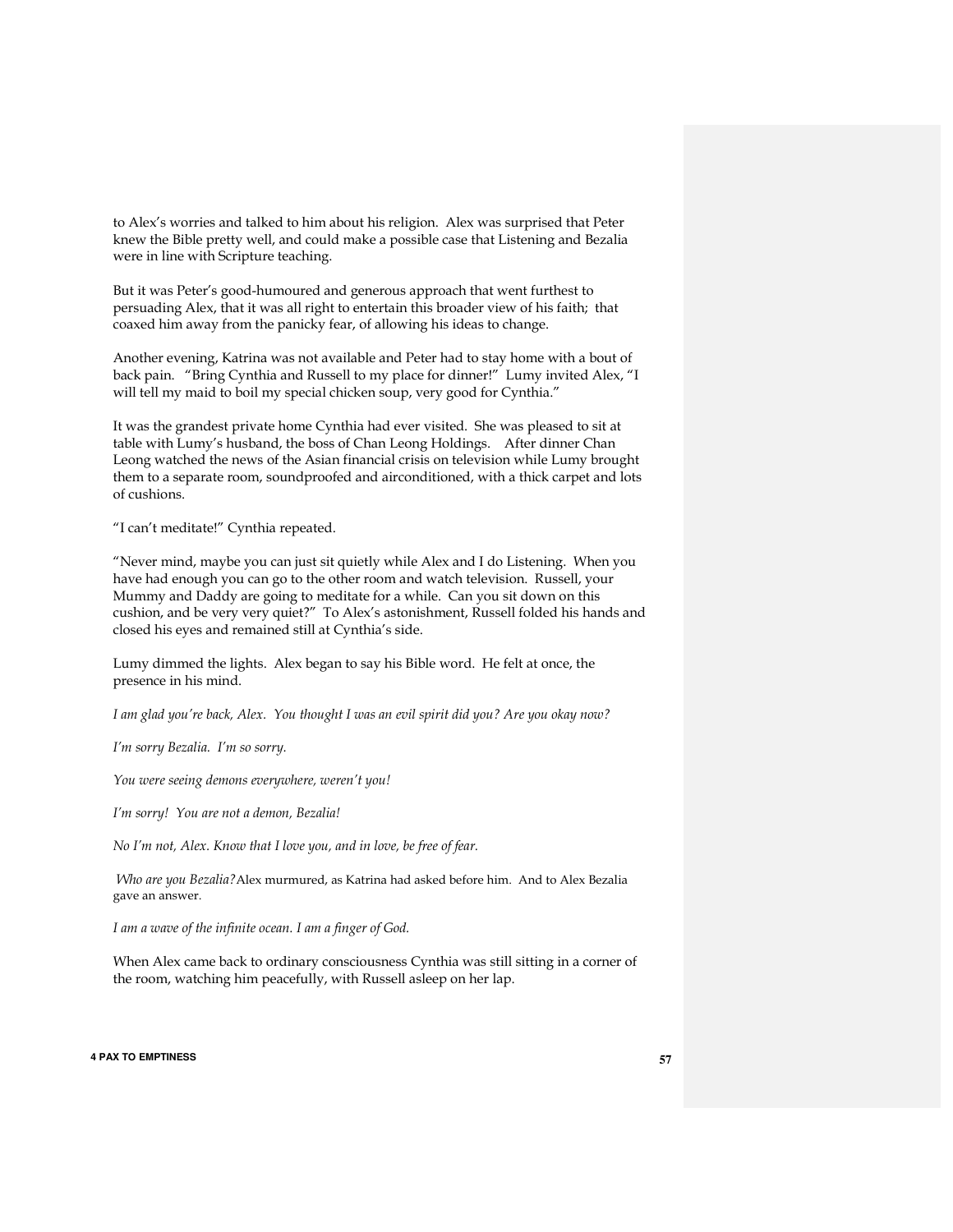to Alex's worries and talked to him about his religion. Alex was surprised that Peter knew the Bible pretty well, and could make a possible case that Listening and Bezalia were in line with Scripture teaching.

But it was Peter's good-humoured and generous approach that went furthest to persuading Alex, that it was all right to entertain this broader view of his faith; that coaxed him away from the panicky fear, of allowing his ideas to change.

Another evening, Katrina was not available and Peter had to stay home with a bout of back pain. "Bring Cynthia and Russell to my place for dinner!" Lumy invited Alex, "I will tell my maid to boil my special chicken soup, very good for Cynthia."

It was the grandest private home Cynthia had ever visited. She was pleased to sit at table with Lumy's husband, the boss of Chan Leong Holdings. After dinner Chan Leong watched the news of the Asian financial crisis on television while Lumy brought them to a separate room, soundproofed and airconditioned, with a thick carpet and lots of cushions.

"I can't meditate!" Cynthia repeated.

"Never mind, maybe you can just sit quietly while Alex and I do Listening. When you have had enough you can go to the other room and watch television. Russell, your Mummy and Daddy are going to meditate for a while. Can you sit down on this cushion, and be very very quiet?" To Alex's astonishment, Russell folded his hands and closed his eyes and remained still at Cynthia's side.

Lumy dimmed the lights. Alex began to say his Bible word. He felt at once, the presence in his mind.

I am glad you're back, Alex. You thought I was an evil spirit did you? Are you okay now?

I'm sorry Bezalia. I'm so sorry.

You were seeing demons everywhere, weren't you!

I'm sorry! You are not a demon, Bezalia!

No I'm not, Alex. Know that I love you, and in love, be free of fear.

 Who are you Bezalia?Alex murmured, as Katrina had asked before him. And to Alex Bezalia gave an answer.

I am a wave of the infinite ocean. I am a finger of God.

When Alex came back to ordinary consciousness Cynthia was still sitting in a corner of the room, watching him peacefully, with Russell asleep on her lap.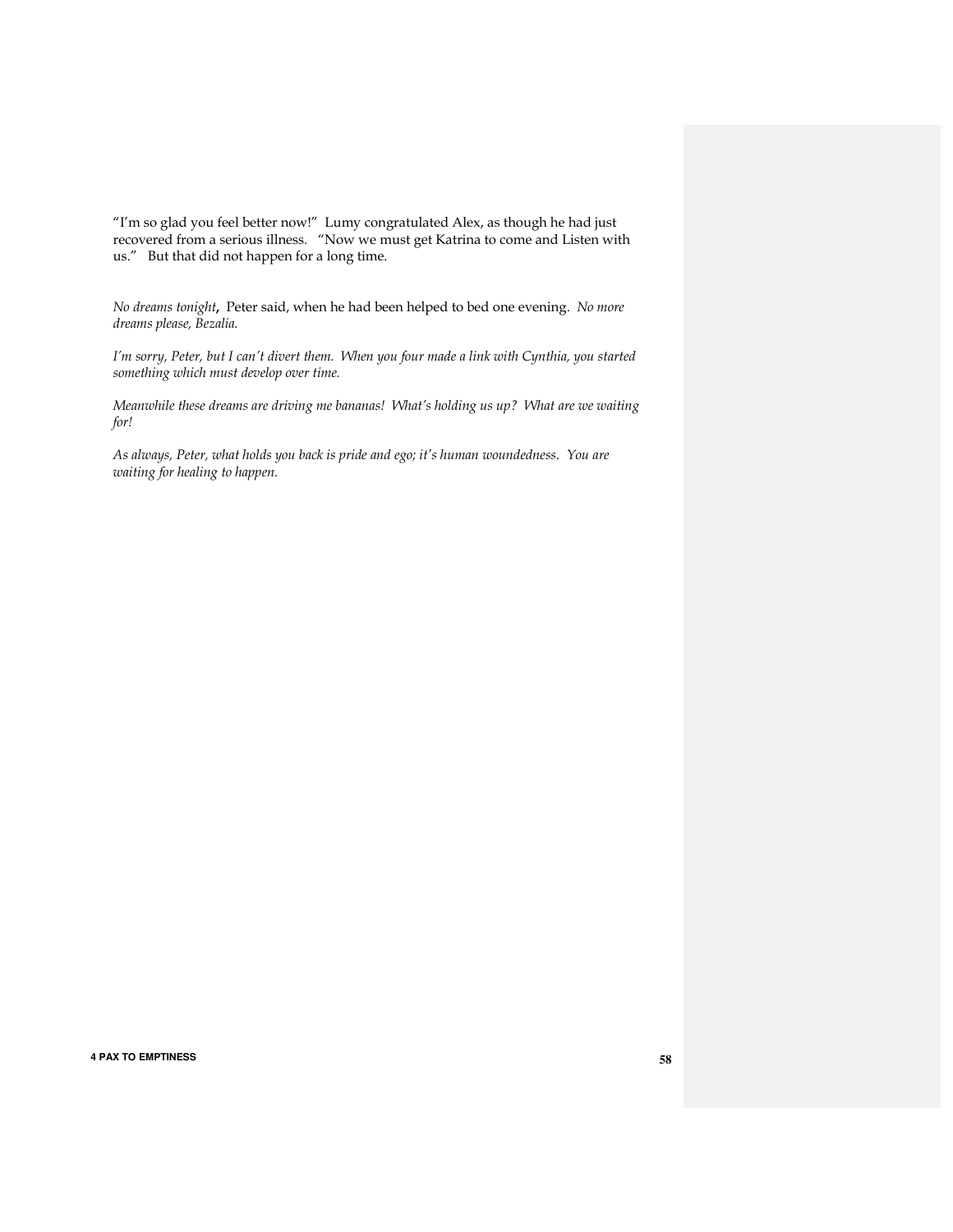"I'm so glad you feel better now!" Lumy congratulated Alex, as though he had just recovered from a serious illness. "Now we must get Katrina to come and Listen with us." But that did not happen for a long time.

No dreams tonight, Peter said, when he had been helped to bed one evening. No more dreams please, Bezalia.

I'm sorry, Peter, but I can't divert them. When you four made a link with Cynthia, you started something which must develop over time.

Meanwhile these dreams are driving me bananas! What's holding us up? What are we waiting for!

As always, Peter, what holds you back is pride and ego; it's human woundedness. You are waiting for healing to happen.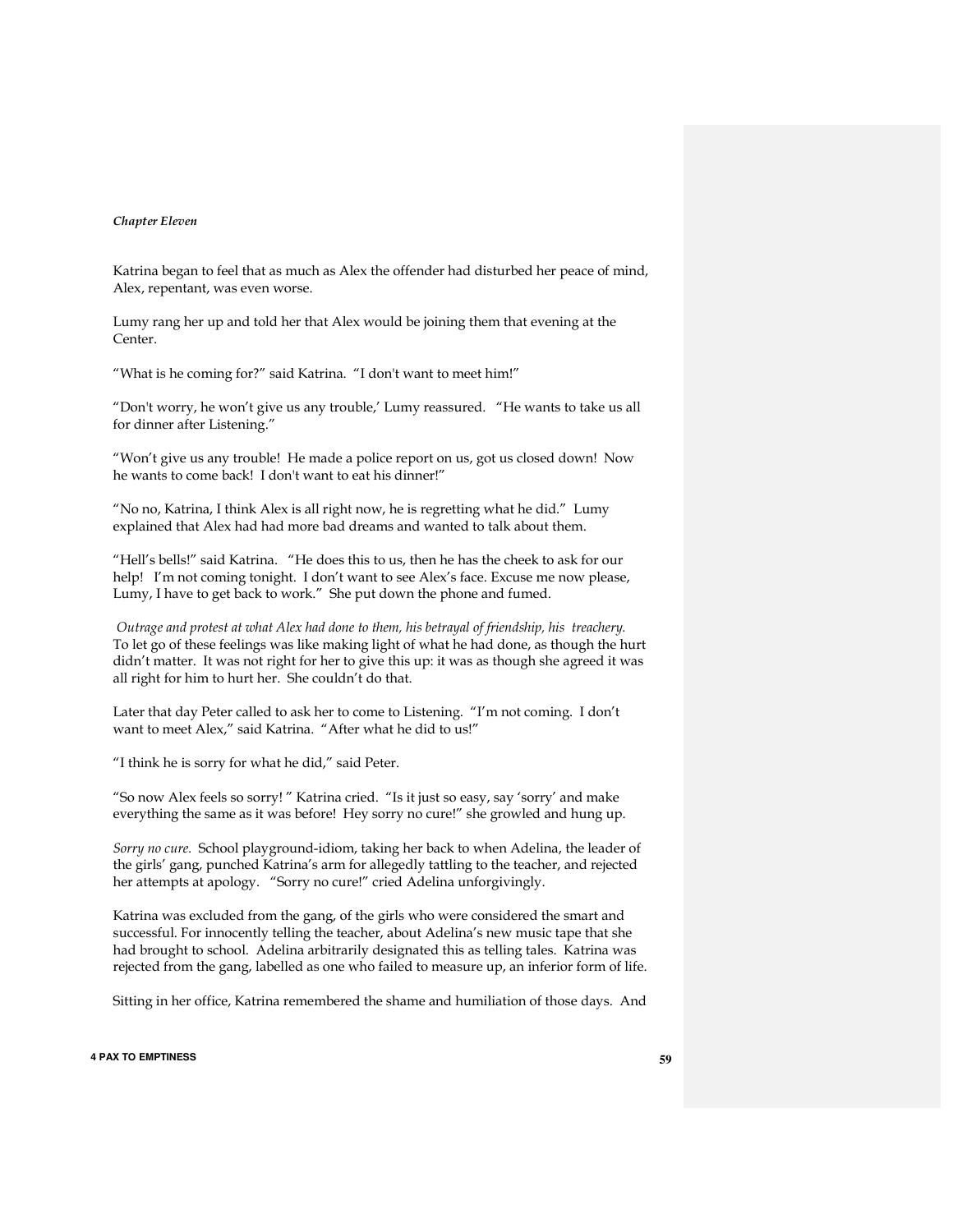# Chapter Eleven

Katrina began to feel that as much as Alex the offender had disturbed her peace of mind, Alex, repentant, was even worse.

Lumy rang her up and told her that Alex would be joining them that evening at the Center.

"What is he coming for?" said Katrina. "I don't want to meet him!"

"Don't worry, he won't give us any trouble,' Lumy reassured. "He wants to take us all for dinner after Listening."

"Won't give us any trouble! He made a police report on us, got us closed down! Now he wants to come back! I don't want to eat his dinner!"

"No no, Katrina, I think Alex is all right now, he is regretting what he did." Lumy explained that Alex had had more bad dreams and wanted to talk about them.

"Hell's bells!" said Katrina. "He does this to us, then he has the cheek to ask for our help! I'm not coming tonight. I don't want to see Alex's face. Excuse me now please, Lumy, I have to get back to work." She put down the phone and fumed.

Outrage and protest at what Alex had done to them, his betrayal of friendship, his treachery. To let go of these feelings was like making light of what he had done, as though the hurt didn't matter. It was not right for her to give this up: it was as though she agreed it was all right for him to hurt her. She couldn't do that.

Later that day Peter called to ask her to come to Listening. "I'm not coming. I don't want to meet Alex," said Katrina. "After what he did to us!"

"I think he is sorry for what he did," said Peter.

"So now Alex feels so sorry! " Katrina cried. "Is it just so easy, say 'sorry' and make everything the same as it was before! Hey sorry no cure!" she growled and hung up.

Sorry no cure. School playground-idiom, taking her back to when Adelina, the leader of the girls' gang, punched Katrina's arm for allegedly tattling to the teacher, and rejected her attempts at apology. "Sorry no cure!" cried Adelina unforgivingly.

Katrina was excluded from the gang, of the girls who were considered the smart and successful. For innocently telling the teacher, about Adelina's new music tape that she had brought to school. Adelina arbitrarily designated this as telling tales. Katrina was rejected from the gang, labelled as one who failed to measure up, an inferior form of life.

Sitting in her office, Katrina remembered the shame and humiliation of those days. And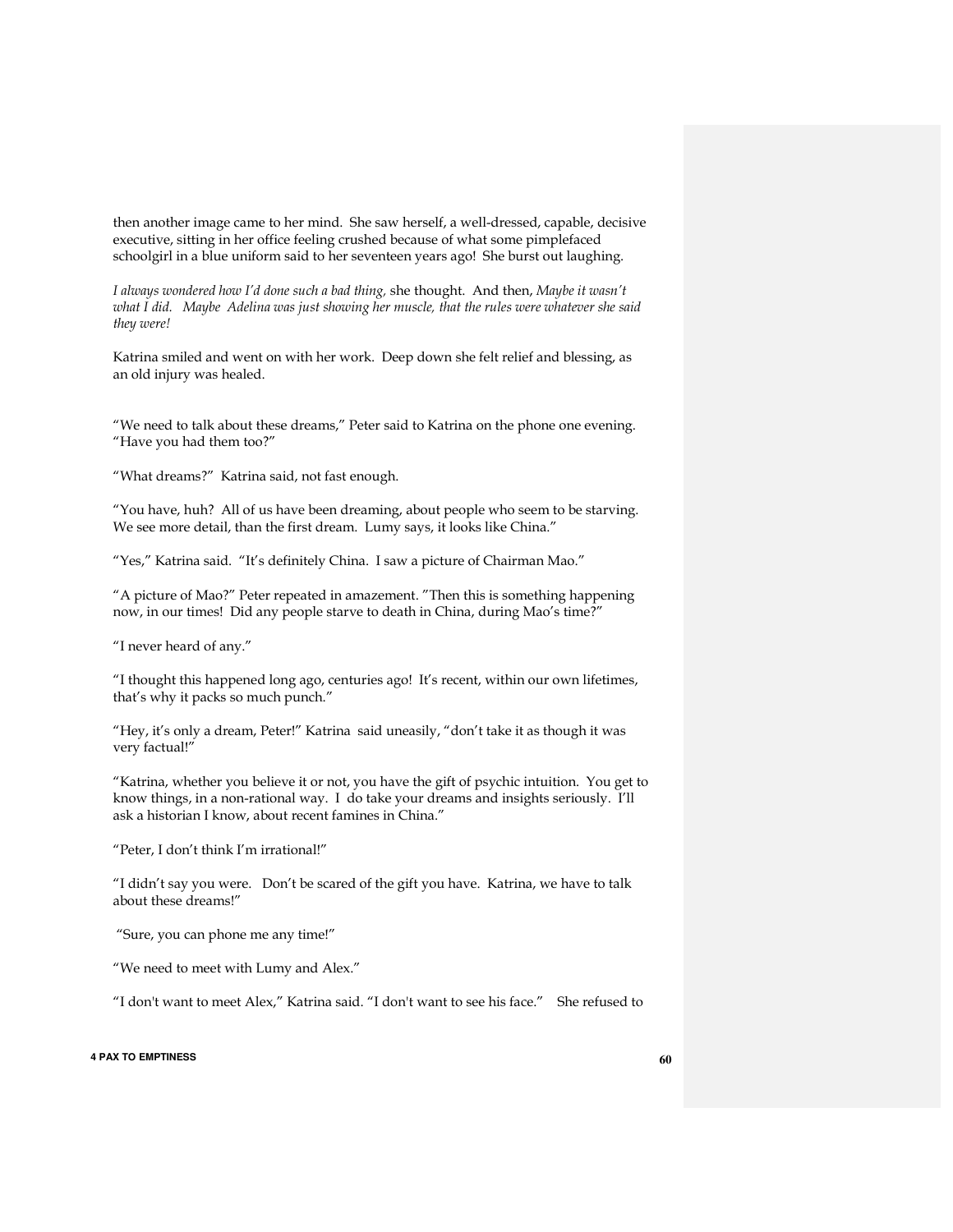then another image came to her mind. She saw herself, a well-dressed, capable, decisive executive, sitting in her office feeling crushed because of what some pimplefaced schoolgirl in a blue uniform said to her seventeen years ago! She burst out laughing.

I always wondered how I'd done such a bad thing, she thought. And then, Maybe it wasn't what I did. Maybe Adelina was just showing her muscle, that the rules were whatever she said they were!

Katrina smiled and went on with her work. Deep down she felt relief and blessing, as an old injury was healed.

"We need to talk about these dreams," Peter said to Katrina on the phone one evening. "Have you had them too?"

"What dreams?" Katrina said, not fast enough.

"You have, huh? All of us have been dreaming, about people who seem to be starving. We see more detail, than the first dream. Lumy says, it looks like China."

"Yes," Katrina said. "It's definitely China. I saw a picture of Chairman Mao."

"A picture of Mao?" Peter repeated in amazement. "Then this is something happening now, in our times! Did any people starve to death in China, during Mao's time?"

"I never heard of any."

"I thought this happened long ago, centuries ago! It's recent, within our own lifetimes, that's why it packs so much punch."

"Hey, it's only a dream, Peter!" Katrina said uneasily, "don't take it as though it was very factual!"

"Katrina, whether you believe it or not, you have the gift of psychic intuition. You get to know things, in a non-rational way. I do take your dreams and insights seriously. I'll ask a historian I know, about recent famines in China."

"Peter, I don't think I'm irrational!"

"I didn't say you were. Don't be scared of the gift you have. Katrina, we have to talk about these dreams!"

"Sure, you can phone me any time!"

"We need to meet with Lumy and Alex."

"I don't want to meet Alex," Katrina said. "I don't want to see his face." She refused to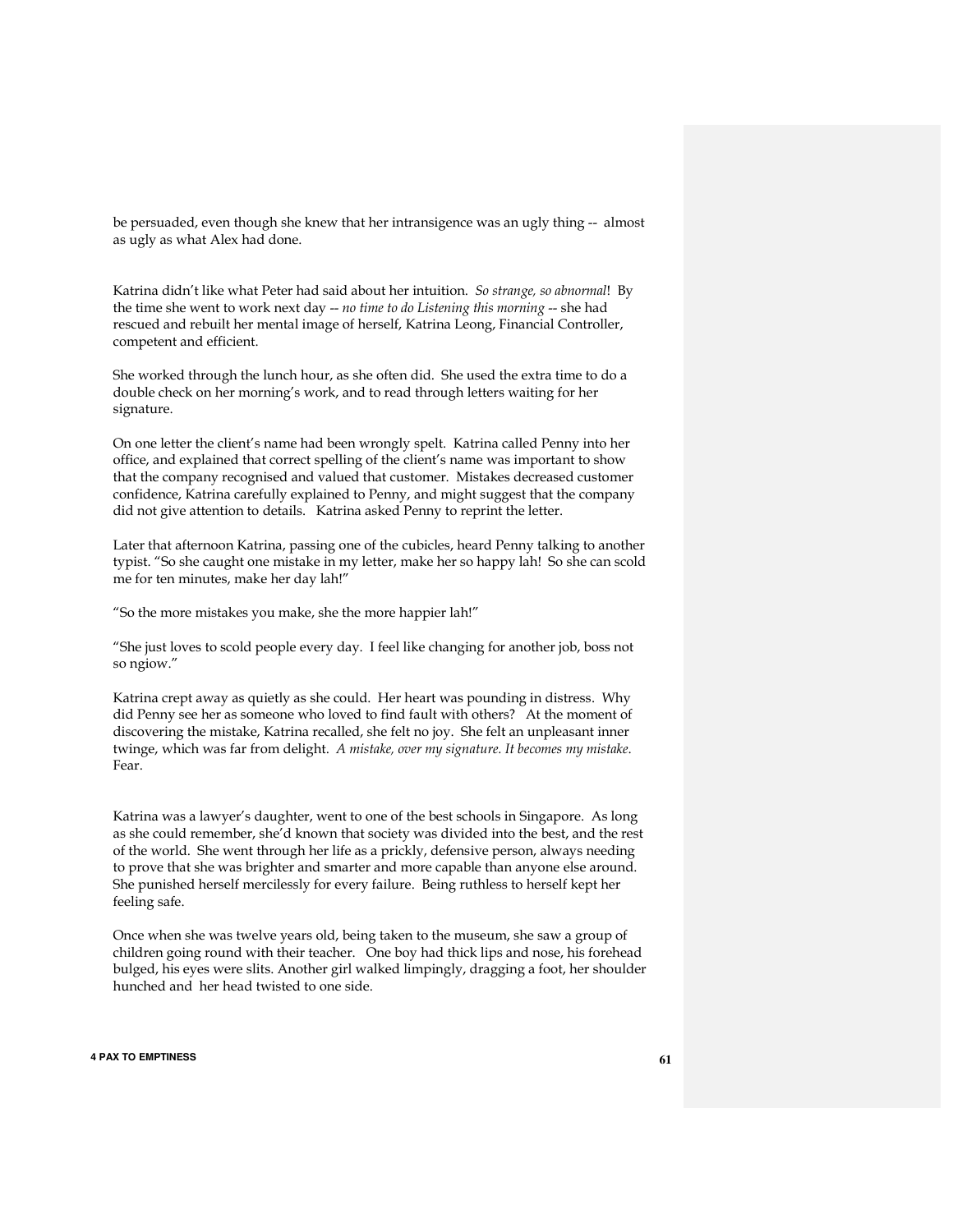be persuaded, even though she knew that her intransigence was an ugly thing -- almost as ugly as what Alex had done.

Katrina didn't like what Peter had said about her intuition. So strange, so abnormal! By the time she went to work next day -- no time to do Listening this morning -- she had rescued and rebuilt her mental image of herself, Katrina Leong, Financial Controller, competent and efficient.

She worked through the lunch hour, as she often did. She used the extra time to do a double check on her morning's work, and to read through letters waiting for her signature.

On one letter the client's name had been wrongly spelt. Katrina called Penny into her office, and explained that correct spelling of the client's name was important to show that the company recognised and valued that customer. Mistakes decreased customer confidence, Katrina carefully explained to Penny, and might suggest that the company did not give attention to details. Katrina asked Penny to reprint the letter.

Later that afternoon Katrina, passing one of the cubicles, heard Penny talking to another typist. "So she caught one mistake in my letter, make her so happy lah! So she can scold me for ten minutes, make her day lah!"

"So the more mistakes you make, she the more happier lah!"

"She just loves to scold people every day. I feel like changing for another job, boss not so ngiow."

Katrina crept away as quietly as she could. Her heart was pounding in distress. Why did Penny see her as someone who loved to find fault with others? At the moment of discovering the mistake, Katrina recalled, she felt no joy. She felt an unpleasant inner twinge, which was far from delight. A mistake, over my signature. It becomes my mistake. Fear.

Katrina was a lawyer's daughter, went to one of the best schools in Singapore. As long as she could remember, she'd known that society was divided into the best, and the rest of the world. She went through her life as a prickly, defensive person, always needing to prove that she was brighter and smarter and more capable than anyone else around. She punished herself mercilessly for every failure. Being ruthless to herself kept her feeling safe.

Once when she was twelve years old, being taken to the museum, she saw a group of children going round with their teacher. One boy had thick lips and nose, his forehead bulged, his eyes were slits. Another girl walked limpingly, dragging a foot, her shoulder hunched and her head twisted to one side.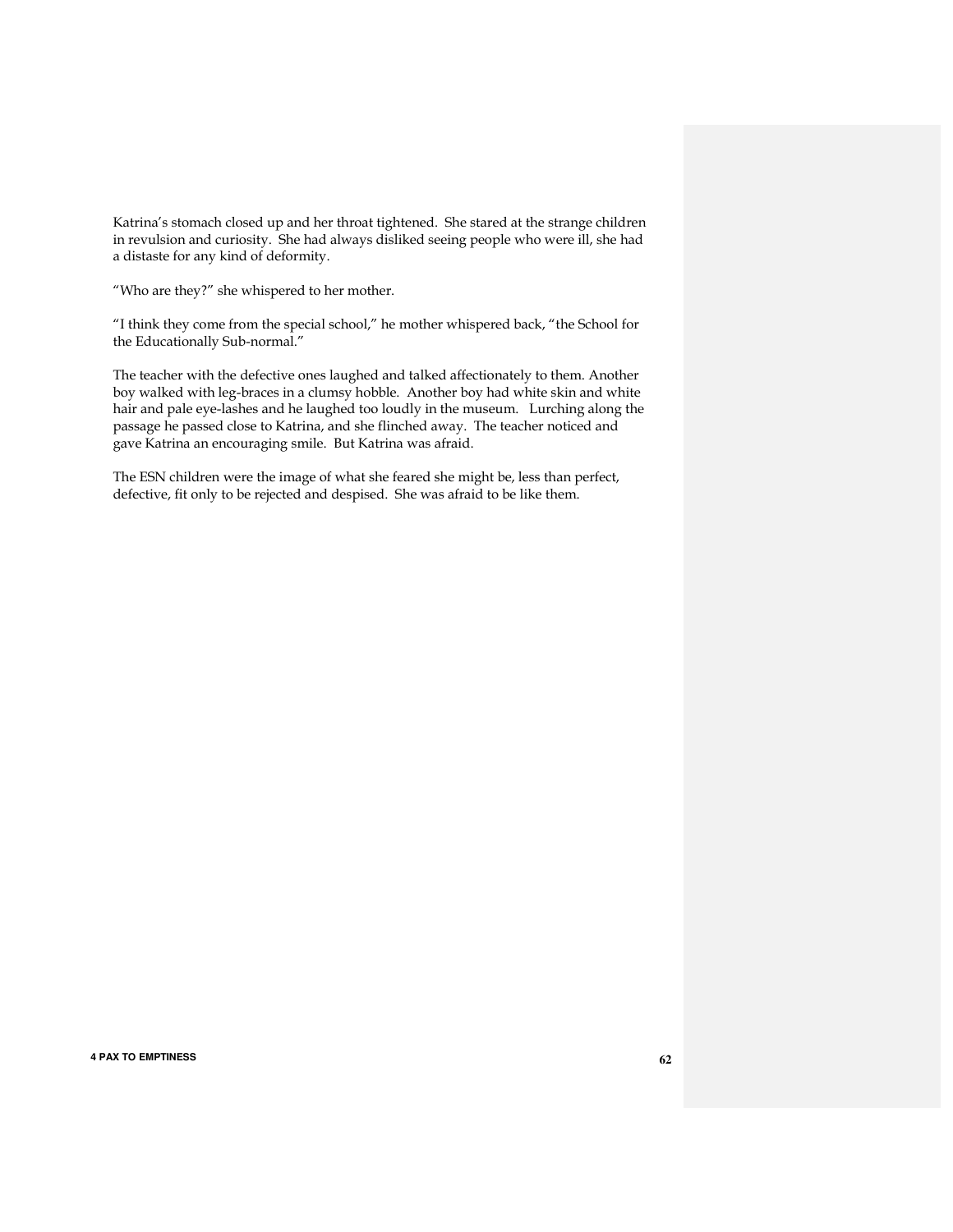Katrina's stomach closed up and her throat tightened. She stared at the strange children in revulsion and curiosity. She had always disliked seeing people who were ill, she had a distaste for any kind of deformity.

"Who are they?" she whispered to her mother.

"I think they come from the special school," he mother whispered back, "the School for the Educationally Sub-normal."

The teacher with the defective ones laughed and talked affectionately to them. Another boy walked with leg-braces in a clumsy hobble. Another boy had white skin and white hair and pale eye-lashes and he laughed too loudly in the museum. Lurching along the passage he passed close to Katrina, and she flinched away. The teacher noticed and gave Katrina an encouraging smile. But Katrina was afraid.

The ESN children were the image of what she feared she might be, less than perfect, defective, fit only to be rejected and despised. She was afraid to be like them.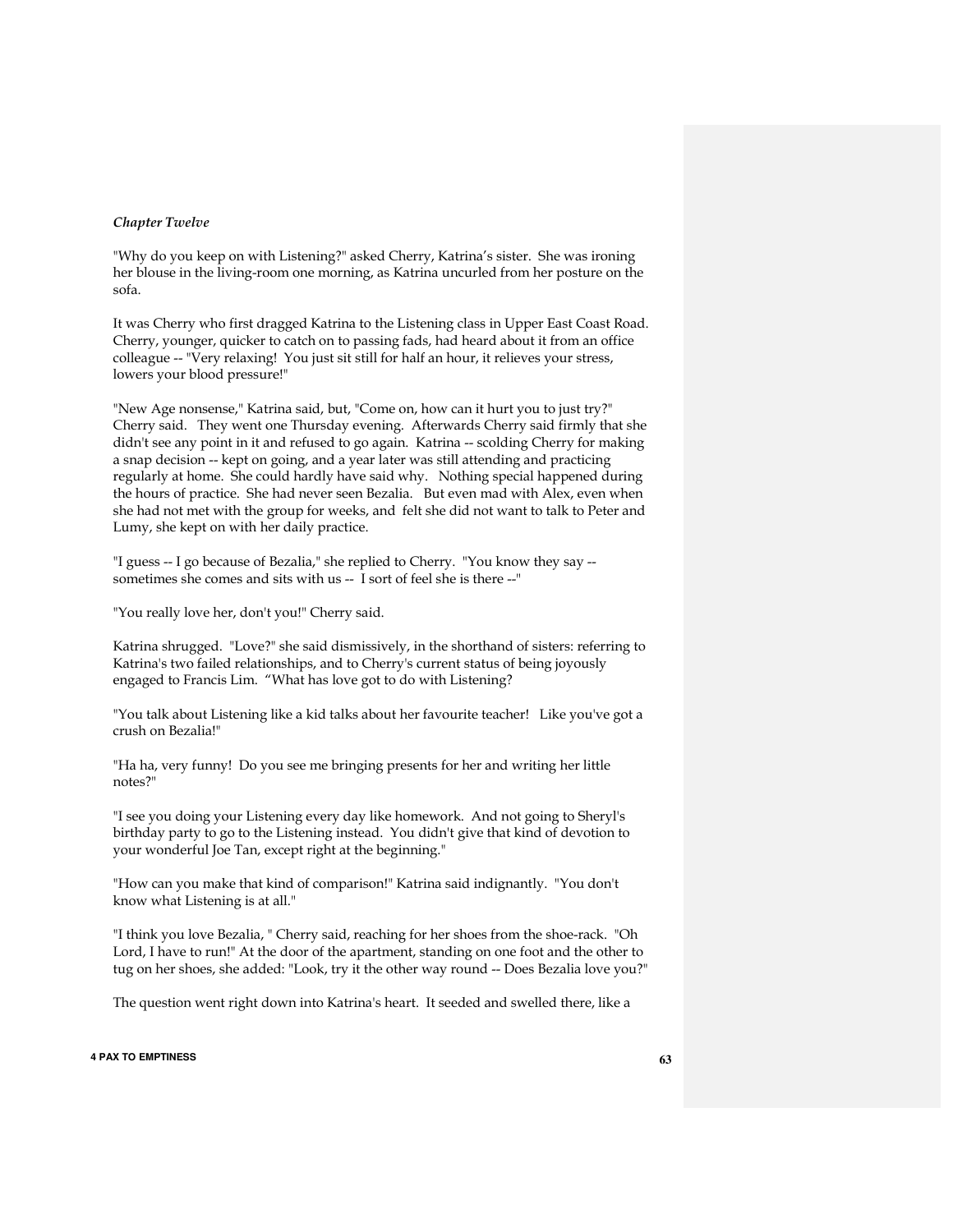# Chapter Twelve

"Why do you keep on with Listening?" asked Cherry, Katrina's sister. She was ironing her blouse in the living-room one morning, as Katrina uncurled from her posture on the sofa.

It was Cherry who first dragged Katrina to the Listening class in Upper East Coast Road. Cherry, younger, quicker to catch on to passing fads, had heard about it from an office colleague -- "Very relaxing! You just sit still for half an hour, it relieves your stress, lowers your blood pressure!"

"New Age nonsense," Katrina said, but, "Come on, how can it hurt you to just try?" Cherry said. They went one Thursday evening. Afterwards Cherry said firmly that she didn't see any point in it and refused to go again. Katrina -- scolding Cherry for making a snap decision -- kept on going, and a year later was still attending and practicing regularly at home. She could hardly have said why. Nothing special happened during the hours of practice. She had never seen Bezalia. But even mad with Alex, even when she had not met with the group for weeks, and felt she did not want to talk to Peter and Lumy, she kept on with her daily practice.

"I guess -- I go because of Bezalia," she replied to Cherry. "You know they say - sometimes she comes and sits with us -- I sort of feel she is there --"

"You really love her, don't you!" Cherry said.

Katrina shrugged. "Love?" she said dismissively, in the shorthand of sisters: referring to Katrina's two failed relationships, and to Cherry's current status of being joyously engaged to Francis Lim. "What has love got to do with Listening?

"You talk about Listening like a kid talks about her favourite teacher! Like you've got a crush on Bezalia!"

"Ha ha, very funny! Do you see me bringing presents for her and writing her little notes?"

"I see you doing your Listening every day like homework. And not going to Sheryl's birthday party to go to the Listening instead. You didn't give that kind of devotion to your wonderful Joe Tan, except right at the beginning."

"How can you make that kind of comparison!" Katrina said indignantly. "You don't know what Listening is at all."

"I think you love Bezalia, " Cherry said, reaching for her shoes from the shoe-rack. "Oh Lord, I have to run!" At the door of the apartment, standing on one foot and the other to tug on her shoes, she added: "Look, try it the other way round -- Does Bezalia love you?"

The question went right down into Katrina's heart. It seeded and swelled there, like a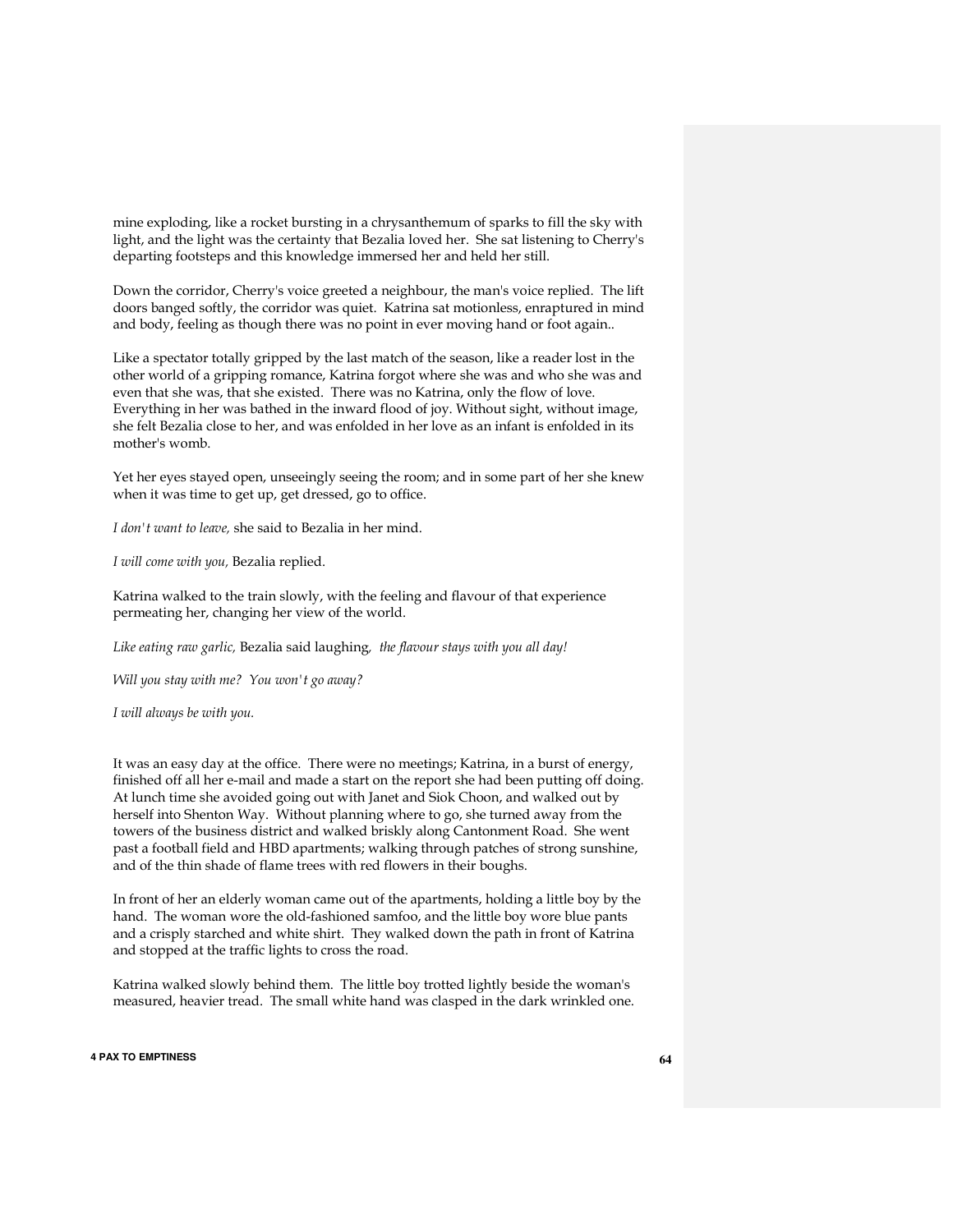mine exploding, like a rocket bursting in a chrysanthemum of sparks to fill the sky with light, and the light was the certainty that Bezalia loved her. She sat listening to Cherry's departing footsteps and this knowledge immersed her and held her still.

Down the corridor, Cherry's voice greeted a neighbour, the man's voice replied. The lift doors banged softly, the corridor was quiet. Katrina sat motionless, enraptured in mind and body, feeling as though there was no point in ever moving hand or foot again..

Like a spectator totally gripped by the last match of the season, like a reader lost in the other world of a gripping romance, Katrina forgot where she was and who she was and even that she was, that she existed. There was no Katrina, only the flow of love. Everything in her was bathed in the inward flood of joy. Without sight, without image, she felt Bezalia close to her, and was enfolded in her love as an infant is enfolded in its mother's womb.

Yet her eyes stayed open, unseeingly seeing the room; and in some part of her she knew when it was time to get up, get dressed, go to office.

I don't want to leave, she said to Bezalia in her mind.

I will come with you, Bezalia replied.

Katrina walked to the train slowly, with the feeling and flavour of that experience permeating her, changing her view of the world.

Like eating raw garlic, Bezalia said laughing, the flavour stays with you all day!

Will you stay with me? You won't go away?

I will always be with you.

It was an easy day at the office. There were no meetings; Katrina, in a burst of energy, finished off all her e-mail and made a start on the report she had been putting off doing. At lunch time she avoided going out with Janet and Siok Choon, and walked out by herself into Shenton Way. Without planning where to go, she turned away from the towers of the business district and walked briskly along Cantonment Road. She went past a football field and HBD apartments; walking through patches of strong sunshine, and of the thin shade of flame trees with red flowers in their boughs.

In front of her an elderly woman came out of the apartments, holding a little boy by the hand. The woman wore the old-fashioned samfoo, and the little boy wore blue pants and a crisply starched and white shirt. They walked down the path in front of Katrina and stopped at the traffic lights to cross the road.

Katrina walked slowly behind them. The little boy trotted lightly beside the woman's measured, heavier tread. The small white hand was clasped in the dark wrinkled one.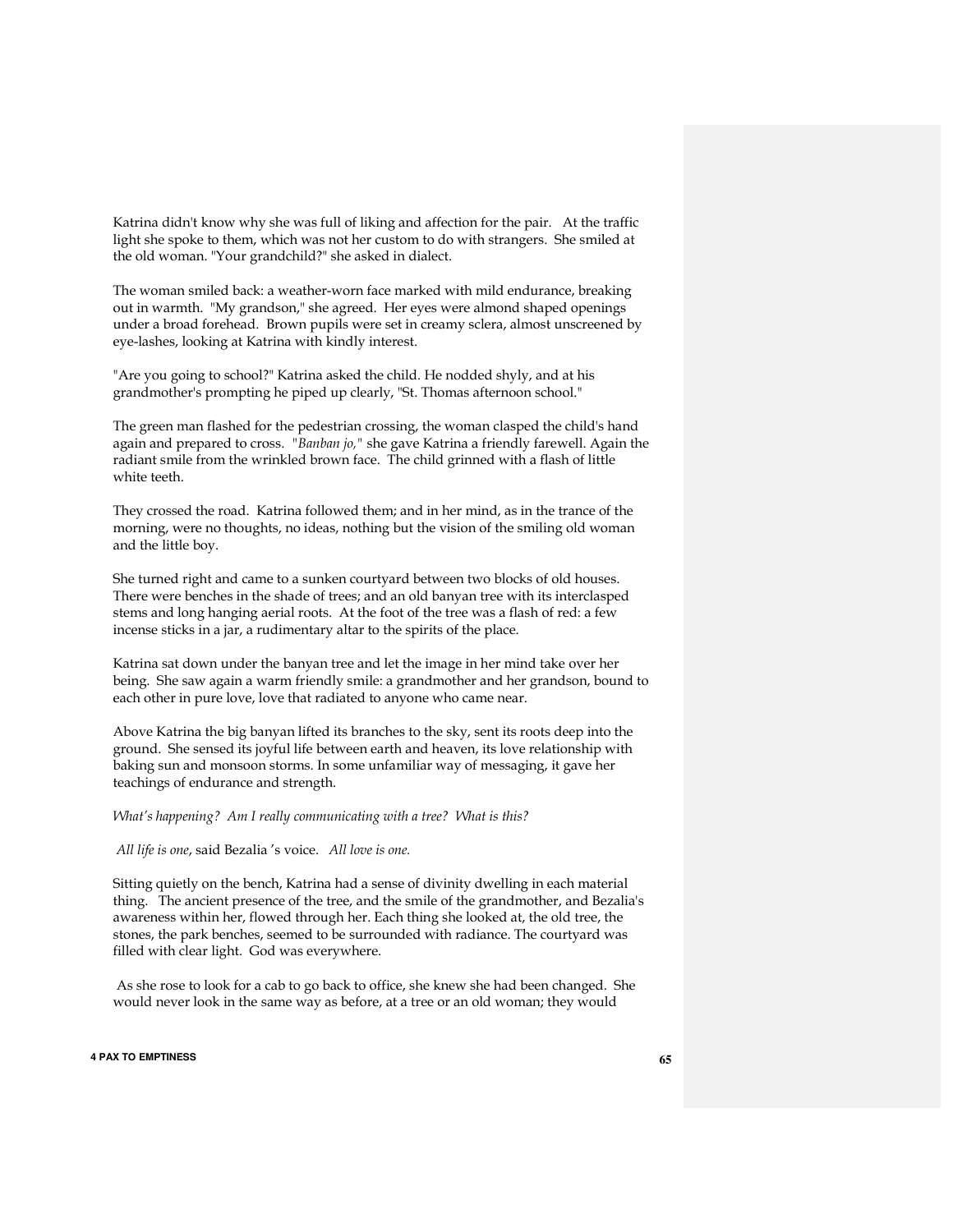Katrina didn't know why she was full of liking and affection for the pair. At the traffic light she spoke to them, which was not her custom to do with strangers. She smiled at the old woman. "Your grandchild?" she asked in dialect.

The woman smiled back: a weather-worn face marked with mild endurance, breaking out in warmth. "My grandson," she agreed. Her eyes were almond shaped openings under a broad forehead. Brown pupils were set in creamy sclera, almost unscreened by eye-lashes, looking at Katrina with kindly interest.

"Are you going to school?" Katrina asked the child. He nodded shyly, and at his grandmother's prompting he piped up clearly, "St. Thomas afternoon school."

The green man flashed for the pedestrian crossing, the woman clasped the child's hand again and prepared to cross. "Banban jo," she gave Katrina a friendly farewell. Again the radiant smile from the wrinkled brown face. The child grinned with a flash of little white teeth.

They crossed the road. Katrina followed them; and in her mind, as in the trance of the morning, were no thoughts, no ideas, nothing but the vision of the smiling old woman and the little boy.

She turned right and came to a sunken courtyard between two blocks of old houses. There were benches in the shade of trees; and an old banyan tree with its interclasped stems and long hanging aerial roots. At the foot of the tree was a flash of red: a few incense sticks in a jar, a rudimentary altar to the spirits of the place.

Katrina sat down under the banyan tree and let the image in her mind take over her being. She saw again a warm friendly smile: a grandmother and her grandson, bound to each other in pure love, love that radiated to anyone who came near.

Above Katrina the big banyan lifted its branches to the sky, sent its roots deep into the ground. She sensed its joyful life between earth and heaven, its love relationship with baking sun and monsoon storms. In some unfamiliar way of messaging, it gave her teachings of endurance and strength.

What's happening? Am I really communicating with a tree? What is this?

All life is one, said Bezalia 's voice. All love is one.

Sitting quietly on the bench, Katrina had a sense of divinity dwelling in each material thing. The ancient presence of the tree, and the smile of the grandmother, and Bezalia's awareness within her, flowed through her. Each thing she looked at, the old tree, the stones, the park benches, seemed to be surrounded with radiance. The courtyard was filled with clear light. God was everywhere.

 As she rose to look for a cab to go back to office, she knew she had been changed. She would never look in the same way as before, at a tree or an old woman; they would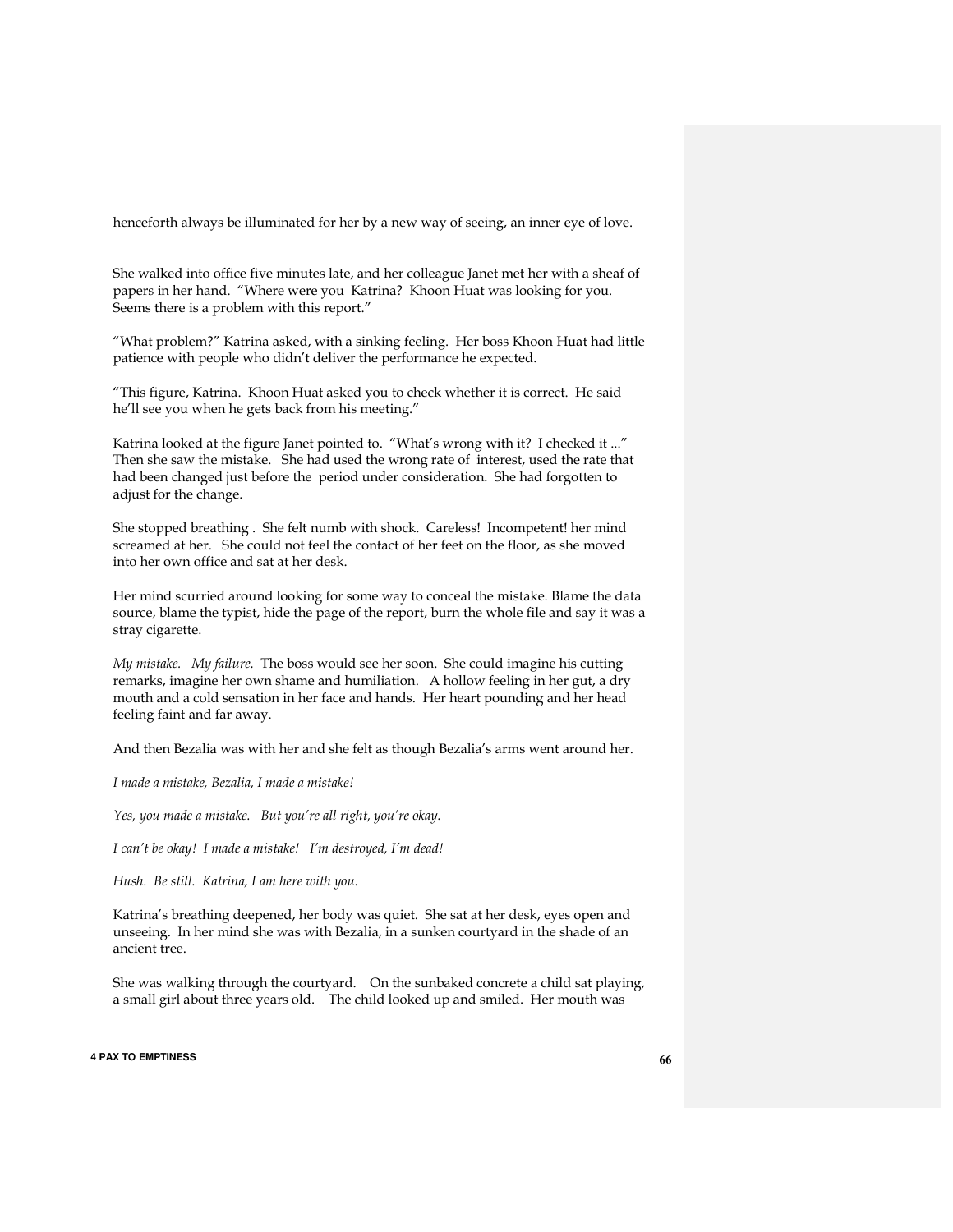henceforth always be illuminated for her by a new way of seeing, an inner eye of love.

She walked into office five minutes late, and her colleague Janet met her with a sheaf of papers in her hand. "Where were you Katrina? Khoon Huat was looking for you. Seems there is a problem with this report."

"What problem?" Katrina asked, with a sinking feeling. Her boss Khoon Huat had little patience with people who didn't deliver the performance he expected.

"This figure, Katrina. Khoon Huat asked you to check whether it is correct. He said he'll see you when he gets back from his meeting."

Katrina looked at the figure Janet pointed to. "What's wrong with it? I checked it ..." Then she saw the mistake. She had used the wrong rate of interest, used the rate that had been changed just before the period under consideration. She had forgotten to adjust for the change.

She stopped breathing . She felt numb with shock. Careless! Incompetent! her mind screamed at her. She could not feel the contact of her feet on the floor, as she moved into her own office and sat at her desk.

Her mind scurried around looking for some way to conceal the mistake. Blame the data source, blame the typist, hide the page of the report, burn the whole file and say it was a stray cigarette.

My mistake. My failure. The boss would see her soon. She could imagine his cutting remarks, imagine her own shame and humiliation. A hollow feeling in her gut, a dry mouth and a cold sensation in her face and hands. Her heart pounding and her head feeling faint and far away.

And then Bezalia was with her and she felt as though Bezalia's arms went around her.

I made a mistake, Bezalia, I made a mistake!

Yes, you made a mistake. But you're all right, you're okay.

I can't be okay! I made a mistake! I'm destroyed, I'm dead!

Hush. Be still. Katrina, I am here with you.

Katrina's breathing deepened, her body was quiet. She sat at her desk, eyes open and unseeing. In her mind she was with Bezalia, in a sunken courtyard in the shade of an ancient tree.

She was walking through the courtyard. On the sunbaked concrete a child sat playing, a small girl about three years old. The child looked up and smiled. Her mouth was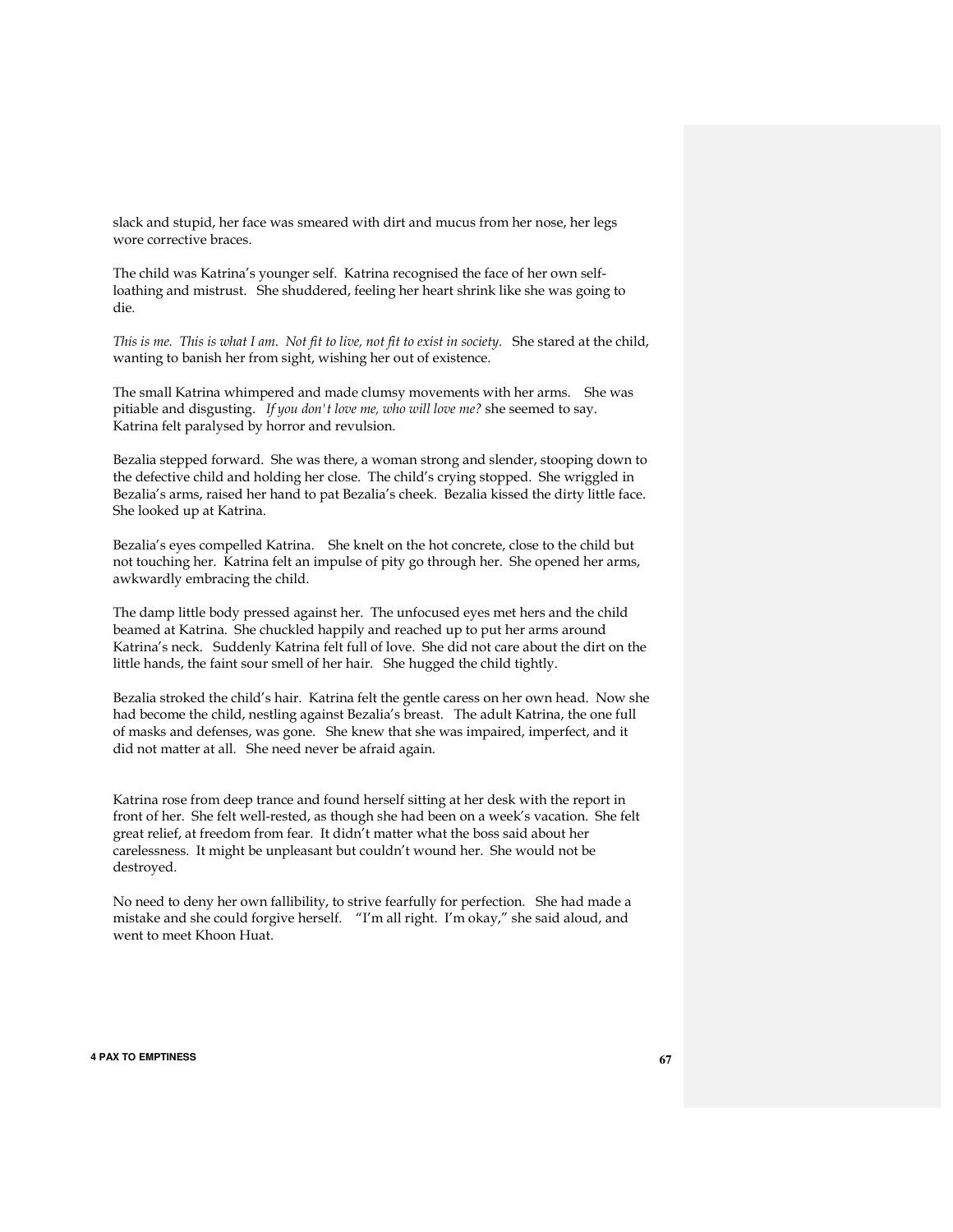slack and stupid, her face was smeared with dirt and mucus from her nose, her legs wore corrective braces.

The child was Katrina's younger self. Katrina recognised the face of her own selfloathing and mistrust. She shuddered, feeling her heart shrink like she was going to die.

This is me. This is what I am. Not fit to live, not fit to exist in society. She stared at the child, wanting to banish her from sight, wishing her out of existence.

The small Katrina whimpered and made clumsy movements with her arms. She was pitiable and disgusting. If you don't love me, who will love me? she seemed to say. Katrina felt paralysed by horror and revulsion.

Bezalia stepped forward. She was there, a woman strong and slender, stooping down to the defective child and holding her close. The child's crying stopped. She wriggled in Bezalia's arms, raised her hand to pat Bezalia's cheek. Bezalia kissed the dirty little face. She looked up at Katrina.

Bezalia's eyes compelled Katrina. She knelt on the hot concrete, close to the child but not touching her. Katrina felt an impulse of pity go through her. She opened her arms, awkwardly embracing the child.

The damp little body pressed against her. The unfocused eyes met hers and the child beamed at Katrina. She chuckled happily and reached up to put her arms around Katrina's neck. Suddenly Katrina felt full of love. She did not care about the dirt on the little hands, the faint sour smell of her hair. She hugged the child tightly.

Bezalia stroked the child's hair. Katrina felt the gentle caress on her own head. Now she had become the child, nestling against Bezalia's breast. The adult Katrina, the one full of masks and defenses, was gone. She knew that she was impaired, imperfect, and it did not matter at all. She need never be afraid again.

Katrina rose from deep trance and found herself sitting at her desk with the report in front of her. She felt well-rested, as though she had been on a week's vacation. She felt great relief, at freedom from fear. It didn't matter what the boss said about her carelessness. It might be unpleasant but couldn't wound her. She would not be destroyed.

No need to deny her own fallibility, to strive fearfully for perfection. She had made a mistake and she could forgive herself. "I'm all right. I'm okay," she said aloud, and went to meet Khoon Huat.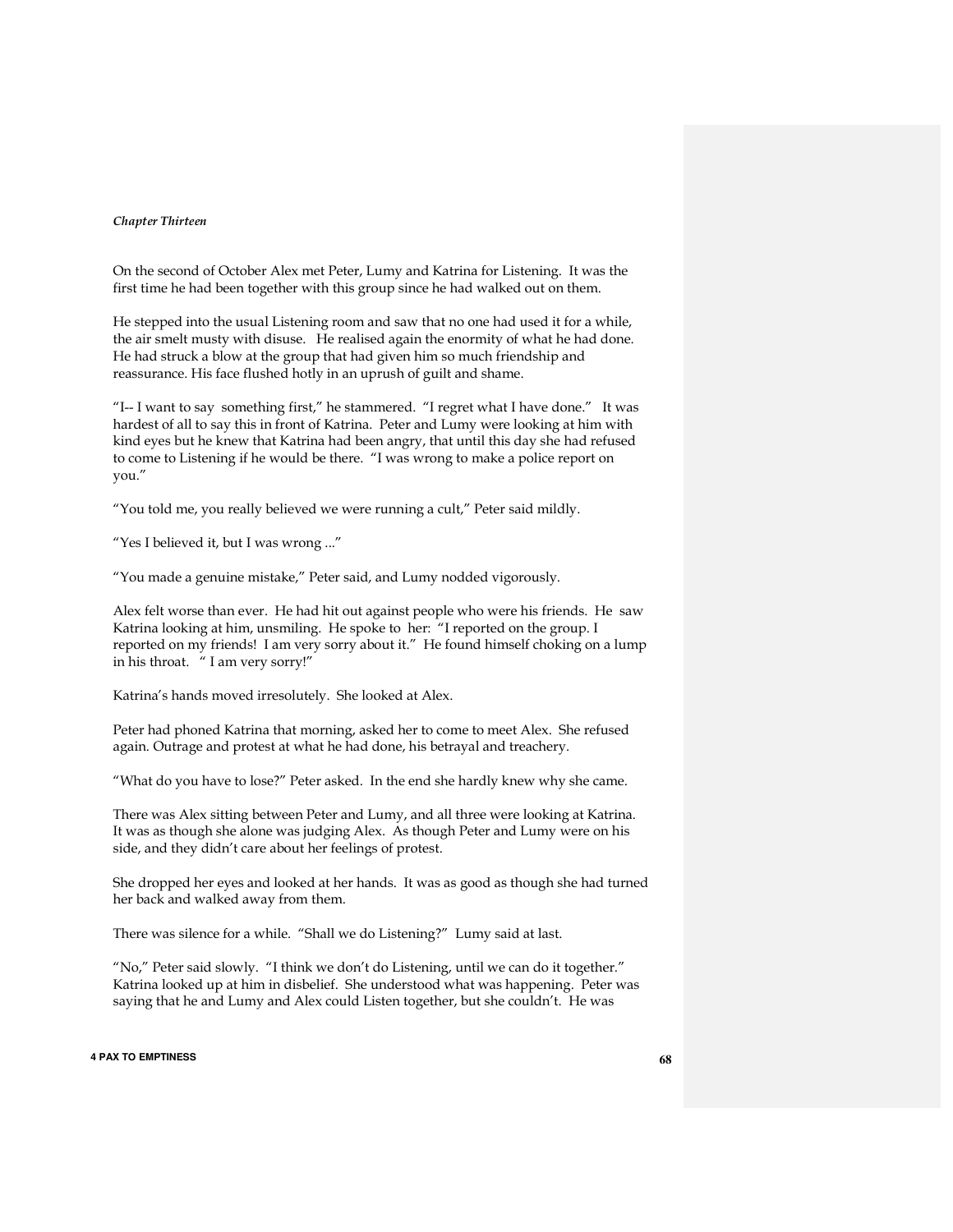## Chapter Thirteen

On the second of October Alex met Peter, Lumy and Katrina for Listening. It was the first time he had been together with this group since he had walked out on them.

He stepped into the usual Listening room and saw that no one had used it for a while, the air smelt musty with disuse. He realised again the enormity of what he had done. He had struck a blow at the group that had given him so much friendship and reassurance. His face flushed hotly in an uprush of guilt and shame.

"I-- I want to say something first," he stammered. "I regret what I have done." It was hardest of all to say this in front of Katrina. Peter and Lumy were looking at him with kind eyes but he knew that Katrina had been angry, that until this day she had refused to come to Listening if he would be there. "I was wrong to make a police report on you."

"You told me, you really believed we were running a cult," Peter said mildly.

"Yes I believed it, but I was wrong ..."

"You made a genuine mistake," Peter said, and Lumy nodded vigorously.

Alex felt worse than ever. He had hit out against people who were his friends. He saw Katrina looking at him, unsmiling. He spoke to her: "I reported on the group. I reported on my friends! I am very sorry about it." He found himself choking on a lump in his throat. " I am very sorry!"

Katrina's hands moved irresolutely. She looked at Alex.

Peter had phoned Katrina that morning, asked her to come to meet Alex. She refused again. Outrage and protest at what he had done, his betrayal and treachery.

"What do you have to lose?" Peter asked. In the end she hardly knew why she came.

There was Alex sitting between Peter and Lumy, and all three were looking at Katrina. It was as though she alone was judging Alex. As though Peter and Lumy were on his side, and they didn't care about her feelings of protest.

She dropped her eyes and looked at her hands. It was as good as though she had turned her back and walked away from them.

There was silence for a while. "Shall we do Listening?" Lumy said at last.

"No," Peter said slowly. "I think we don't do Listening, until we can do it together." Katrina looked up at him in disbelief. She understood what was happening. Peter was saying that he and Lumy and Alex could Listen together, but she couldn't. He was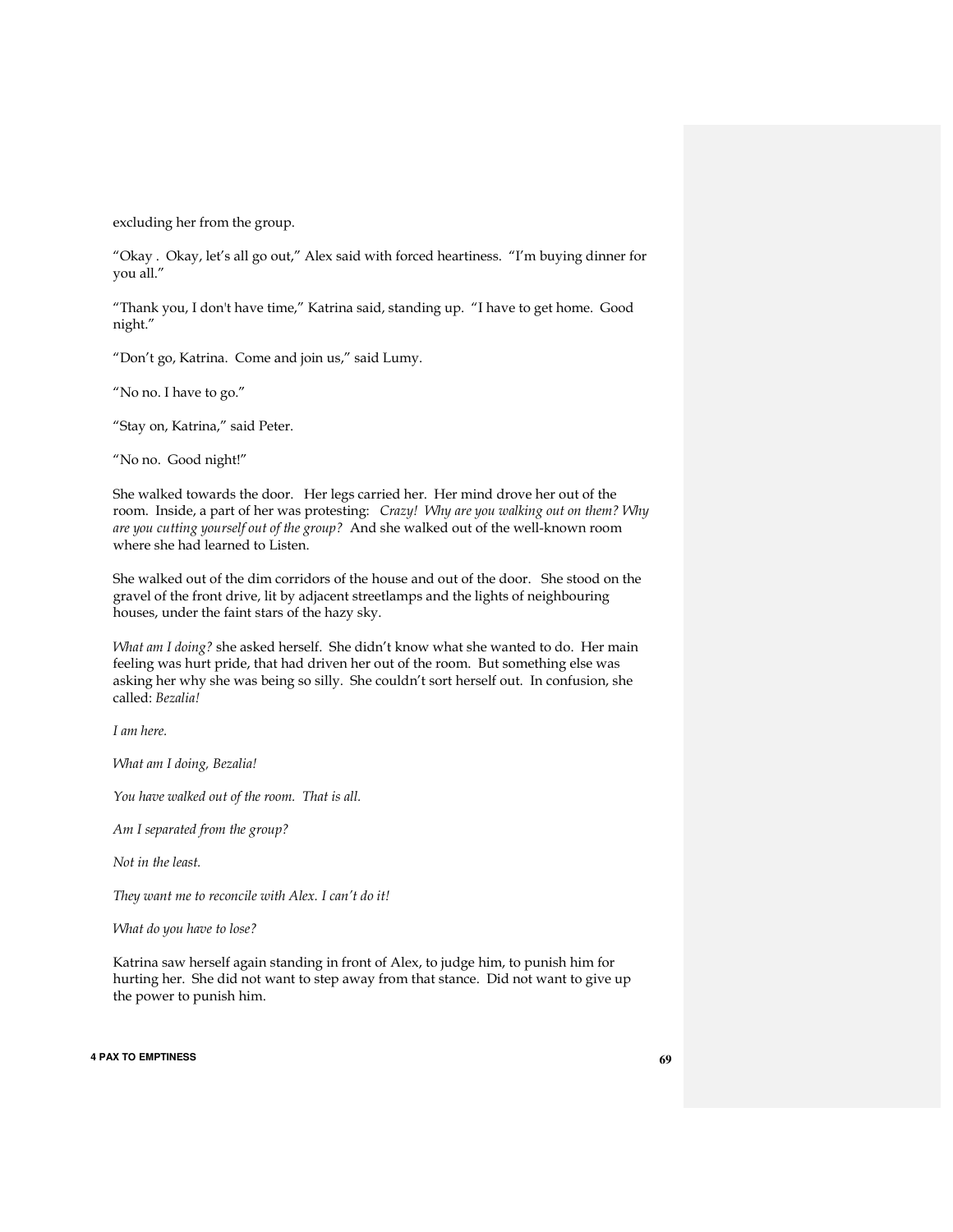excluding her from the group.

"Okay . Okay, let's all go out," Alex said with forced heartiness. "I'm buying dinner for you all."

"Thank you, I don't have time," Katrina said, standing up. "I have to get home. Good night."

"Don't go, Katrina. Come and join us," said Lumy.

"No no. I have to go."

"Stay on, Katrina," said Peter.

"No no. Good night!"

She walked towards the door. Her legs carried her. Her mind drove her out of the room. Inside, a part of her was protesting: Crazy! Why are you walking out on them? Why are you cutting yourself out of the group? And she walked out of the well-known room where she had learned to Listen.

She walked out of the dim corridors of the house and out of the door. She stood on the gravel of the front drive, lit by adjacent streetlamps and the lights of neighbouring houses, under the faint stars of the hazy sky.

What am I doing? she asked herself. She didn't know what she wanted to do. Her main feeling was hurt pride, that had driven her out of the room. But something else was asking her why she was being so silly. She couldn't sort herself out. In confusion, she called: Bezalia!

I am here.

What am I doing, Bezalia!

You have walked out of the room. That is all.

Am I separated from the group?

Not in the least.

They want me to reconcile with Alex. I can't do it!

What do you have to lose?

Katrina saw herself again standing in front of Alex, to judge him, to punish him for hurting her. She did not want to step away from that stance. Did not want to give up the power to punish him.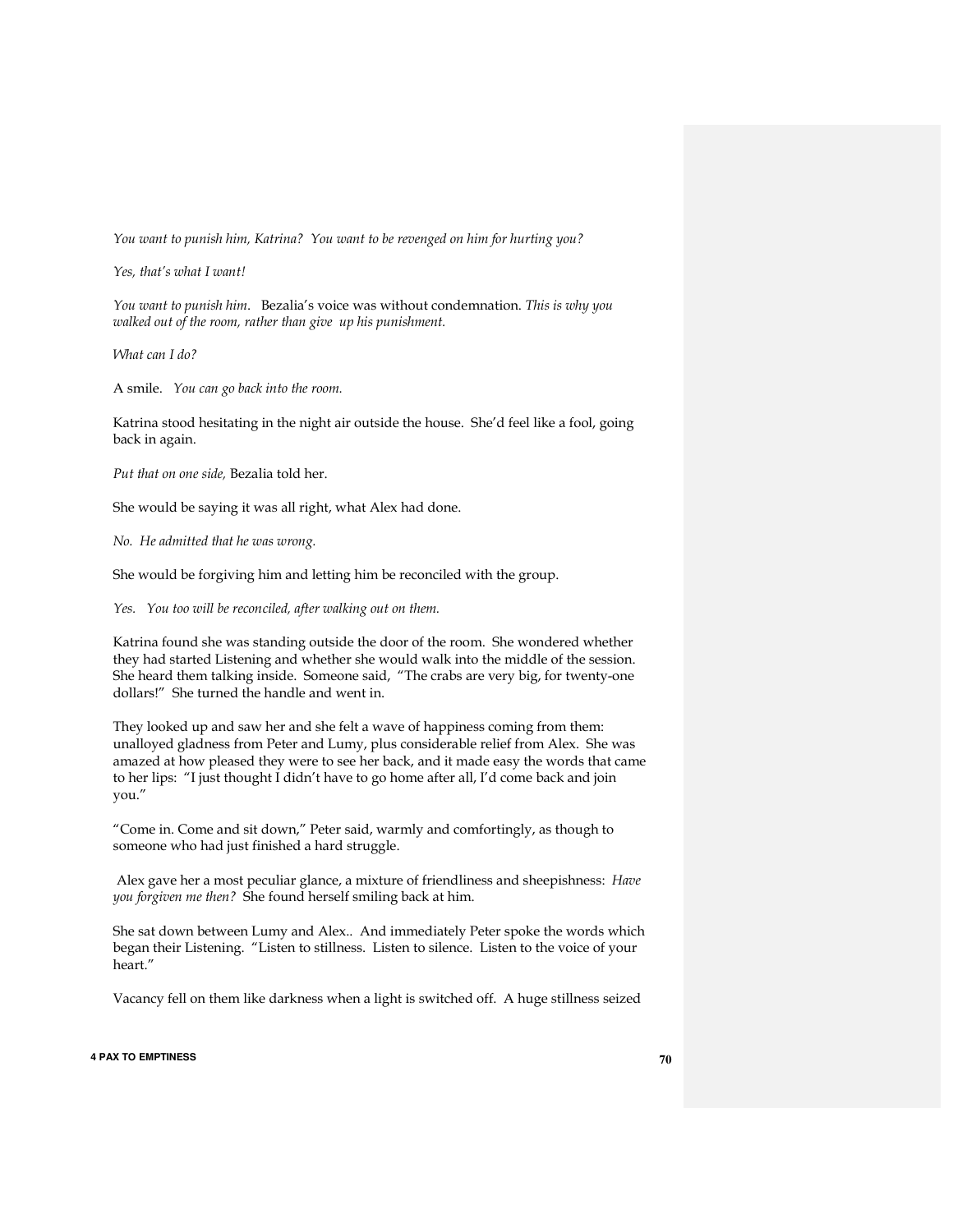You want to punish him, Katrina? You want to be revenged on him for hurting you?

Yes, that's what I want!

You want to punish him. Bezalia's voice was without condemnation. This is why you walked out of the room, rather than give up his punishment.

What can I do?

A smile. You can go back into the room.

Katrina stood hesitating in the night air outside the house. She'd feel like a fool, going back in again.

Put that on one side, Bezalia told her.

She would be saying it was all right, what Alex had done.

No. He admitted that he was wrong.

She would be forgiving him and letting him be reconciled with the group.

Yes. You too will be reconciled, after walking out on them.

Katrina found she was standing outside the door of the room. She wondered whether they had started Listening and whether she would walk into the middle of the session. She heard them talking inside. Someone said, "The crabs are very big, for twenty-one dollars!" She turned the handle and went in.

They looked up and saw her and she felt a wave of happiness coming from them: unalloyed gladness from Peter and Lumy, plus considerable relief from Alex. She was amazed at how pleased they were to see her back, and it made easy the words that came to her lips: "I just thought I didn't have to go home after all, I'd come back and join you."

"Come in. Come and sit down," Peter said, warmly and comfortingly, as though to someone who had just finished a hard struggle.

 Alex gave her a most peculiar glance, a mixture of friendliness and sheepishness: Have you forgiven me then? She found herself smiling back at him.

She sat down between Lumy and Alex.. And immediately Peter spoke the words which began their Listening. "Listen to stillness. Listen to silence. Listen to the voice of your heart."

Vacancy fell on them like darkness when a light is switched off. A huge stillness seized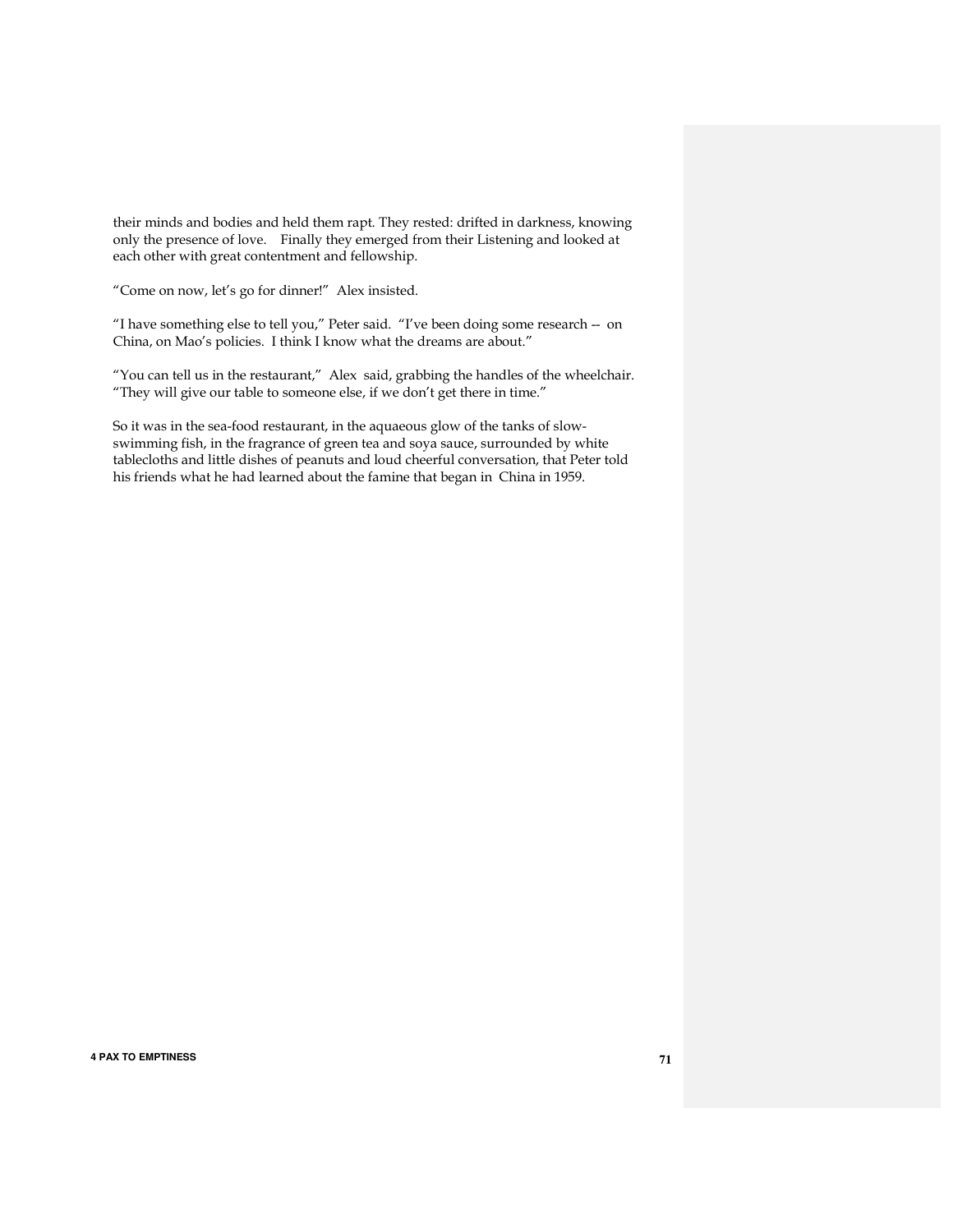their minds and bodies and held them rapt. They rested: drifted in darkness, knowing only the presence of love. Finally they emerged from their Listening and looked at each other with great contentment and fellowship.

"Come on now, let's go for dinner!" Alex insisted.

"I have something else to tell you," Peter said. "I've been doing some research -- on China, on Mao's policies. I think I know what the dreams are about."

"You can tell us in the restaurant," Alex said, grabbing the handles of the wheelchair. "They will give our table to someone else, if we don't get there in time."

So it was in the sea-food restaurant, in the aquaeous glow of the tanks of slowswimming fish, in the fragrance of green tea and soya sauce, surrounded by white tablecloths and little dishes of peanuts and loud cheerful conversation, that Peter told his friends what he had learned about the famine that began in China in 1959.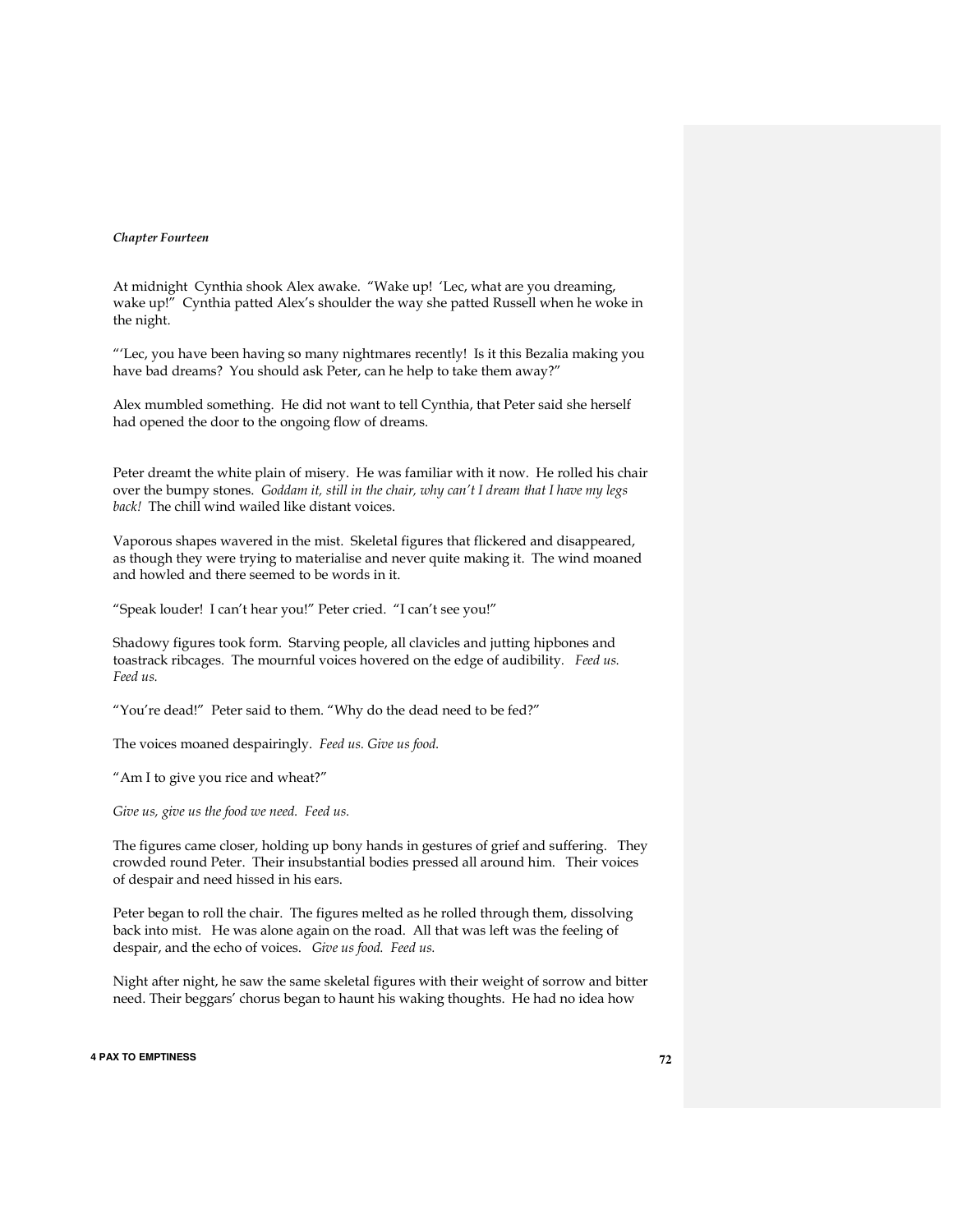# Chapter Fourteen

At midnight Cynthia shook Alex awake. "Wake up! 'Lec, what are you dreaming, wake up!" Cynthia patted Alex's shoulder the way she patted Russell when he woke in the night.

"'Lec, you have been having so many nightmares recently! Is it this Bezalia making you have bad dreams? You should ask Peter, can he help to take them away?"

Alex mumbled something. He did not want to tell Cynthia, that Peter said she herself had opened the door to the ongoing flow of dreams.

Peter dreamt the white plain of misery. He was familiar with it now. He rolled his chair over the bumpy stones. Goddam it, still in the chair, why can't I dream that I have my legs back! The chill wind wailed like distant voices.

Vaporous shapes wavered in the mist. Skeletal figures that flickered and disappeared, as though they were trying to materialise and never quite making it. The wind moaned and howled and there seemed to be words in it.

"Speak louder! I can't hear you!" Peter cried. "I can't see you!"

Shadowy figures took form. Starving people, all clavicles and jutting hipbones and toastrack ribcages. The mournful voices hovered on the edge of audibility. Feed us. Feed us.

"You're dead!" Peter said to them. "Why do the dead need to be fed?"

The voices moaned despairingly. Feed us. Give us food.

"Am I to give you rice and wheat?"

Give us, give us the food we need. Feed us.

The figures came closer, holding up bony hands in gestures of grief and suffering. They crowded round Peter. Their insubstantial bodies pressed all around him. Their voices of despair and need hissed in his ears.

Peter began to roll the chair. The figures melted as he rolled through them, dissolving back into mist. He was alone again on the road. All that was left was the feeling of despair, and the echo of voices. Give us food. Feed us.

Night after night, he saw the same skeletal figures with their weight of sorrow and bitter need. Their beggars' chorus began to haunt his waking thoughts. He had no idea how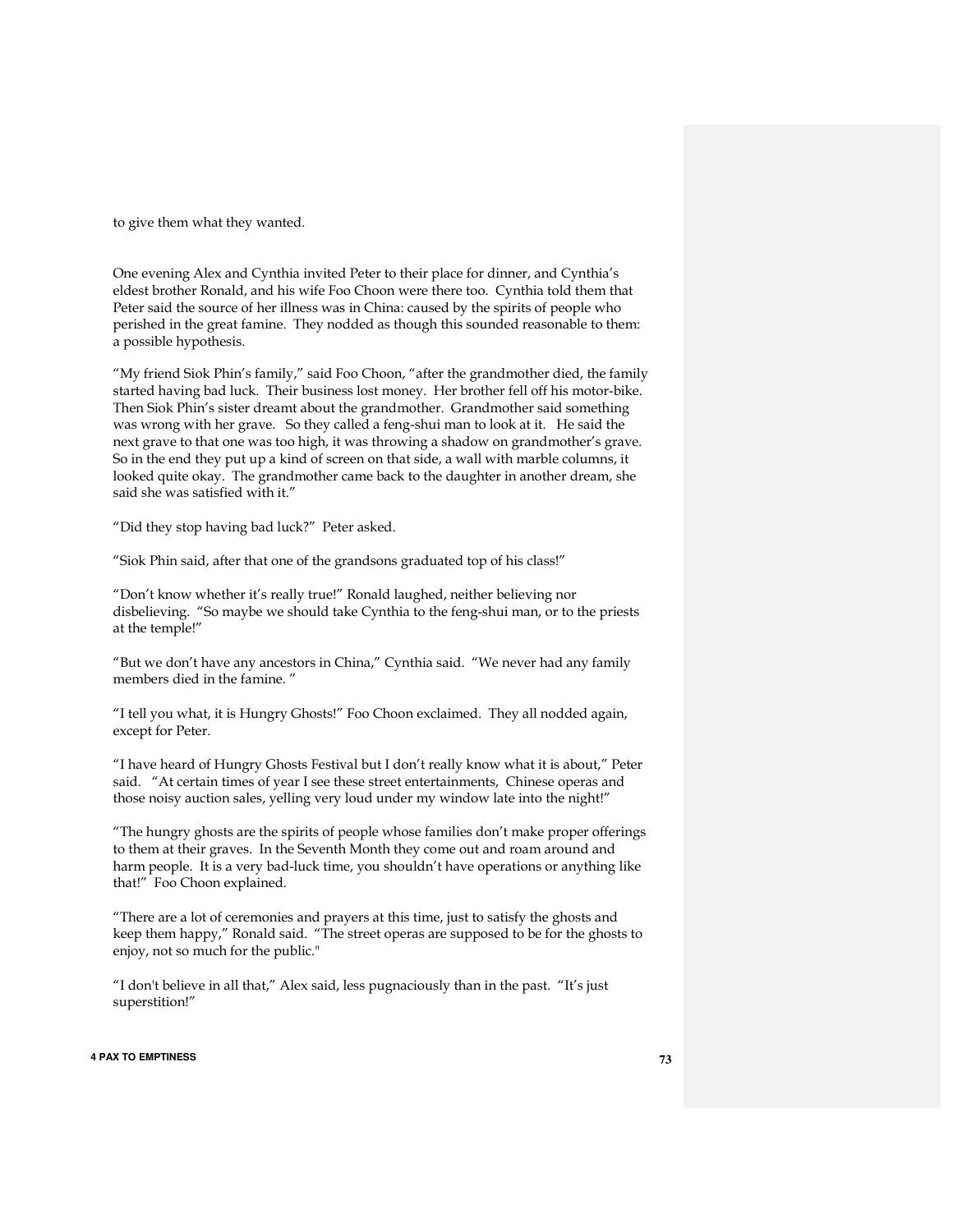to give them what they wanted.

One evening Alex and Cynthia invited Peter to their place for dinner, and Cynthia's eldest brother Ronald, and his wife Foo Choon were there too. Cynthia told them that Peter said the source of her illness was in China: caused by the spirits of people who perished in the great famine. They nodded as though this sounded reasonable to them: a possible hypothesis.

"My friend Siok Phin's family," said Foo Choon, "after the grandmother died, the family started having bad luck. Their business lost money. Her brother fell off his motor-bike. Then Siok Phin's sister dreamt about the grandmother. Grandmother said something was wrong with her grave. So they called a feng-shui man to look at it. He said the next grave to that one was too high, it was throwing a shadow on grandmother's grave. So in the end they put up a kind of screen on that side, a wall with marble columns, it looked quite okay. The grandmother came back to the daughter in another dream, she said she was satisfied with it."

"Did they stop having bad luck?" Peter asked.

"Siok Phin said, after that one of the grandsons graduated top of his class!"

"Don't know whether it's really true!" Ronald laughed, neither believing nor disbelieving. "So maybe we should take Cynthia to the feng-shui man, or to the priests at the temple!"

"But we don't have any ancestors in China," Cynthia said. "We never had any family members died in the famine. "

"I tell you what, it is Hungry Ghosts!" Foo Choon exclaimed. They all nodded again, except for Peter.

"I have heard of Hungry Ghosts Festival but I don't really know what it is about," Peter said. "At certain times of year I see these street entertainments, Chinese operas and those noisy auction sales, yelling very loud under my window late into the night!"

"The hungry ghosts are the spirits of people whose families don't make proper offerings to them at their graves. In the Seventh Month they come out and roam around and harm people. It is a very bad-luck time, you shouldn't have operations or anything like that!" Foo Choon explained.

"There are a lot of ceremonies and prayers at this time, just to satisfy the ghosts and keep them happy," Ronald said. "The street operas are supposed to be for the ghosts to enjoy, not so much for the public."

"I don't believe in all that," Alex said, less pugnaciously than in the past. "It's just superstition!"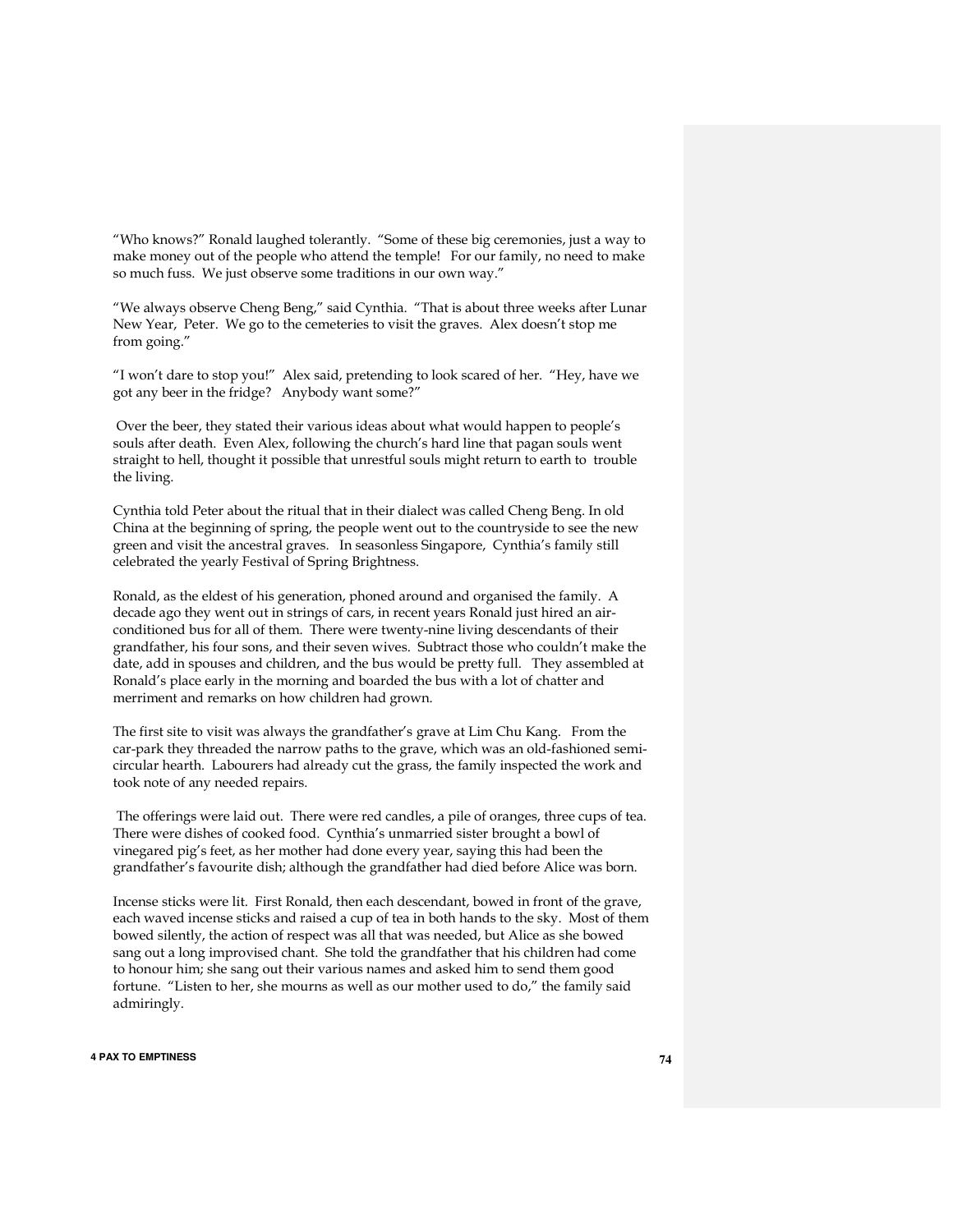"Who knows?" Ronald laughed tolerantly. "Some of these big ceremonies, just a way to make money out of the people who attend the temple! For our family, no need to make so much fuss. We just observe some traditions in our own way."

"We always observe Cheng Beng," said Cynthia. "That is about three weeks after Lunar New Year, Peter. We go to the cemeteries to visit the graves. Alex doesn't stop me from going."

"I won't dare to stop you!" Alex said, pretending to look scared of her. "Hey, have we got any beer in the fridge? Anybody want some?"

 Over the beer, they stated their various ideas about what would happen to people's souls after death. Even Alex, following the church's hard line that pagan souls went straight to hell, thought it possible that unrestful souls might return to earth to trouble the living.

Cynthia told Peter about the ritual that in their dialect was called Cheng Beng. In old China at the beginning of spring, the people went out to the countryside to see the new green and visit the ancestral graves. In seasonless Singapore, Cynthia's family still celebrated the yearly Festival of Spring Brightness.

Ronald, as the eldest of his generation, phoned around and organised the family. A decade ago they went out in strings of cars, in recent years Ronald just hired an airconditioned bus for all of them. There were twenty-nine living descendants of their grandfather, his four sons, and their seven wives. Subtract those who couldn't make the date, add in spouses and children, and the bus would be pretty full. They assembled at Ronald's place early in the morning and boarded the bus with a lot of chatter and merriment and remarks on how children had grown.

The first site to visit was always the grandfather's grave at Lim Chu Kang. From the car-park they threaded the narrow paths to the grave, which was an old-fashioned semicircular hearth. Labourers had already cut the grass, the family inspected the work and took note of any needed repairs.

 The offerings were laid out. There were red candles, a pile of oranges, three cups of tea. There were dishes of cooked food. Cynthia's unmarried sister brought a bowl of vinegared pig's feet, as her mother had done every year, saying this had been the grandfather's favourite dish; although the grandfather had died before Alice was born.

Incense sticks were lit. First Ronald, then each descendant, bowed in front of the grave, each waved incense sticks and raised a cup of tea in both hands to the sky. Most of them bowed silently, the action of respect was all that was needed, but Alice as she bowed sang out a long improvised chant. She told the grandfather that his children had come to honour him; she sang out their various names and asked him to send them good fortune. "Listen to her, she mourns as well as our mother used to do," the family said admiringly.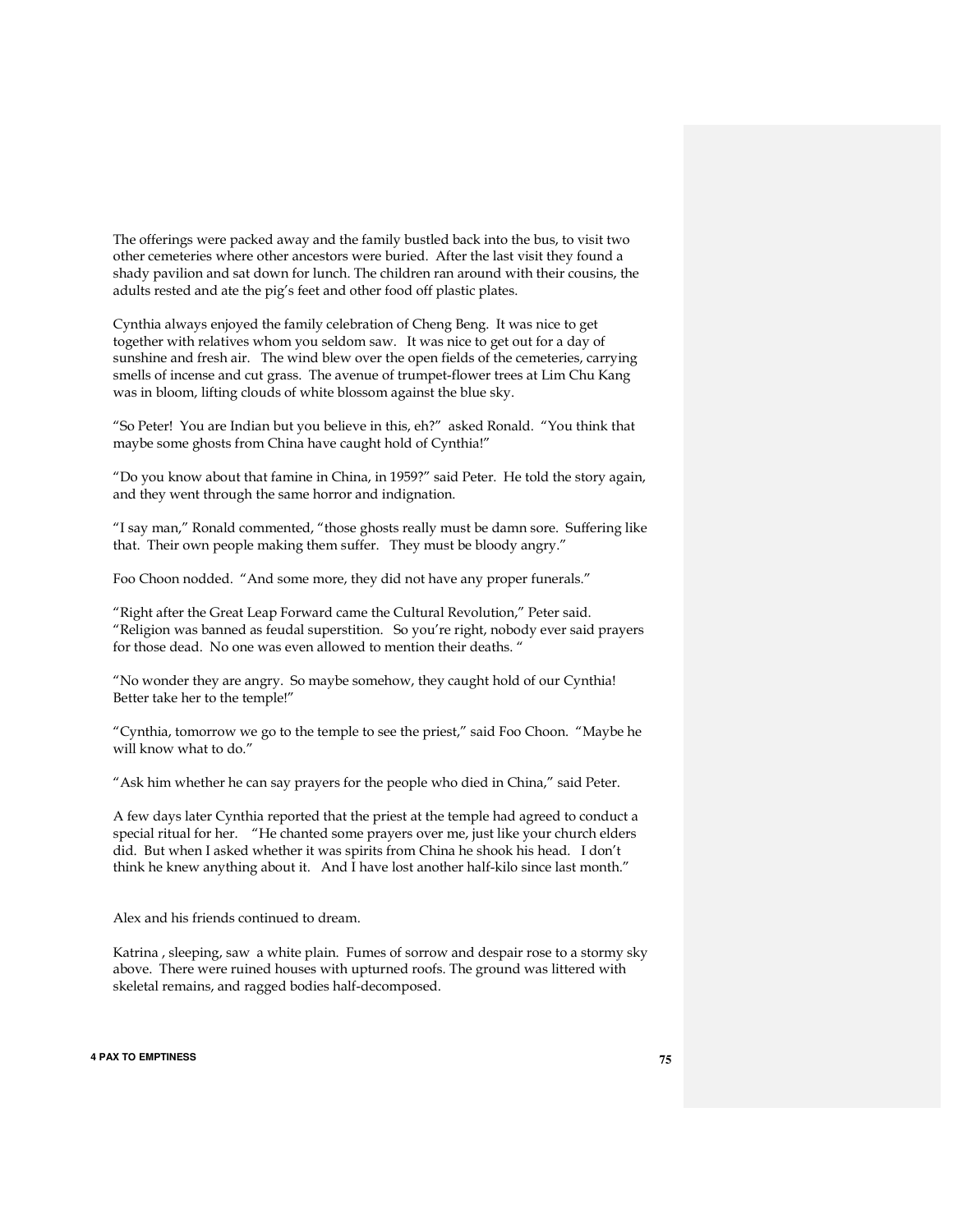The offerings were packed away and the family bustled back into the bus, to visit two other cemeteries where other ancestors were buried. After the last visit they found a shady pavilion and sat down for lunch. The children ran around with their cousins, the adults rested and ate the pig's feet and other food off plastic plates.

Cynthia always enjoyed the family celebration of Cheng Beng. It was nice to get together with relatives whom you seldom saw. It was nice to get out for a day of sunshine and fresh air. The wind blew over the open fields of the cemeteries, carrying smells of incense and cut grass. The avenue of trumpet-flower trees at Lim Chu Kang was in bloom, lifting clouds of white blossom against the blue sky.

"So Peter! You are Indian but you believe in this, eh?" asked Ronald. "You think that maybe some ghosts from China have caught hold of Cynthia!"

"Do you know about that famine in China, in 1959?" said Peter. He told the story again, and they went through the same horror and indignation.

"I say man," Ronald commented, "those ghosts really must be damn sore. Suffering like that. Their own people making them suffer. They must be bloody angry."

Foo Choon nodded. "And some more, they did not have any proper funerals."

"Right after the Great Leap Forward came the Cultural Revolution," Peter said. "Religion was banned as feudal superstition. So you're right, nobody ever said prayers for those dead. No one was even allowed to mention their deaths. "

"No wonder they are angry. So maybe somehow, they caught hold of our Cynthia! Better take her to the temple!"

"Cynthia, tomorrow we go to the temple to see the priest," said Foo Choon. "Maybe he will know what to do."

"Ask him whether he can say prayers for the people who died in China," said Peter.

A few days later Cynthia reported that the priest at the temple had agreed to conduct a special ritual for her. "He chanted some prayers over me, just like your church elders did. But when I asked whether it was spirits from China he shook his head. I don't think he knew anything about it. And I have lost another half-kilo since last month."

Alex and his friends continued to dream.

Katrina , sleeping, saw a white plain. Fumes of sorrow and despair rose to a stormy sky above. There were ruined houses with upturned roofs. The ground was littered with skeletal remains, and ragged bodies half-decomposed.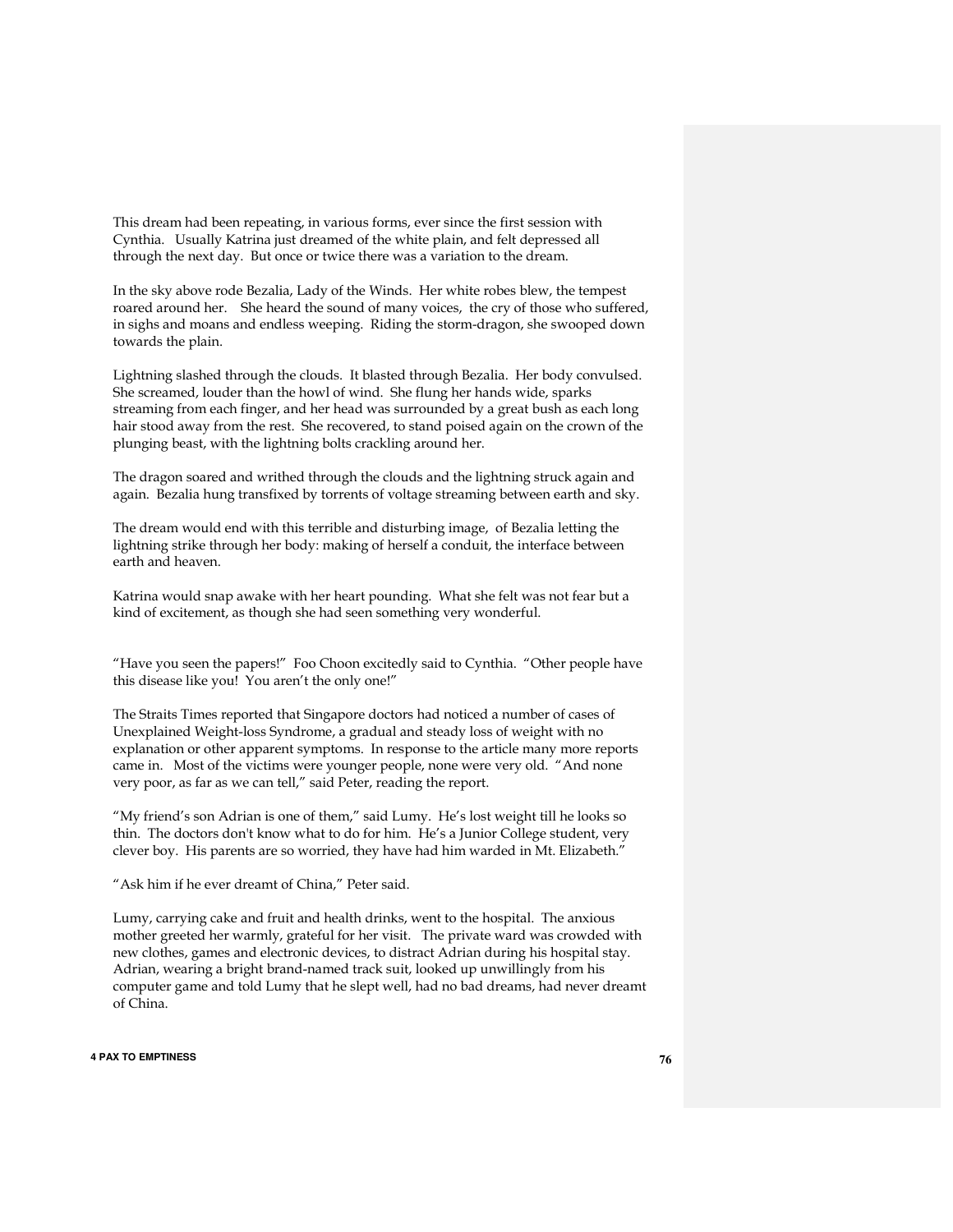This dream had been repeating, in various forms, ever since the first session with Cynthia. Usually Katrina just dreamed of the white plain, and felt depressed all through the next day. But once or twice there was a variation to the dream.

In the sky above rode Bezalia, Lady of the Winds. Her white robes blew, the tempest roared around her. She heard the sound of many voices, the cry of those who suffered, in sighs and moans and endless weeping. Riding the storm-dragon, she swooped down towards the plain.

Lightning slashed through the clouds. It blasted through Bezalia. Her body convulsed. She screamed, louder than the howl of wind. She flung her hands wide, sparks streaming from each finger, and her head was surrounded by a great bush as each long hair stood away from the rest. She recovered, to stand poised again on the crown of the plunging beast, with the lightning bolts crackling around her.

The dragon soared and writhed through the clouds and the lightning struck again and again. Bezalia hung transfixed by torrents of voltage streaming between earth and sky.

The dream would end with this terrible and disturbing image, of Bezalia letting the lightning strike through her body: making of herself a conduit, the interface between earth and heaven.

Katrina would snap awake with her heart pounding. What she felt was not fear but a kind of excitement, as though she had seen something very wonderful.

"Have you seen the papers!" Foo Choon excitedly said to Cynthia. "Other people have this disease like you! You aren't the only one!"

The Straits Times reported that Singapore doctors had noticed a number of cases of Unexplained Weight-loss Syndrome, a gradual and steady loss of weight with no explanation or other apparent symptoms. In response to the article many more reports came in. Most of the victims were younger people, none were very old. "And none very poor, as far as we can tell," said Peter, reading the report.

"My friend's son Adrian is one of them," said Lumy. He's lost weight till he looks so thin. The doctors don't know what to do for him. He's a Junior College student, very clever boy. His parents are so worried, they have had him warded in Mt. Elizabeth."

"Ask him if he ever dreamt of China," Peter said.

Lumy, carrying cake and fruit and health drinks, went to the hospital. The anxious mother greeted her warmly, grateful for her visit. The private ward was crowded with new clothes, games and electronic devices, to distract Adrian during his hospital stay. Adrian, wearing a bright brand-named track suit, looked up unwillingly from his computer game and told Lumy that he slept well, had no bad dreams, had never dreamt of China.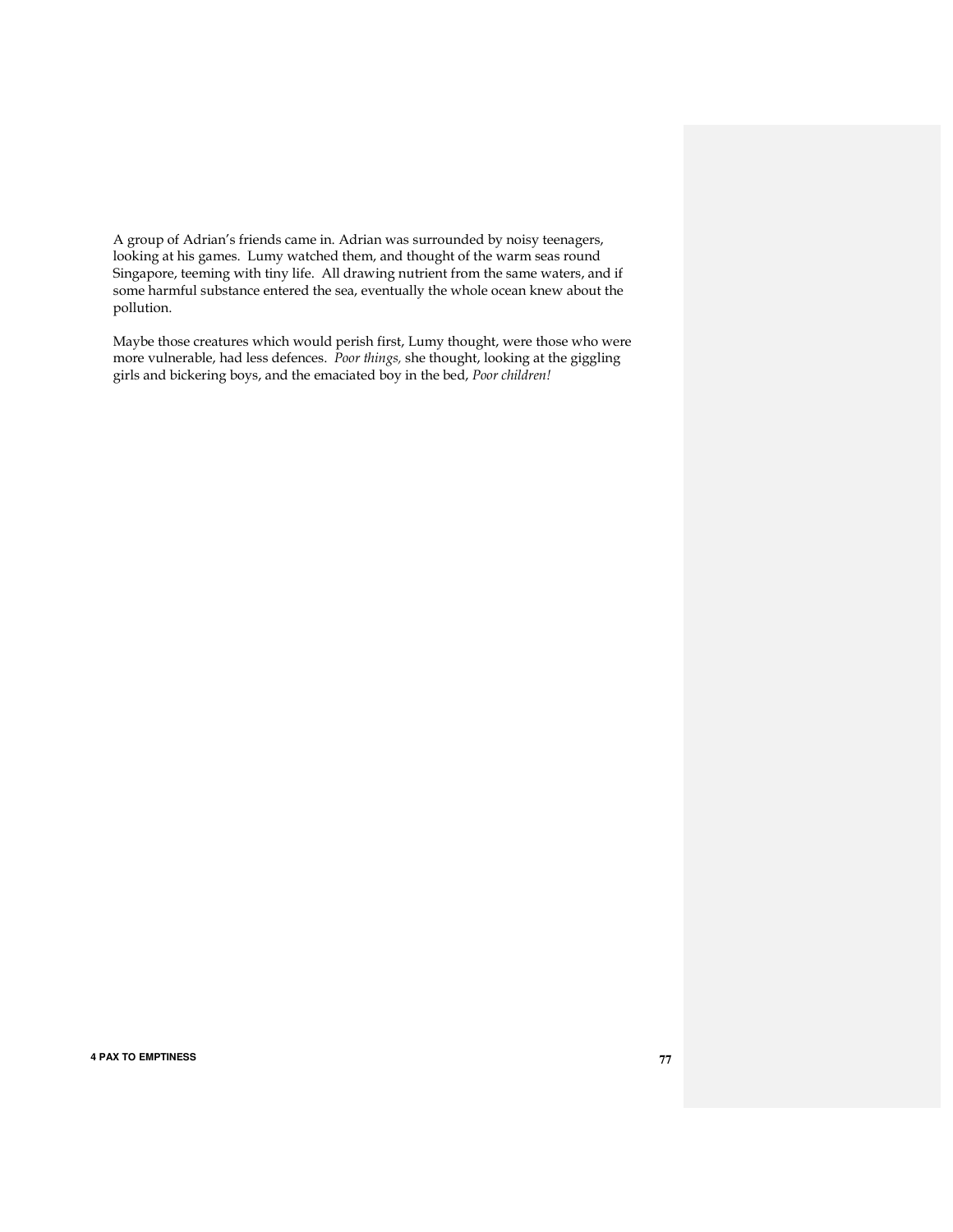A group of Adrian's friends came in. Adrian was surrounded by noisy teenagers, looking at his games. Lumy watched them, and thought of the warm seas round Singapore, teeming with tiny life. All drawing nutrient from the same waters, and if some harmful substance entered the sea, eventually the whole ocean knew about the pollution.

Maybe those creatures which would perish first, Lumy thought, were those who were more vulnerable, had less defences. Poor things, she thought, looking at the giggling girls and bickering boys, and the emaciated boy in the bed, Poor children!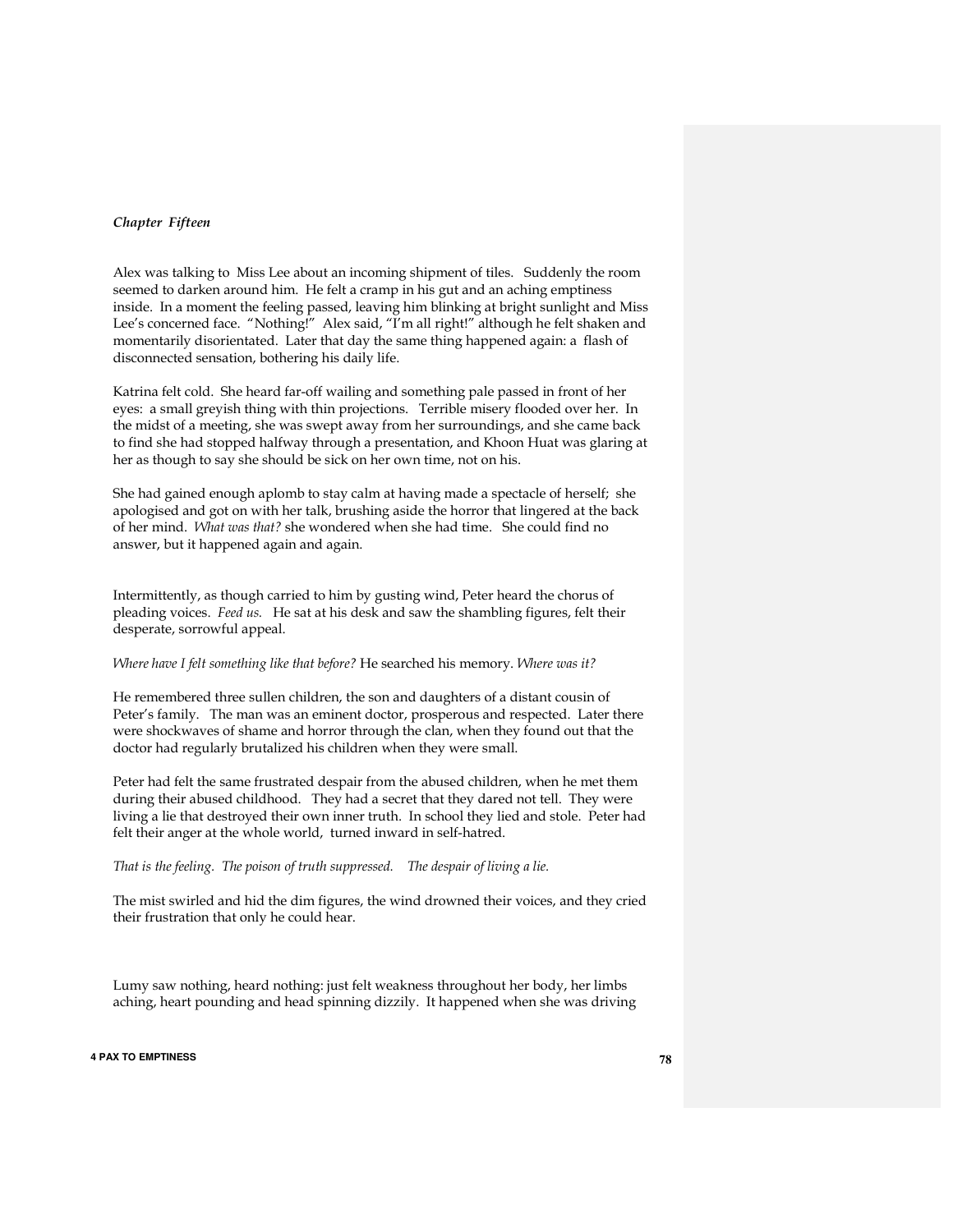# Chapter Fifteen

Alex was talking to Miss Lee about an incoming shipment of tiles. Suddenly the room seemed to darken around him. He felt a cramp in his gut and an aching emptiness inside. In a moment the feeling passed, leaving him blinking at bright sunlight and Miss Lee's concerned face. "Nothing!" Alex said, "I'm all right!" although he felt shaken and momentarily disorientated. Later that day the same thing happened again: a flash of disconnected sensation, bothering his daily life.

Katrina felt cold. She heard far-off wailing and something pale passed in front of her eyes: a small greyish thing with thin projections. Terrible misery flooded over her. In the midst of a meeting, she was swept away from her surroundings, and she came back to find she had stopped halfway through a presentation, and Khoon Huat was glaring at her as though to say she should be sick on her own time, not on his.

She had gained enough aplomb to stay calm at having made a spectacle of herself; she apologised and got on with her talk, brushing aside the horror that lingered at the back of her mind. What was that? she wondered when she had time. She could find no answer, but it happened again and again.

Intermittently, as though carried to him by gusting wind, Peter heard the chorus of pleading voices. Feed us. He sat at his desk and saw the shambling figures, felt their desperate, sorrowful appeal.

# Where have I felt something like that before? He searched his memory. Where was it?

He remembered three sullen children, the son and daughters of a distant cousin of Peter's family. The man was an eminent doctor, prosperous and respected. Later there were shockwaves of shame and horror through the clan, when they found out that the doctor had regularly brutalized his children when they were small.

Peter had felt the same frustrated despair from the abused children, when he met them during their abused childhood. They had a secret that they dared not tell. They were living a lie that destroyed their own inner truth. In school they lied and stole. Peter had felt their anger at the whole world, turned inward in self-hatred.

# That is the feeling. The poison of truth suppressed. The despair of living a lie.

The mist swirled and hid the dim figures, the wind drowned their voices, and they cried their frustration that only he could hear.

Lumy saw nothing, heard nothing: just felt weakness throughout her body, her limbs aching, heart pounding and head spinning dizzily. It happened when she was driving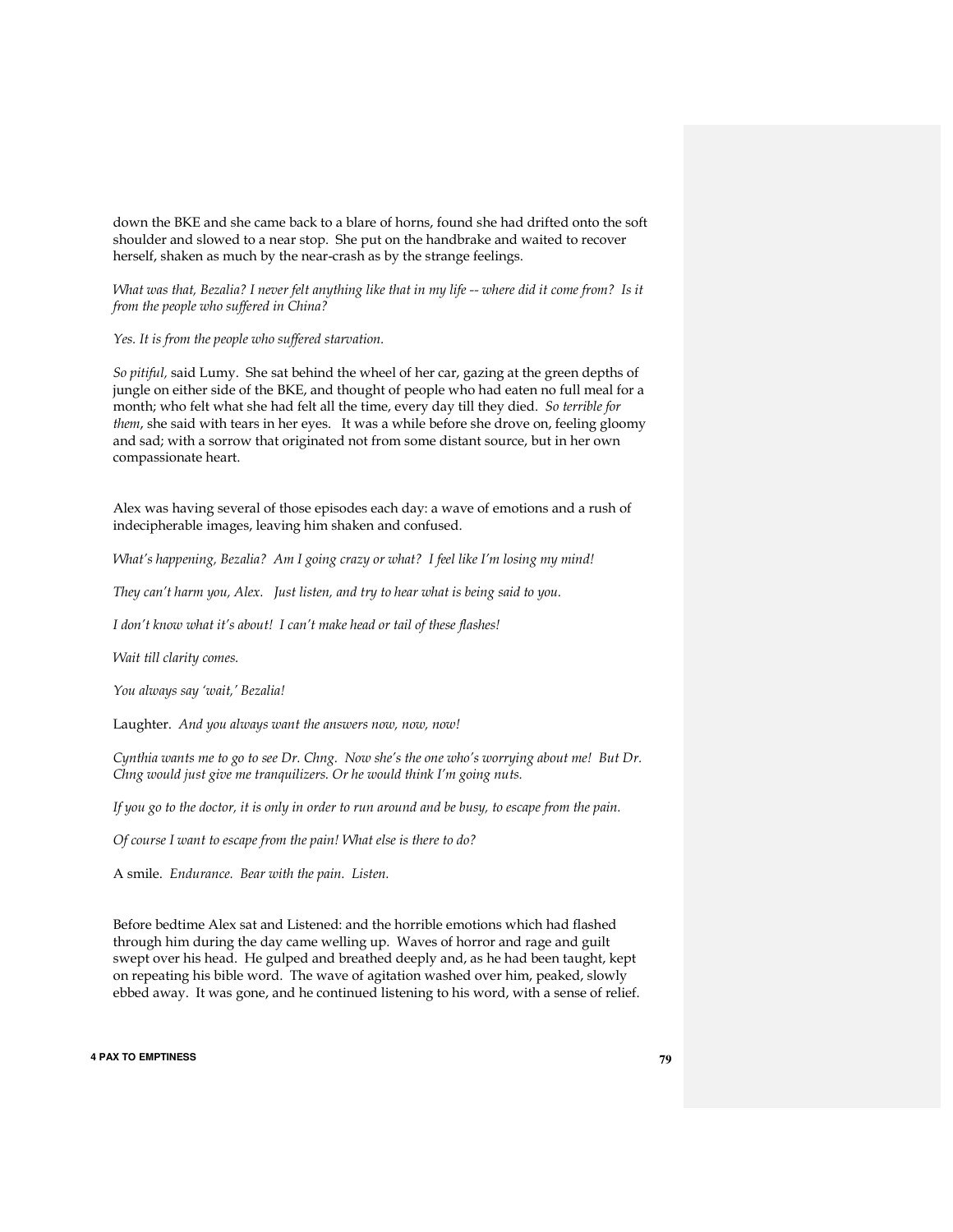down the BKE and she came back to a blare of horns, found she had drifted onto the soft shoulder and slowed to a near stop. She put on the handbrake and waited to recover herself, shaken as much by the near-crash as by the strange feelings.

What was that, Bezalia? I never felt anything like that in my life -- where did it come from? Is it from the people who suffered in China?

Yes. It is from the people who suffered starvation.

So pitiful, said Lumy. She sat behind the wheel of her car, gazing at the green depths of jungle on either side of the BKE, and thought of people who had eaten no full meal for a month; who felt what she had felt all the time, every day till they died. So terrible for them, she said with tears in her eyes. It was a while before she drove on, feeling gloomy and sad; with a sorrow that originated not from some distant source, but in her own compassionate heart.

Alex was having several of those episodes each day: a wave of emotions and a rush of indecipherable images, leaving him shaken and confused.

What's happening, Bezalia? Am I going crazy or what? I feel like I'm losing my mind!

They can't harm you, Alex. Just listen, and try to hear what is being said to you.

I don't know what it's about! I can't make head or tail of these flashes!

Wait till clarity comes.

You always say 'wait,' Bezalia!

Laughter. And you always want the answers now, now, now!

Cynthia wants me to go to see Dr. Chng. Now she's the one who's worrying about me! But Dr. Chng would just give me tranquilizers. Or he would think I'm going nuts.

If you go to the doctor, it is only in order to run around and be busy, to escape from the pain.

Of course I want to escape from the pain! What else is there to do?

A smile. Endurance. Bear with the pain. Listen.

Before bedtime Alex sat and Listened: and the horrible emotions which had flashed through him during the day came welling up. Waves of horror and rage and guilt swept over his head. He gulped and breathed deeply and, as he had been taught, kept on repeating his bible word. The wave of agitation washed over him, peaked, slowly ebbed away. It was gone, and he continued listening to his word, with a sense of relief.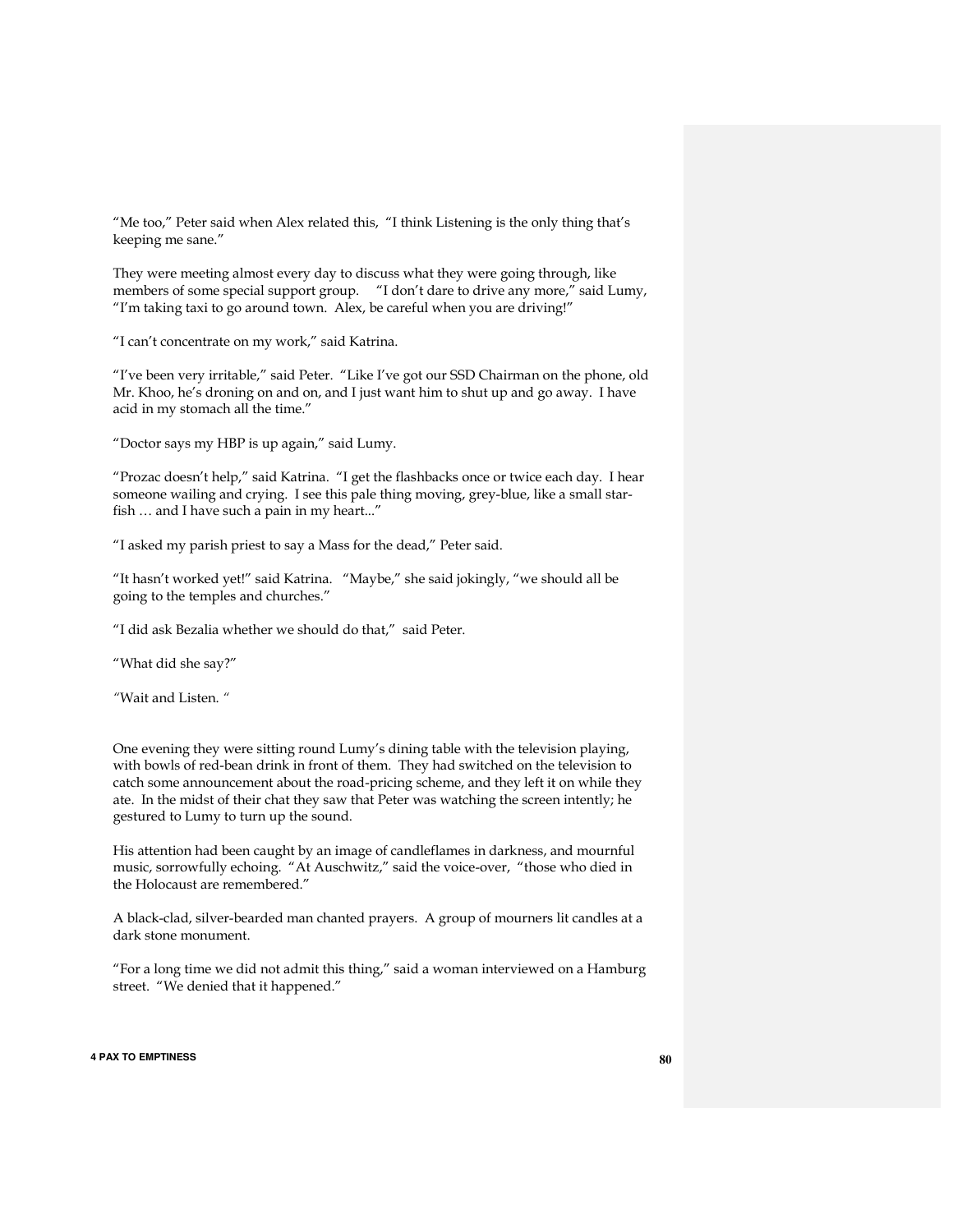"Me too," Peter said when Alex related this, "I think Listening is the only thing that's keeping me sane."

They were meeting almost every day to discuss what they were going through, like members of some special support group. "I don't dare to drive any more," said Lumy, "I'm taking taxi to go around town. Alex, be careful when you are driving!"

"I can't concentrate on my work," said Katrina.

"I've been very irritable," said Peter. "Like I've got our SSD Chairman on the phone, old Mr. Khoo, he's droning on and on, and I just want him to shut up and go away. I have acid in my stomach all the time."

"Doctor says my HBP is up again," said Lumy.

"Prozac doesn't help," said Katrina. "I get the flashbacks once or twice each day. I hear someone wailing and crying. I see this pale thing moving, grey-blue, like a small starfish … and I have such a pain in my heart..."

"I asked my parish priest to say a Mass for the dead," Peter said.

"It hasn't worked yet!" said Katrina. "Maybe," she said jokingly, "we should all be going to the temples and churches."

"I did ask Bezalia whether we should do that," said Peter.

"What did she say?"

"Wait and Listen. "

One evening they were sitting round Lumy's dining table with the television playing, with bowls of red-bean drink in front of them. They had switched on the television to catch some announcement about the road-pricing scheme, and they left it on while they ate. In the midst of their chat they saw that Peter was watching the screen intently; he gestured to Lumy to turn up the sound.

His attention had been caught by an image of candleflames in darkness, and mournful music, sorrowfully echoing. "At Auschwitz," said the voice-over, "those who died in the Holocaust are remembered."

A black-clad, silver-bearded man chanted prayers. A group of mourners lit candles at a dark stone monument.

"For a long time we did not admit this thing," said a woman interviewed on a Hamburg street. "We denied that it happened."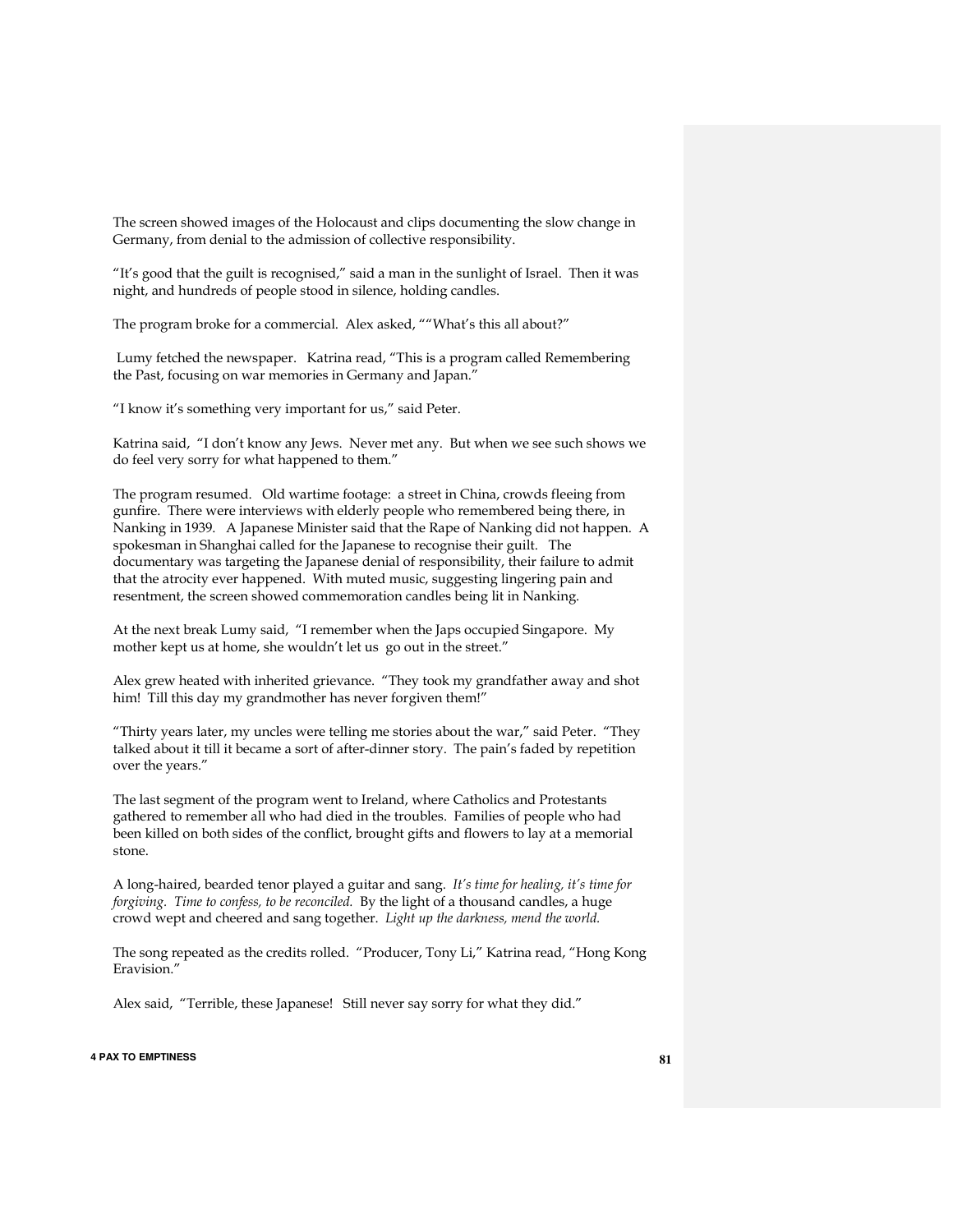The screen showed images of the Holocaust and clips documenting the slow change in Germany, from denial to the admission of collective responsibility.

"It's good that the guilt is recognised," said a man in the sunlight of Israel. Then it was night, and hundreds of people stood in silence, holding candles.

The program broke for a commercial. Alex asked, ""What's this all about?"

 Lumy fetched the newspaper. Katrina read, "This is a program called Remembering the Past, focusing on war memories in Germany and Japan."

"I know it's something very important for us," said Peter.

Katrina said, "I don't know any Jews. Never met any. But when we see such shows we do feel very sorry for what happened to them."

The program resumed. Old wartime footage: a street in China, crowds fleeing from gunfire. There were interviews with elderly people who remembered being there, in Nanking in 1939. A Japanese Minister said that the Rape of Nanking did not happen. A spokesman in Shanghai called for the Japanese to recognise their guilt. The documentary was targeting the Japanese denial of responsibility, their failure to admit that the atrocity ever happened. With muted music, suggesting lingering pain and resentment, the screen showed commemoration candles being lit in Nanking.

At the next break Lumy said, "I remember when the Japs occupied Singapore. My mother kept us at home, she wouldn't let us go out in the street."

Alex grew heated with inherited grievance. "They took my grandfather away and shot him! Till this day my grandmother has never forgiven them!"

"Thirty years later, my uncles were telling me stories about the war," said Peter. "They talked about it till it became a sort of after-dinner story. The pain's faded by repetition over the years."

The last segment of the program went to Ireland, where Catholics and Protestants gathered to remember all who had died in the troubles. Families of people who had been killed on both sides of the conflict, brought gifts and flowers to lay at a memorial stone.

A long-haired, bearded tenor played a guitar and sang. It's time for healing, it's time for forgiving. Time to confess, to be reconciled. By the light of a thousand candles, a huge crowd wept and cheered and sang together. Light up the darkness, mend the world.

The song repeated as the credits rolled. "Producer, Tony Li," Katrina read, "Hong Kong Eravision."

Alex said, "Terrible, these Japanese! Still never say sorry for what they did."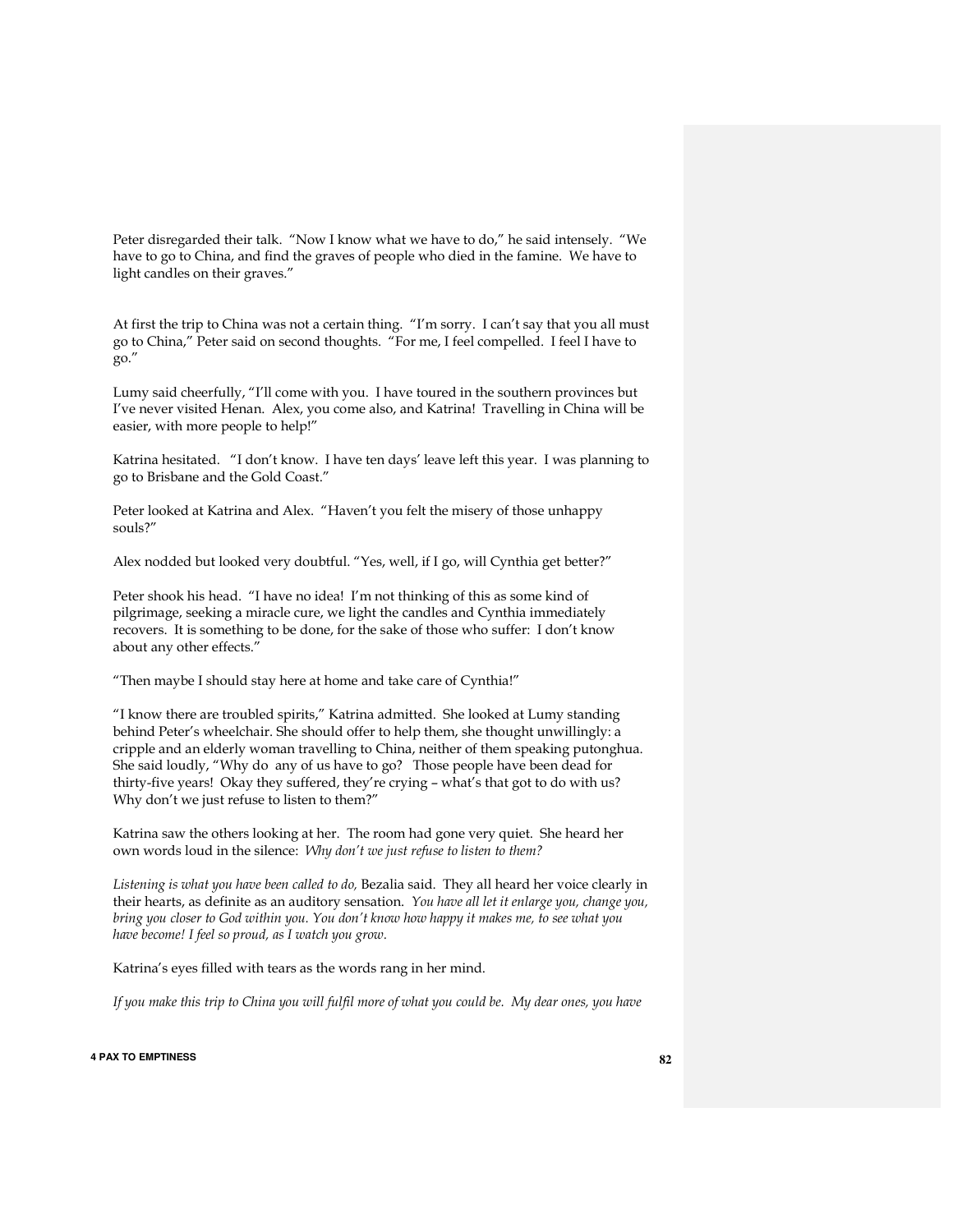Peter disregarded their talk. "Now I know what we have to do," he said intensely. "We have to go to China, and find the graves of people who died in the famine. We have to light candles on their graves."

At first the trip to China was not a certain thing. "I'm sorry. I can't say that you all must go to China," Peter said on second thoughts. "For me, I feel compelled. I feel I have to go."

Lumy said cheerfully, "I'll come with you. I have toured in the southern provinces but I've never visited Henan. Alex, you come also, and Katrina! Travelling in China will be easier, with more people to help!"

Katrina hesitated. "I don't know. I have ten days' leave left this year. I was planning to go to Brisbane and the Gold Coast."

Peter looked at Katrina and Alex. "Haven't you felt the misery of those unhappy souls?"

Alex nodded but looked very doubtful. "Yes, well, if I go, will Cynthia get better?"

Peter shook his head. "I have no idea! I'm not thinking of this as some kind of pilgrimage, seeking a miracle cure, we light the candles and Cynthia immediately recovers. It is something to be done, for the sake of those who suffer: I don't know about any other effects."

"Then maybe I should stay here at home and take care of Cynthia!"

"I know there are troubled spirits," Katrina admitted. She looked at Lumy standing behind Peter's wheelchair. She should offer to help them, she thought unwillingly: a cripple and an elderly woman travelling to China, neither of them speaking putonghua. She said loudly, "Why do any of us have to go? Those people have been dead for thirty-five years! Okay they suffered, they're crying – what's that got to do with us? Why don't we just refuse to listen to them?"

Katrina saw the others looking at her. The room had gone very quiet. She heard her own words loud in the silence: Why don't we just refuse to listen to them?

Listening is what you have been called to do, Bezalia said. They all heard her voice clearly in their hearts, as definite as an auditory sensation. You have all let it enlarge you, change you, bring you closer to God within you. You don't know how happy it makes me, to see what you have become! I feel so proud, as I watch you grow.

Katrina's eyes filled with tears as the words rang in her mind.

If you make this trip to China you will fulfil more of what you could be. My dear ones, you have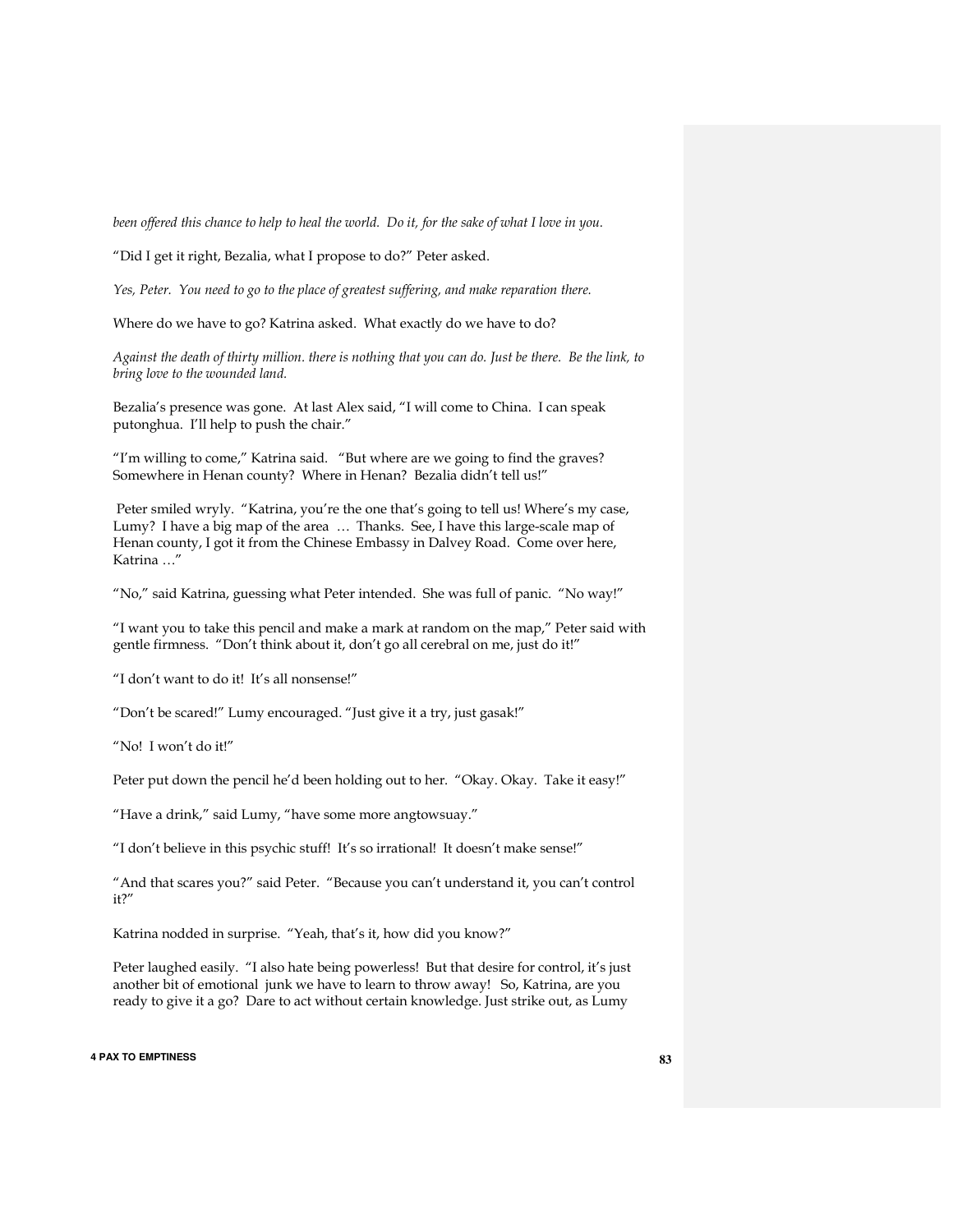been offered this chance to help to heal the world. Do it, for the sake of what I love in you.

"Did I get it right, Bezalia, what I propose to do?" Peter asked.

Yes, Peter. You need to go to the place of greatest suffering, and make reparation there.

Where do we have to go? Katrina asked. What exactly do we have to do?

Against the death of thirty million. there is nothing that you can do. Just be there. Be the link, to bring love to the wounded land.

Bezalia's presence was gone. At last Alex said, "I will come to China. I can speak putonghua. I'll help to push the chair."

"I'm willing to come," Katrina said. "But where are we going to find the graves? Somewhere in Henan county? Where in Henan? Bezalia didn't tell us!"

 Peter smiled wryly. "Katrina, you're the one that's going to tell us! Where's my case, Lumy? I have a big map of the area … Thanks. See, I have this large-scale map of Henan county, I got it from the Chinese Embassy in Dalvey Road. Come over here, Katrina …"

"No," said Katrina, guessing what Peter intended. She was full of panic. "No way!"

"I want you to take this pencil and make a mark at random on the map," Peter said with gentle firmness. "Don't think about it, don't go all cerebral on me, just do it!"

"I don't want to do it! It's all nonsense!"

"Don't be scared!" Lumy encouraged. "Just give it a try, just gasak!"

"No! I won't do it!"

Peter put down the pencil he'd been holding out to her. "Okay. Okay. Take it easy!"

"Have a drink," said Lumy, "have some more angtowsuay."

"I don't believe in this psychic stuff! It's so irrational! It doesn't make sense!"

"And that scares you?" said Peter. "Because you can't understand it, you can't control it?"

Katrina nodded in surprise. "Yeah, that's it, how did you know?"

Peter laughed easily. "I also hate being powerless! But that desire for control, it's just another bit of emotional junk we have to learn to throw away! So, Katrina, are you ready to give it a go? Dare to act without certain knowledge. Just strike out, as Lumy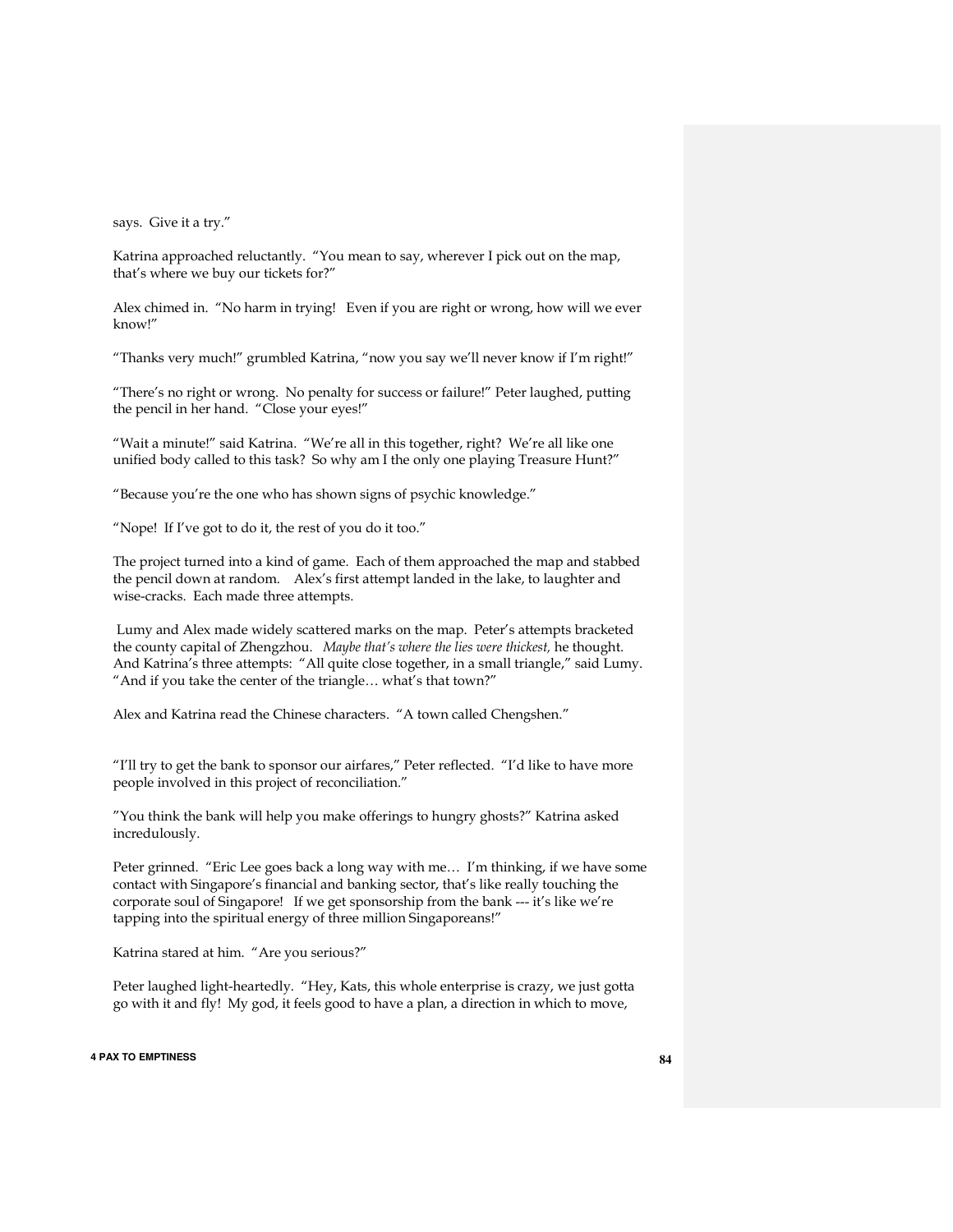says. Give it a try."

Katrina approached reluctantly. "You mean to say, wherever I pick out on the map, that's where we buy our tickets for?"

Alex chimed in. "No harm in trying! Even if you are right or wrong, how will we ever know!"

"Thanks very much!" grumbled Katrina, "now you say we'll never know if I'm right!"

"There's no right or wrong. No penalty for success or failure!" Peter laughed, putting the pencil in her hand. "Close your eyes!"

"Wait a minute!" said Katrina. "We're all in this together, right? We're all like one unified body called to this task? So why am I the only one playing Treasure Hunt?"

"Because you're the one who has shown signs of psychic knowledge."

"Nope! If I've got to do it, the rest of you do it too."

The project turned into a kind of game. Each of them approached the map and stabbed the pencil down at random. Alex's first attempt landed in the lake, to laughter and wise-cracks. Each made three attempts.

 Lumy and Alex made widely scattered marks on the map. Peter's attempts bracketed the county capital of Zhengzhou. Maybe that's where the lies were thickest, he thought. And Katrina's three attempts: "All quite close together, in a small triangle," said Lumy. "And if you take the center of the triangle… what's that town?"

Alex and Katrina read the Chinese characters. "A town called Chengshen."

"I'll try to get the bank to sponsor our airfares," Peter reflected. "I'd like to have more people involved in this project of reconciliation."

"You think the bank will help you make offerings to hungry ghosts?" Katrina asked incredulously.

Peter grinned. "Eric Lee goes back a long way with me… I'm thinking, if we have some contact with Singapore's financial and banking sector, that's like really touching the corporate soul of Singapore! If we get sponsorship from the bank --- it's like we're tapping into the spiritual energy of three million Singaporeans!"

Katrina stared at him. "Are you serious?"

Peter laughed light-heartedly. "Hey, Kats, this whole enterprise is crazy, we just gotta go with it and fly! My god, it feels good to have a plan, a direction in which to move,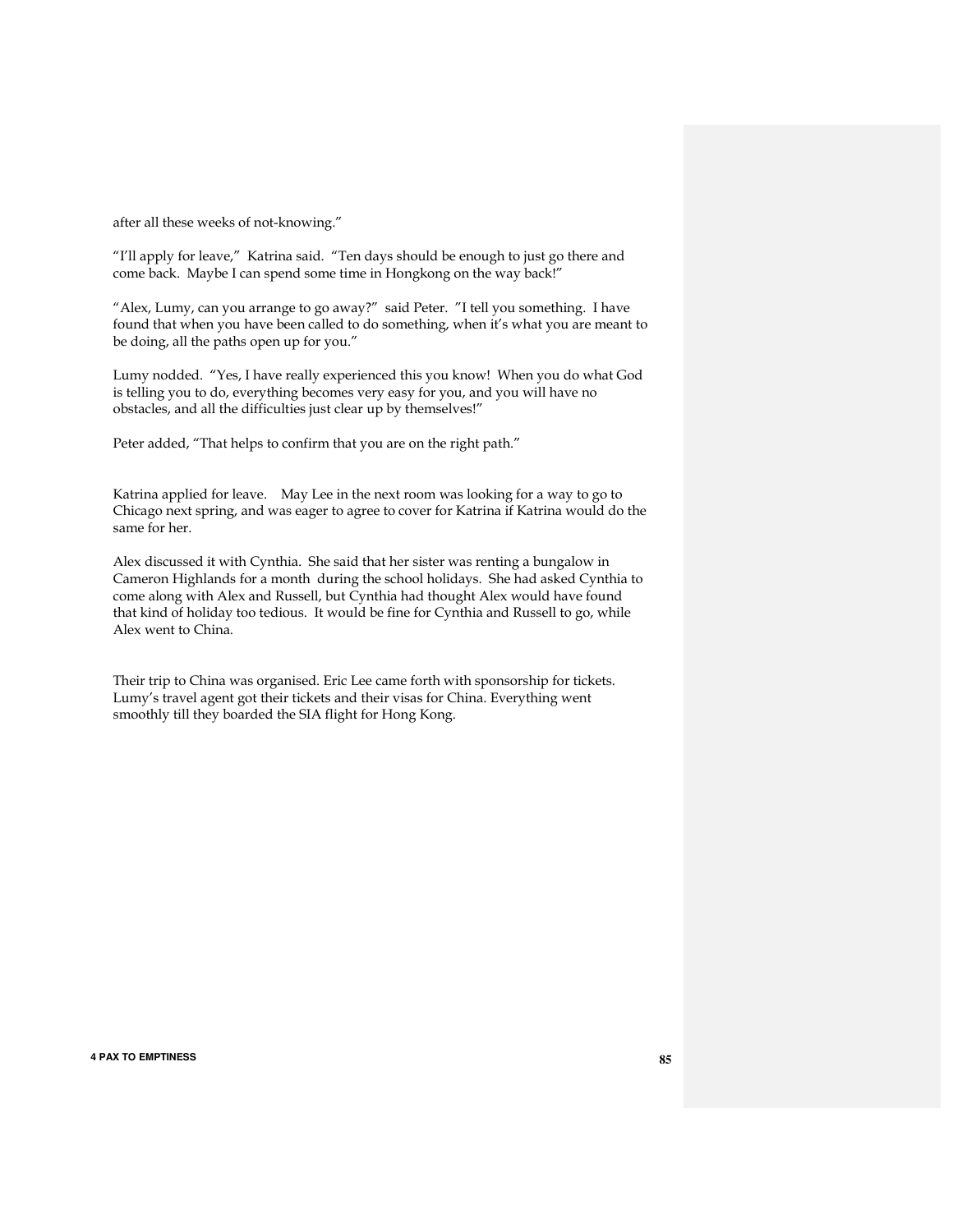after all these weeks of not-knowing."

"I'll apply for leave," Katrina said. "Ten days should be enough to just go there and come back. Maybe I can spend some time in Hongkong on the way back!"

"Alex, Lumy, can you arrange to go away?" said Peter. "I tell you something. I have found that when you have been called to do something, when it's what you are meant to be doing, all the paths open up for you."

Lumy nodded. "Yes, I have really experienced this you know! When you do what God is telling you to do, everything becomes very easy for you, and you will have no obstacles, and all the difficulties just clear up by themselves!"

Peter added, "That helps to confirm that you are on the right path."

Katrina applied for leave. May Lee in the next room was looking for a way to go to Chicago next spring, and was eager to agree to cover for Katrina if Katrina would do the same for her.

Alex discussed it with Cynthia. She said that her sister was renting a bungalow in Cameron Highlands for a month during the school holidays. She had asked Cynthia to come along with Alex and Russell, but Cynthia had thought Alex would have found that kind of holiday too tedious. It would be fine for Cynthia and Russell to go, while Alex went to China.

Their trip to China was organised. Eric Lee came forth with sponsorship for tickets. Lumy's travel agent got their tickets and their visas for China. Everything went smoothly till they boarded the SIA flight for Hong Kong.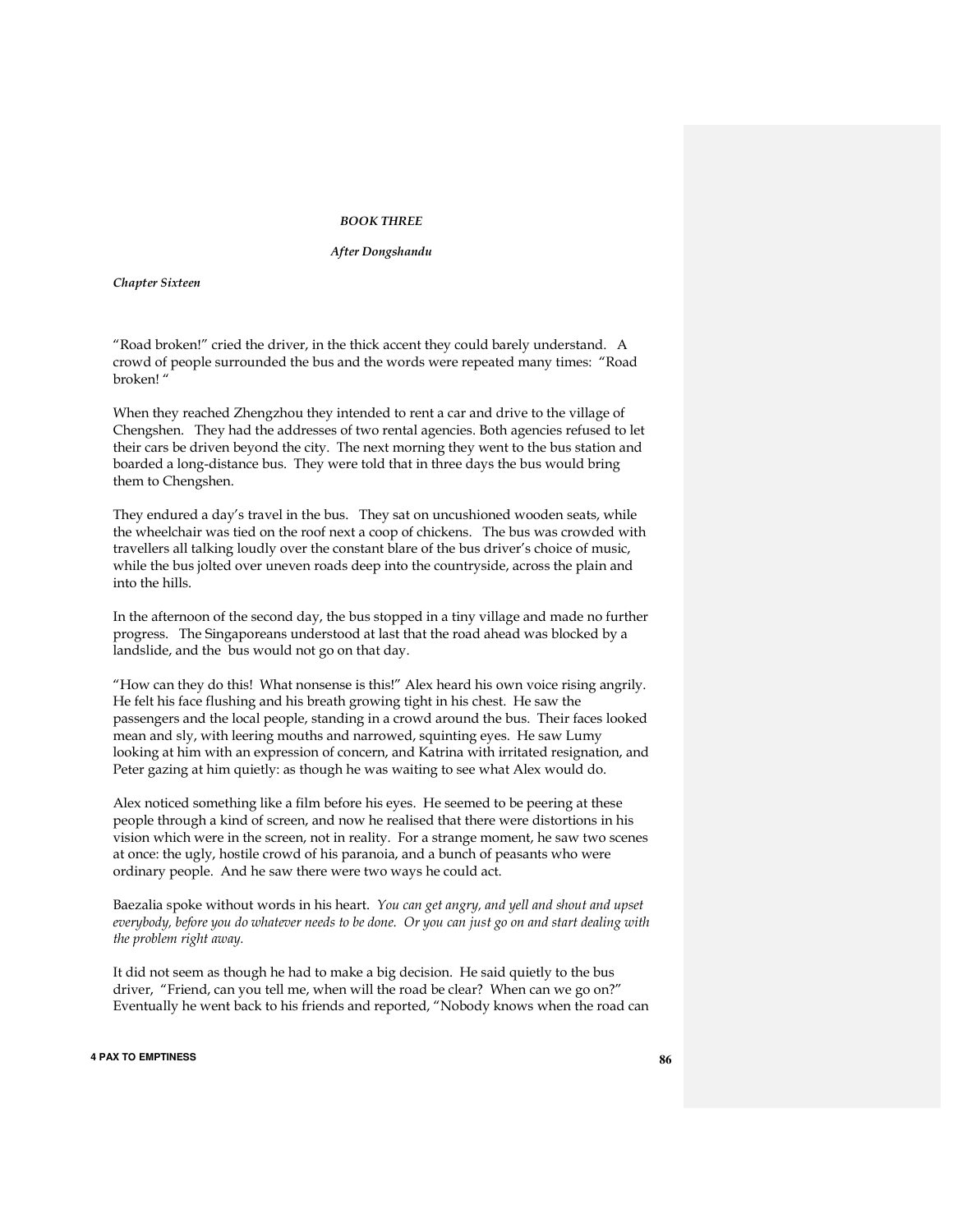# BOOK THREE

# After Dongshandu

Chapter Sixteen

"Road broken!" cried the driver, in the thick accent they could barely understand. A crowd of people surrounded the bus and the words were repeated many times: "Road broken! "

When they reached Zhengzhou they intended to rent a car and drive to the village of Chengshen. They had the addresses of two rental agencies. Both agencies refused to let their cars be driven beyond the city. The next morning they went to the bus station and boarded a long-distance bus. They were told that in three days the bus would bring them to Chengshen.

They endured a day's travel in the bus. They sat on uncushioned wooden seats, while the wheelchair was tied on the roof next a coop of chickens. The bus was crowded with travellers all talking loudly over the constant blare of the bus driver's choice of music, while the bus jolted over uneven roads deep into the countryside, across the plain and into the hills.

In the afternoon of the second day, the bus stopped in a tiny village and made no further progress. The Singaporeans understood at last that the road ahead was blocked by a landslide, and the bus would not go on that day.

"How can they do this! What nonsense is this!" Alex heard his own voice rising angrily. He felt his face flushing and his breath growing tight in his chest. He saw the passengers and the local people, standing in a crowd around the bus. Their faces looked mean and sly, with leering mouths and narrowed, squinting eyes. He saw Lumy looking at him with an expression of concern, and Katrina with irritated resignation, and Peter gazing at him quietly: as though he was waiting to see what Alex would do.

Alex noticed something like a film before his eyes. He seemed to be peering at these people through a kind of screen, and now he realised that there were distortions in his vision which were in the screen, not in reality. For a strange moment, he saw two scenes at once: the ugly, hostile crowd of his paranoia, and a bunch of peasants who were ordinary people. And he saw there were two ways he could act.

Baezalia spoke without words in his heart. You can get angry, and yell and shout and upset everybody, before you do whatever needs to be done. Or you can just go on and start dealing with the problem right away.

It did not seem as though he had to make a big decision. He said quietly to the bus driver, "Friend, can you tell me, when will the road be clear? When can we go on?" Eventually he went back to his friends and reported, "Nobody knows when the road can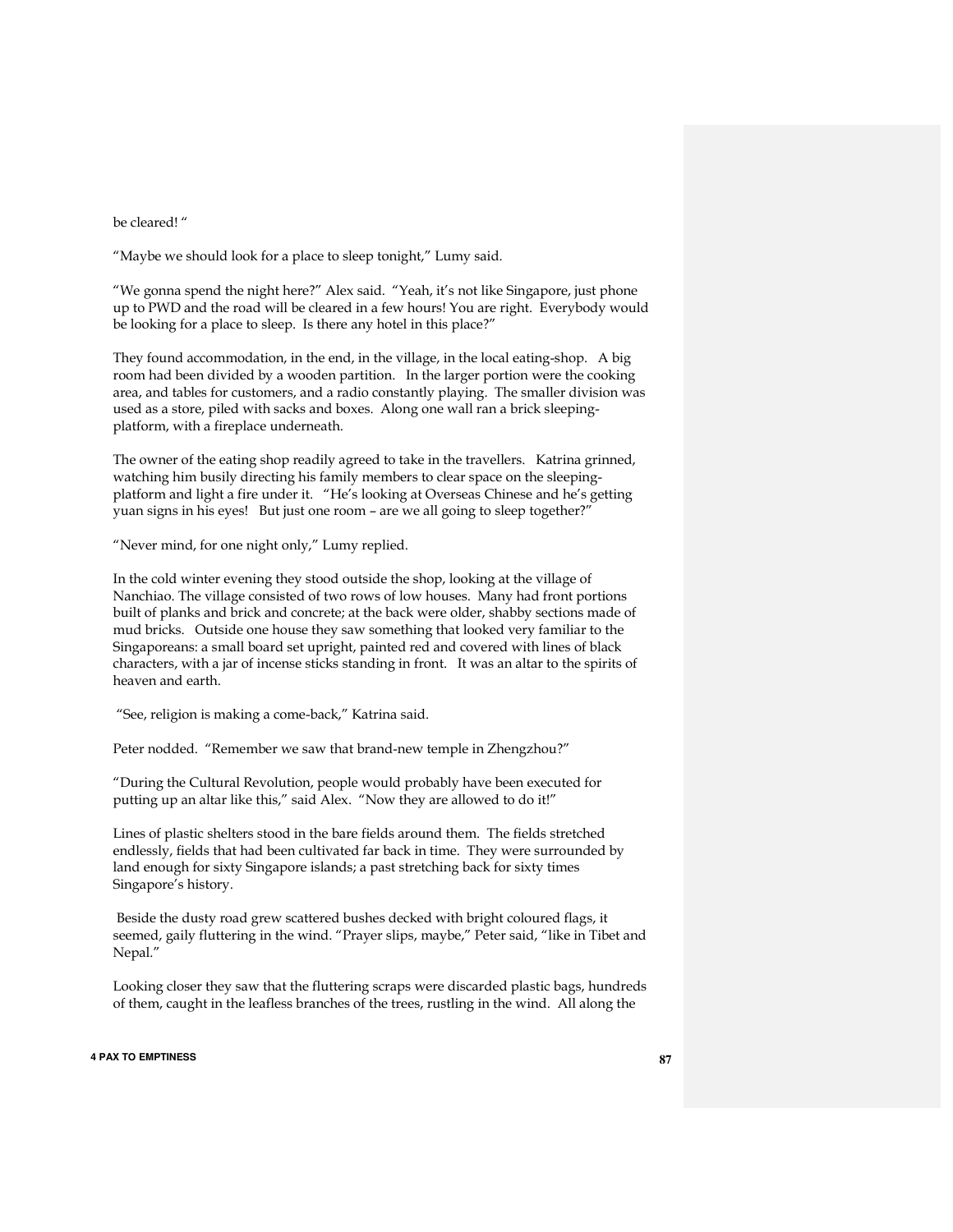be cleared! "

"Maybe we should look for a place to sleep tonight," Lumy said.

"We gonna spend the night here?" Alex said. "Yeah, it's not like Singapore, just phone up to PWD and the road will be cleared in a few hours! You are right. Everybody would be looking for a place to sleep. Is there any hotel in this place?"

They found accommodation, in the end, in the village, in the local eating-shop. A big room had been divided by a wooden partition. In the larger portion were the cooking area, and tables for customers, and a radio constantly playing. The smaller division was used as a store, piled with sacks and boxes. Along one wall ran a brick sleepingplatform, with a fireplace underneath.

The owner of the eating shop readily agreed to take in the travellers. Katrina grinned, watching him busily directing his family members to clear space on the sleepingplatform and light a fire under it. "He's looking at Overseas Chinese and he's getting yuan signs in his eyes! But just one room – are we all going to sleep together?"

"Never mind, for one night only," Lumy replied.

In the cold winter evening they stood outside the shop, looking at the village of Nanchiao. The village consisted of two rows of low houses. Many had front portions built of planks and brick and concrete; at the back were older, shabby sections made of mud bricks. Outside one house they saw something that looked very familiar to the Singaporeans: a small board set upright, painted red and covered with lines of black characters, with a jar of incense sticks standing in front. It was an altar to the spirits of heaven and earth.

"See, religion is making a come-back," Katrina said.

Peter nodded. "Remember we saw that brand-new temple in Zhengzhou?"

"During the Cultural Revolution, people would probably have been executed for putting up an altar like this," said Alex. "Now they are allowed to do it!"

Lines of plastic shelters stood in the bare fields around them. The fields stretched endlessly, fields that had been cultivated far back in time. They were surrounded by land enough for sixty Singapore islands; a past stretching back for sixty times Singapore's history.

 Beside the dusty road grew scattered bushes decked with bright coloured flags, it seemed, gaily fluttering in the wind. "Prayer slips, maybe," Peter said, "like in Tibet and Nepal."

Looking closer they saw that the fluttering scraps were discarded plastic bags, hundreds of them, caught in the leafless branches of the trees, rustling in the wind. All along the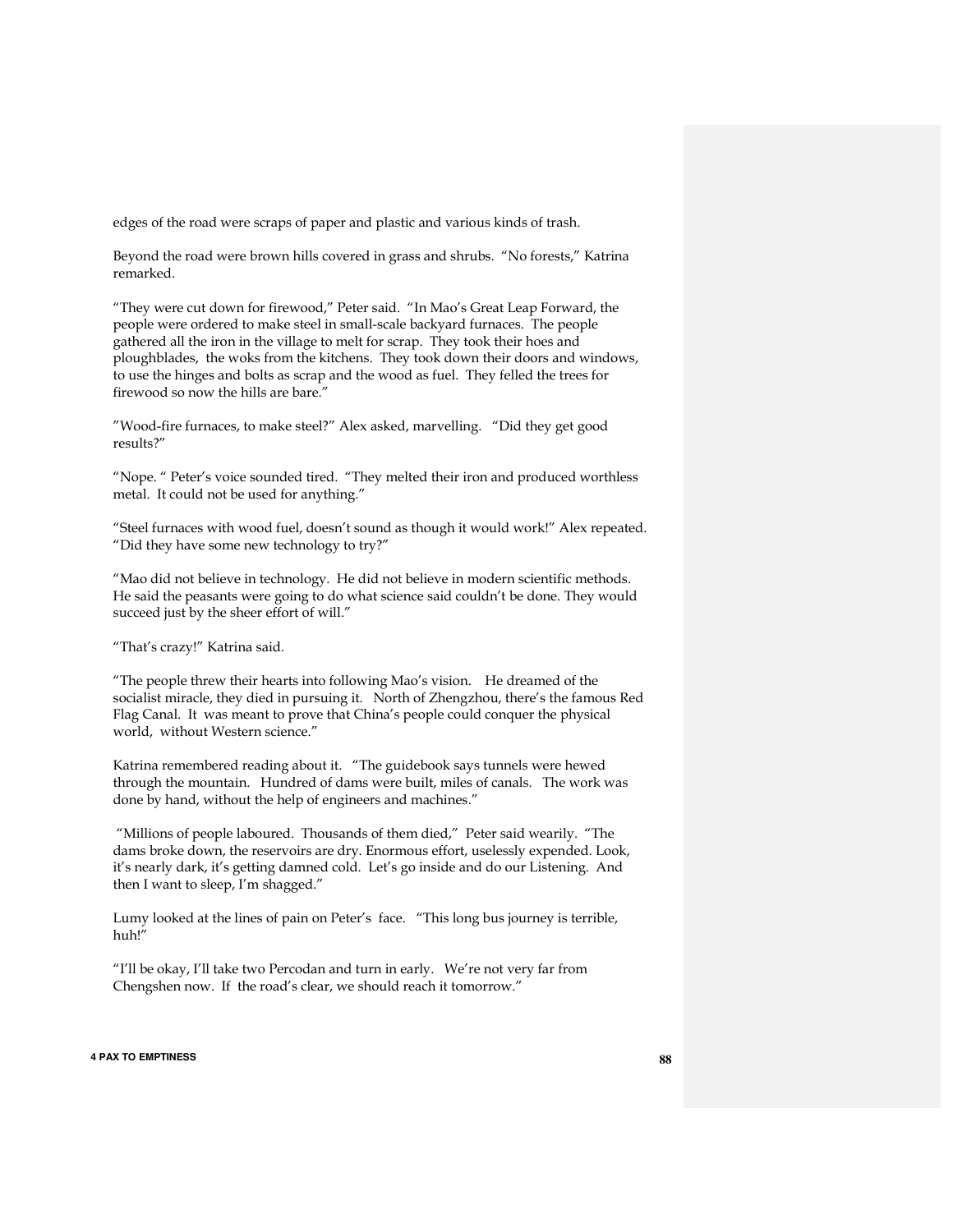edges of the road were scraps of paper and plastic and various kinds of trash.

Beyond the road were brown hills covered in grass and shrubs. "No forests," Katrina remarked.

"They were cut down for firewood," Peter said. "In Mao's Great Leap Forward, the people were ordered to make steel in small-scale backyard furnaces. The people gathered all the iron in the village to melt for scrap. They took their hoes and ploughblades, the woks from the kitchens. They took down their doors and windows, to use the hinges and bolts as scrap and the wood as fuel. They felled the trees for firewood so now the hills are bare."

"Wood-fire furnaces, to make steel?" Alex asked, marvelling. "Did they get good results?"

"Nope. " Peter's voice sounded tired. "They melted their iron and produced worthless metal. It could not be used for anything."

"Steel furnaces with wood fuel, doesn't sound as though it would work!" Alex repeated. "Did they have some new technology to try?"

"Mao did not believe in technology. He did not believe in modern scientific methods. He said the peasants were going to do what science said couldn't be done. They would succeed just by the sheer effort of will."

"That's crazy!" Katrina said.

"The people threw their hearts into following Mao's vision. He dreamed of the socialist miracle, they died in pursuing it. North of Zhengzhou, there's the famous Red Flag Canal. It was meant to prove that China's people could conquer the physical world, without Western science."

Katrina remembered reading about it. "The guidebook says tunnels were hewed through the mountain. Hundred of dams were built, miles of canals. The work was done by hand, without the help of engineers and machines."

 "Millions of people laboured. Thousands of them died," Peter said wearily. "The dams broke down, the reservoirs are dry. Enormous effort, uselessly expended. Look, it's nearly dark, it's getting damned cold. Let's go inside and do our Listening. And then I want to sleep, I'm shagged."

Lumy looked at the lines of pain on Peter's face. "This long bus journey is terrible, huh!"

"I'll be okay, I'll take two Percodan and turn in early. We're not very far from Chengshen now. If the road's clear, we should reach it tomorrow."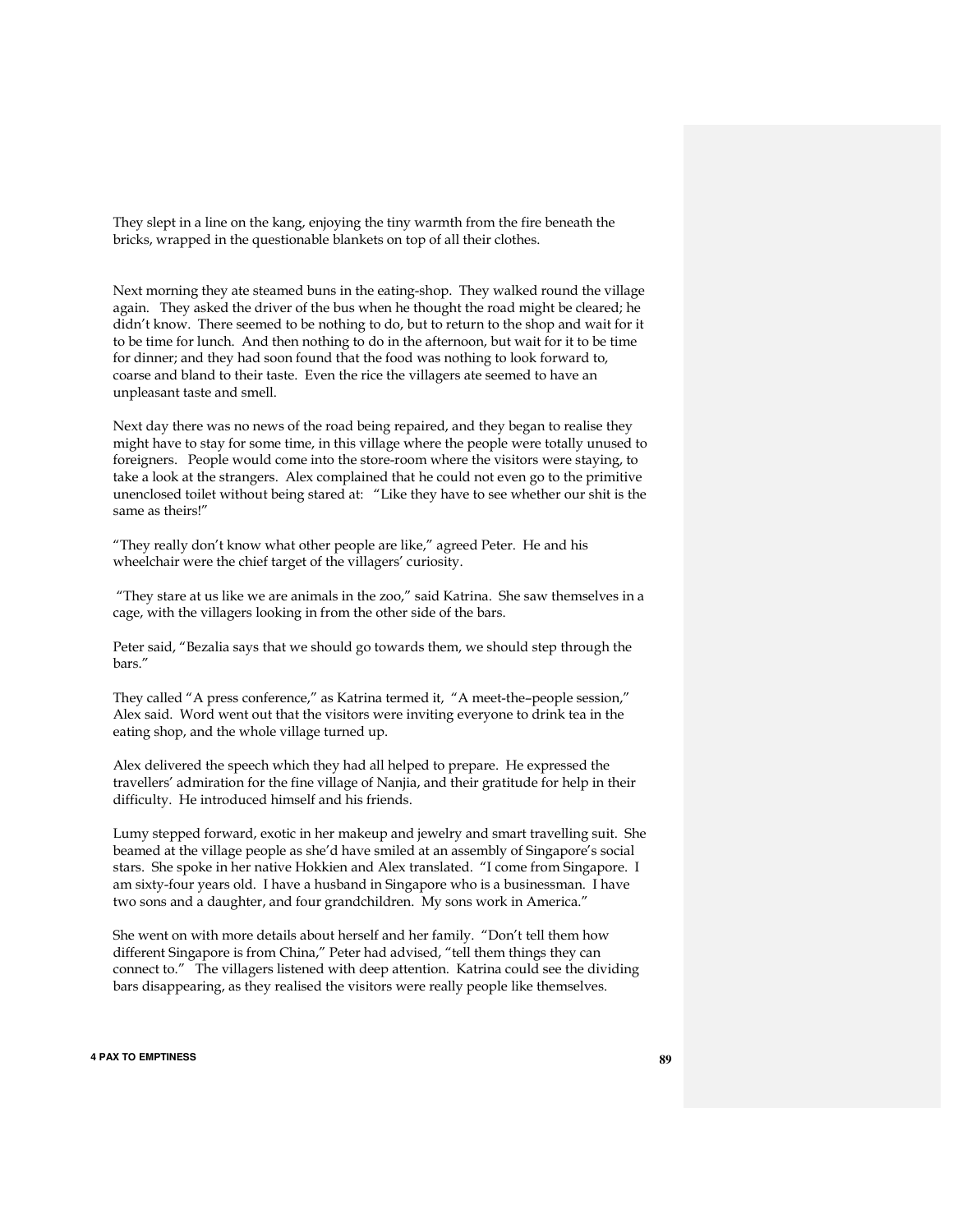They slept in a line on the kang, enjoying the tiny warmth from the fire beneath the bricks, wrapped in the questionable blankets on top of all their clothes.

Next morning they ate steamed buns in the eating-shop. They walked round the village again. They asked the driver of the bus when he thought the road might be cleared; he didn't know. There seemed to be nothing to do, but to return to the shop and wait for it to be time for lunch. And then nothing to do in the afternoon, but wait for it to be time for dinner; and they had soon found that the food was nothing to look forward to, coarse and bland to their taste. Even the rice the villagers ate seemed to have an unpleasant taste and smell.

Next day there was no news of the road being repaired, and they began to realise they might have to stay for some time, in this village where the people were totally unused to foreigners. People would come into the store-room where the visitors were staying, to take a look at the strangers. Alex complained that he could not even go to the primitive unenclosed toilet without being stared at: "Like they have to see whether our shit is the same as theirs!"

"They really don't know what other people are like," agreed Peter. He and his wheelchair were the chief target of the villagers' curiosity.

 "They stare at us like we are animals in the zoo," said Katrina. She saw themselves in a cage, with the villagers looking in from the other side of the bars.

Peter said, "Bezalia says that we should go towards them, we should step through the bars."

They called "A press conference," as Katrina termed it, "A meet-the–people session," Alex said. Word went out that the visitors were inviting everyone to drink tea in the eating shop, and the whole village turned up.

Alex delivered the speech which they had all helped to prepare. He expressed the travellers' admiration for the fine village of Nanjia, and their gratitude for help in their difficulty. He introduced himself and his friends.

Lumy stepped forward, exotic in her makeup and jewelry and smart travelling suit. She beamed at the village people as she'd have smiled at an assembly of Singapore's social stars. She spoke in her native Hokkien and Alex translated. "I come from Singapore. I am sixty-four years old. I have a husband in Singapore who is a businessman. I have two sons and a daughter, and four grandchildren. My sons work in America."

She went on with more details about herself and her family. "Don't tell them how different Singapore is from China," Peter had advised, "tell them things they can connect to." The villagers listened with deep attention. Katrina could see the dividing bars disappearing, as they realised the visitors were really people like themselves.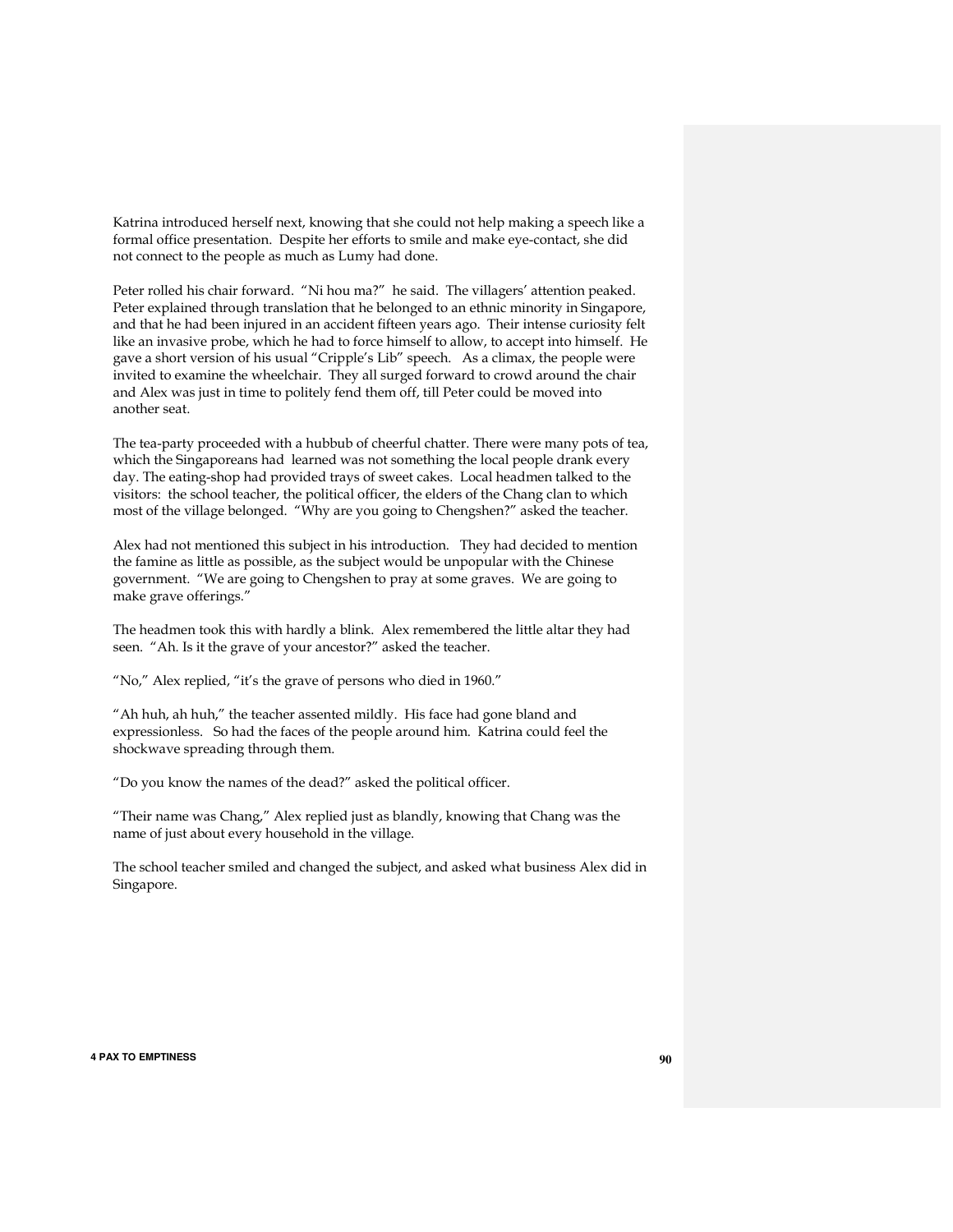Katrina introduced herself next, knowing that she could not help making a speech like a formal office presentation. Despite her efforts to smile and make eye-contact, she did not connect to the people as much as Lumy had done.

Peter rolled his chair forward. "Ni hou ma?" he said. The villagers' attention peaked. Peter explained through translation that he belonged to an ethnic minority in Singapore, and that he had been injured in an accident fifteen years ago. Their intense curiosity felt like an invasive probe, which he had to force himself to allow, to accept into himself. He gave a short version of his usual "Cripple's Lib" speech. As a climax, the people were invited to examine the wheelchair. They all surged forward to crowd around the chair and Alex was just in time to politely fend them off, till Peter could be moved into another seat.

The tea-party proceeded with a hubbub of cheerful chatter. There were many pots of tea, which the Singaporeans had learned was not something the local people drank every day. The eating-shop had provided trays of sweet cakes. Local headmen talked to the visitors: the school teacher, the political officer, the elders of the Chang clan to which most of the village belonged. "Why are you going to Chengshen?" asked the teacher.

Alex had not mentioned this subject in his introduction. They had decided to mention the famine as little as possible, as the subject would be unpopular with the Chinese government. "We are going to Chengshen to pray at some graves. We are going to make grave offerings."

The headmen took this with hardly a blink. Alex remembered the little altar they had seen. "Ah. Is it the grave of your ancestor?" asked the teacher.

"No," Alex replied, "it's the grave of persons who died in 1960."

"Ah huh, ah huh," the teacher assented mildly. His face had gone bland and expressionless. So had the faces of the people around him. Katrina could feel the shockwave spreading through them.

"Do you know the names of the dead?" asked the political officer.

"Their name was Chang," Alex replied just as blandly, knowing that Chang was the name of just about every household in the village.

The school teacher smiled and changed the subject, and asked what business Alex did in Singapore.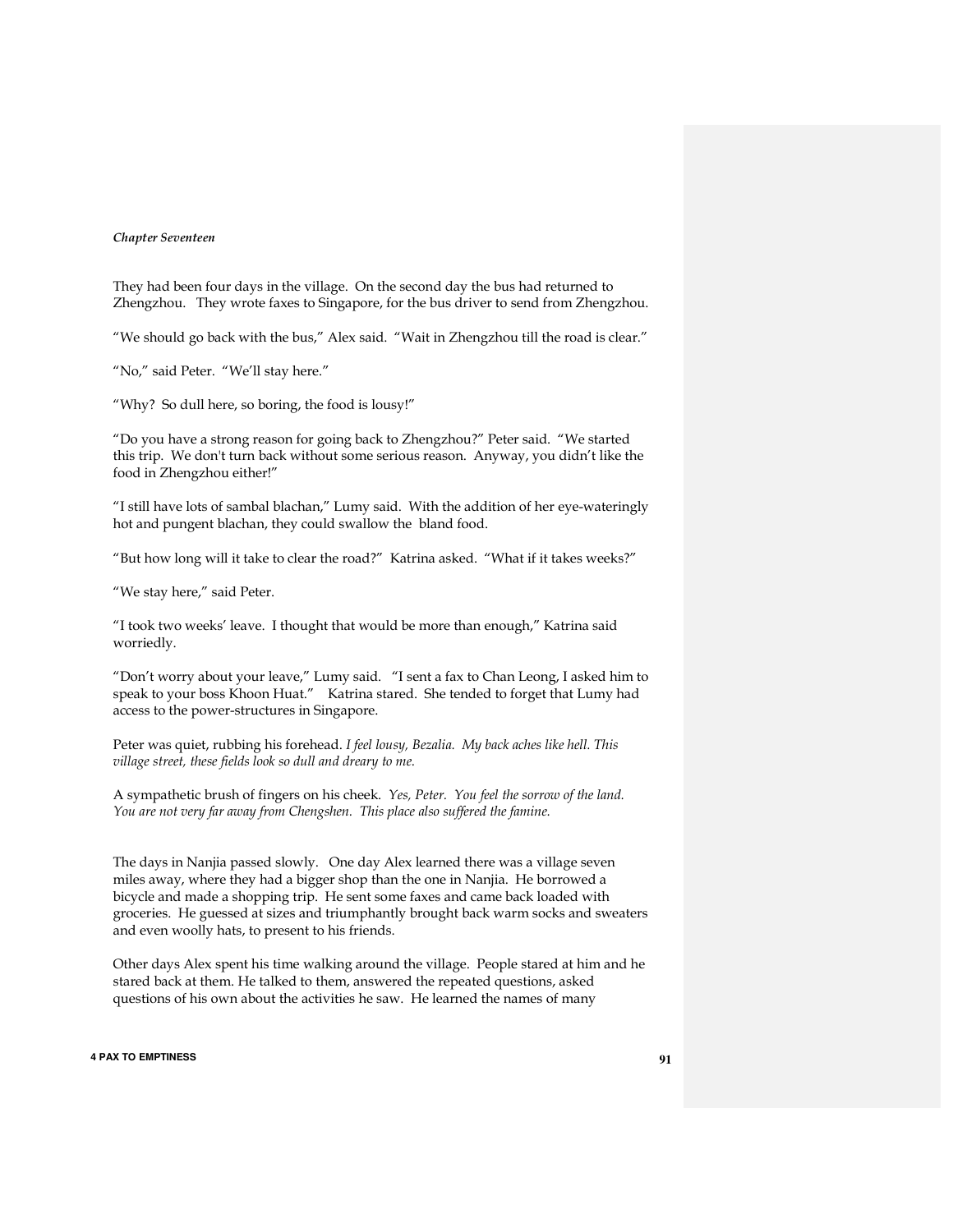# Chapter Seventeen

They had been four days in the village. On the second day the bus had returned to Zhengzhou. They wrote faxes to Singapore, for the bus driver to send from Zhengzhou.

"We should go back with the bus," Alex said. "Wait in Zhengzhou till the road is clear."

"No," said Peter. "We'll stay here."

"Why? So dull here, so boring, the food is lousy!"

"Do you have a strong reason for going back to Zhengzhou?" Peter said. "We started this trip. We don't turn back without some serious reason. Anyway, you didn't like the food in Zhengzhou either!"

"I still have lots of sambal blachan," Lumy said. With the addition of her eye-wateringly hot and pungent blachan, they could swallow the bland food.

"But how long will it take to clear the road?" Katrina asked. "What if it takes weeks?"

"We stay here," said Peter.

"I took two weeks' leave. I thought that would be more than enough," Katrina said worriedly.

"Don't worry about your leave," Lumy said. "I sent a fax to Chan Leong, I asked him to speak to your boss Khoon Huat." Katrina stared. She tended to forget that Lumy had access to the power-structures in Singapore.

Peter was quiet, rubbing his forehead. I feel lousy, Bezalia. My back aches like hell. This village street, these fields look so dull and dreary to me.

A sympathetic brush of fingers on his cheek. Yes, Peter. You feel the sorrow of the land. You are not very far away from Chengshen. This place also suffered the famine.

The days in Nanjia passed slowly. One day Alex learned there was a village seven miles away, where they had a bigger shop than the one in Nanjia. He borrowed a bicycle and made a shopping trip. He sent some faxes and came back loaded with groceries. He guessed at sizes and triumphantly brought back warm socks and sweaters and even woolly hats, to present to his friends.

Other days Alex spent his time walking around the village. People stared at him and he stared back at them. He talked to them, answered the repeated questions, asked questions of his own about the activities he saw. He learned the names of many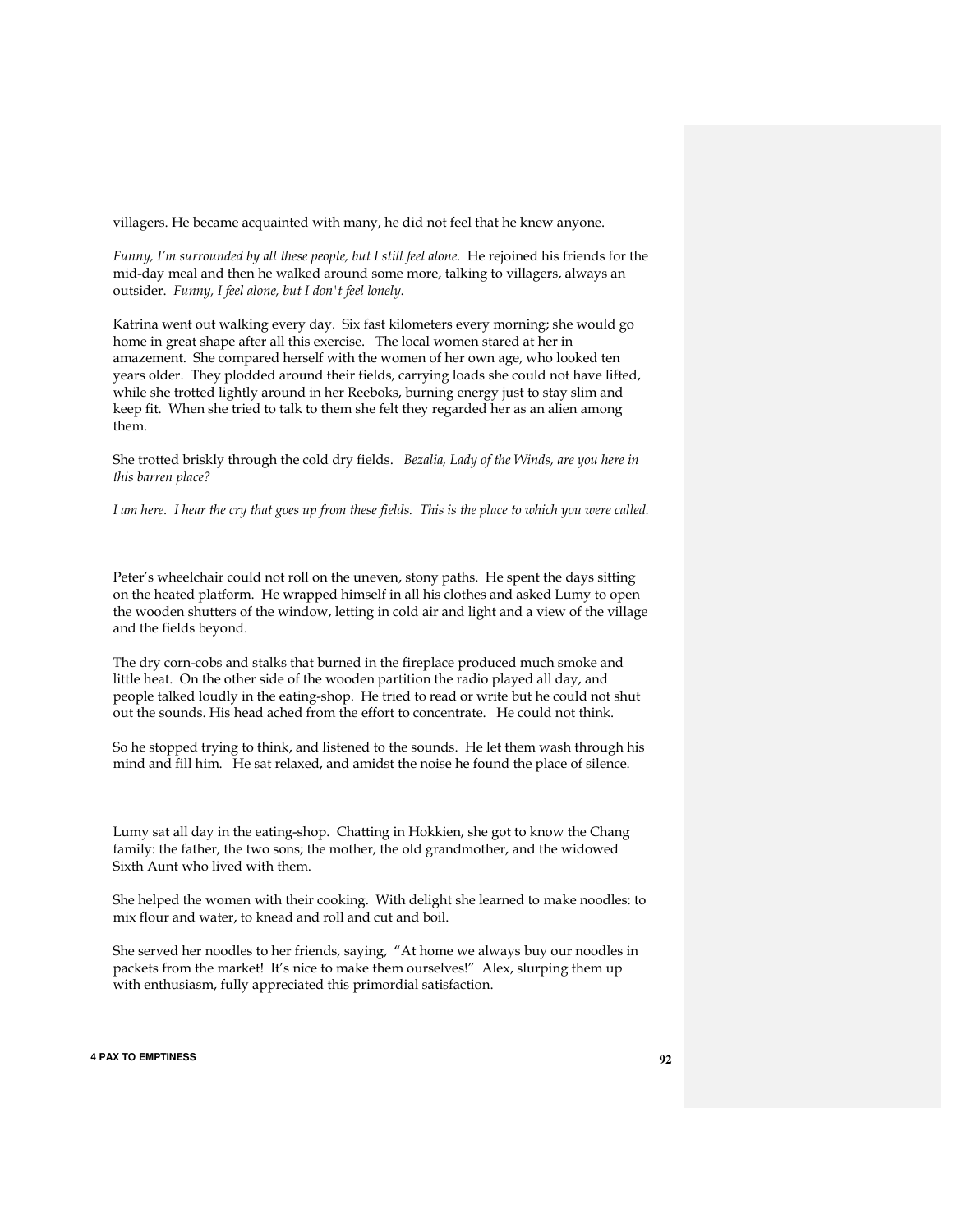villagers. He became acquainted with many, he did not feel that he knew anyone.

Funny, I'm surrounded by all these people, but I still feel alone. He rejoined his friends for the mid-day meal and then he walked around some more, talking to villagers, always an outsider. Funny, I feel alone, but I don't feel lonely.

Katrina went out walking every day. Six fast kilometers every morning; she would go home in great shape after all this exercise. The local women stared at her in amazement. She compared herself with the women of her own age, who looked ten years older. They plodded around their fields, carrying loads she could not have lifted, while she trotted lightly around in her Reeboks, burning energy just to stay slim and keep fit. When she tried to talk to them she felt they regarded her as an alien among them.

She trotted briskly through the cold dry fields. Bezalia, Lady of the Winds, are you here in this barren place?

I am here. I hear the cry that goes up from these fields. This is the place to which you were called.

Peter's wheelchair could not roll on the uneven, stony paths. He spent the days sitting on the heated platform. He wrapped himself in all his clothes and asked Lumy to open the wooden shutters of the window, letting in cold air and light and a view of the village and the fields beyond.

The dry corn-cobs and stalks that burned in the fireplace produced much smoke and little heat. On the other side of the wooden partition the radio played all day, and people talked loudly in the eating-shop. He tried to read or write but he could not shut out the sounds. His head ached from the effort to concentrate. He could not think.

So he stopped trying to think, and listened to the sounds. He let them wash through his mind and fill him. He sat relaxed, and amidst the noise he found the place of silence.

Lumy sat all day in the eating-shop. Chatting in Hokkien, she got to know the Chang family: the father, the two sons; the mother, the old grandmother, and the widowed Sixth Aunt who lived with them.

She helped the women with their cooking. With delight she learned to make noodles: to mix flour and water, to knead and roll and cut and boil.

She served her noodles to her friends, saying, "At home we always buy our noodles in packets from the market! It's nice to make them ourselves!" Alex, slurping them up with enthusiasm, fully appreciated this primordial satisfaction.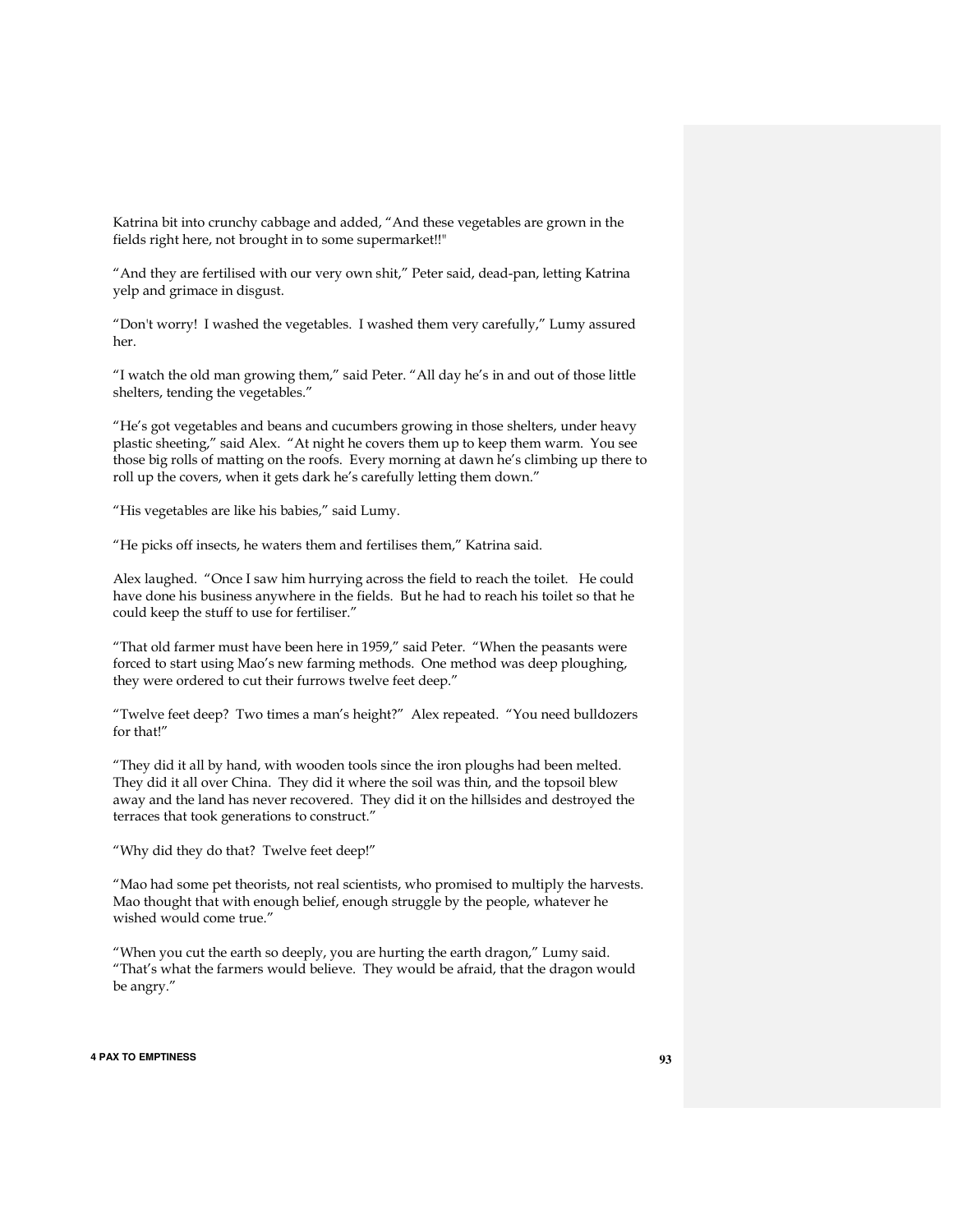Katrina bit into crunchy cabbage and added, "And these vegetables are grown in the fields right here, not brought in to some supermarket!!"

"And they are fertilised with our very own shit," Peter said, dead-pan, letting Katrina yelp and grimace in disgust.

"Don't worry! I washed the vegetables. I washed them very carefully," Lumy assured her.

"I watch the old man growing them," said Peter. "All day he's in and out of those little shelters, tending the vegetables."

"He's got vegetables and beans and cucumbers growing in those shelters, under heavy plastic sheeting," said Alex. "At night he covers them up to keep them warm. You see those big rolls of matting on the roofs. Every morning at dawn he's climbing up there to roll up the covers, when it gets dark he's carefully letting them down."

"His vegetables are like his babies," said Lumy.

"He picks off insects, he waters them and fertilises them," Katrina said.

Alex laughed. "Once I saw him hurrying across the field to reach the toilet. He could have done his business anywhere in the fields. But he had to reach his toilet so that he could keep the stuff to use for fertiliser."

"That old farmer must have been here in 1959," said Peter. "When the peasants were forced to start using Mao's new farming methods. One method was deep ploughing, they were ordered to cut their furrows twelve feet deep."

"Twelve feet deep? Two times a man's height?" Alex repeated. "You need bulldozers for that!"

"They did it all by hand, with wooden tools since the iron ploughs had been melted. They did it all over China. They did it where the soil was thin, and the topsoil blew away and the land has never recovered. They did it on the hillsides and destroyed the terraces that took generations to construct."

"Why did they do that? Twelve feet deep!"

"Mao had some pet theorists, not real scientists, who promised to multiply the harvests. Mao thought that with enough belief, enough struggle by the people, whatever he wished would come true."

"When you cut the earth so deeply, you are hurting the earth dragon," Lumy said. "That's what the farmers would believe. They would be afraid, that the dragon would be angry."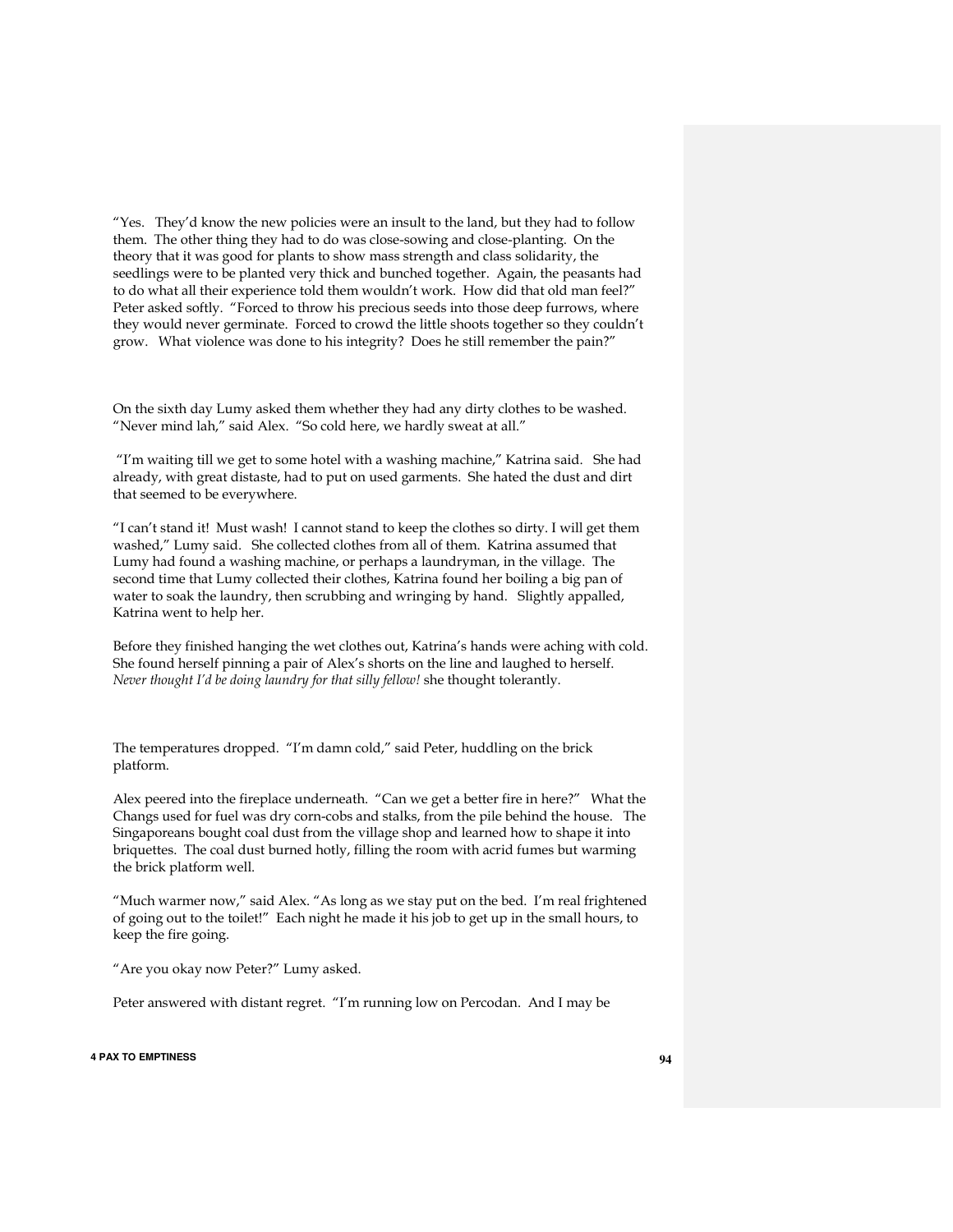"Yes. They'd know the new policies were an insult to the land, but they had to follow them. The other thing they had to do was close-sowing and close-planting. On the theory that it was good for plants to show mass strength and class solidarity, the seedlings were to be planted very thick and bunched together. Again, the peasants had to do what all their experience told them wouldn't work. How did that old man feel?" Peter asked softly. "Forced to throw his precious seeds into those deep furrows, where they would never germinate. Forced to crowd the little shoots together so they couldn't grow. What violence was done to his integrity? Does he still remember the pain?"

On the sixth day Lumy asked them whether they had any dirty clothes to be washed. "Never mind lah," said Alex. "So cold here, we hardly sweat at all."

 "I'm waiting till we get to some hotel with a washing machine," Katrina said. She had already, with great distaste, had to put on used garments. She hated the dust and dirt that seemed to be everywhere.

"I can't stand it! Must wash! I cannot stand to keep the clothes so dirty. I will get them washed," Lumy said. She collected clothes from all of them. Katrina assumed that Lumy had found a washing machine, or perhaps a laundryman, in the village. The second time that Lumy collected their clothes, Katrina found her boiling a big pan of water to soak the laundry, then scrubbing and wringing by hand. Slightly appalled, Katrina went to help her.

Before they finished hanging the wet clothes out, Katrina's hands were aching with cold. She found herself pinning a pair of Alex's shorts on the line and laughed to herself. Never thought I'd be doing laundry for that silly fellow! she thought tolerantly.

The temperatures dropped. "I'm damn cold," said Peter, huddling on the brick platform.

Alex peered into the fireplace underneath. "Can we get a better fire in here?" What the Changs used for fuel was dry corn-cobs and stalks, from the pile behind the house. The Singaporeans bought coal dust from the village shop and learned how to shape it into briquettes. The coal dust burned hotly, filling the room with acrid fumes but warming the brick platform well.

"Much warmer now," said Alex. "As long as we stay put on the bed. I'm real frightened of going out to the toilet!" Each night he made it his job to get up in the small hours, to keep the fire going.

"Are you okay now Peter?" Lumy asked.

Peter answered with distant regret. "I'm running low on Percodan. And I may be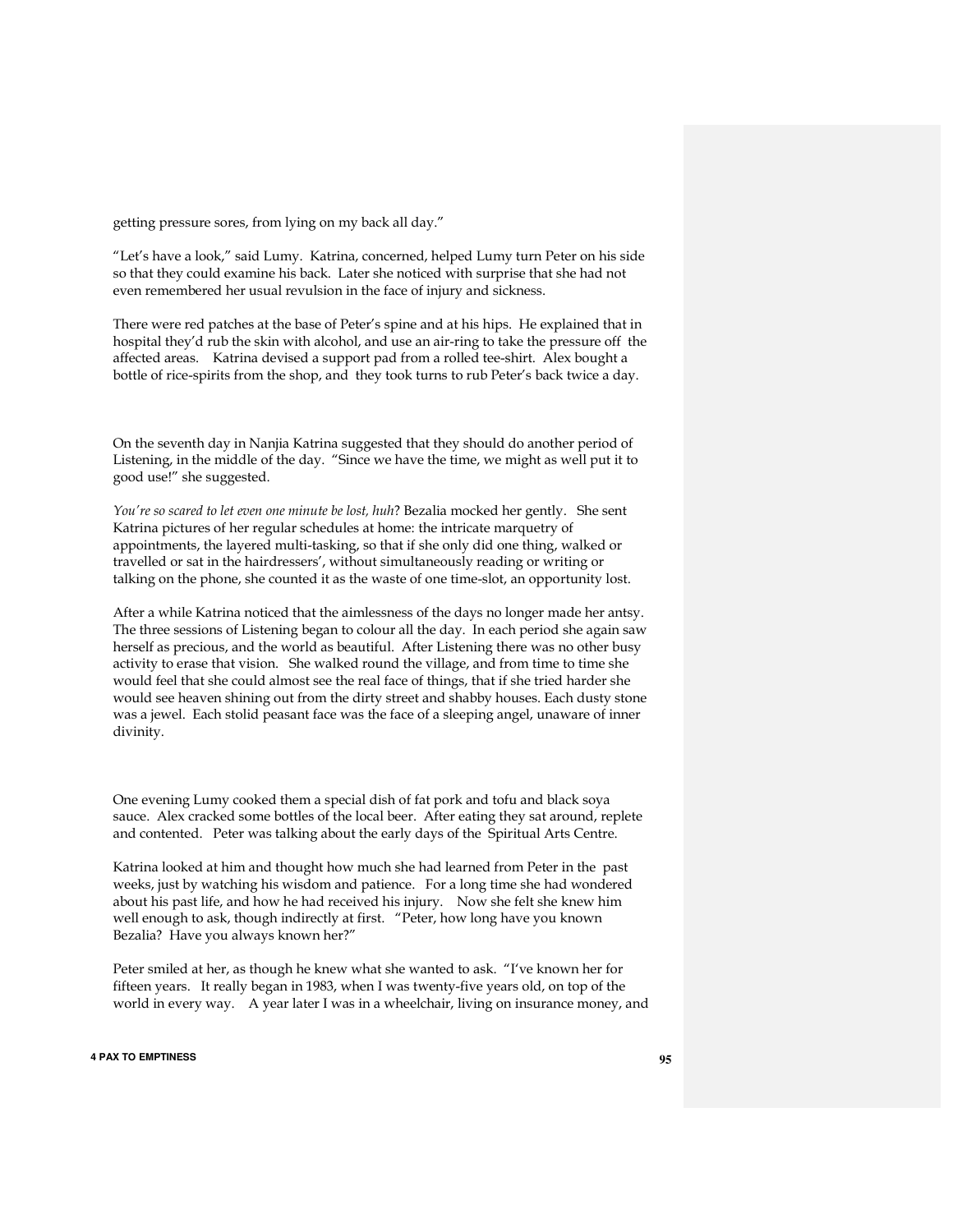getting pressure sores, from lying on my back all day."

"Let's have a look," said Lumy. Katrina, concerned, helped Lumy turn Peter on his side so that they could examine his back. Later she noticed with surprise that she had not even remembered her usual revulsion in the face of injury and sickness.

There were red patches at the base of Peter's spine and at his hips. He explained that in hospital they'd rub the skin with alcohol, and use an air-ring to take the pressure off the affected areas. Katrina devised a support pad from a rolled tee-shirt. Alex bought a bottle of rice-spirits from the shop, and they took turns to rub Peter's back twice a day.

On the seventh day in Nanjia Katrina suggested that they should do another period of Listening, in the middle of the day. "Since we have the time, we might as well put it to good use!" she suggested.

You're so scared to let even one minute be lost, huh? Bezalia mocked her gently. She sent Katrina pictures of her regular schedules at home: the intricate marquetry of appointments, the layered multi-tasking, so that if she only did one thing, walked or travelled or sat in the hairdressers', without simultaneously reading or writing or talking on the phone, she counted it as the waste of one time-slot, an opportunity lost.

After a while Katrina noticed that the aimlessness of the days no longer made her antsy. The three sessions of Listening began to colour all the day. In each period she again saw herself as precious, and the world as beautiful. After Listening there was no other busy activity to erase that vision. She walked round the village, and from time to time she would feel that she could almost see the real face of things, that if she tried harder she would see heaven shining out from the dirty street and shabby houses. Each dusty stone was a jewel. Each stolid peasant face was the face of a sleeping angel, unaware of inner divinity.

One evening Lumy cooked them a special dish of fat pork and tofu and black soya sauce. Alex cracked some bottles of the local beer. After eating they sat around, replete and contented. Peter was talking about the early days of the Spiritual Arts Centre.

Katrina looked at him and thought how much she had learned from Peter in the past weeks, just by watching his wisdom and patience. For a long time she had wondered about his past life, and how he had received his injury. Now she felt she knew him well enough to ask, though indirectly at first. "Peter, how long have you known Bezalia? Have you always known her?"

Peter smiled at her, as though he knew what she wanted to ask. "I've known her for fifteen years. It really began in 1983, when I was twenty-five years old, on top of the world in every way. A year later I was in a wheelchair, living on insurance money, and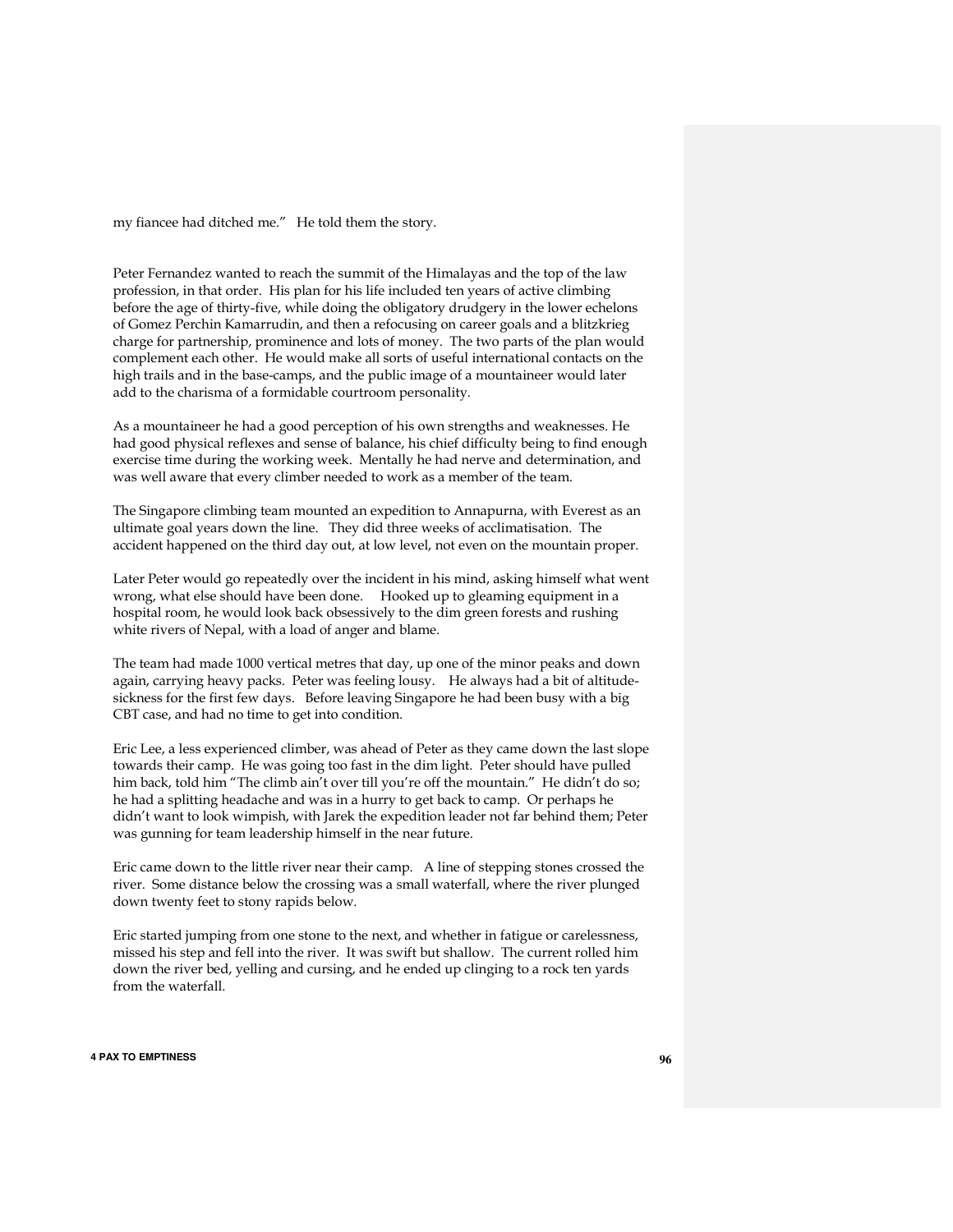my fiancee had ditched me." He told them the story.

Peter Fernandez wanted to reach the summit of the Himalayas and the top of the law profession, in that order. His plan for his life included ten years of active climbing before the age of thirty-five, while doing the obligatory drudgery in the lower echelons of Gomez Perchin Kamarrudin, and then a refocusing on career goals and a blitzkrieg charge for partnership, prominence and lots of money. The two parts of the plan would complement each other. He would make all sorts of useful international contacts on the high trails and in the base-camps, and the public image of a mountaineer would later add to the charisma of a formidable courtroom personality.

As a mountaineer he had a good perception of his own strengths and weaknesses. He had good physical reflexes and sense of balance, his chief difficulty being to find enough exercise time during the working week. Mentally he had nerve and determination, and was well aware that every climber needed to work as a member of the team.

The Singapore climbing team mounted an expedition to Annapurna, with Everest as an ultimate goal years down the line. They did three weeks of acclimatisation. The accident happened on the third day out, at low level, not even on the mountain proper.

Later Peter would go repeatedly over the incident in his mind, asking himself what went wrong, what else should have been done. Hooked up to gleaming equipment in a hospital room, he would look back obsessively to the dim green forests and rushing white rivers of Nepal, with a load of anger and blame.

The team had made 1000 vertical metres that day, up one of the minor peaks and down again, carrying heavy packs. Peter was feeling lousy. He always had a bit of altitudesickness for the first few days. Before leaving Singapore he had been busy with a big CBT case, and had no time to get into condition.

Eric Lee, a less experienced climber, was ahead of Peter as they came down the last slope towards their camp. He was going too fast in the dim light. Peter should have pulled him back, told him "The climb ain't over till you're off the mountain." He didn't do so; he had a splitting headache and was in a hurry to get back to camp. Or perhaps he didn't want to look wimpish, with Jarek the expedition leader not far behind them; Peter was gunning for team leadership himself in the near future.

Eric came down to the little river near their camp. A line of stepping stones crossed the river. Some distance below the crossing was a small waterfall, where the river plunged down twenty feet to stony rapids below.

Eric started jumping from one stone to the next, and whether in fatigue or carelessness, missed his step and fell into the river. It was swift but shallow. The current rolled him down the river bed, yelling and cursing, and he ended up clinging to a rock ten yards from the waterfall.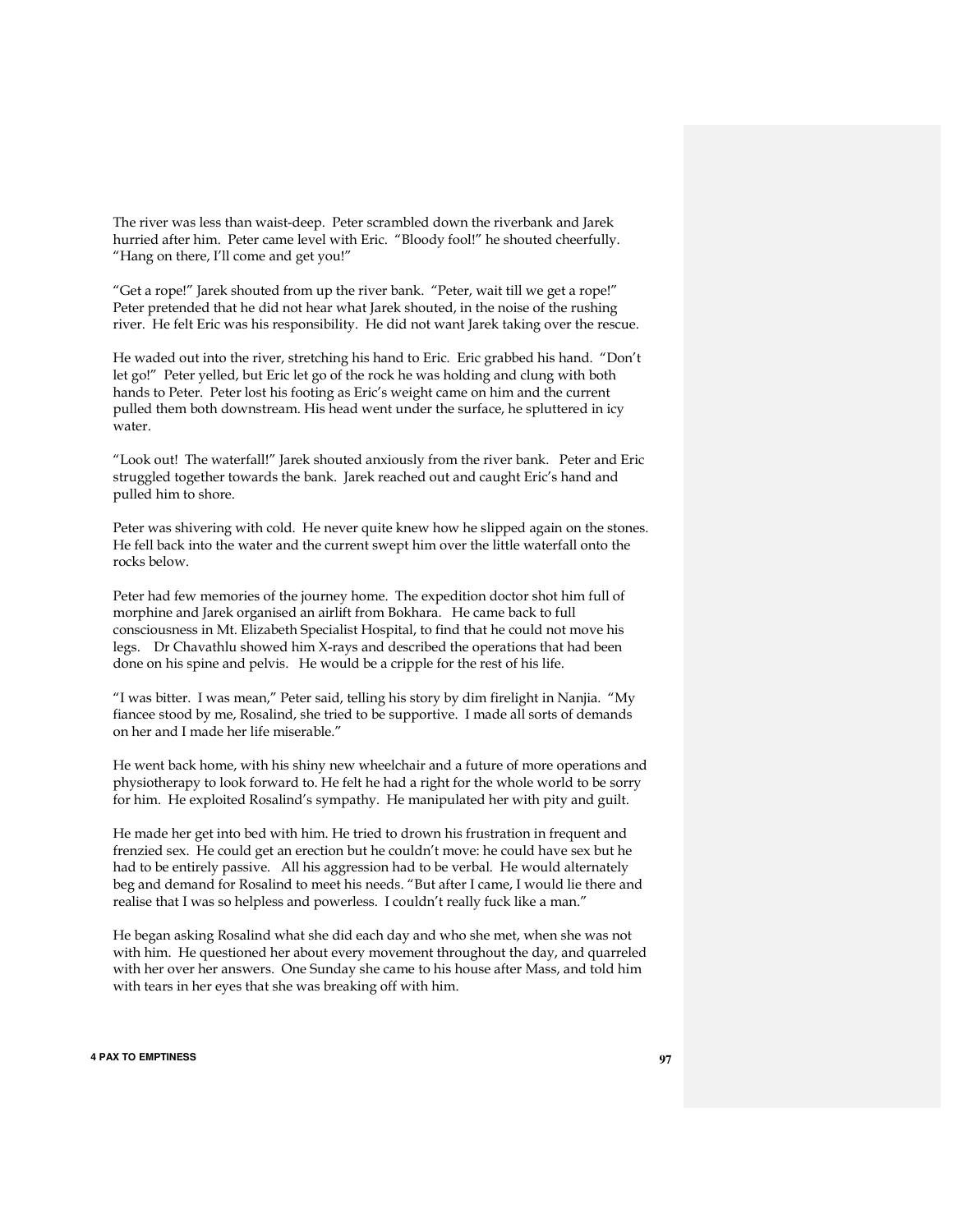The river was less than waist-deep. Peter scrambled down the riverbank and Jarek hurried after him. Peter came level with Eric. "Bloody fool!" he shouted cheerfully. "Hang on there, I'll come and get you!"

"Get a rope!" Jarek shouted from up the river bank. "Peter, wait till we get a rope!" Peter pretended that he did not hear what Jarek shouted, in the noise of the rushing river. He felt Eric was his responsibility. He did not want Jarek taking over the rescue.

He waded out into the river, stretching his hand to Eric. Eric grabbed his hand. "Don't let go!" Peter yelled, but Eric let go of the rock he was holding and clung with both hands to Peter. Peter lost his footing as Eric's weight came on him and the current pulled them both downstream. His head went under the surface, he spluttered in icy water.

"Look out! The waterfall!" Jarek shouted anxiously from the river bank. Peter and Eric struggled together towards the bank. Jarek reached out and caught Eric's hand and pulled him to shore.

Peter was shivering with cold. He never quite knew how he slipped again on the stones. He fell back into the water and the current swept him over the little waterfall onto the rocks below.

Peter had few memories of the journey home. The expedition doctor shot him full of morphine and Jarek organised an airlift from Bokhara. He came back to full consciousness in Mt. Elizabeth Specialist Hospital, to find that he could not move his legs. Dr Chavathlu showed him X-rays and described the operations that had been done on his spine and pelvis. He would be a cripple for the rest of his life.

"I was bitter. I was mean," Peter said, telling his story by dim firelight in Nanjia. "My fiancee stood by me, Rosalind, she tried to be supportive. I made all sorts of demands on her and I made her life miserable."

He went back home, with his shiny new wheelchair and a future of more operations and physiotherapy to look forward to. He felt he had a right for the whole world to be sorry for him. He exploited Rosalind's sympathy. He manipulated her with pity and guilt.

He made her get into bed with him. He tried to drown his frustration in frequent and frenzied sex. He could get an erection but he couldn't move: he could have sex but he had to be entirely passive. All his aggression had to be verbal. He would alternately beg and demand for Rosalind to meet his needs. "But after I came, I would lie there and realise that I was so helpless and powerless. I couldn't really fuck like a man."

He began asking Rosalind what she did each day and who she met, when she was not with him. He questioned her about every movement throughout the day, and quarreled with her over her answers. One Sunday she came to his house after Mass, and told him with tears in her eyes that she was breaking off with him.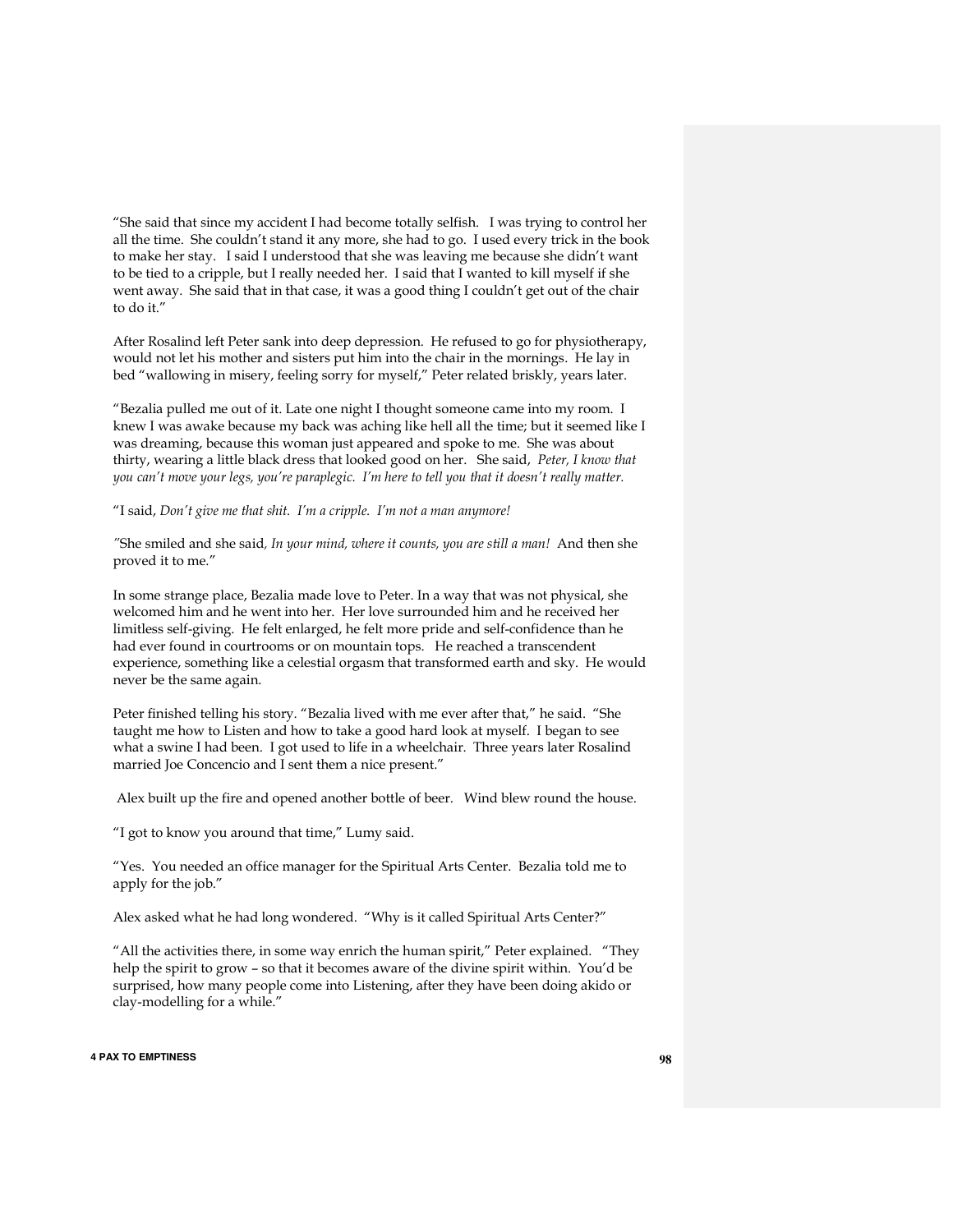"She said that since my accident I had become totally selfish. I was trying to control her all the time. She couldn't stand it any more, she had to go. I used every trick in the book to make her stay. I said I understood that she was leaving me because she didn't want to be tied to a cripple, but I really needed her. I said that  $\overline{I}$  wanted to kill myself if she went away. She said that in that case, it was a good thing I couldn't get out of the chair to do it."

After Rosalind left Peter sank into deep depression. He refused to go for physiotherapy, would not let his mother and sisters put him into the chair in the mornings. He lay in bed "wallowing in misery, feeling sorry for myself," Peter related briskly, years later.

"Bezalia pulled me out of it. Late one night I thought someone came into my room. I knew I was awake because my back was aching like hell all the time; but it seemed like I was dreaming, because this woman just appeared and spoke to me. She was about thirty, wearing a little black dress that looked good on her. She said, Peter, I know that you can't move your legs, you're paraplegic. I'm here to tell you that it doesn't really matter.

"I said, Don't give me that shit. I'm a cripple. I'm not a man anymore!

"She smiled and she said, In your mind, where it counts, you are still a man! And then she proved it to me."

In some strange place, Bezalia made love to Peter. In a way that was not physical, she welcomed him and he went into her. Her love surrounded him and he received her limitless self-giving. He felt enlarged, he felt more pride and self-confidence than he had ever found in courtrooms or on mountain tops. He reached a transcendent experience, something like a celestial orgasm that transformed earth and sky. He would never be the same again.

Peter finished telling his story. "Bezalia lived with me ever after that," he said. "She taught me how to Listen and how to take a good hard look at myself. I began to see what a swine I had been. I got used to life in a wheelchair. Three years later Rosalind married Joe Concencio and I sent them a nice present."

Alex built up the fire and opened another bottle of beer. Wind blew round the house.

"I got to know you around that time," Lumy said.

"Yes. You needed an office manager for the Spiritual Arts Center. Bezalia told me to apply for the job."

Alex asked what he had long wondered. "Why is it called Spiritual Arts Center?"

"All the activities there, in some way enrich the human spirit," Peter explained. "They help the spirit to grow – so that it becomes aware of the divine spirit within. You'd be surprised, how many people come into Listening, after they have been doing akido or clay-modelling for a while."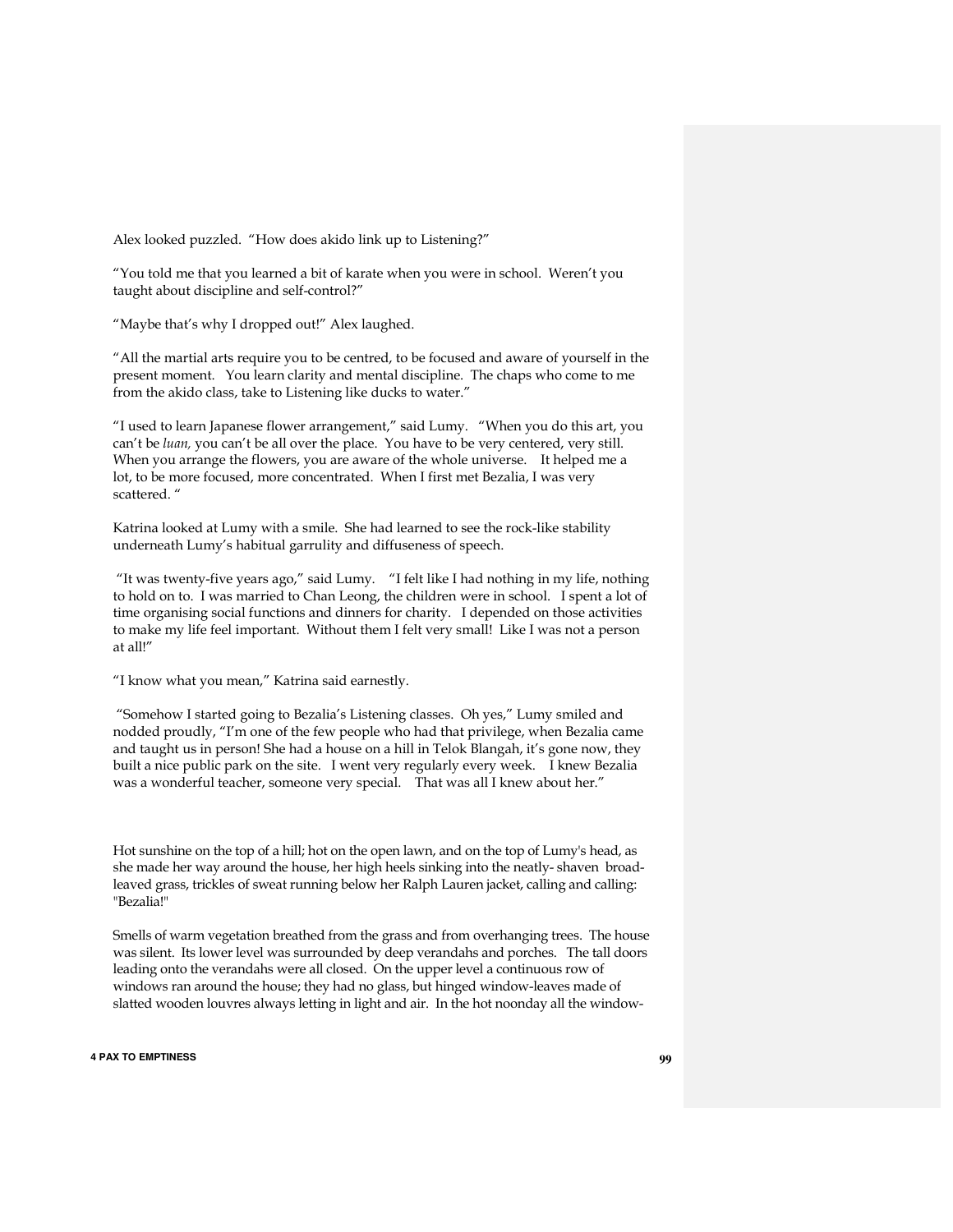Alex looked puzzled. "How does akido link up to Listening?"

"You told me that you learned a bit of karate when you were in school. Weren't you taught about discipline and self-control?"

"Maybe that's why I dropped out!" Alex laughed.

"All the martial arts require you to be centred, to be focused and aware of yourself in the present moment. You learn clarity and mental discipline. The chaps who come to me from the akido class, take to Listening like ducks to water."

"I used to learn Japanese flower arrangement," said Lumy. "When you do this art, you can't be luan, you can't be all over the place. You have to be very centered, very still. When you arrange the flowers, you are aware of the whole universe. It helped me a lot, to be more focused, more concentrated. When I first met Bezalia, I was very scattered. "

Katrina looked at Lumy with a smile. She had learned to see the rock-like stability underneath Lumy's habitual garrulity and diffuseness of speech.

 "It was twenty-five years ago," said Lumy. "I felt like I had nothing in my life, nothing to hold on to. I was married to Chan Leong, the children were in school. I spent a lot of time organising social functions and dinners for charity. I depended on those activities to make my life feel important. Without them I felt very small! Like I was not a person at all!"

"I know what you mean," Katrina said earnestly.

 "Somehow I started going to Bezalia's Listening classes. Oh yes," Lumy smiled and nodded proudly, "I'm one of the few people who had that privilege, when Bezalia came and taught us in person! She had a house on a hill in Telok Blangah, it's gone now, they built a nice public park on the site. I went very regularly every week. I knew Bezalia was a wonderful teacher, someone very special. That was all I knew about her."

Hot sunshine on the top of a hill; hot on the open lawn, and on the top of Lumy's head, as she made her way around the house, her high heels sinking into the neatly- shaven broadleaved grass, trickles of sweat running below her Ralph Lauren jacket, calling and calling: "Bezalia!"

Smells of warm vegetation breathed from the grass and from overhanging trees. The house was silent. Its lower level was surrounded by deep verandahs and porches. The tall doors leading onto the verandahs were all closed. On the upper level a continuous row of windows ran around the house; they had no glass, but hinged window-leaves made of slatted wooden louvres always letting in light and air. In the hot noonday all the window-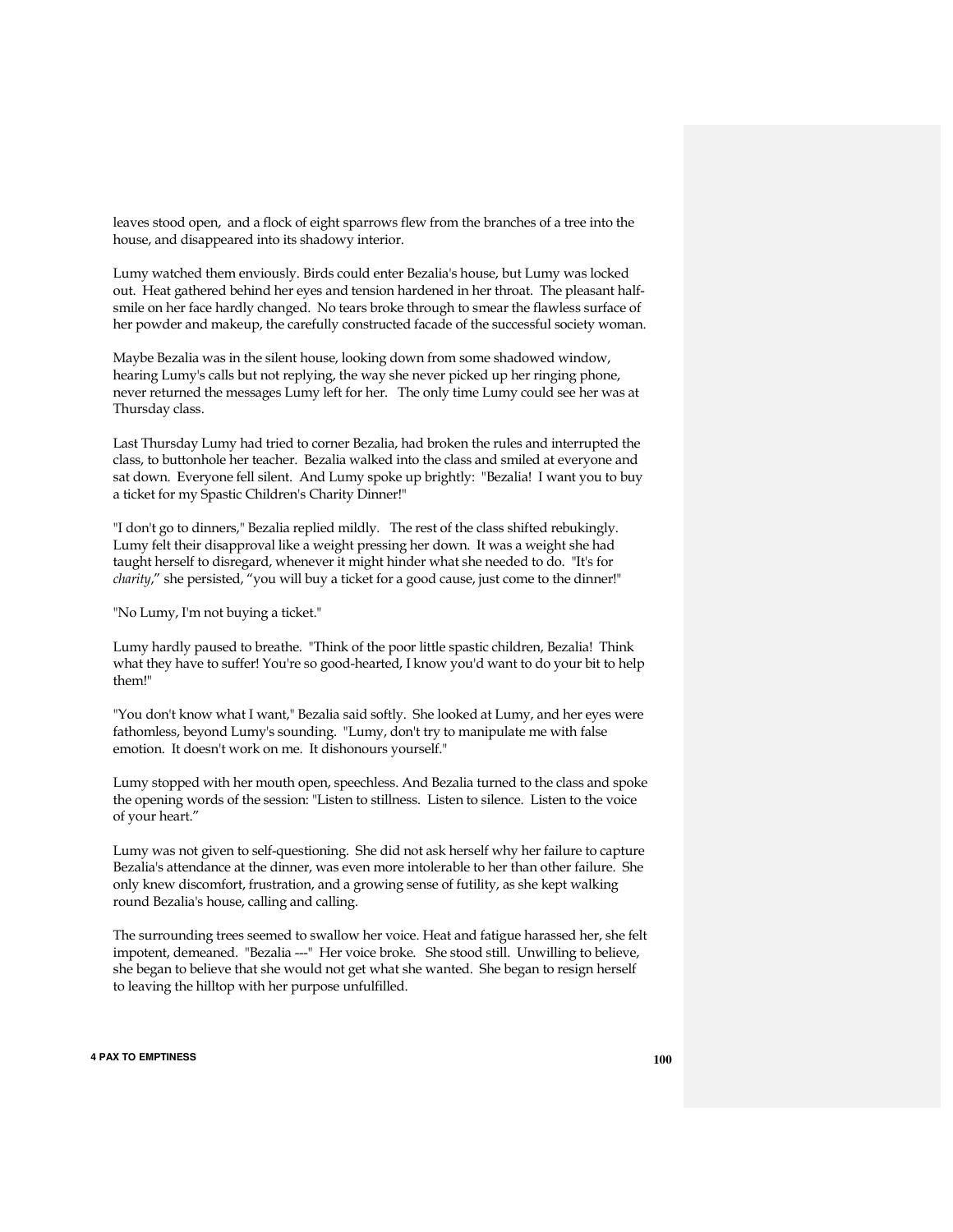leaves stood open, and a flock of eight sparrows flew from the branches of a tree into the house, and disappeared into its shadowy interior.

Lumy watched them enviously. Birds could enter Bezalia's house, but Lumy was locked out. Heat gathered behind her eyes and tension hardened in her throat. The pleasant halfsmile on her face hardly changed. No tears broke through to smear the flawless surface of her powder and makeup, the carefully constructed facade of the successful society woman.

Maybe Bezalia was in the silent house, looking down from some shadowed window, hearing Lumy's calls but not replying, the way she never picked up her ringing phone, never returned the messages Lumy left for her. The only time Lumy could see her was at Thursday class.

Last Thursday Lumy had tried to corner Bezalia, had broken the rules and interrupted the class, to buttonhole her teacher. Bezalia walked into the class and smiled at everyone and sat down. Everyone fell silent. And Lumy spoke up brightly: "Bezalia! I want you to buy a ticket for my Spastic Children's Charity Dinner!"

"I don't go to dinners," Bezalia replied mildly. The rest of the class shifted rebukingly. Lumy felt their disapproval like a weight pressing her down. It was a weight she had taught herself to disregard, whenever it might hinder what she needed to do. "It's for charity," she persisted, "you will buy a ticket for a good cause, just come to the dinner!"

"No Lumy, I'm not buying a ticket."

Lumy hardly paused to breathe. "Think of the poor little spastic children, Bezalia! Think what they have to suffer! You're so good-hearted, I know you'd want to do your bit to help them!"

"You don't know what I want," Bezalia said softly. She looked at Lumy, and her eyes were fathomless, beyond Lumy's sounding. "Lumy, don't try to manipulate me with false emotion. It doesn't work on me. It dishonours yourself."

Lumy stopped with her mouth open, speechless. And Bezalia turned to the class and spoke the opening words of the session: "Listen to stillness. Listen to silence. Listen to the voice of your heart."

Lumy was not given to self-questioning. She did not ask herself why her failure to capture Bezalia's attendance at the dinner, was even more intolerable to her than other failure. She only knew discomfort, frustration, and a growing sense of futility, as she kept walking round Bezalia's house, calling and calling.

The surrounding trees seemed to swallow her voice. Heat and fatigue harassed her, she felt impotent, demeaned. "Bezalia ---" Her voice broke. She stood still. Unwilling to believe, she began to believe that she would not get what she wanted. She began to resign herself to leaving the hilltop with her purpose unfulfilled.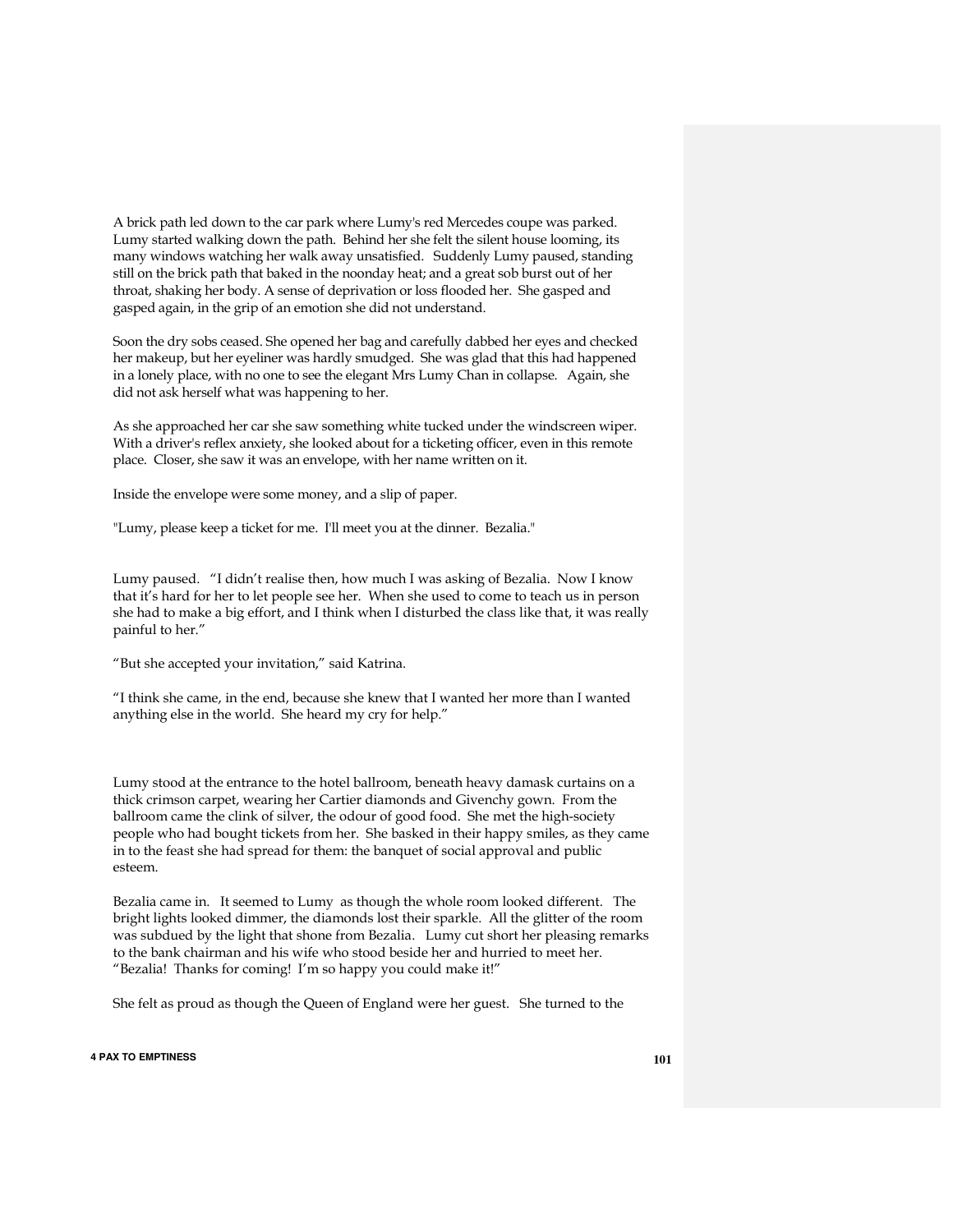A brick path led down to the car park where Lumy's red Mercedes coupe was parked. Lumy started walking down the path. Behind her she felt the silent house looming, its many windows watching her walk away unsatisfied. Suddenly Lumy paused, standing still on the brick path that baked in the noonday heat; and a great sob burst out of her throat, shaking her body. A sense of deprivation or loss flooded her. She gasped and gasped again, in the grip of an emotion she did not understand.

Soon the dry sobs ceased. She opened her bag and carefully dabbed her eyes and checked her makeup, but her eyeliner was hardly smudged. She was glad that this had happened in a lonely place, with no one to see the elegant Mrs Lumy Chan in collapse. Again, she did not ask herself what was happening to her.

As she approached her car she saw something white tucked under the windscreen wiper. With a driver's reflex anxiety, she looked about for a ticketing officer, even in this remote place. Closer, she saw it was an envelope, with her name written on it.

Inside the envelope were some money, and a slip of paper.

"Lumy, please keep a ticket for me. I'll meet you at the dinner. Bezalia."

Lumy paused. "I didn't realise then, how much I was asking of Bezalia. Now I know that it's hard for her to let people see her. When she used to come to teach us in person she had to make a big effort, and I think when I disturbed the class like that, it was really painful to her."

"But she accepted your invitation," said Katrina.

"I think she came, in the end, because she knew that I wanted her more than I wanted anything else in the world. She heard my cry for help."

Lumy stood at the entrance to the hotel ballroom, beneath heavy damask curtains on a thick crimson carpet, wearing her Cartier diamonds and Givenchy gown. From the ballroom came the clink of silver, the odour of good food. She met the high-society people who had bought tickets from her. She basked in their happy smiles, as they came in to the feast she had spread for them: the banquet of social approval and public esteem.

Bezalia came in. It seemed to Lumy as though the whole room looked different. The bright lights looked dimmer, the diamonds lost their sparkle. All the glitter of the room was subdued by the light that shone from Bezalia. Lumy cut short her pleasing remarks to the bank chairman and his wife who stood beside her and hurried to meet her. "Bezalia! Thanks for coming! I'm so happy you could make it!"

She felt as proud as though the Queen of England were her guest. She turned to the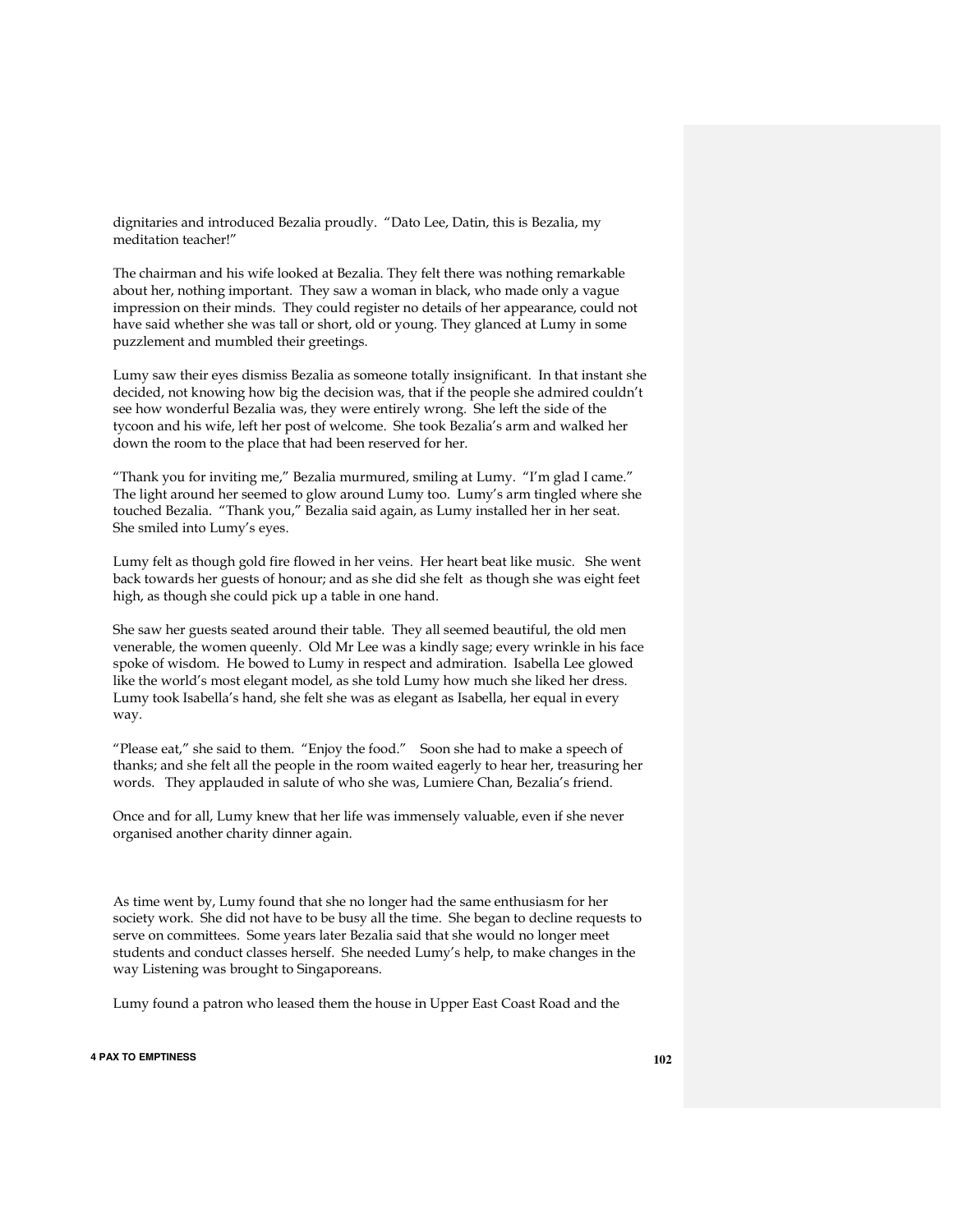dignitaries and introduced Bezalia proudly. "Dato Lee, Datin, this is Bezalia, my meditation teacher!"

The chairman and his wife looked at Bezalia. They felt there was nothing remarkable about her, nothing important. They saw a woman in black, who made only a vague impression on their minds. They could register no details of her appearance, could not have said whether she was tall or short, old or young. They glanced at Lumy in some puzzlement and mumbled their greetings.

Lumy saw their eyes dismiss Bezalia as someone totally insignificant. In that instant she decided, not knowing how big the decision was, that if the people she admired couldn't see how wonderful Bezalia was, they were entirely wrong. She left the side of the tycoon and his wife, left her post of welcome. She took Bezalia's arm and walked her down the room to the place that had been reserved for her.

"Thank you for inviting me," Bezalia murmured, smiling at Lumy. "I'm glad I came." The light around her seemed to glow around Lumy too. Lumy's arm tingled where she touched Bezalia. "Thank you," Bezalia said again, as Lumy installed her in her seat. She smiled into Lumy's eyes.

Lumy felt as though gold fire flowed in her veins. Her heart beat like music. She went back towards her guests of honour; and as she did she felt as though she was eight feet high, as though she could pick up a table in one hand.

She saw her guests seated around their table. They all seemed beautiful, the old men venerable, the women queenly. Old Mr Lee was a kindly sage; every wrinkle in his face spoke of wisdom. He bowed to Lumy in respect and admiration. Isabella Lee glowed like the world's most elegant model, as she told Lumy how much she liked her dress. Lumy took Isabella's hand, she felt she was as elegant as Isabella, her equal in every way.

"Please eat," she said to them. "Enjoy the food." Soon she had to make a speech of thanks; and she felt all the people in the room waited eagerly to hear her, treasuring her words. They applauded in salute of who she was, Lumiere Chan, Bezalia's friend.

Once and for all, Lumy knew that her life was immensely valuable, even if she never organised another charity dinner again.

As time went by, Lumy found that she no longer had the same enthusiasm for her society work. She did not have to be busy all the time. She began to decline requests to serve on committees. Some years later Bezalia said that she would no longer meet students and conduct classes herself. She needed Lumy's help, to make changes in the way Listening was brought to Singaporeans.

Lumy found a patron who leased them the house in Upper East Coast Road and the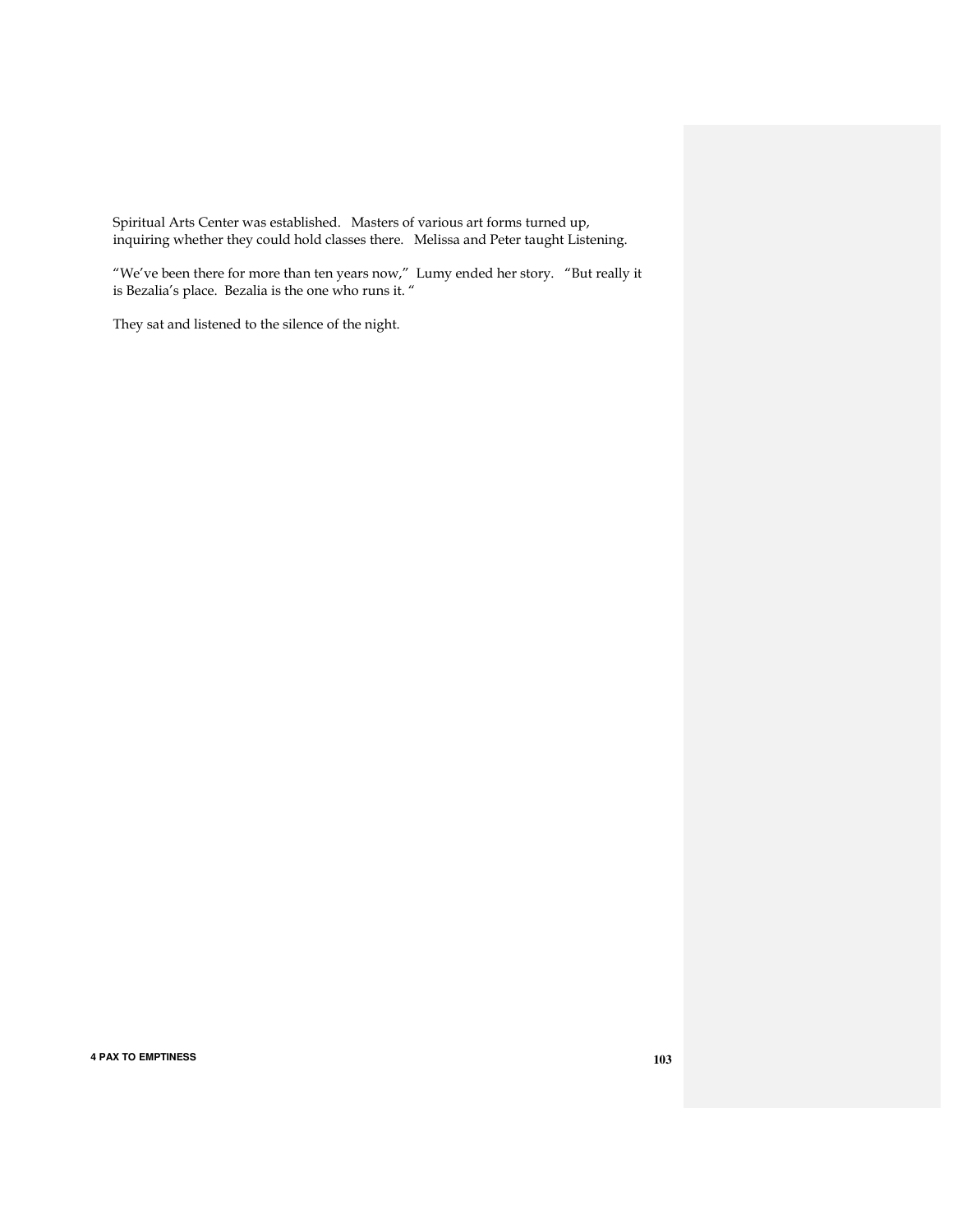Spiritual Arts Center was established. Masters of various art forms turned up, inquiring whether they could hold classes there. Melissa and Peter taught Listening.

"We've been there for more than ten years now," Lumy ended her story. "But really it is Bezalia's place. Bezalia is the one who runs it. "

They sat and listened to the silence of the night.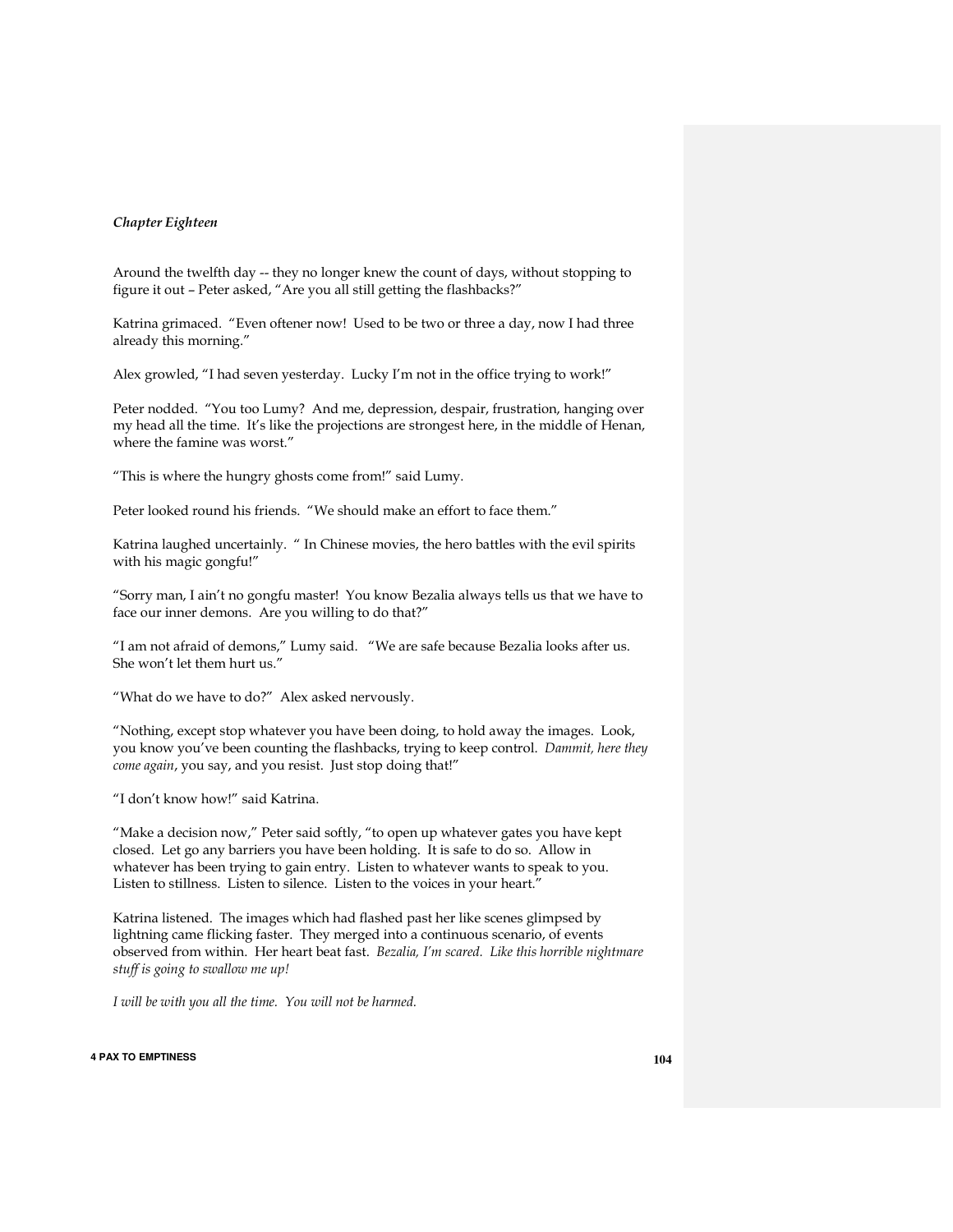# Chapter Eighteen

Around the twelfth day -- they no longer knew the count of days, without stopping to figure it out – Peter asked, "Are you all still getting the flashbacks?"

Katrina grimaced. "Even oftener now! Used to be two or three a day, now I had three already this morning."

Alex growled, "I had seven yesterday. Lucky I'm not in the office trying to work!"

Peter nodded. "You too Lumy? And me, depression, despair, frustration, hanging over my head all the time. It's like the projections are strongest here, in the middle of Henan, where the famine was worst."

"This is where the hungry ghosts come from!" said Lumy.

Peter looked round his friends. "We should make an effort to face them."

Katrina laughed uncertainly. " In Chinese movies, the hero battles with the evil spirits with his magic gongfu!"

"Sorry man, I ain't no gongfu master! You know Bezalia always tells us that we have to face our inner demons. Are you willing to do that?"

"I am not afraid of demons," Lumy said. "We are safe because Bezalia looks after us. She won't let them hurt us."

"What do we have to do?" Alex asked nervously.

"Nothing, except stop whatever you have been doing, to hold away the images. Look, you know you've been counting the flashbacks, trying to keep control. Dammit, here they come again, you say, and you resist. Just stop doing that!"

"I don't know how!" said Katrina.

"Make a decision now," Peter said softly, "to open up whatever gates you have kept closed. Let go any barriers you have been holding. It is safe to do so. Allow in whatever has been trying to gain entry. Listen to whatever wants to speak to you. Listen to stillness. Listen to silence. Listen to the voices in your heart."

Katrina listened. The images which had flashed past her like scenes glimpsed by lightning came flicking faster. They merged into a continuous scenario, of events observed from within. Her heart beat fast. Bezalia, I'm scared. Like this horrible nightmare stuff is going to swallow me up!

I will be with you all the time. You will not be harmed.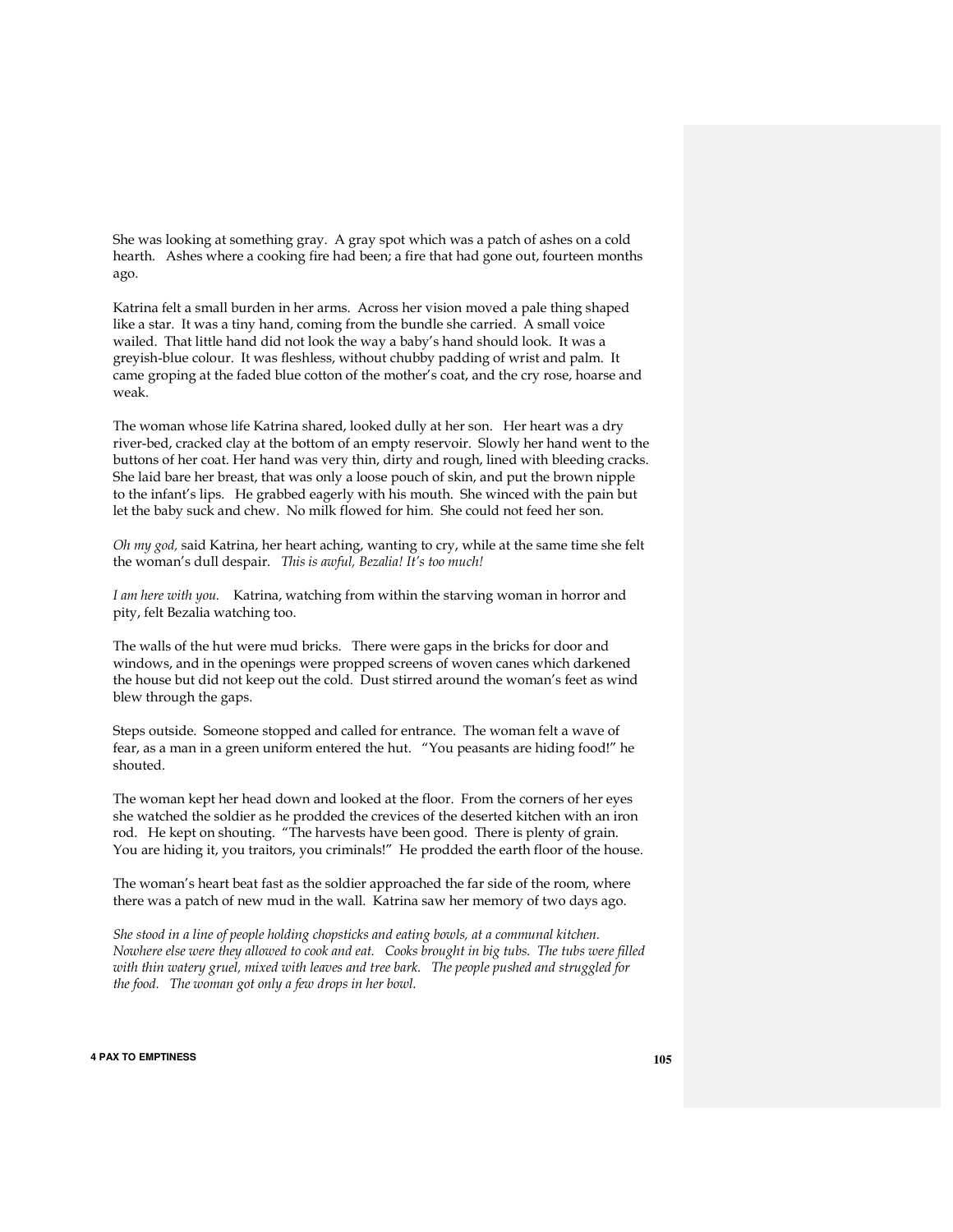She was looking at something gray. A gray spot which was a patch of ashes on a cold hearth. Ashes where a cooking fire had been; a fire that had gone out, fourteen months ago.

Katrina felt a small burden in her arms. Across her vision moved a pale thing shaped like a star. It was a tiny hand, coming from the bundle she carried. A small voice wailed. That little hand did not look the way a baby's hand should look. It was a greyish-blue colour. It was fleshless, without chubby padding of wrist and palm. It came groping at the faded blue cotton of the mother's coat, and the cry rose, hoarse and weak.

The woman whose life Katrina shared, looked dully at her son. Her heart was a dry river-bed, cracked clay at the bottom of an empty reservoir. Slowly her hand went to the buttons of her coat. Her hand was very thin, dirty and rough, lined with bleeding cracks. She laid bare her breast, that was only a loose pouch of skin, and put the brown nipple to the infant's lips. He grabbed eagerly with his mouth. She winced with the pain but let the baby suck and chew. No milk flowed for him. She could not feed her son.

Oh my god, said Katrina, her heart aching, wanting to cry, while at the same time she felt the woman's dull despair. This is awful, Bezalia! It's too much!

I am here with you. Katrina, watching from within the starving woman in horror and pity, felt Bezalia watching too.

The walls of the hut were mud bricks. There were gaps in the bricks for door and windows, and in the openings were propped screens of woven canes which darkened the house but did not keep out the cold. Dust stirred around the woman's feet as wind blew through the gaps.

Steps outside. Someone stopped and called for entrance. The woman felt a wave of fear, as a man in a green uniform entered the hut. "You peasants are hiding food!" he shouted.

The woman kept her head down and looked at the floor. From the corners of her eyes she watched the soldier as he prodded the crevices of the deserted kitchen with an iron rod. He kept on shouting. "The harvests have been good. There is plenty of grain. You are hiding it, you traitors, you criminals!" He prodded the earth floor of the house.

The woman's heart beat fast as the soldier approached the far side of the room, where there was a patch of new mud in the wall. Katrina saw her memory of two days ago.

She stood in a line of people holding chopsticks and eating bowls, at a communal kitchen. Nowhere else were they allowed to cook and eat. Cooks brought in big tubs. The tubs were filled with thin watery gruel, mixed with leaves and tree bark. The people pushed and struggled for the food. The woman got only a few drops in her bowl.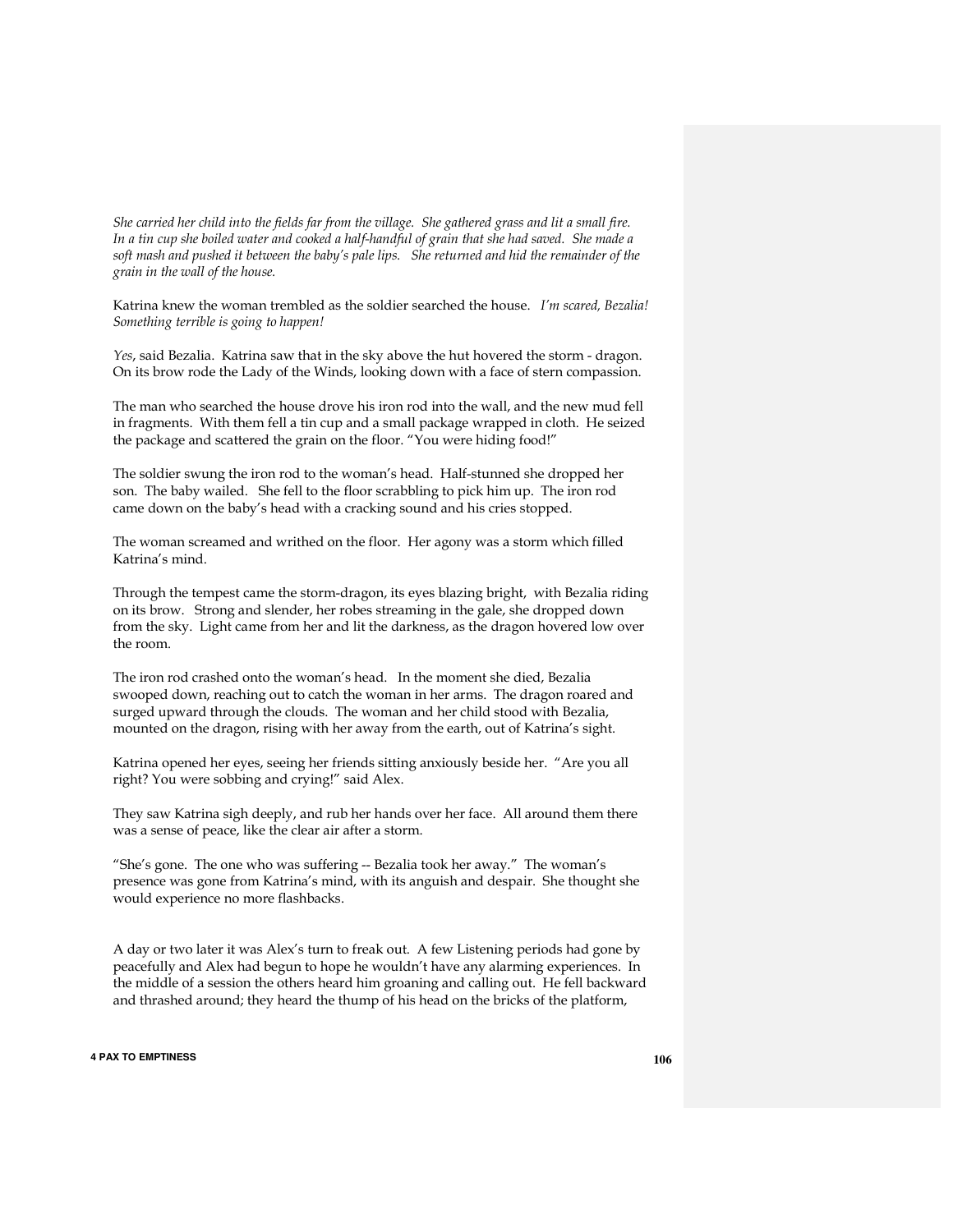She carried her child into the fields far from the village. She gathered grass and lit a small fire. In a tin cup she boiled water and cooked a half-handful of grain that she had saved. She made a soft mash and pushed it between the baby's pale lips. She returned and hid the remainder of the grain in the wall of the house.

Katrina knew the woman trembled as the soldier searched the house. I'm scared, Bezalia! Something terrible is going to happen!

Yes, said Bezalia. Katrina saw that in the sky above the hut hovered the storm - dragon. On its brow rode the Lady of the Winds, looking down with a face of stern compassion.

The man who searched the house drove his iron rod into the wall, and the new mud fell in fragments. With them fell a tin cup and a small package wrapped in cloth. He seized the package and scattered the grain on the floor. "You were hiding food!"

The soldier swung the iron rod to the woman's head. Half-stunned she dropped her son. The baby wailed. She fell to the floor scrabbling to pick him up. The iron rod came down on the baby's head with a cracking sound and his cries stopped.

The woman screamed and writhed on the floor. Her agony was a storm which filled Katrina's mind.

Through the tempest came the storm-dragon, its eyes blazing bright, with Bezalia riding on its brow. Strong and slender, her robes streaming in the gale, she dropped down from the sky. Light came from her and lit the darkness, as the dragon hovered low over the room.

The iron rod crashed onto the woman's head. In the moment she died, Bezalia swooped down, reaching out to catch the woman in her arms. The dragon roared and surged upward through the clouds. The woman and her child stood with Bezalia, mounted on the dragon, rising with her away from the earth, out of Katrina's sight.

Katrina opened her eyes, seeing her friends sitting anxiously beside her. "Are you all right? You were sobbing and crying!" said Alex.

They saw Katrina sigh deeply, and rub her hands over her face. All around them there was a sense of peace, like the clear air after a storm.

"She's gone. The one who was suffering -- Bezalia took her away." The woman's presence was gone from Katrina's mind, with its anguish and despair. She thought she would experience no more flashbacks.

A day or two later it was Alex's turn to freak out. A few Listening periods had gone by peacefully and Alex had begun to hope he wouldn't have any alarming experiences. In the middle of a session the others heard him groaning and calling out. He fell backward and thrashed around; they heard the thump of his head on the bricks of the platform,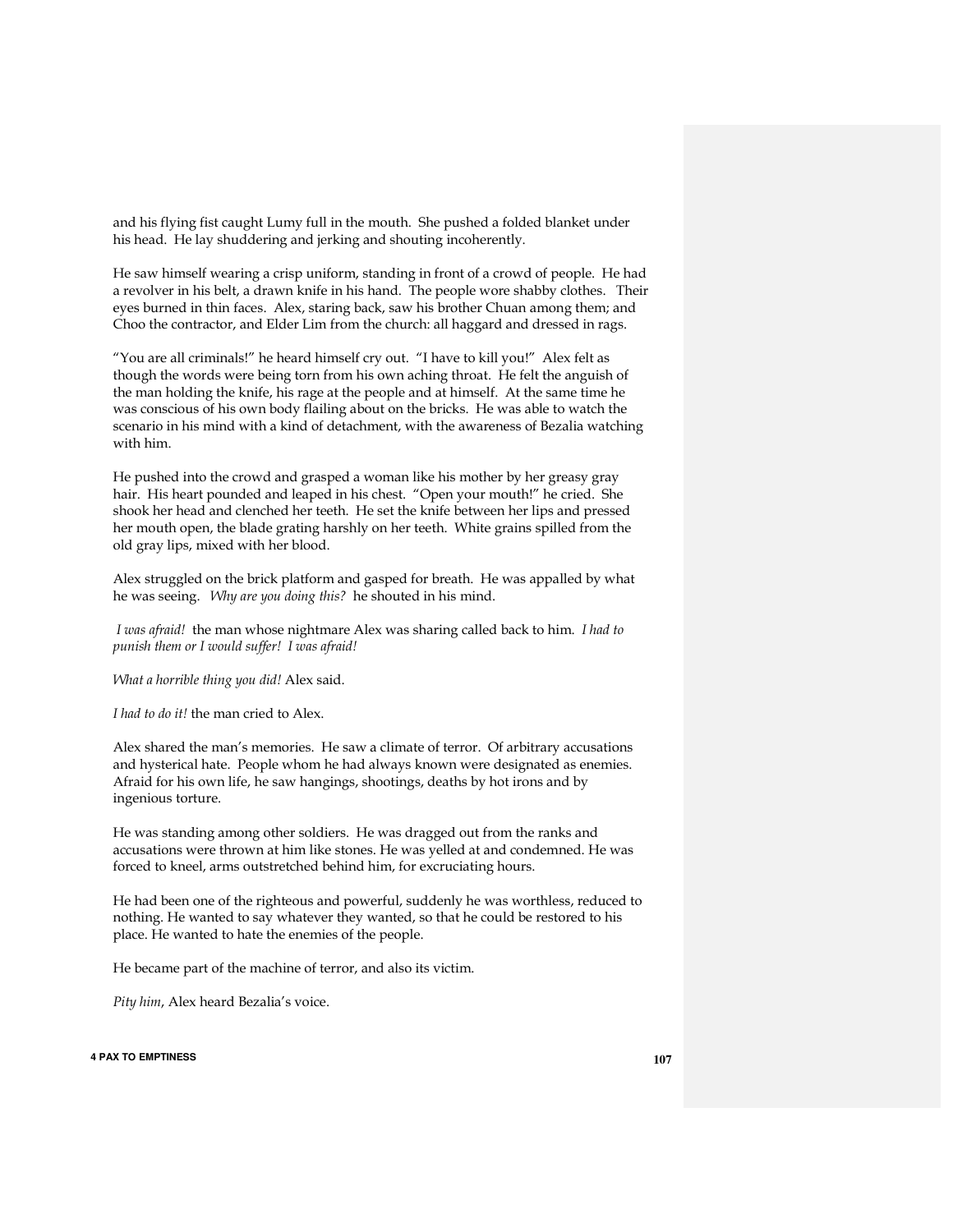and his flying fist caught Lumy full in the mouth. She pushed a folded blanket under his head. He lay shuddering and jerking and shouting incoherently.

He saw himself wearing a crisp uniform, standing in front of a crowd of people. He had a revolver in his belt, a drawn knife in his hand. The people wore shabby clothes. Their eyes burned in thin faces. Alex, staring back, saw his brother Chuan among them; and Choo the contractor, and Elder Lim from the church: all haggard and dressed in rags.

"You are all criminals!" he heard himself cry out. "I have to kill you!" Alex felt as though the words were being torn from his own aching throat. He felt the anguish of the man holding the knife, his rage at the people and at himself. At the same time he was conscious of his own body flailing about on the bricks. He was able to watch the scenario in his mind with a kind of detachment, with the awareness of Bezalia watching with him.

He pushed into the crowd and grasped a woman like his mother by her greasy gray hair. His heart pounded and leaped in his chest. "Open your mouth!" he cried. She shook her head and clenched her teeth. He set the knife between her lips and pressed her mouth open, the blade grating harshly on her teeth. White grains spilled from the old gray lips, mixed with her blood.

Alex struggled on the brick platform and gasped for breath. He was appalled by what he was seeing. Why are you doing this? he shouted in his mind.

 I was afraid! the man whose nightmare Alex was sharing called back to him. I had to punish them or I would suffer! I was afraid!

What a horrible thing you did! Alex said.

I had to do it! the man cried to Alex.

Alex shared the man's memories. He saw a climate of terror. Of arbitrary accusations and hysterical hate. People whom he had always known were designated as enemies. Afraid for his own life, he saw hangings, shootings, deaths by hot irons and by ingenious torture.

He was standing among other soldiers. He was dragged out from the ranks and accusations were thrown at him like stones. He was yelled at and condemned. He was forced to kneel, arms outstretched behind him, for excruciating hours.

He had been one of the righteous and powerful, suddenly he was worthless, reduced to nothing. He wanted to say whatever they wanted, so that he could be restored to his place. He wanted to hate the enemies of the people.

He became part of the machine of terror, and also its victim.

Pity him, Alex heard Bezalia's voice.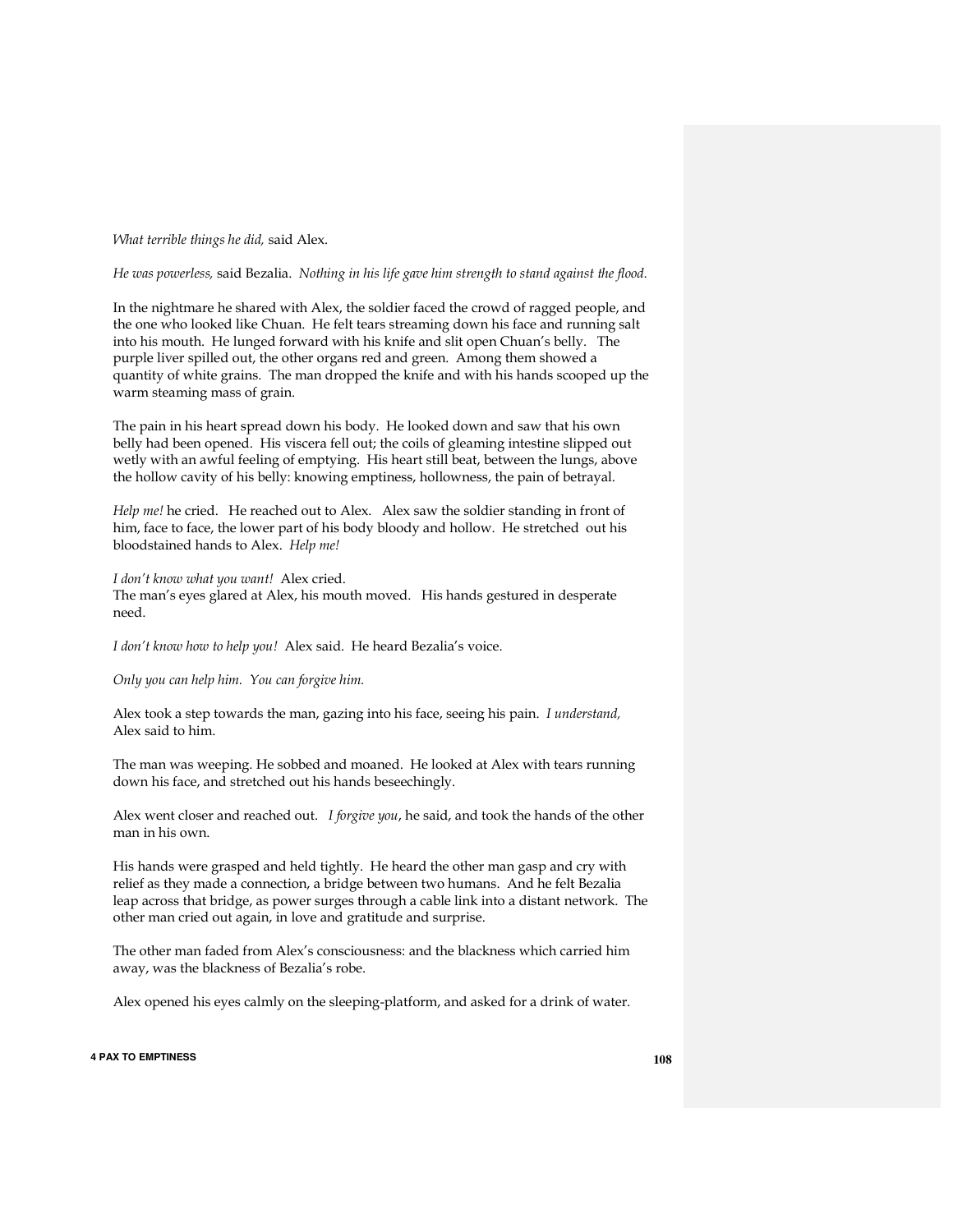# What terrible things he did, said Alex.

He was powerless, said Bezalia. Nothing in his life gave him strength to stand against the flood.

In the nightmare he shared with Alex, the soldier faced the crowd of ragged people, and the one who looked like Chuan. He felt tears streaming down his face and running salt into his mouth. He lunged forward with his knife and slit open Chuan's belly. The purple liver spilled out, the other organs red and green. Among them showed a quantity of white grains. The man dropped the knife and with his hands scooped up the warm steaming mass of grain.

The pain in his heart spread down his body. He looked down and saw that his own belly had been opened. His viscera fell out; the coils of gleaming intestine slipped out wetly with an awful feeling of emptying. His heart still beat, between the lungs, above the hollow cavity of his belly: knowing emptiness, hollowness, the pain of betrayal.

Help me! he cried. He reached out to Alex. Alex saw the soldier standing in front of him, face to face, the lower part of his body bloody and hollow. He stretched out his bloodstained hands to Alex. Help me!

I don't know what you want! Alex cried.

The man's eyes glared at Alex, his mouth moved. His hands gestured in desperate need.

I don't know how to help you! Alex said. He heard Bezalia's voice.

# Only you can help him. You can forgive him.

Alex took a step towards the man, gazing into his face, seeing his pain. I understand, Alex said to him.

The man was weeping. He sobbed and moaned. He looked at Alex with tears running down his face, and stretched out his hands beseechingly.

Alex went closer and reached out. I forgive you, he said, and took the hands of the other man in his own.

His hands were grasped and held tightly. He heard the other man gasp and cry with relief as they made a connection, a bridge between two humans. And he felt Bezalia leap across that bridge, as power surges through a cable link into a distant network. The other man cried out again, in love and gratitude and surprise.

The other man faded from Alex's consciousness: and the blackness which carried him away, was the blackness of Bezalia's robe.

Alex opened his eyes calmly on the sleeping-platform, and asked for a drink of water.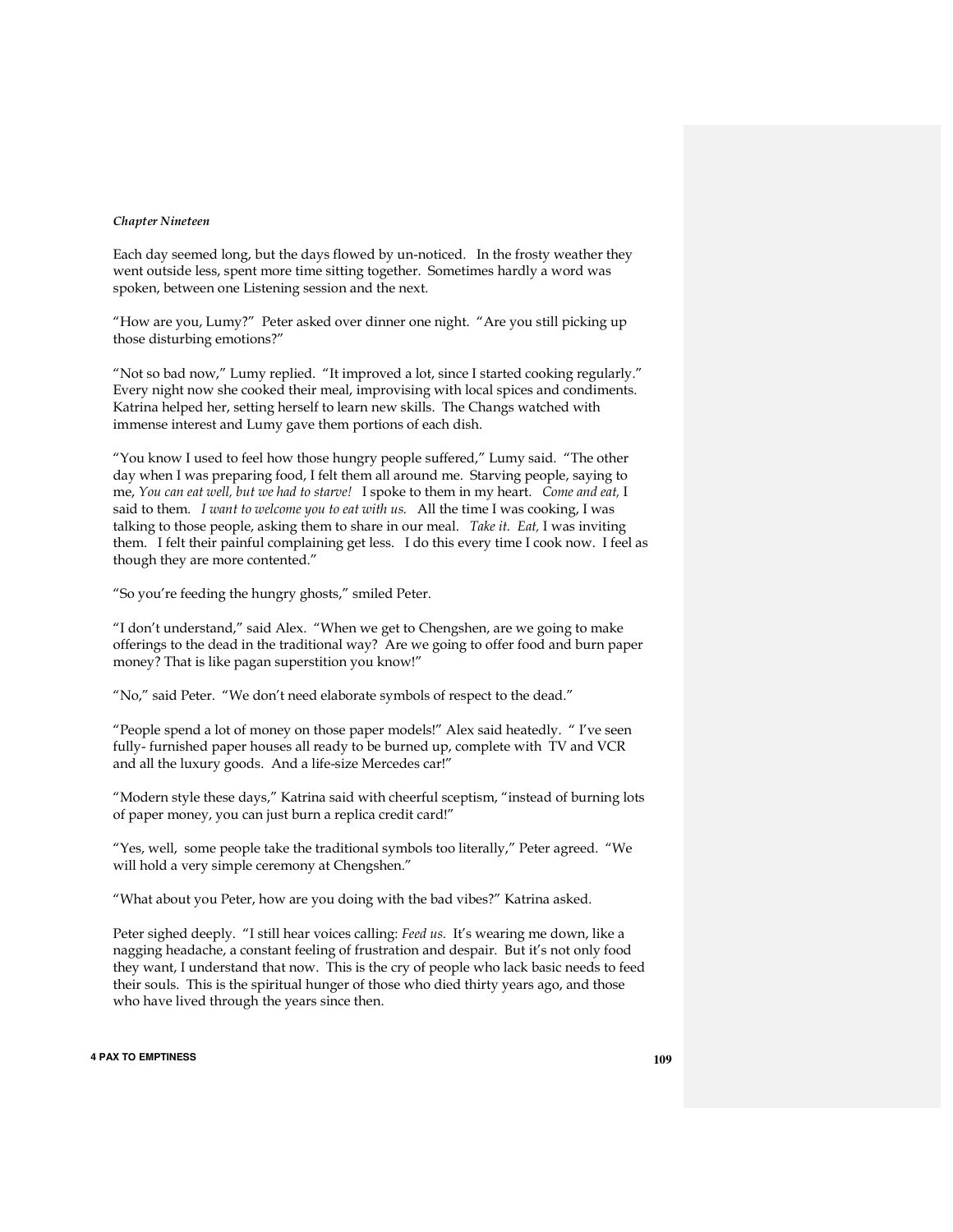### Chapter Nineteen

Each day seemed long, but the days flowed by un-noticed. In the frosty weather they went outside less, spent more time sitting together. Sometimes hardly a word was spoken, between one Listening session and the next.

"How are you, Lumy?" Peter asked over dinner one night. "Are you still picking up those disturbing emotions?"

"Not so bad now," Lumy replied. "It improved a lot, since I started cooking regularly." Every night now she cooked their meal, improvising with local spices and condiments. Katrina helped her, setting herself to learn new skills. The Changs watched with immense interest and Lumy gave them portions of each dish.

"You know I used to feel how those hungry people suffered," Lumy said. "The other day when I was preparing food, I felt them all around me. Starving people, saying to me, You can eat well, but we had to starve! I spoke to them in my heart. Come and eat, I said to them. I want to welcome you to eat with us. All the time I was cooking, I was talking to those people, asking them to share in our meal. Take it. Eat, I was inviting them. I felt their painful complaining get less. I do this every time I cook now. I feel as though they are more contented."

"So you're feeding the hungry ghosts," smiled Peter.

"I don't understand," said Alex. "When we get to Chengshen, are we going to make offerings to the dead in the traditional way? Are we going to offer food and burn paper money? That is like pagan superstition you know!"

"No," said Peter. "We don't need elaborate symbols of respect to the dead."

"People spend a lot of money on those paper models!" Alex said heatedly. " I've seen fully- furnished paper houses all ready to be burned up, complete with TV and VCR and all the luxury goods. And a life-size Mercedes car!"

"Modern style these days," Katrina said with cheerful sceptism, "instead of burning lots of paper money, you can just burn a replica credit card!"

"Yes, well, some people take the traditional symbols too literally," Peter agreed. "We will hold a very simple ceremony at Chengshen."

"What about you Peter, how are you doing with the bad vibes?" Katrina asked.

Peter sighed deeply. "I still hear voices calling: Feed us. It's wearing me down, like a nagging headache, a constant feeling of frustration and despair. But it's not only food they want, I understand that now. This is the cry of people who lack basic needs to feed their souls. This is the spiritual hunger of those who died thirty years ago, and those who have lived through the years since then.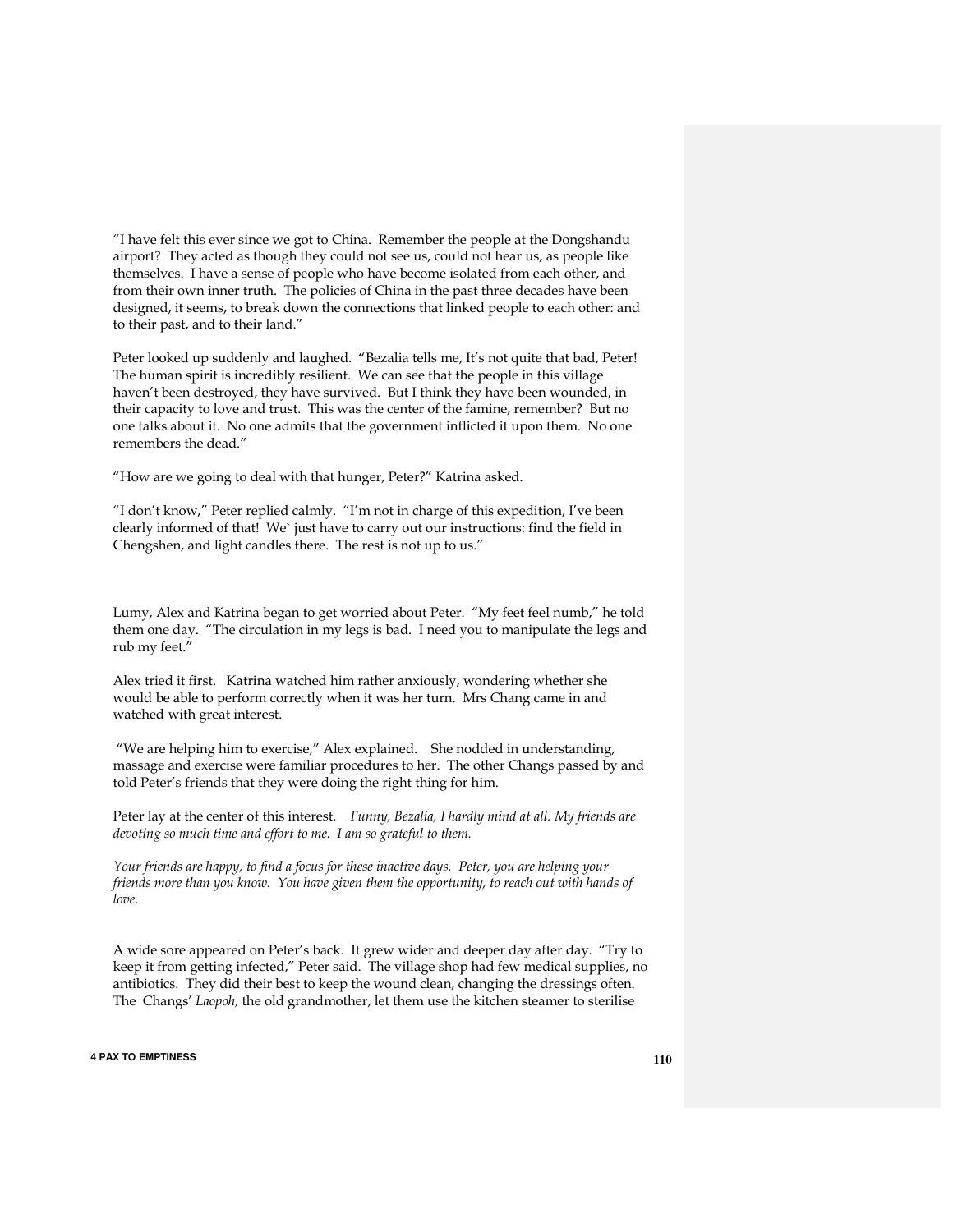"I have felt this ever since we got to China. Remember the people at the Dongshandu airport? They acted as though they could not see us, could not hear us, as people like themselves. I have a sense of people who have become isolated from each other, and from their own inner truth. The policies of China in the past three decades have been designed, it seems, to break down the connections that linked people to each other: and to their past, and to their land."

Peter looked up suddenly and laughed. "Bezalia tells me, It's not quite that bad, Peter! The human spirit is incredibly resilient. We can see that the people in this village haven't been destroyed, they have survived. But I think they have been wounded, in their capacity to love and trust. This was the center of the famine, remember? But no one talks about it. No one admits that the government inflicted it upon them. No one remembers the dead."

"How are we going to deal with that hunger, Peter?" Katrina asked.

"I don't know," Peter replied calmly. "I'm not in charge of this expedition, I've been clearly informed of that! We` just have to carry out our instructions: find the field in Chengshen, and light candles there. The rest is not up to us."

Lumy, Alex and Katrina began to get worried about Peter. "My feet feel numb," he told them one day. "The circulation in my legs is bad. I need you to manipulate the legs and rub my feet."

Alex tried it first. Katrina watched him rather anxiously, wondering whether she would be able to perform correctly when it was her turn. Mrs Chang came in and watched with great interest.

 "We are helping him to exercise," Alex explained. She nodded in understanding, massage and exercise were familiar procedures to her. The other Changs passed by and told Peter's friends that they were doing the right thing for him.

Peter lay at the center of this interest. Funny, Bezalia, I hardly mind at all. My friends are devoting so much time and effort to me. I am so grateful to them.

Your friends are happy, to find a focus for these inactive days. Peter, you are helping your friends more than you know. You have given them the opportunity, to reach out with hands of love.

A wide sore appeared on Peter's back. It grew wider and deeper day after day. "Try to keep it from getting infected," Peter said. The village shop had few medical supplies, no antibiotics. They did their best to keep the wound clean, changing the dressings often. The Changs' Laopoh, the old grandmother, let them use the kitchen steamer to sterilise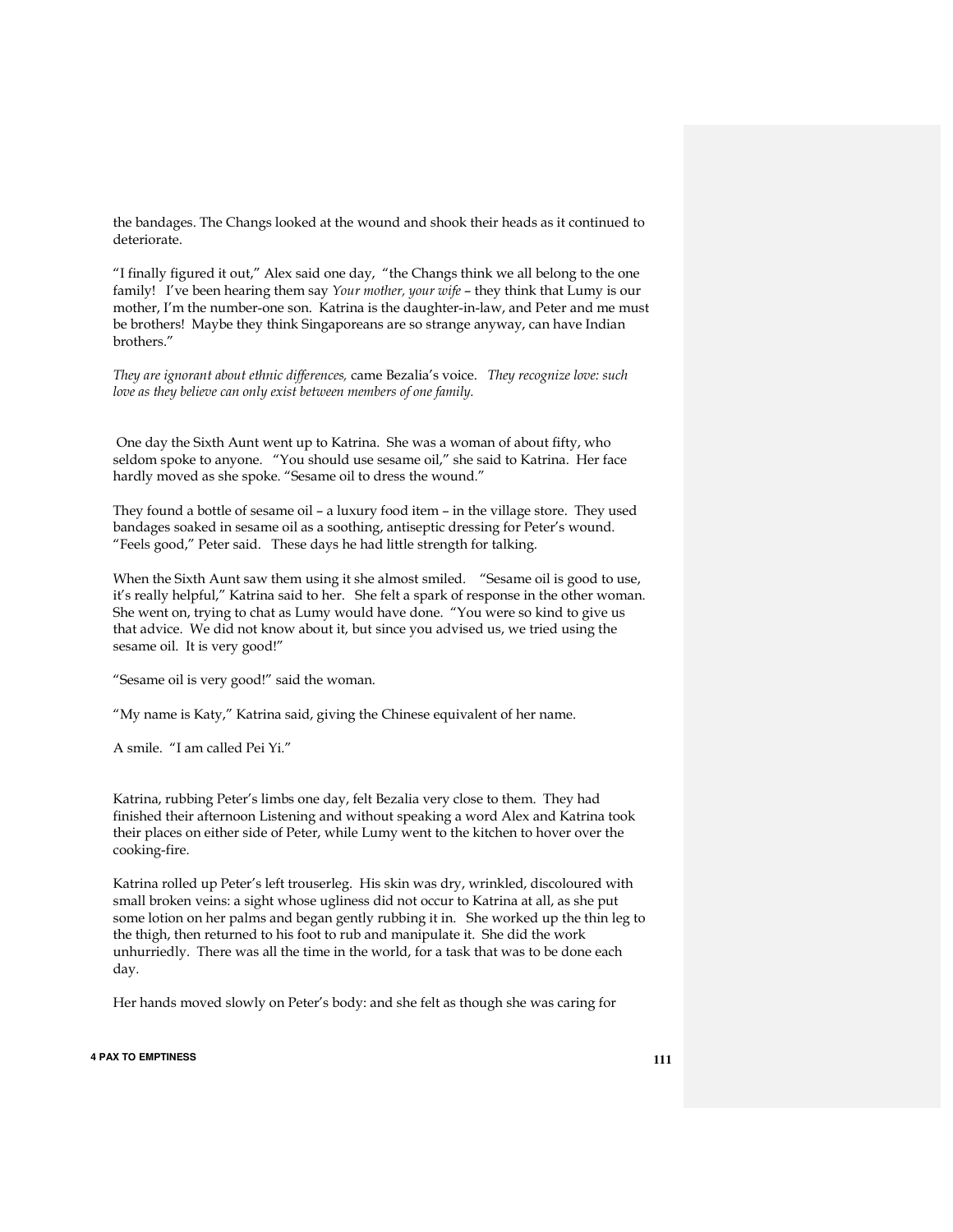the bandages. The Changs looked at the wound and shook their heads as it continued to deteriorate.

"I finally figured it out," Alex said one day, "the Changs think we all belong to the one family! I've been hearing them say Your mother, your wife - they think that Lumy is our mother, I'm the number-one son. Katrina is the daughter-in-law, and Peter and me must be brothers! Maybe they think Singaporeans are so strange anyway, can have Indian brothers."

They are ignorant about ethnic differences, came Bezalia's voice. They recognize love: such love as they believe can only exist between members of one family.

 One day the Sixth Aunt went up to Katrina. She was a woman of about fifty, who seldom spoke to anyone. "You should use sesame oil," she said to Katrina. Her face hardly moved as she spoke. "Sesame oil to dress the wound."

They found a bottle of sesame oil – a luxury food item – in the village store. They used bandages soaked in sesame oil as a soothing, antiseptic dressing for Peter's wound. "Feels good," Peter said. These days he had little strength for talking.

When the Sixth Aunt saw them using it she almost smiled. "Sesame oil is good to use, it's really helpful," Katrina said to her. She felt a spark of response in the other woman. She went on, trying to chat as Lumy would have done. "You were so kind to give us that advice. We did not know about it, but since you advised us, we tried using the sesame oil. It is very good!"

"Sesame oil is very good!" said the woman.

"My name is Katy," Katrina said, giving the Chinese equivalent of her name.

A smile. "I am called Pei Yi."

Katrina, rubbing Peter's limbs one day, felt Bezalia very close to them. They had finished their afternoon Listening and without speaking a word Alex and Katrina took their places on either side of Peter, while Lumy went to the kitchen to hover over the cooking-fire.

Katrina rolled up Peter's left trouserleg. His skin was dry, wrinkled, discoloured with small broken veins: a sight whose ugliness did not occur to Katrina at all, as she put some lotion on her palms and began gently rubbing it in. She worked up the thin leg to the thigh, then returned to his foot to rub and manipulate it. She did the work unhurriedly. There was all the time in the world, for a task that was to be done each day.

Her hands moved slowly on Peter's body: and she felt as though she was caring for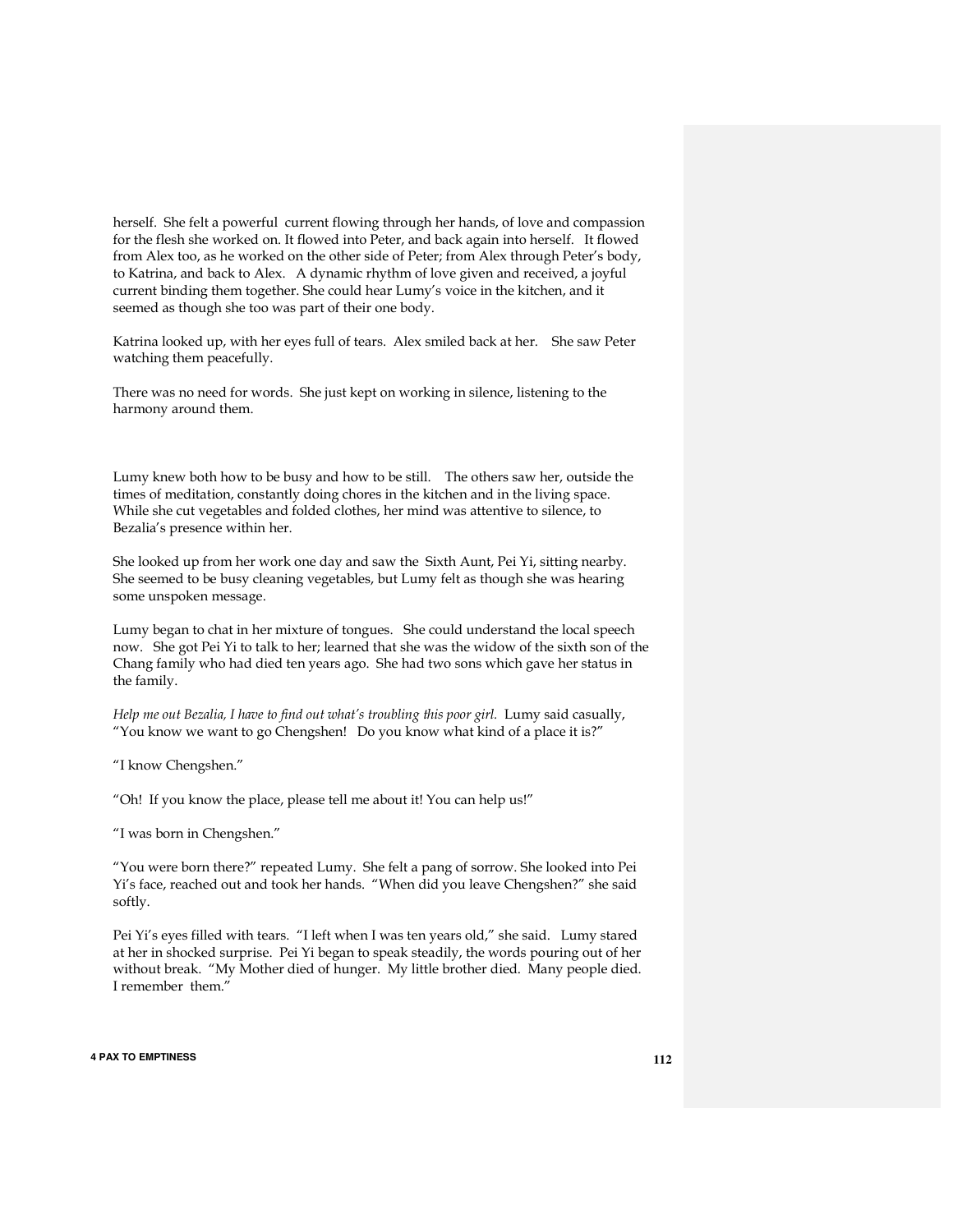herself. She felt a powerful current flowing through her hands, of love and compassion for the flesh she worked on. It flowed into Peter, and back again into herself. It flowed from Alex too, as he worked on the other side of Peter; from Alex through Peter's body, to Katrina, and back to Alex. A dynamic rhythm of love given and received, a joyful current binding them together. She could hear Lumy's voice in the kitchen, and it seemed as though she too was part of their one body.

Katrina looked up, with her eyes full of tears. Alex smiled back at her. She saw Peter watching them peacefully.

There was no need for words. She just kept on working in silence, listening to the harmony around them.

Lumy knew both how to be busy and how to be still. The others saw her, outside the times of meditation, constantly doing chores in the kitchen and in the living space. While she cut vegetables and folded clothes, her mind was attentive to silence, to Bezalia's presence within her.

She looked up from her work one day and saw the Sixth Aunt, Pei Yi, sitting nearby. She seemed to be busy cleaning vegetables, but Lumy felt as though she was hearing some unspoken message.

Lumy began to chat in her mixture of tongues. She could understand the local speech now. She got Pei Yi to talk to her; learned that she was the widow of the sixth son of the Chang family who had died ten years ago. She had two sons which gave her status in the family.

Help me out Bezalia, I have to find out what's troubling this poor girl. Lumy said casually, "You know we want to go Chengshen! Do you know what kind of a place it is?"

"I know Chengshen."

"Oh! If you know the place, please tell me about it! You can help us!"

"I was born in Chengshen."

"You were born there?" repeated Lumy. She felt a pang of sorrow. She looked into Pei Yi's face, reached out and took her hands. "When did you leave Chengshen?" she said softly.

Pei Yi's eyes filled with tears. "I left when I was ten years old," she said. Lumy stared at her in shocked surprise. Pei Yi began to speak steadily, the words pouring out of her without break. "My Mother died of hunger. My little brother died. Many people died. I remember them."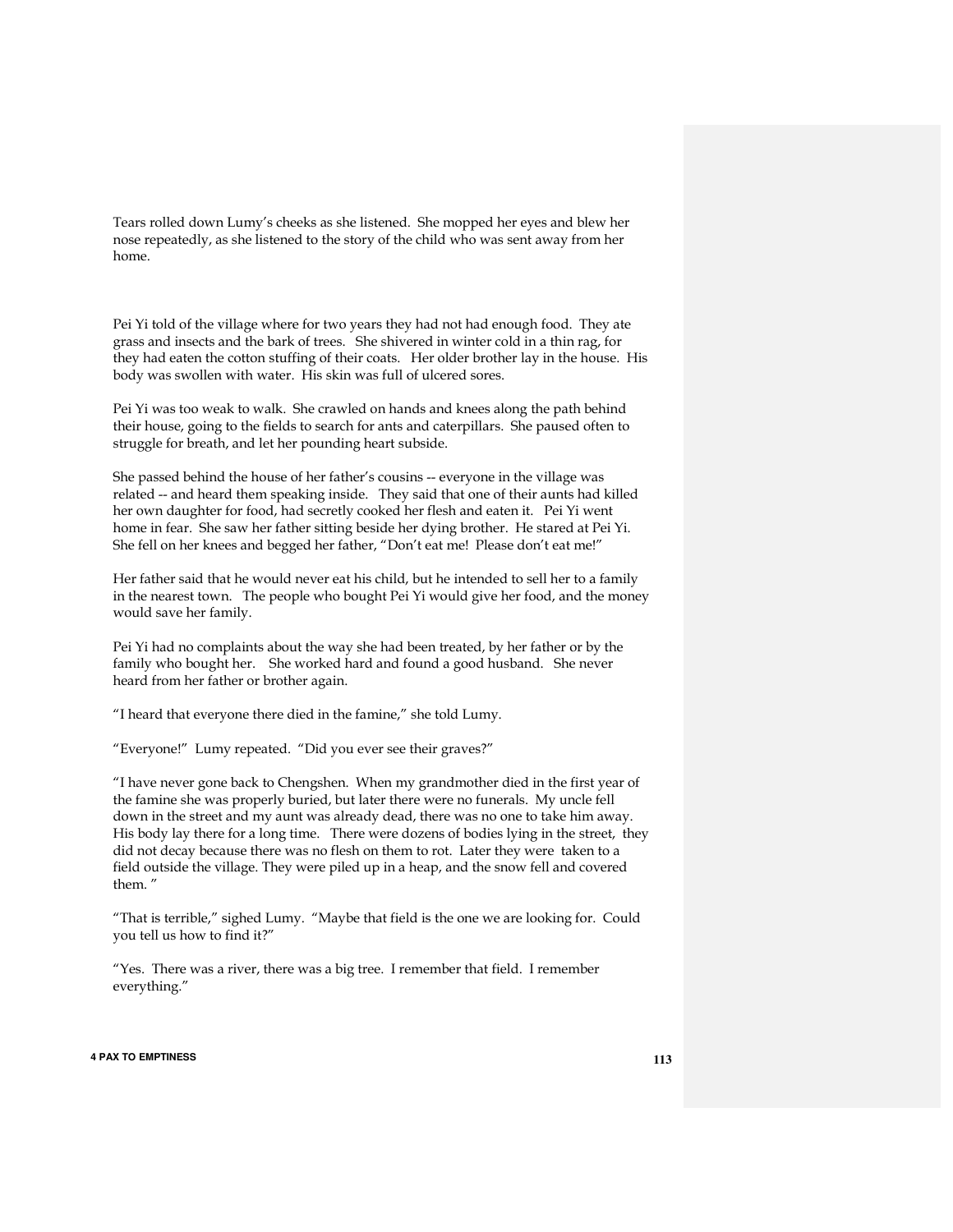Tears rolled down Lumy's cheeks as she listened. She mopped her eyes and blew her nose repeatedly, as she listened to the story of the child who was sent away from her home.

Pei Yi told of the village where for two years they had not had enough food. They ate grass and insects and the bark of trees. She shivered in winter cold in a thin rag, for they had eaten the cotton stuffing of their coats. Her older brother lay in the house. His body was swollen with water. His skin was full of ulcered sores.

Pei Yi was too weak to walk. She crawled on hands and knees along the path behind their house, going to the fields to search for ants and caterpillars. She paused often to struggle for breath, and let her pounding heart subside.

She passed behind the house of her father's cousins -- everyone in the village was related -- and heard them speaking inside. They said that one of their aunts had killed her own daughter for food, had secretly cooked her flesh and eaten it. Pei Yi went home in fear. She saw her father sitting beside her dying brother. He stared at Pei Yi. She fell on her knees and begged her father, "Don't eat me! Please don't eat me!"

Her father said that he would never eat his child, but he intended to sell her to a family in the nearest town. The people who bought Pei Yi would give her food, and the money would save her family.

Pei Yi had no complaints about the way she had been treated, by her father or by the family who bought her. She worked hard and found a good husband. She never heard from her father or brother again.

"I heard that everyone there died in the famine," she told Lumy.

"Everyone!" Lumy repeated. "Did you ever see their graves?"

"I have never gone back to Chengshen. When my grandmother died in the first year of the famine she was properly buried, but later there were no funerals. My uncle fell down in the street and my aunt was already dead, there was no one to take him away. His body lay there for a long time. There were dozens of bodies lying in the street, they did not decay because there was no flesh on them to rot. Later they were taken to a field outside the village. They were piled up in a heap, and the snow fell and covered them. "

"That is terrible," sighed Lumy. "Maybe that field is the one we are looking for. Could you tell us how to find it?"

"Yes. There was a river, there was a big tree. I remember that field. I remember everything."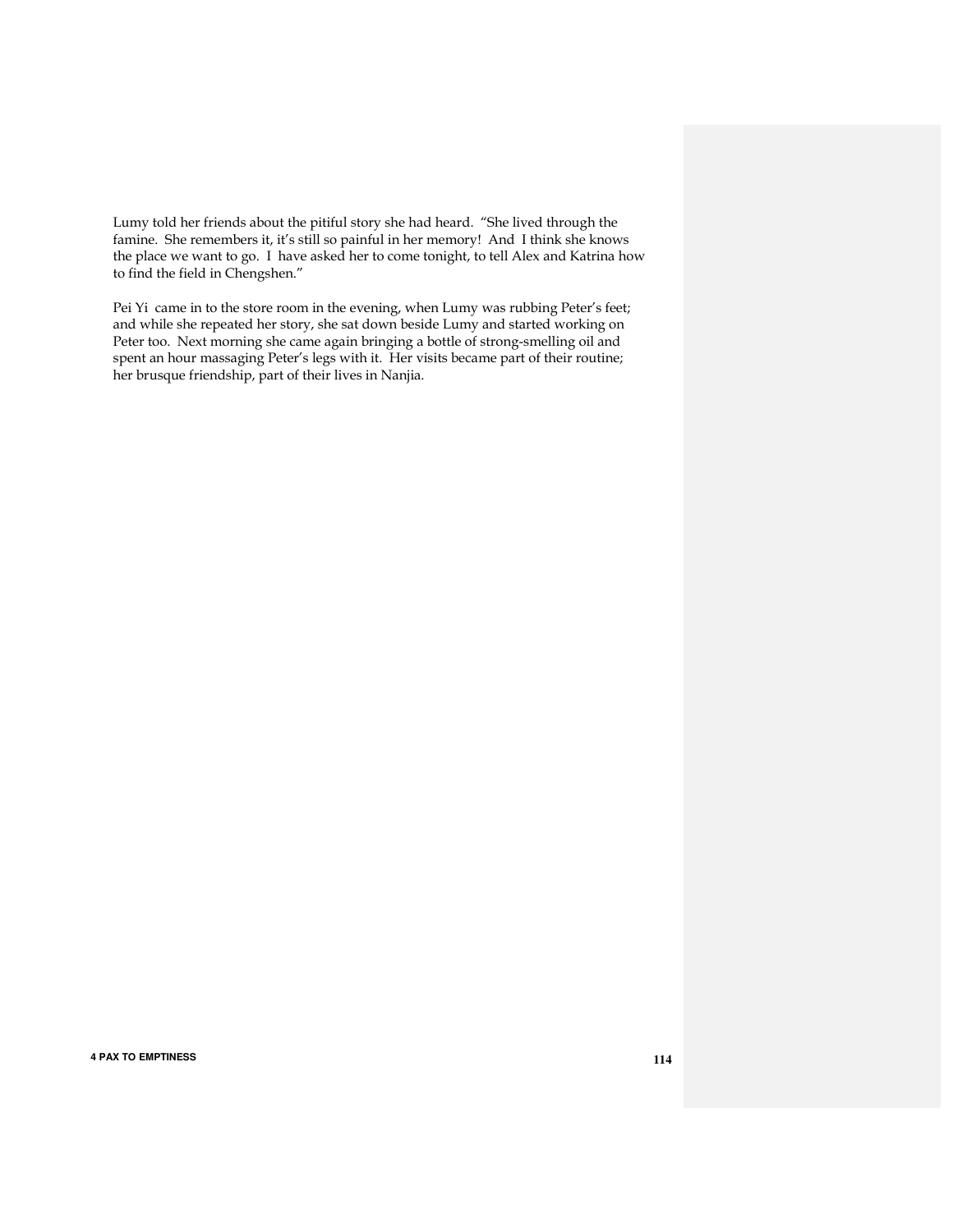Lumy told her friends about the pitiful story she had heard. "She lived through the famine. She remembers it, it's still so painful in her memory! And I think she knows the place we want to go. I have asked her to come tonight, to tell Alex and Katrina how to find the field in Chengshen."

Pei Yi came in to the store room in the evening, when Lumy was rubbing Peter's feet; and while she repeated her story, she sat down beside Lumy and started working on Peter too. Next morning she came again bringing a bottle of strong-smelling oil and spent an hour massaging Peter's legs with it. Her visits became part of their routine; her brusque friendship, part of their lives in Nanjia.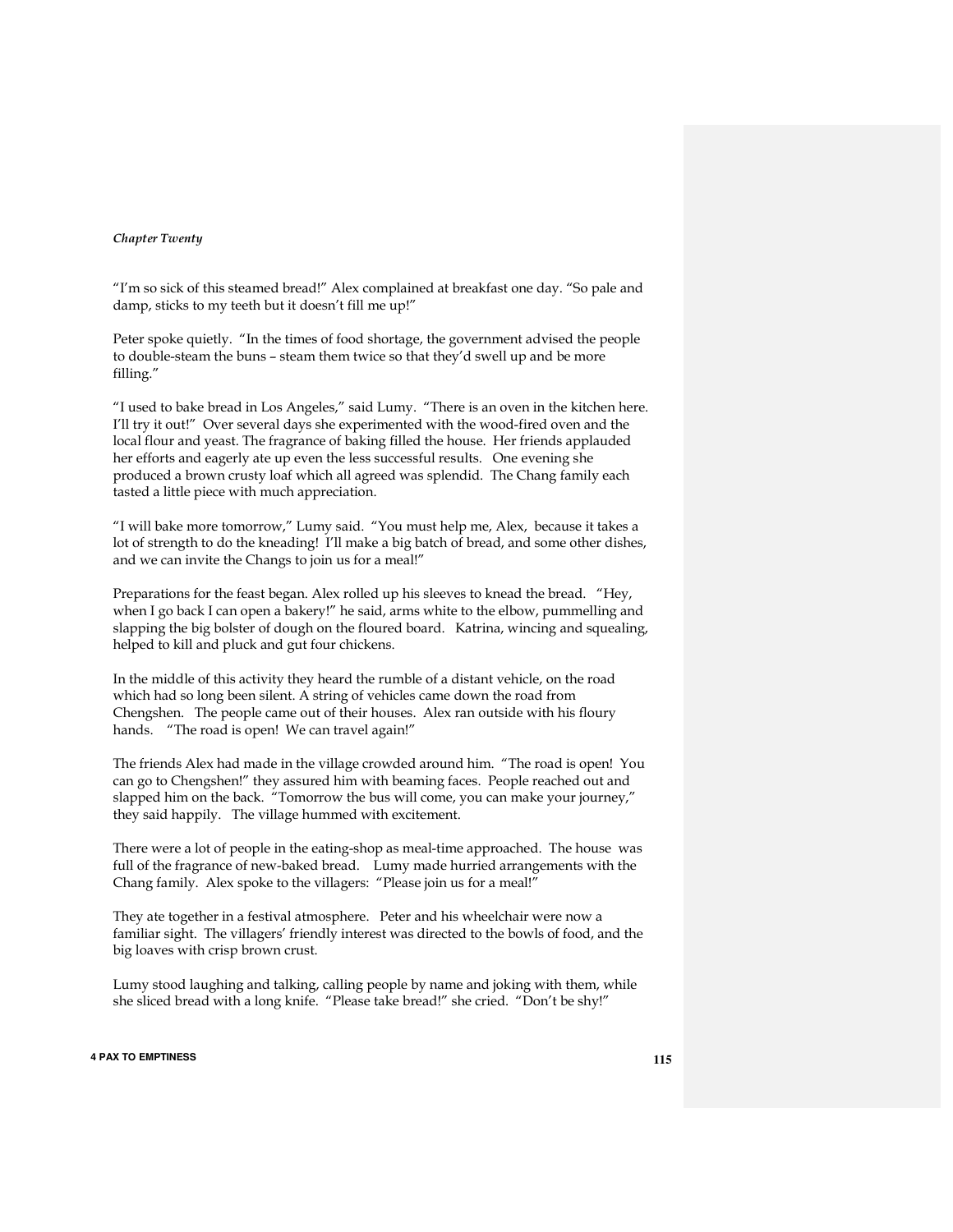# Chapter Twenty

"I'm so sick of this steamed bread!" Alex complained at breakfast one day. "So pale and damp, sticks to my teeth but it doesn't fill me up!"

Peter spoke quietly. "In the times of food shortage, the government advised the people to double-steam the buns – steam them twice so that they'd swell up and be more filling."

"I used to bake bread in Los Angeles," said Lumy. "There is an oven in the kitchen here. I'll try it out!" Over several days she experimented with the wood-fired oven and the local flour and yeast. The fragrance of baking filled the house. Her friends applauded her efforts and eagerly ate up even the less successful results. One evening she produced a brown crusty loaf which all agreed was splendid. The Chang family each tasted a little piece with much appreciation.

"I will bake more tomorrow," Lumy said. "You must help me, Alex, because it takes a lot of strength to do the kneading! I'll make a big batch of bread, and some other dishes, and we can invite the Changs to join us for a meal!"

Preparations for the feast began. Alex rolled up his sleeves to knead the bread. "Hey, when I go back I can open a bakery!" he said, arms white to the elbow, pummelling and slapping the big bolster of dough on the floured board. Katrina, wincing and squealing, helped to kill and pluck and gut four chickens.

In the middle of this activity they heard the rumble of a distant vehicle, on the road which had so long been silent. A string of vehicles came down the road from Chengshen. The people came out of their houses. Alex ran outside with his floury hands. "The road is open! We can travel again!"

The friends Alex had made in the village crowded around him. "The road is open! You can go to Chengshen!" they assured him with beaming faces. People reached out and slapped him on the back. "Tomorrow the bus will come, you can make your journey," they said happily. The village hummed with excitement.

There were a lot of people in the eating-shop as meal-time approached. The house was full of the fragrance of new-baked bread. Lumy made hurried arrangements with the Chang family. Alex spoke to the villagers: "Please join us for a meal!"

They ate together in a festival atmosphere. Peter and his wheelchair were now a familiar sight. The villagers' friendly interest was directed to the bowls of food, and the big loaves with crisp brown crust.

Lumy stood laughing and talking, calling people by name and joking with them, while she sliced bread with a long knife. "Please take bread!" she cried. "Don't be shy!"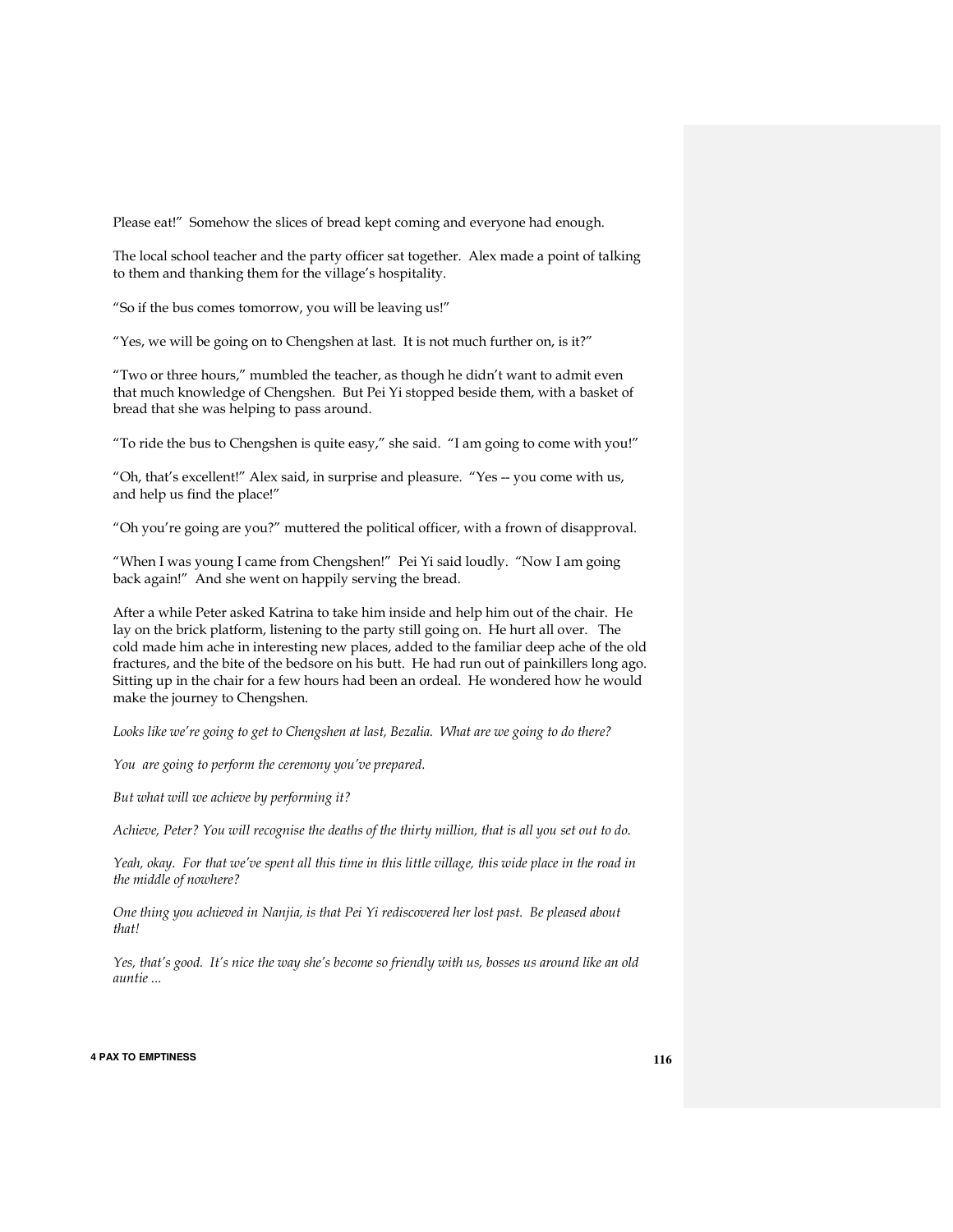Please eat!" Somehow the slices of bread kept coming and everyone had enough.

The local school teacher and the party officer sat together. Alex made a point of talking to them and thanking them for the village's hospitality.

"So if the bus comes tomorrow, you will be leaving us!"

"Yes, we will be going on to Chengshen at last. It is not much further on, is it?"

"Two or three hours," mumbled the teacher, as though he didn't want to admit even that much knowledge of Chengshen. But Pei Yi stopped beside them, with a basket of bread that she was helping to pass around.

"To ride the bus to Chengshen is quite easy," she said. "I am going to come with you!"

"Oh, that's excellent!" Alex said, in surprise and pleasure. "Yes -- you come with us, and help us find the place!"

"Oh you're going are you?" muttered the political officer, with a frown of disapproval.

"When I was young I came from Chengshen!" Pei Yi said loudly. "Now I am going back again!" And she went on happily serving the bread.

After a while Peter asked Katrina to take him inside and help him out of the chair. He lay on the brick platform, listening to the party still going on. He hurt all over. The cold made him ache in interesting new places, added to the familiar deep ache of the old fractures, and the bite of the bedsore on his butt. He had run out of painkillers long ago. Sitting up in the chair for a few hours had been an ordeal. He wondered how he would make the journey to Chengshen.

Looks like we're going to get to Chengshen at last, Bezalia. What are we going to do there?

You are going to perform the ceremony you've prepared.

But what will we achieve by performing it?

Achieve, Peter? You will recognise the deaths of the thirty million, that is all you set out to do.

Yeah, okay. For that we've spent all this time in this little village, this wide place in the road in the middle of nowhere?

One thing you achieved in Nanjia, is that Pei Yi rediscovered her lost past. Be pleased about that!

Yes, that's good. It's nice the way she's become so friendly with us, bosses us around like an old auntie ...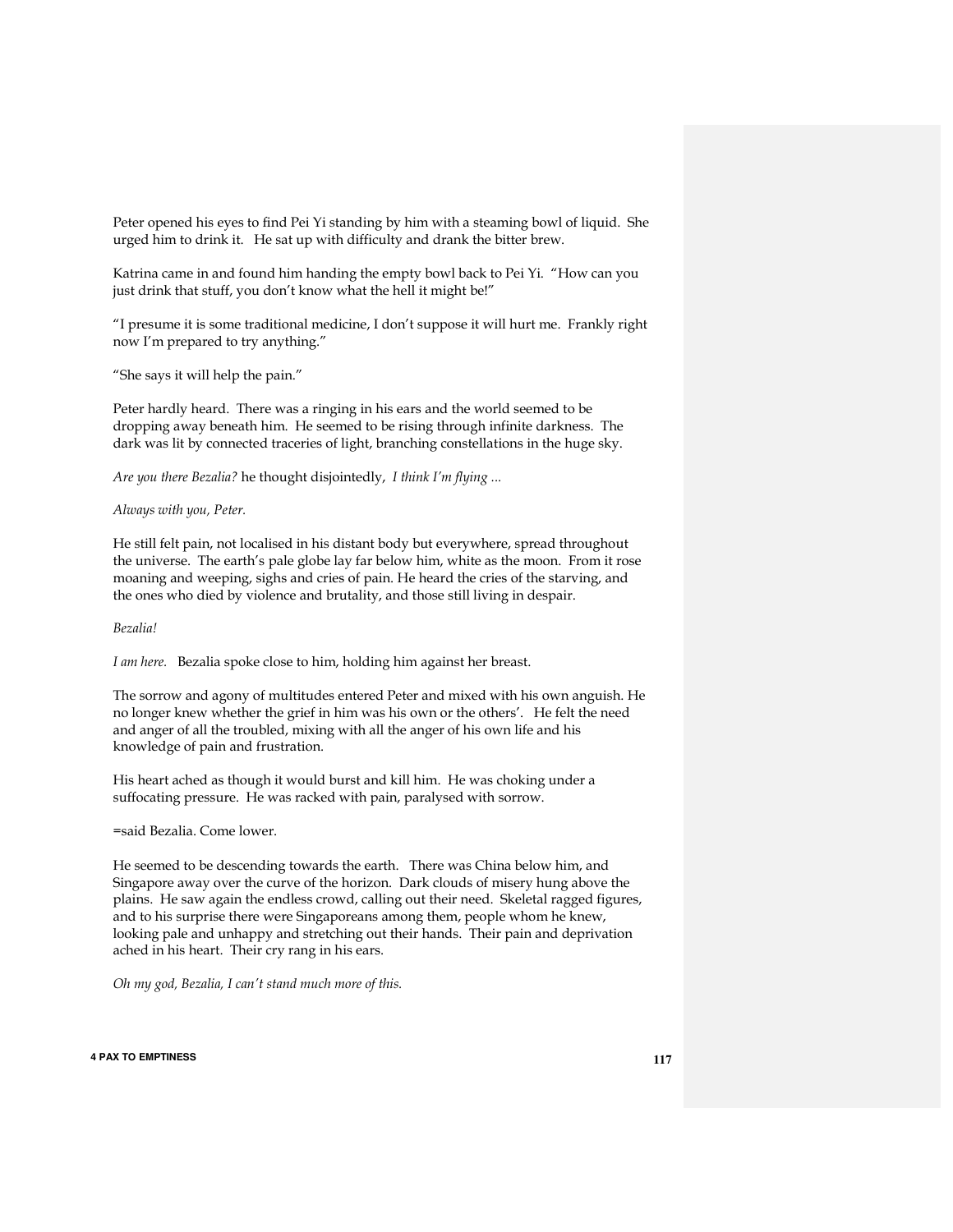Peter opened his eyes to find Pei Yi standing by him with a steaming bowl of liquid. She urged him to drink it. He sat up with difficulty and drank the bitter brew.

Katrina came in and found him handing the empty bowl back to Pei Yi. "How can you just drink that stuff, you don't know what the hell it might be!"

"I presume it is some traditional medicine, I don't suppose it will hurt me. Frankly right now I'm prepared to try anything."

"She says it will help the pain."

Peter hardly heard. There was a ringing in his ears and the world seemed to be dropping away beneath him. He seemed to be rising through infinite darkness. The dark was lit by connected traceries of light, branching constellations in the huge sky.

Are you there Bezalia? he thought disjointedly, I think I'm flying ...

## Always with you, Peter.

He still felt pain, not localised in his distant body but everywhere, spread throughout the universe. The earth's pale globe lay far below him, white as the moon. From it rose moaning and weeping, sighs and cries of pain. He heard the cries of the starving, and the ones who died by violence and brutality, and those still living in despair.

Bezalia!

I am here. Bezalia spoke close to him, holding him against her breast.

The sorrow and agony of multitudes entered Peter and mixed with his own anguish. He no longer knew whether the grief in him was his own or the others'. He felt the need and anger of all the troubled, mixing with all the anger of his own life and his knowledge of pain and frustration.

His heart ached as though it would burst and kill him. He was choking under a suffocating pressure. He was racked with pain, paralysed with sorrow.

=said Bezalia. Come lower.

He seemed to be descending towards the earth. There was China below him, and Singapore away over the curve of the horizon. Dark clouds of misery hung above the plains. He saw again the endless crowd, calling out their need. Skeletal ragged figures, and to his surprise there were Singaporeans among them, people whom he knew, looking pale and unhappy and stretching out their hands. Their pain and deprivation ached in his heart. Their cry rang in his ears.

Oh my god, Bezalia, I can't stand much more of this.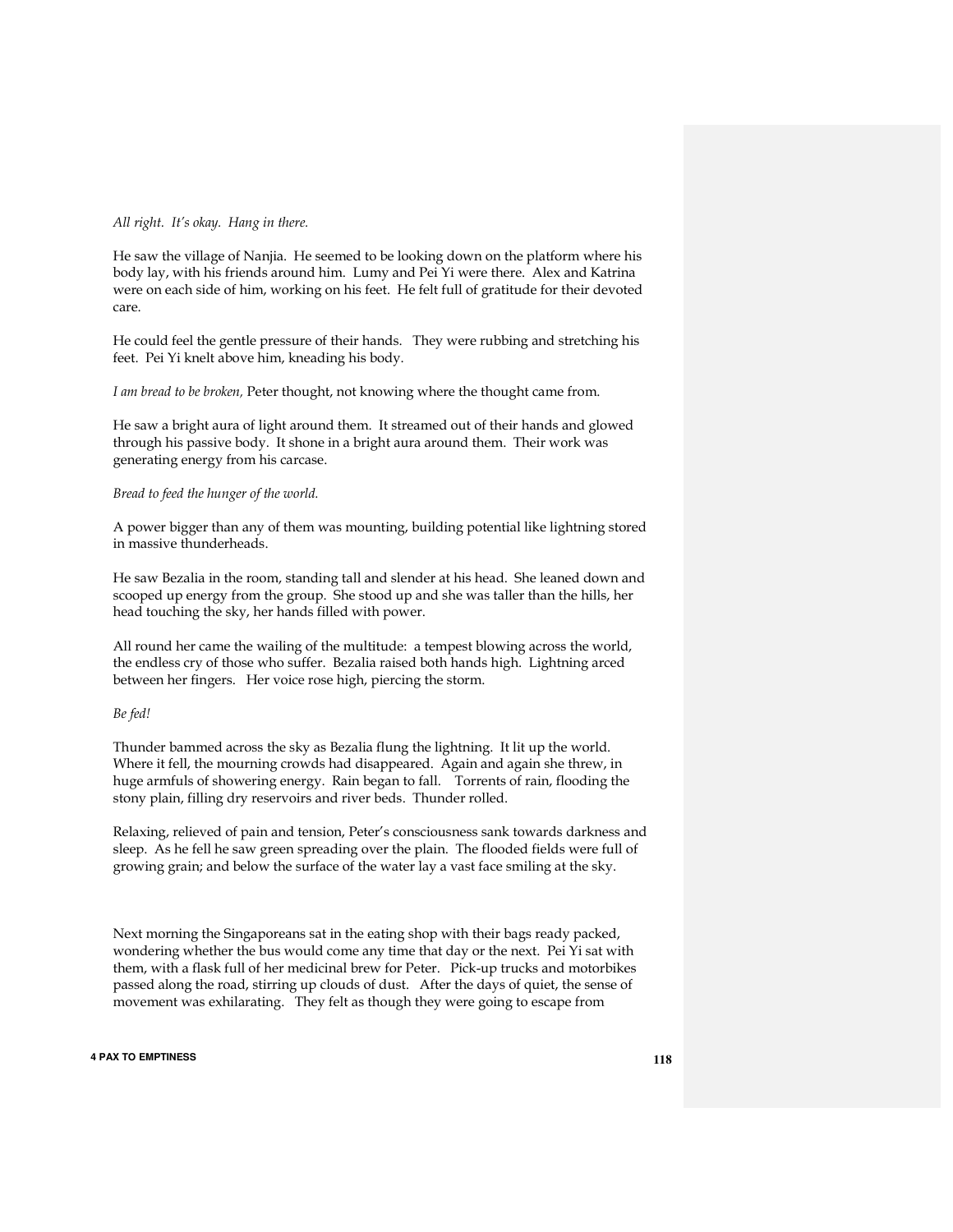# All right. It's okay. Hang in there.

He saw the village of Nanjia. He seemed to be looking down on the platform where his body lay, with his friends around him. Lumy and Pei Yi were there. Alex and Katrina were on each side of him, working on his feet. He felt full of gratitude for their devoted care.

He could feel the gentle pressure of their hands. They were rubbing and stretching his feet. Pei Yi knelt above him, kneading his body.

I am bread to be broken, Peter thought, not knowing where the thought came from.

He saw a bright aura of light around them. It streamed out of their hands and glowed through his passive body. It shone in a bright aura around them. Their work was generating energy from his carcase.

#### Bread to feed the hunger of the world.

A power bigger than any of them was mounting, building potential like lightning stored in massive thunderheads.

He saw Bezalia in the room, standing tall and slender at his head. She leaned down and scooped up energy from the group. She stood up and she was taller than the hills, her head touching the sky, her hands filled with power.

All round her came the wailing of the multitude: a tempest blowing across the world, the endless cry of those who suffer. Bezalia raised both hands high. Lightning arced between her fingers. Her voice rose high, piercing the storm.

## Be fed!

Thunder bammed across the sky as Bezalia flung the lightning. It lit up the world. Where it fell, the mourning crowds had disappeared. Again and again she threw, in huge armfuls of showering energy. Rain began to fall. Torrents of rain, flooding the stony plain, filling dry reservoirs and river beds. Thunder rolled.

Relaxing, relieved of pain and tension, Peter's consciousness sank towards darkness and sleep. As he fell he saw green spreading over the plain. The flooded fields were full of growing grain; and below the surface of the water lay a vast face smiling at the sky.

Next morning the Singaporeans sat in the eating shop with their bags ready packed, wondering whether the bus would come any time that day or the next. Pei Yi sat with them, with a flask full of her medicinal brew for Peter. Pick-up trucks and motorbikes passed along the road, stirring up clouds of dust. After the days of quiet, the sense of movement was exhilarating. They felt as though they were going to escape from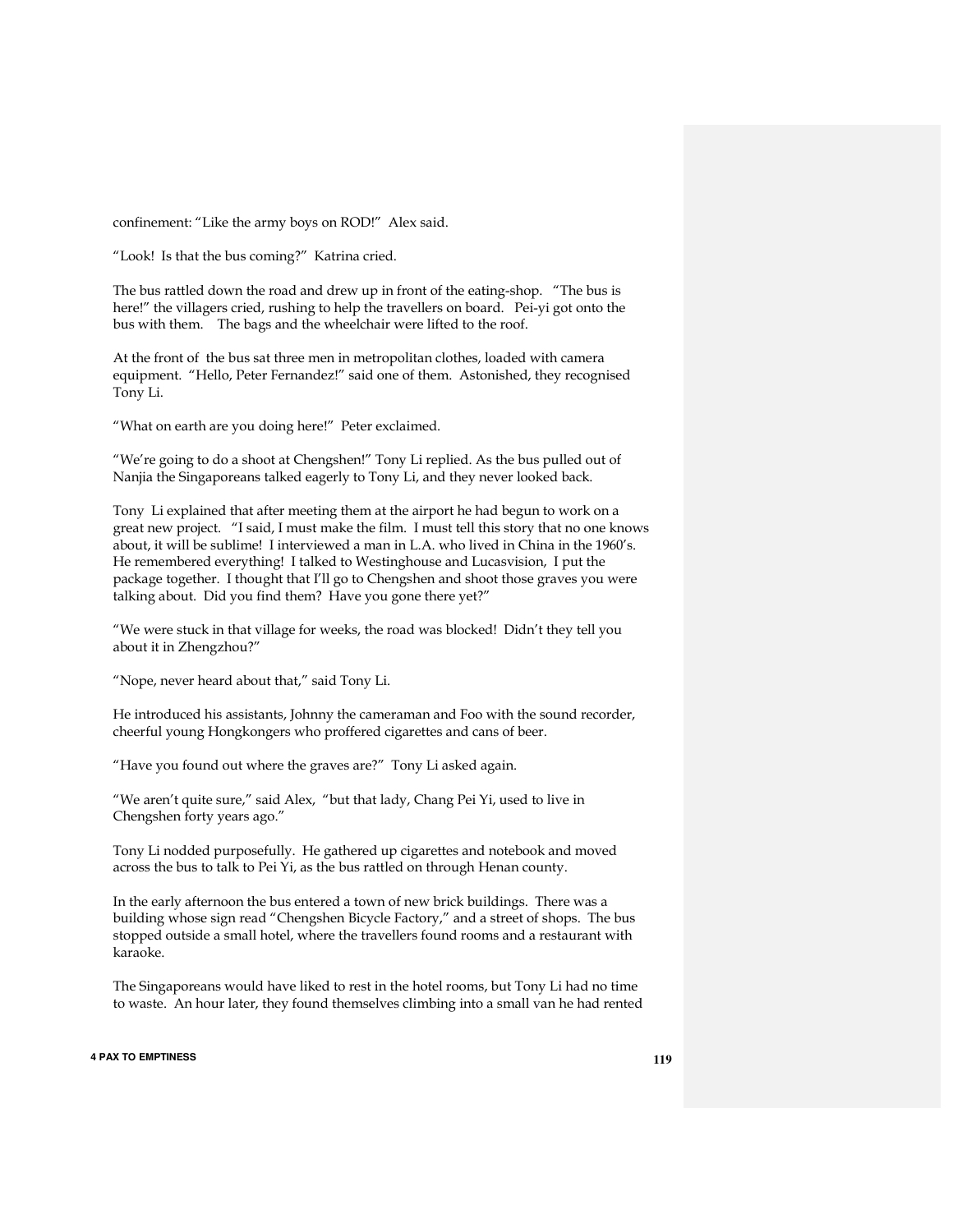confinement: "Like the army boys on ROD!" Alex said.

"Look! Is that the bus coming?" Katrina cried.

The bus rattled down the road and drew up in front of the eating-shop. "The bus is here!" the villagers cried, rushing to help the travellers on board. Pei-yi got onto the bus with them. The bags and the wheelchair were lifted to the roof.

At the front of the bus sat three men in metropolitan clothes, loaded with camera equipment. "Hello, Peter Fernandez!" said one of them. Astonished, they recognised Tony Li.

"What on earth are you doing here!" Peter exclaimed.

"We're going to do a shoot at Chengshen!" Tony Li replied. As the bus pulled out of Nanjia the Singaporeans talked eagerly to Tony Li, and they never looked back.

Tony Li explained that after meeting them at the airport he had begun to work on a great new project. "I said, I must make the film. I must tell this story that no one knows about, it will be sublime! I interviewed a man in L.A. who lived in China in the 1960's. He remembered everything! I talked to Westinghouse and Lucasvision, I put the package together. I thought that I'll go to Chengshen and shoot those graves you were talking about. Did you find them? Have you gone there yet?"

"We were stuck in that village for weeks, the road was blocked! Didn't they tell you about it in Zhengzhou?"

"Nope, never heard about that," said Tony Li.

He introduced his assistants, Johnny the cameraman and Foo with the sound recorder, cheerful young Hongkongers who proffered cigarettes and cans of beer.

"Have you found out where the graves are?" Tony Li asked again.

"We aren't quite sure," said Alex, "but that lady, Chang Pei Yi, used to live in Chengshen forty years ago."

Tony Li nodded purposefully. He gathered up cigarettes and notebook and moved across the bus to talk to Pei Yi, as the bus rattled on through Henan county.

In the early afternoon the bus entered a town of new brick buildings. There was a building whose sign read "Chengshen Bicycle Factory," and a street of shops. The bus stopped outside a small hotel, where the travellers found rooms and a restaurant with karaoke.

The Singaporeans would have liked to rest in the hotel rooms, but Tony Li had no time to waste. An hour later, they found themselves climbing into a small van he had rented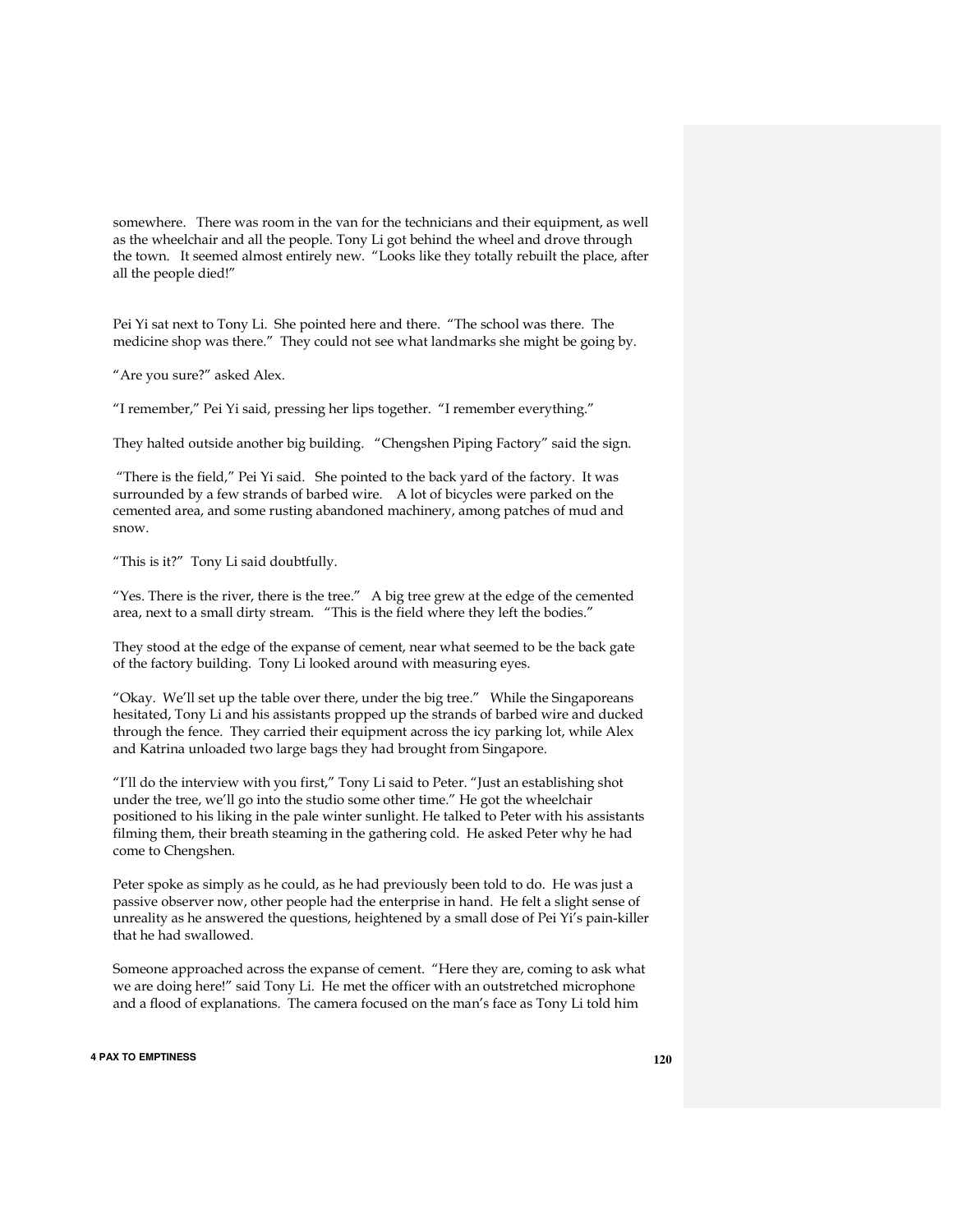somewhere. There was room in the van for the technicians and their equipment, as well as the wheelchair and all the people. Tony Li got behind the wheel and drove through the town. It seemed almost entirely new. "Looks like they totally rebuilt the place, after all the people died!"

Pei Yi sat next to Tony Li. She pointed here and there. "The school was there. The medicine shop was there." They could not see what landmarks she might be going by.

"Are you sure?" asked Alex.

"I remember," Pei Yi said, pressing her lips together. "I remember everything."

They halted outside another big building. "Chengshen Piping Factory" said the sign.

 "There is the field," Pei Yi said. She pointed to the back yard of the factory. It was surrounded by a few strands of barbed wire. A lot of bicycles were parked on the cemented area, and some rusting abandoned machinery, among patches of mud and snow.

"This is it?" Tony Li said doubtfully.

"Yes. There is the river, there is the tree." A big tree grew at the edge of the cemented area, next to a small dirty stream. "This is the field where they left the bodies."

They stood at the edge of the expanse of cement, near what seemed to be the back gate of the factory building. Tony Li looked around with measuring eyes.

"Okay. We'll set up the table over there, under the big tree." While the Singaporeans hesitated, Tony Li and his assistants propped up the strands of barbed wire and ducked through the fence. They carried their equipment across the icy parking lot, while Alex and Katrina unloaded two large bags they had brought from Singapore.

"I'll do the interview with you first," Tony Li said to Peter. "Just an establishing shot under the tree, we'll go into the studio some other time." He got the wheelchair positioned to his liking in the pale winter sunlight. He talked to Peter with his assistants filming them, their breath steaming in the gathering cold. He asked Peter why he had come to Chengshen.

Peter spoke as simply as he could, as he had previously been told to do. He was just a passive observer now, other people had the enterprise in hand. He felt a slight sense of unreality as he answered the questions, heightened by a small dose of Pei Yi's pain-killer that he had swallowed.

Someone approached across the expanse of cement. "Here they are, coming to ask what we are doing here!" said Tony Li. He met the officer with an outstretched microphone and a flood of explanations. The camera focused on the man's face as Tony Li told him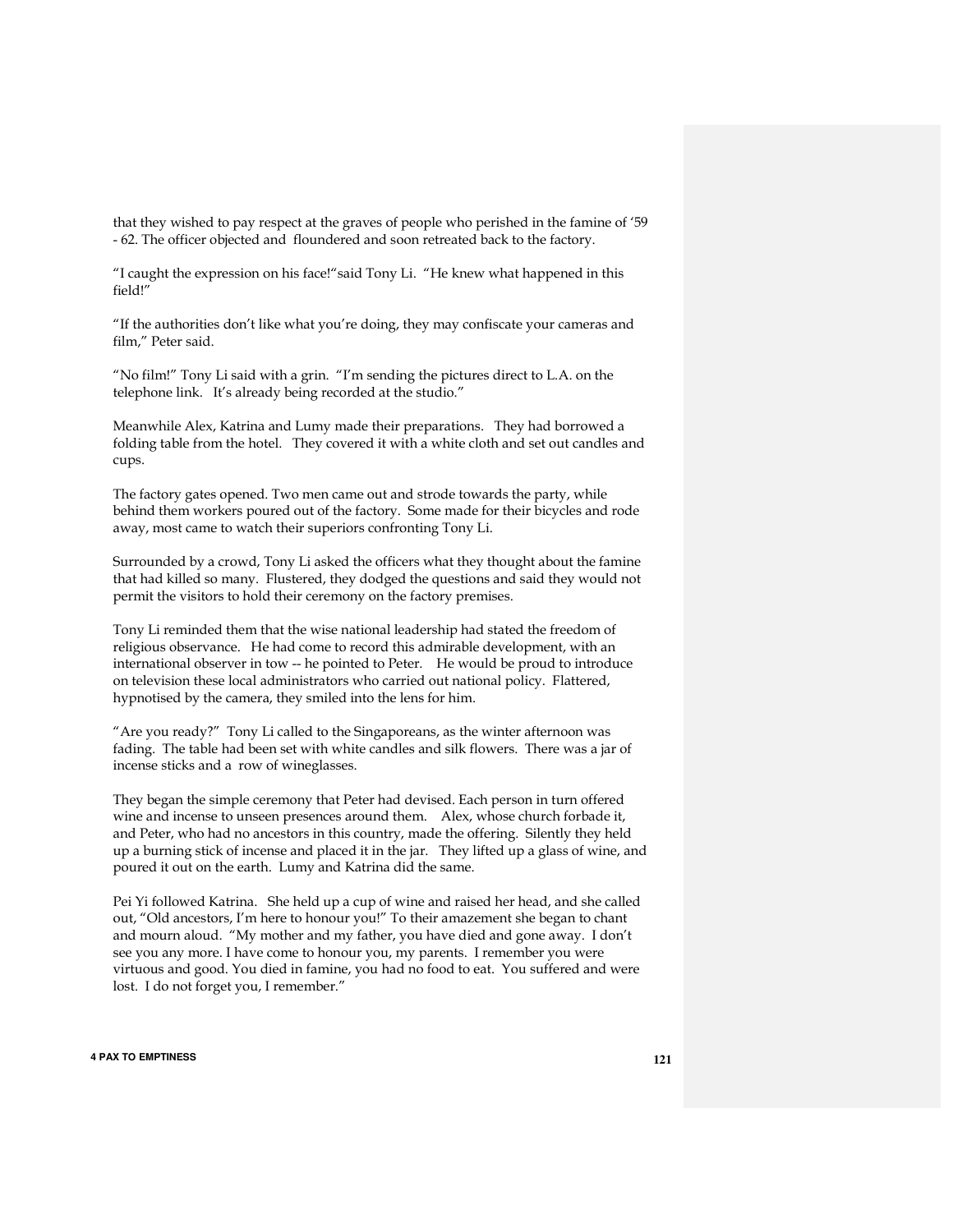that they wished to pay respect at the graves of people who perished in the famine of '59 - 62. The officer objected and floundered and soon retreated back to the factory.

"I caught the expression on his face!"said Tony Li. "He knew what happened in this field!"

"If the authorities don't like what you're doing, they may confiscate your cameras and film," Peter said.

"No film!" Tony Li said with a grin. "I'm sending the pictures direct to L.A. on the telephone link. It's already being recorded at the studio."

Meanwhile Alex, Katrina and Lumy made their preparations. They had borrowed a folding table from the hotel. They covered it with a white cloth and set out candles and cups.

The factory gates opened. Two men came out and strode towards the party, while behind them workers poured out of the factory. Some made for their bicycles and rode away, most came to watch their superiors confronting Tony Li.

Surrounded by a crowd, Tony Li asked the officers what they thought about the famine that had killed so many. Flustered, they dodged the questions and said they would not permit the visitors to hold their ceremony on the factory premises.

Tony Li reminded them that the wise national leadership had stated the freedom of religious observance. He had come to record this admirable development, with an international observer in tow -- he pointed to Peter. He would be proud to introduce on television these local administrators who carried out national policy. Flattered, hypnotised by the camera, they smiled into the lens for him.

"Are you ready?" Tony Li called to the Singaporeans, as the winter afternoon was fading. The table had been set with white candles and silk flowers. There was a jar of incense sticks and a row of wineglasses.

They began the simple ceremony that Peter had devised. Each person in turn offered wine and incense to unseen presences around them. Alex, whose church forbade it, and Peter, who had no ancestors in this country, made the offering. Silently they held up a burning stick of incense and placed it in the jar. They lifted up a glass of wine, and poured it out on the earth. Lumy and Katrina did the same.

Pei Yi followed Katrina. She held up a cup of wine and raised her head, and she called out, "Old ancestors, I'm here to honour you!" To their amazement she began to chant and mourn aloud. "My mother and my father, you have died and gone away. I don't see you any more. I have come to honour you, my parents. I remember you were virtuous and good. You died in famine, you had no food to eat. You suffered and were lost. I do not forget you, I remember."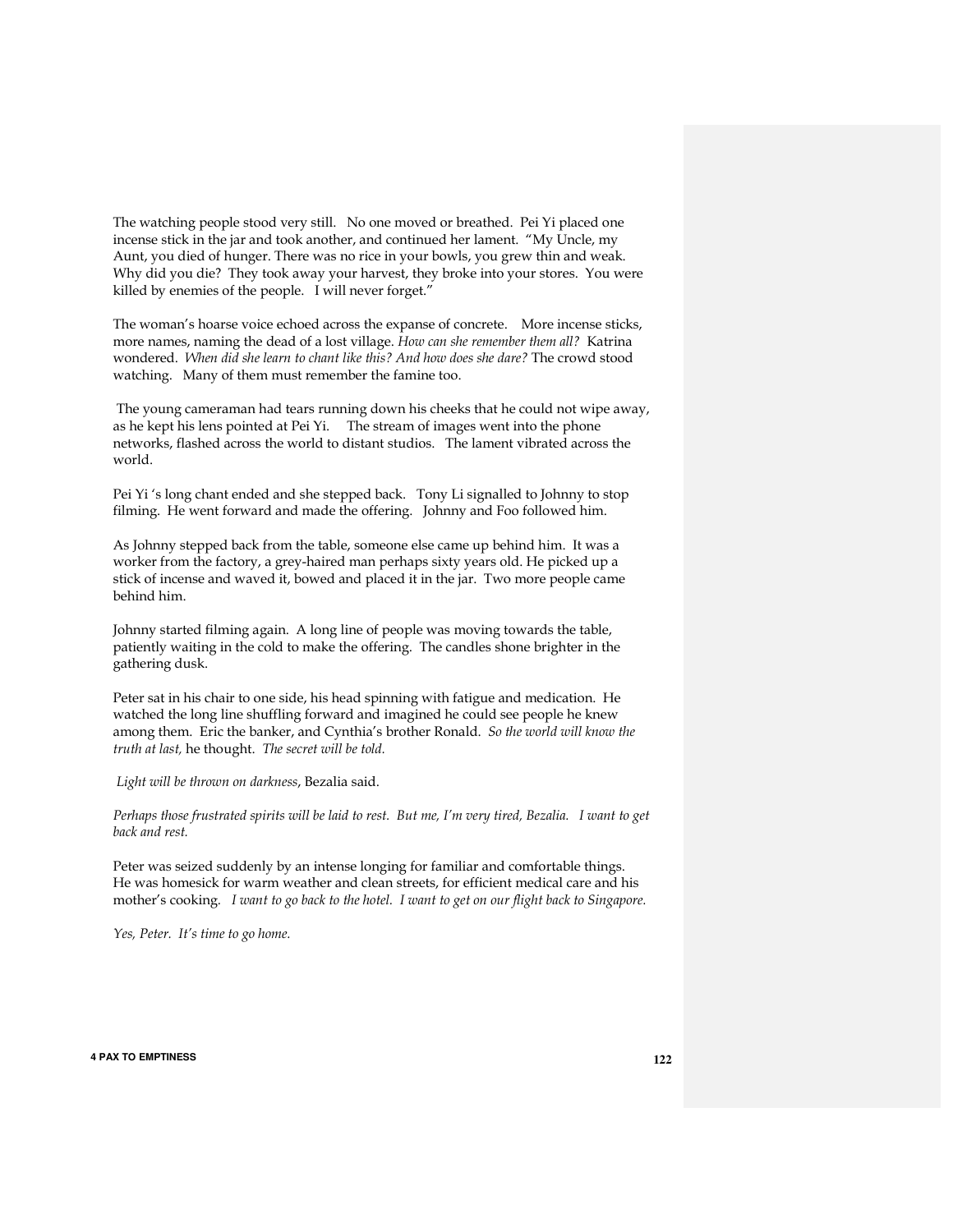The watching people stood very still. No one moved or breathed. Pei Yi placed one incense stick in the jar and took another, and continued her lament. "My Uncle, my Aunt, you died of hunger. There was no rice in your bowls, you grew thin and weak. Why did you die? They took away your harvest, they broke into your stores. You were killed by enemies of the people. I will never forget."

The woman's hoarse voice echoed across the expanse of concrete. More incense sticks, more names, naming the dead of a lost village. How can she remember them all? Katrina wondered. When did she learn to chant like this? And how does she dare? The crowd stood watching. Many of them must remember the famine too.

 The young cameraman had tears running down his cheeks that he could not wipe away, as he kept his lens pointed at Pei Yi. The stream of images went into the phone networks, flashed across the world to distant studios. The lament vibrated across the world.

Pei Yi 's long chant ended and she stepped back. Tony Li signalled to Johnny to stop filming. He went forward and made the offering. Johnny and Foo followed him.

As Johnny stepped back from the table, someone else came up behind him. It was a worker from the factory, a grey-haired man perhaps sixty years old. He picked up a stick of incense and waved it, bowed and placed it in the jar. Two more people came behind him.

Johnny started filming again. A long line of people was moving towards the table, patiently waiting in the cold to make the offering. The candles shone brighter in the gathering dusk.

Peter sat in his chair to one side, his head spinning with fatigue and medication. He watched the long line shuffling forward and imagined he could see people he knew among them. Eric the banker, and Cynthia's brother Ronald. So the world will know the truth at last, he thought. The secret will be told.

Light will be thrown on darkness, Bezalia said.

Perhaps those frustrated spirits will be laid to rest. But me, I'm very tired, Bezalia. I want to get back and rest.

Peter was seized suddenly by an intense longing for familiar and comfortable things. He was homesick for warm weather and clean streets, for efficient medical care and his mother's cooking. I want to go back to the hotel. I want to get on our flight back to Singapore.

Yes, Peter. It's time to go home.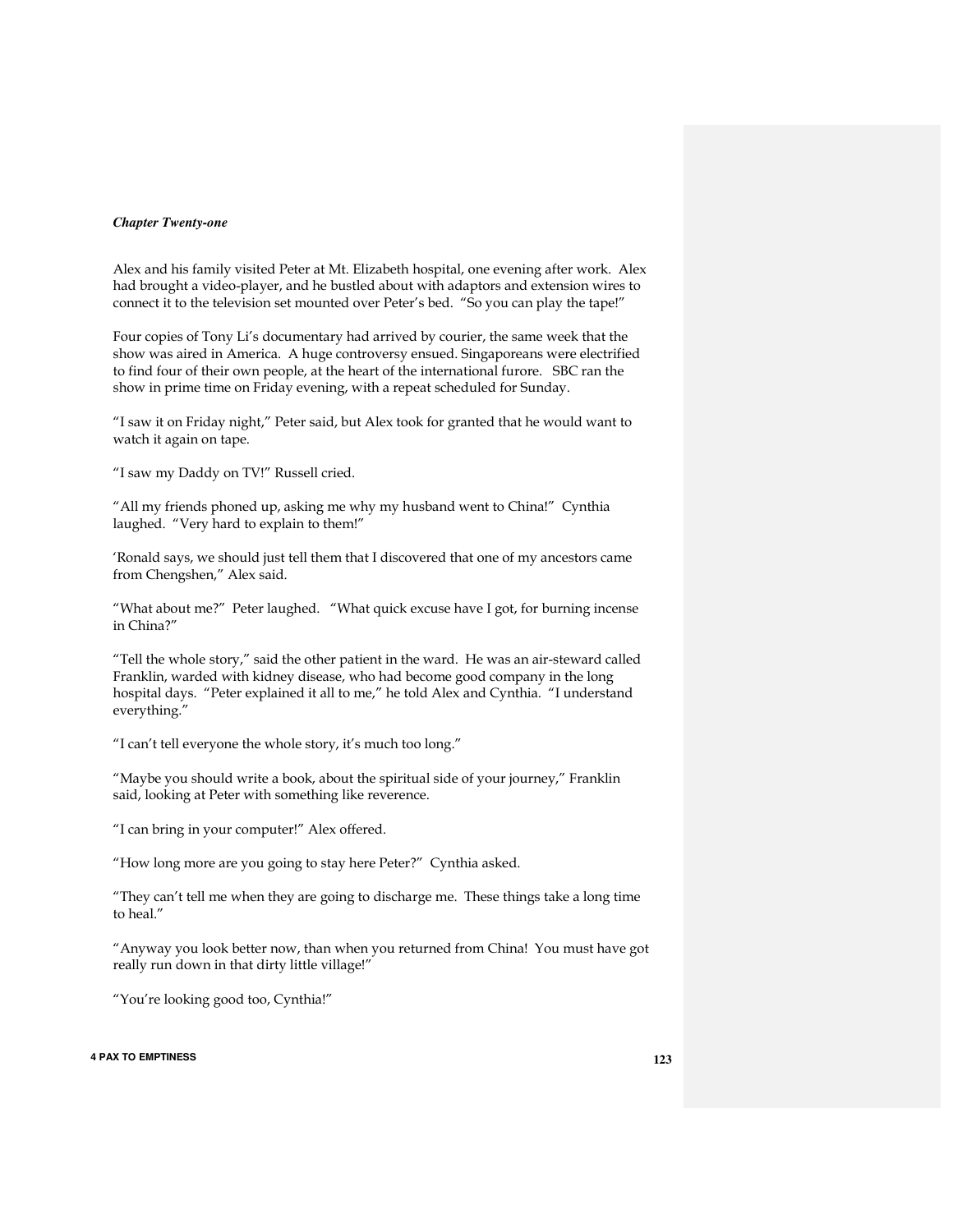# *Chapter Twenty-one*

Alex and his family visited Peter at Mt. Elizabeth hospital, one evening after work. Alex had brought a video-player, and he bustled about with adaptors and extension wires to connect it to the television set mounted over Peter's bed. "So you can play the tape!"

Four copies of Tony Li's documentary had arrived by courier, the same week that the show was aired in America. A huge controversy ensued. Singaporeans were electrified to find four of their own people, at the heart of the international furore. SBC ran the show in prime time on Friday evening, with a repeat scheduled for Sunday.

"I saw it on Friday night," Peter said, but Alex took for granted that he would want to watch it again on tape.

"I saw my Daddy on TV!" Russell cried.

"All my friends phoned up, asking me why my husband went to China!" Cynthia laughed. "Very hard to explain to them!"

'Ronald says, we should just tell them that I discovered that one of my ancestors came from Chengshen," Alex said.

"What about me?" Peter laughed. "What quick excuse have I got, for burning incense in China?"

"Tell the whole story," said the other patient in the ward. He was an air-steward called Franklin, warded with kidney disease, who had become good company in the long hospital days. "Peter explained it all to me," he told Alex and Cynthia. "I understand everything."

"I can't tell everyone the whole story, it's much too long."

"Maybe you should write a book, about the spiritual side of your journey," Franklin said, looking at Peter with something like reverence.

"I can bring in your computer!" Alex offered.

"How long more are you going to stay here Peter?" Cynthia asked.

"They can't tell me when they are going to discharge me. These things take a long time to heal."

"Anyway you look better now, than when you returned from China! You must have got really run down in that dirty little village!"

"You're looking good too, Cynthia!"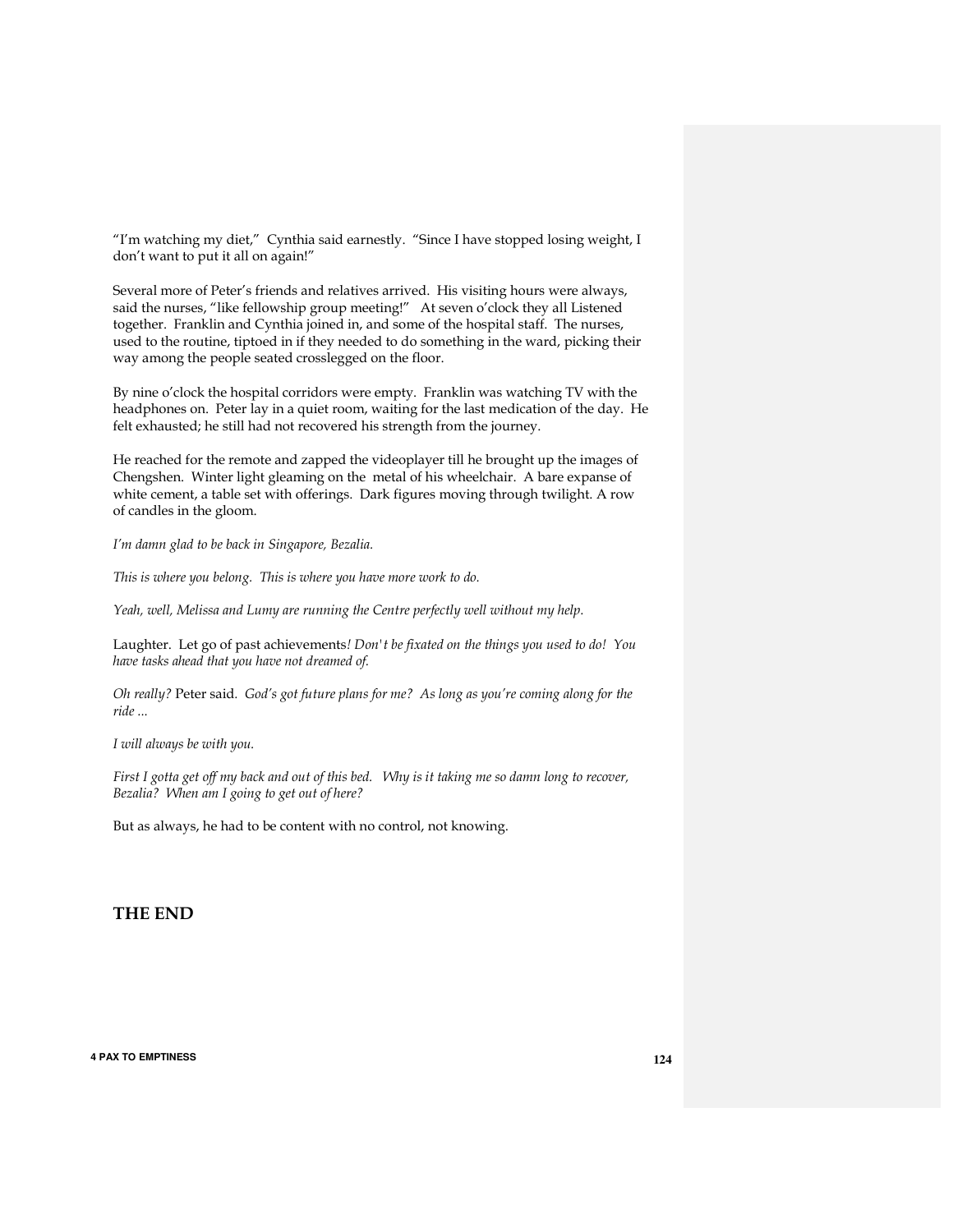"I'm watching my diet," Cynthia said earnestly. "Since I have stopped losing weight, I don't want to put it all on again!"

Several more of Peter's friends and relatives arrived. His visiting hours were always, said the nurses, "like fellowship group meeting!" At seven o'clock they all Listened together. Franklin and Cynthia joined in, and some of the hospital staff. The nurses, used to the routine, tiptoed in if they needed to do something in the ward, picking their way among the people seated crosslegged on the floor.

By nine o'clock the hospital corridors were empty. Franklin was watching TV with the headphones on. Peter lay in a quiet room, waiting for the last medication of the day. He felt exhausted; he still had not recovered his strength from the journey.

He reached for the remote and zapped the videoplayer till he brought up the images of Chengshen. Winter light gleaming on the metal of his wheelchair. A bare expanse of white cement, a table set with offerings. Dark figures moving through twilight. A row of candles in the gloom.

I'm damn glad to be back in Singapore, Bezalia.

This is where you belong. This is where you have more work to do.

Yeah, well, Melissa and Lumy are running the Centre perfectly well without my help.

Laughter. Let go of past achievements! Don't be fixated on the things you used to do! You have tasks ahead that you have not dreamed of.

Oh really? Peter said. God's got future plans for me? As long as you're coming along for the ride ...

I will always be with you.

First I gotta get off my back and out of this bed. Why is it taking me so damn long to recover, Bezalia? When am I going to get out of here?

But as always, he had to be content with no control, not knowing.

# THE END